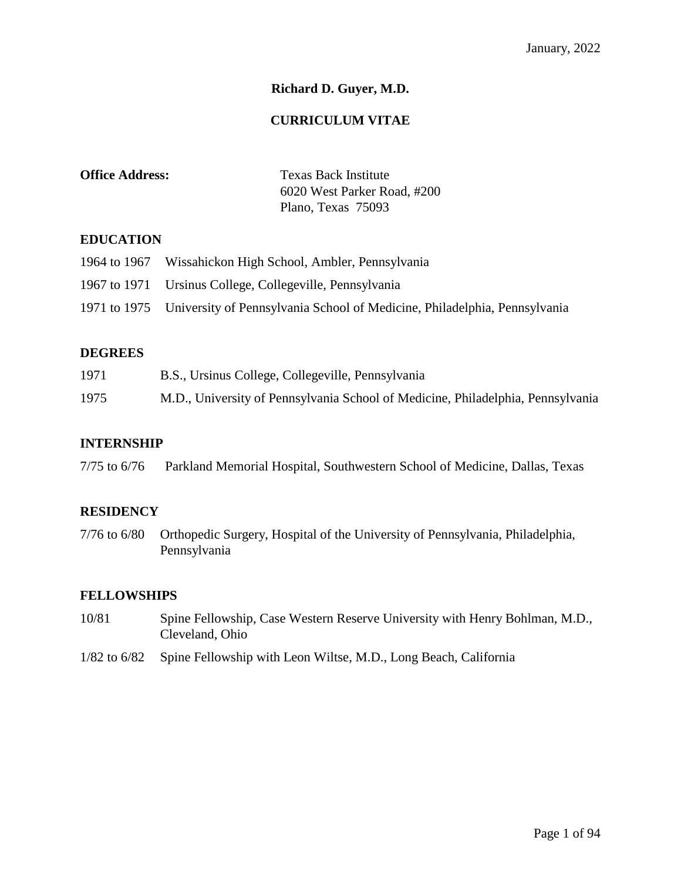# **Richard D. Guyer, M.D.**

### **CURRICULUM VITAE**

| <b>Office Address:</b> | <b>Texas Back Institute</b> |
|------------------------|-----------------------------|
|                        | 6020 West Parker Road, #200 |
|                        | Plano, Texas 75093          |

### **EDUCATION**

| 1964 to 1967 Wissahickon High School, Ambler, Pennsylvania                             |
|----------------------------------------------------------------------------------------|
| 1967 to 1971 Ursinus College, Collegeville, Pennsylvania                               |
| 1971 to 1975 University of Pennsylvania School of Medicine, Philadelphia, Pennsylvania |

### **DEGREES**

| 1971 | B.S., Ursinus College, Collegeville, Pennsylvania                               |
|------|---------------------------------------------------------------------------------|
| 1975 | M.D., University of Pennsylvania School of Medicine, Philadelphia, Pennsylvania |

### **INTERNSHIP**

|  | $7/75$ to 6/76 | Parkland Memorial Hospital, Southwestern School of Medicine, Dallas, Texas |  |  |  |
|--|----------------|----------------------------------------------------------------------------|--|--|--|
|--|----------------|----------------------------------------------------------------------------|--|--|--|

#### **RESIDENCY**

7/76 to 6/80 Orthopedic Surgery, Hospital of the University of Pennsylvania, Philadelphia, Pennsylvania

### **FELLOWSHIPS**

- 10/81 Spine Fellowship, Case Western Reserve University with Henry Bohlman, M.D., Cleveland, Ohio
- 1/82 to 6/82 Spine Fellowship with Leon Wiltse, M.D., Long Beach, California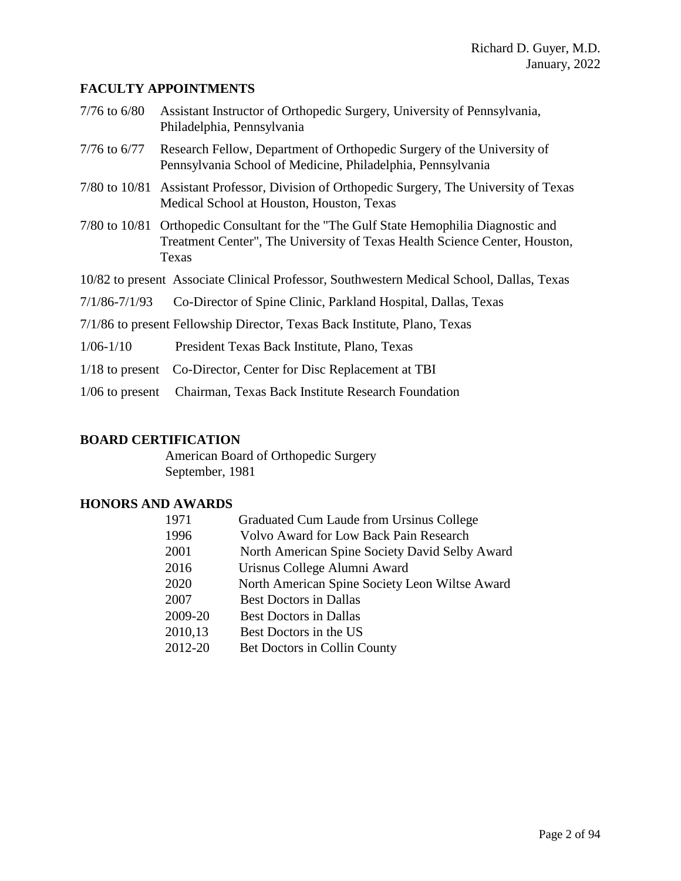# **FACULTY APPOINTMENTS**

| $7/76$ to $6/80$                                                          | Assistant Instructor of Orthopedic Surgery, University of Pennsylvania,<br>Philadelphia, Pennsylvania                                                                        |
|---------------------------------------------------------------------------|------------------------------------------------------------------------------------------------------------------------------------------------------------------------------|
| $7/76$ to $6/77$                                                          | Research Fellow, Department of Orthopedic Surgery of the University of<br>Pennsylvania School of Medicine, Philadelphia, Pennsylvania                                        |
|                                                                           | 7/80 to 10/81 Assistant Professor, Division of Orthopedic Surgery, The University of Texas<br>Medical School at Houston, Houston, Texas                                      |
|                                                                           | 7/80 to 10/81 Orthopedic Consultant for the "The Gulf State Hemophilia Diagnostic and<br>Treatment Center", The University of Texas Health Science Center, Houston,<br>Texas |
|                                                                           | 10/82 to present Associate Clinical Professor, Southwestern Medical School, Dallas, Texas                                                                                    |
| $7/1/86 - 7/1/93$                                                         | Co-Director of Spine Clinic, Parkland Hospital, Dallas, Texas                                                                                                                |
| 7/1/86 to present Fellowship Director, Texas Back Institute, Plano, Texas |                                                                                                                                                                              |
| $1/06 - 1/10$                                                             | President Texas Back Institute, Plano, Texas                                                                                                                                 |
|                                                                           | 1/18 to present Co-Director, Center for Disc Replacement at TBI                                                                                                              |
| $1/06$ to present                                                         | Chairman, Texas Back Institute Research Foundation                                                                                                                           |

# **BOARD CERTIFICATION**

American Board of Orthopedic Surgery September, 1981

# **HONORS AND AWARDS**

| 1971    | Graduated Cum Laude from Ursinus College       |
|---------|------------------------------------------------|
| 1996    | <b>Volvo Award for Low Back Pain Research</b>  |
| 2001    | North American Spine Society David Selby Award |
| 2016    | Urisnus College Alumni Award                   |
| 2020    | North American Spine Society Leon Wiltse Award |
| 2007    | <b>Best Doctors in Dallas</b>                  |
| 2009-20 | <b>Best Doctors in Dallas</b>                  |
| 2010,13 | Best Doctors in the US                         |
| 2012-20 | Bet Doctors in Collin County                   |
|         |                                                |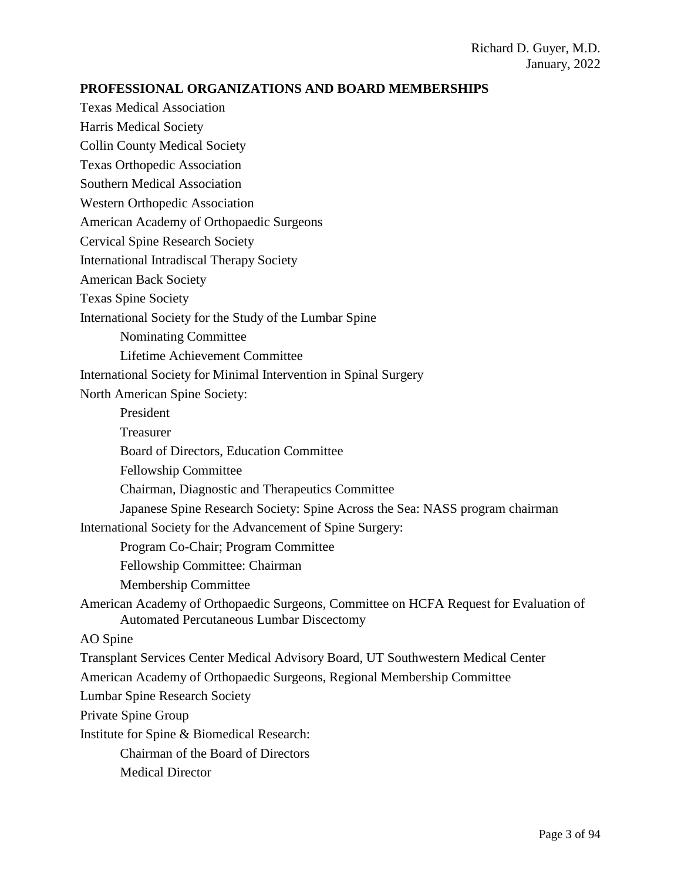### **PROFESSIONAL ORGANIZATIONS AND BOARD MEMBERSHIPS**

Texas Medical Association

Harris Medical Society

Collin County Medical Society

Texas Orthopedic Association

Southern Medical Association

Western Orthopedic Association

American Academy of Orthopaedic Surgeons

Cervical Spine Research Society

International Intradiscal Therapy Society

American Back Society

Texas Spine Society

International Society for the Study of the Lumbar Spine

Nominating Committee

Lifetime Achievement Committee

International Society for Minimal Intervention in Spinal Surgery

North American Spine Society:

President

Treasurer

Board of Directors, Education Committee

Fellowship Committee

Chairman, Diagnostic and Therapeutics Committee

Japanese Spine Research Society: Spine Across the Sea: NASS program chairman

International Society for the Advancement of Spine Surgery:

Program Co-Chair; Program Committee

Fellowship Committee: Chairman

Membership Committee

American Academy of Orthopaedic Surgeons, Committee on HCFA Request for Evaluation of Automated Percutaneous Lumbar Discectomy

AO Spine

Transplant Services Center Medical Advisory Board, UT Southwestern Medical Center

American Academy of Orthopaedic Surgeons, Regional Membership Committee

Lumbar Spine Research Society

Private Spine Group

Institute for Spine & Biomedical Research:

Chairman of the Board of Directors

Medical Director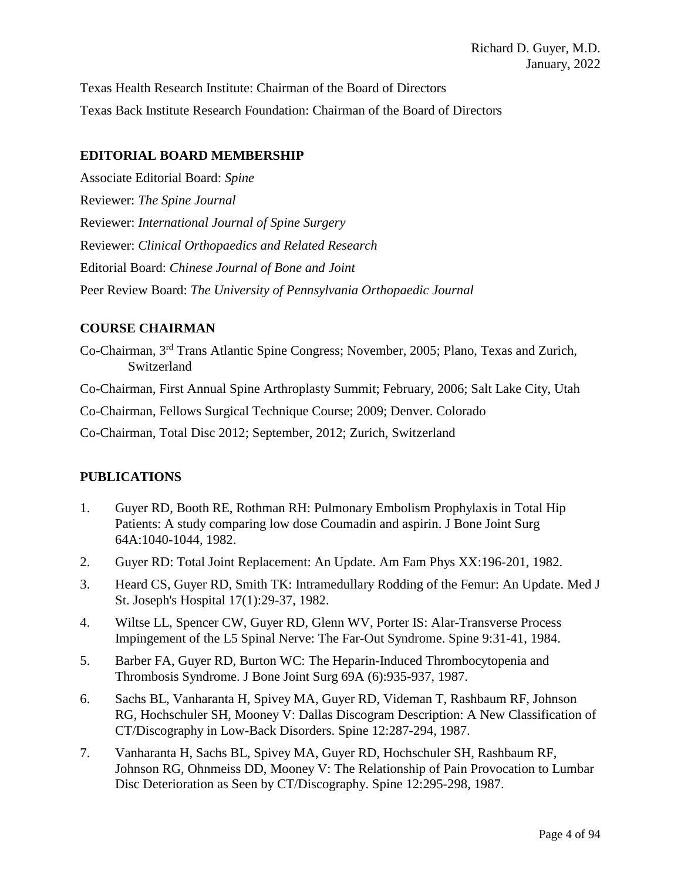Texas Health Research Institute: Chairman of the Board of Directors Texas Back Institute Research Foundation: Chairman of the Board of Directors

### **EDITORIAL BOARD MEMBERSHIP**

Associate Editorial Board: *Spine* Reviewer: *The Spine Journal* Reviewer: *International Journal of Spine Surgery* Reviewer: *Clinical Orthopaedics and Related Research* Editorial Board: *Chinese Journal of Bone and Joint* Peer Review Board: *The University of Pennsylvania Orthopaedic Journal*

### **COURSE CHAIRMAN**

Co-Chairman, 3rd Trans Atlantic Spine Congress; November, 2005; Plano, Texas and Zurich, Switzerland

Co-Chairman, First Annual Spine Arthroplasty Summit; February, 2006; Salt Lake City, Utah

Co-Chairman, Fellows Surgical Technique Course; 2009; Denver. Colorado

Co-Chairman, Total Disc 2012; September, 2012; Zurich, Switzerland

# **PUBLICATIONS**

- 1. Guyer RD, Booth RE, Rothman RH: Pulmonary Embolism Prophylaxis in Total Hip Patients: A study comparing low dose Coumadin and aspirin. J Bone Joint Surg 64A:1040-1044, 1982.
- 2. Guyer RD: Total Joint Replacement: An Update. Am Fam Phys XX:196-201, 1982.
- 3. Heard CS, Guyer RD, Smith TK: Intramedullary Rodding of the Femur: An Update. Med J St. Joseph's Hospital 17(1):29-37, 1982.
- 4. Wiltse LL, Spencer CW, Guyer RD, Glenn WV, Porter IS: Alar-Transverse Process Impingement of the L5 Spinal Nerve: The Far-Out Syndrome. Spine 9:31-41, 1984.
- 5. Barber FA, Guyer RD, Burton WC: The Heparin-Induced Thrombocytopenia and Thrombosis Syndrome. J Bone Joint Surg 69A (6):935-937, 1987.
- 6. Sachs BL, Vanharanta H, Spivey MA, Guyer RD, Videman T, Rashbaum RF, Johnson RG, Hochschuler SH, Mooney V: Dallas Discogram Description: A New Classification of CT/Discography in Low-Back Disorders. Spine 12:287-294, 1987.
- 7. Vanharanta H, Sachs BL, Spivey MA, Guyer RD, Hochschuler SH, Rashbaum RF, Johnson RG, Ohnmeiss DD, Mooney V: The Relationship of Pain Provocation to Lumbar Disc Deterioration as Seen by CT/Discography. Spine 12:295-298, 1987.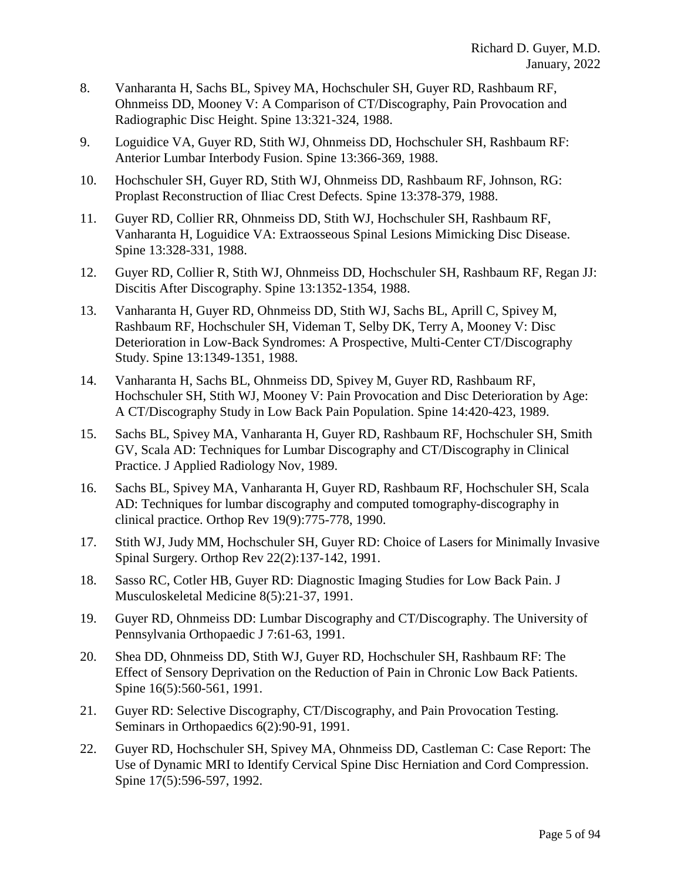- 8. Vanharanta H, Sachs BL, Spivey MA, Hochschuler SH, Guyer RD, Rashbaum RF, Ohnmeiss DD, Mooney V: A Comparison of CT/Discography, Pain Provocation and Radiographic Disc Height. Spine 13:321-324, 1988.
- 9. Loguidice VA, Guyer RD, Stith WJ, Ohnmeiss DD, Hochschuler SH, Rashbaum RF: Anterior Lumbar Interbody Fusion. Spine 13:366-369, 1988.
- 10. Hochschuler SH, Guyer RD, Stith WJ, Ohnmeiss DD, Rashbaum RF, Johnson, RG: Proplast Reconstruction of Iliac Crest Defects. Spine 13:378-379, 1988.
- 11. Guyer RD, Collier RR, Ohnmeiss DD, Stith WJ, Hochschuler SH, Rashbaum RF, Vanharanta H, Loguidice VA: Extraosseous Spinal Lesions Mimicking Disc Disease. Spine 13:328-331, 1988.
- 12. Guyer RD, Collier R, Stith WJ, Ohnmeiss DD, Hochschuler SH, Rashbaum RF, Regan JJ: Discitis After Discography. Spine 13:1352-1354, 1988.
- 13. Vanharanta H, Guyer RD, Ohnmeiss DD, Stith WJ, Sachs BL, Aprill C, Spivey M, Rashbaum RF, Hochschuler SH, Videman T, Selby DK, Terry A, Mooney V: Disc Deterioration in Low-Back Syndromes: A Prospective, Multi-Center CT/Discography Study. Spine 13:1349-1351, 1988.
- 14. Vanharanta H, Sachs BL, Ohnmeiss DD, Spivey M, Guyer RD, Rashbaum RF, Hochschuler SH, Stith WJ, Mooney V: Pain Provocation and Disc Deterioration by Age: A CT/Discography Study in Low Back Pain Population. Spine 14:420-423, 1989.
- 15. Sachs BL, Spivey MA, Vanharanta H, Guyer RD, Rashbaum RF, Hochschuler SH, Smith GV, Scala AD: Techniques for Lumbar Discography and CT/Discography in Clinical Practice. J Applied Radiology Nov, 1989.
- 16. Sachs BL, Spivey MA, Vanharanta H, Guyer RD, Rashbaum RF, Hochschuler SH, Scala AD: Techniques for lumbar discography and computed tomography-discography in clinical practice. Orthop Rev 19(9):775-778, 1990.
- 17. Stith WJ, Judy MM, Hochschuler SH, Guyer RD: Choice of Lasers for Minimally Invasive Spinal Surgery. Orthop Rev 22(2):137-142, 1991.
- 18. Sasso RC, Cotler HB, Guyer RD: Diagnostic Imaging Studies for Low Back Pain. J Musculoskeletal Medicine 8(5):21-37, 1991.
- 19. Guyer RD, Ohnmeiss DD: Lumbar Discography and CT/Discography. The University of Pennsylvania Orthopaedic J 7:61-63, 1991.
- 20. Shea DD, Ohnmeiss DD, Stith WJ, Guyer RD, Hochschuler SH, Rashbaum RF: The Effect of Sensory Deprivation on the Reduction of Pain in Chronic Low Back Patients. Spine 16(5):560-561, 1991.
- 21. Guyer RD: Selective Discography, CT/Discography, and Pain Provocation Testing. Seminars in Orthopaedics 6(2):90-91, 1991.
- 22. Guyer RD, Hochschuler SH, Spivey MA, Ohnmeiss DD, Castleman C: Case Report: The Use of Dynamic MRI to Identify Cervical Spine Disc Herniation and Cord Compression. Spine 17(5):596-597, 1992.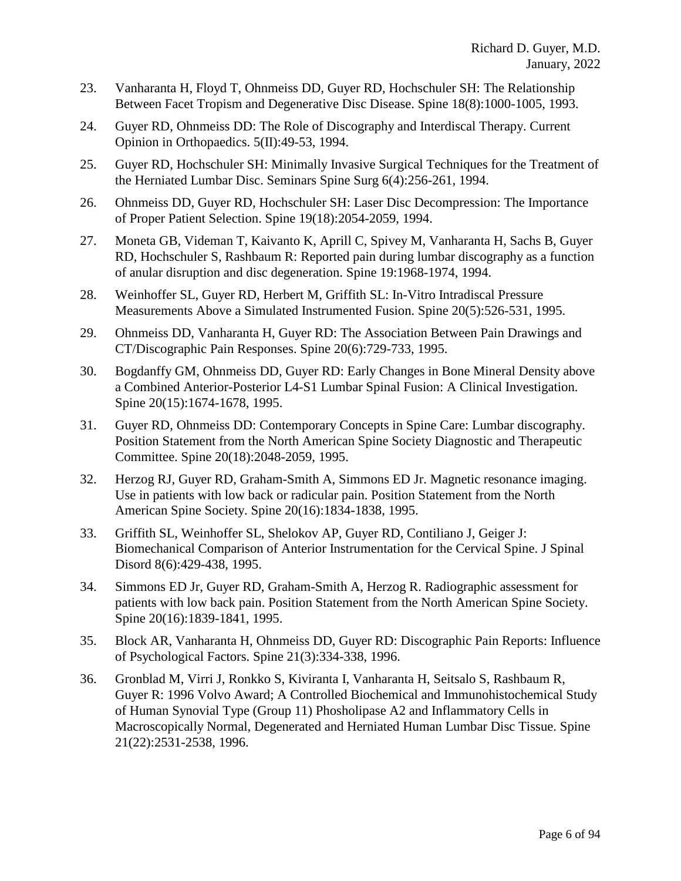- 23. Vanharanta H, Floyd T, Ohnmeiss DD, Guyer RD, Hochschuler SH: The Relationship Between Facet Tropism and Degenerative Disc Disease. Spine 18(8):1000-1005, 1993.
- 24. Guyer RD, Ohnmeiss DD: The Role of Discography and Interdiscal Therapy. Current Opinion in Orthopaedics. 5(II):49-53, 1994.
- 25. Guyer RD, Hochschuler SH: Minimally Invasive Surgical Techniques for the Treatment of the Herniated Lumbar Disc. Seminars Spine Surg 6(4):256-261, 1994.
- 26. Ohnmeiss DD, Guyer RD, Hochschuler SH: Laser Disc Decompression: The Importance of Proper Patient Selection. Spine 19(18):2054-2059, 1994.
- 27. Moneta GB, Videman T, Kaivanto K, Aprill C, Spivey M, Vanharanta H, Sachs B, Guyer RD, Hochschuler S, Rashbaum R: Reported pain during lumbar discography as a function of anular disruption and disc degeneration. Spine 19:1968-1974, 1994.
- 28. Weinhoffer SL, Guyer RD, Herbert M, Griffith SL: In-Vitro Intradiscal Pressure Measurements Above a Simulated Instrumented Fusion. Spine 20(5):526-531, 1995.
- 29. Ohnmeiss DD, Vanharanta H, Guyer RD: The Association Between Pain Drawings and CT/Discographic Pain Responses. Spine 20(6):729-733, 1995.
- 30. Bogdanffy GM, Ohnmeiss DD, Guyer RD: Early Changes in Bone Mineral Density above a Combined Anterior-Posterior L4-S1 Lumbar Spinal Fusion: A Clinical Investigation. Spine 20(15):1674-1678, 1995.
- 31. Guyer RD, Ohnmeiss DD: Contemporary Concepts in Spine Care: Lumbar discography. Position Statement from the North American Spine Society Diagnostic and Therapeutic Committee. Spine 20(18):2048-2059, 1995.
- 32. [Herzog RJ, Guyer RD, Graham-Smith A, Simmons ED Jr.](http://www.ncbi.nlm.nih.gov/entrez/query.fcgi?cmd=Retrieve&db=PubMed&list_uids=7502142&dopt=Abstract) Magnetic resonance imaging. Use in patients with low back or radicular pain. Position Statement from the North American Spine Society. Spine 20(16):1834-1838, 1995.
- 33. Griffith SL, Weinhoffer SL, Shelokov AP, Guyer RD, Contiliano J, Geiger J: Biomechanical Comparison of Anterior Instrumentation for the Cervical Spine. J Spinal Disord 8(6):429-438, 1995.
- 34. [Simmons ED Jr, Guyer RD, Graham-Smith A, Herzog R.](http://www.ncbi.nlm.nih.gov/entrez/query.fcgi?cmd=Retrieve&db=PubMed&list_uids=7502143&dopt=Abstract) Radiographic assessment for patients with low back pain. Position Statement from the North American Spine Society. Spine 20(16):1839-1841, 1995.
- 35. Block AR, Vanharanta H, Ohnmeiss DD, Guyer RD: Discographic Pain Reports: Influence of Psychological Factors. Spine 21(3):334-338, 1996.
- 36. Gronblad M, Virri J, Ronkko S, Kiviranta I, Vanharanta H, Seitsalo S, Rashbaum R, Guyer R: 1996 Volvo Award; A Controlled Biochemical and Immunohistochemical Study of Human Synovial Type (Group 11) Phosholipase A2 and Inflammatory Cells in Macroscopically Normal, Degenerated and Herniated Human Lumbar Disc Tissue. Spine 21(22):2531-2538, 1996.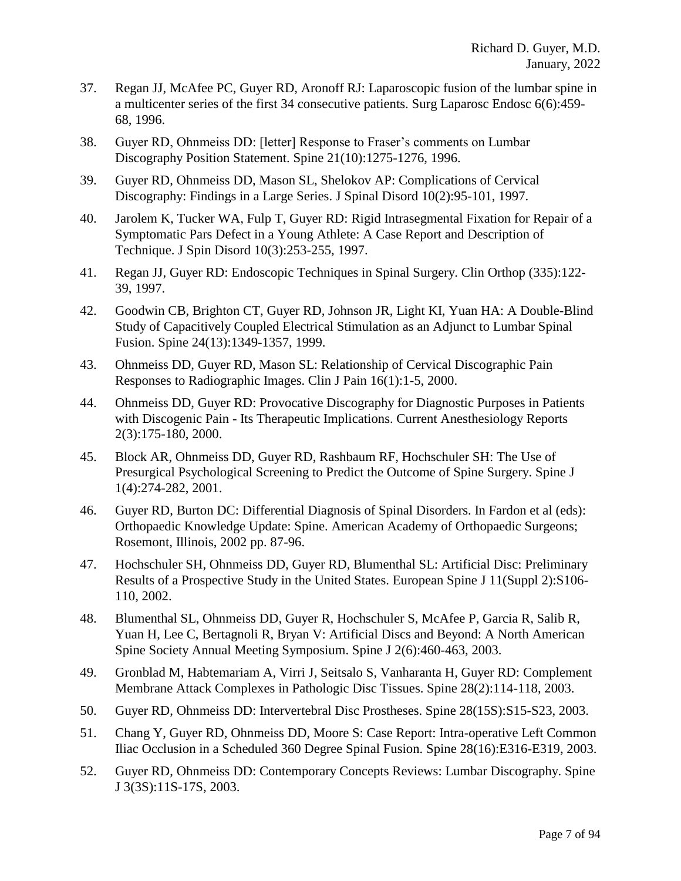- 37. Regan JJ, McAfee PC, Guyer RD, Aronoff RJ: Laparoscopic fusion of the lumbar spine in a multicenter series of the first 34 consecutive patients. Surg Laparosc Endosc 6(6):459- 68, 1996.
- 38. Guyer RD, Ohnmeiss DD: [letter] Response to Fraser's comments on Lumbar Discography Position Statement. Spine 21(10):1275-1276, 1996.
- 39. Guyer RD, Ohnmeiss DD, Mason SL, Shelokov AP: Complications of Cervical Discography: Findings in a Large Series. J Spinal Disord 10(2):95-101, 1997.
- 40. Jarolem K, Tucker WA, Fulp T, Guyer RD: Rigid Intrasegmental Fixation for Repair of a Symptomatic Pars Defect in a Young Athlete: A Case Report and Description of Technique. J Spin Disord 10(3):253-255, 1997.
- 41. Regan JJ, Guyer RD: Endoscopic Techniques in Spinal Surgery. Clin Orthop (335):122- 39, 1997.
- 42. Goodwin CB, Brighton CT, Guyer RD, Johnson JR, Light KI, Yuan HA: A Double-Blind Study of Capacitively Coupled Electrical Stimulation as an Adjunct to Lumbar Spinal Fusion. Spine 24(13):1349-1357, 1999.
- 43. Ohnmeiss DD, Guyer RD, Mason SL: Relationship of Cervical Discographic Pain Responses to Radiographic Images. Clin J Pain 16(1):1-5, 2000.
- 44. Ohnmeiss DD, Guyer RD: Provocative Discography for Diagnostic Purposes in Patients with Discogenic Pain - Its Therapeutic Implications. Current Anesthesiology Reports 2(3):175-180, 2000.
- 45. Block AR, Ohnmeiss DD, Guyer RD, Rashbaum RF, Hochschuler SH: The Use of Presurgical Psychological Screening to Predict the Outcome of Spine Surgery. Spine J 1(4):274-282, 2001.
- 46. Guyer RD, Burton DC: Differential Diagnosis of Spinal Disorders. In Fardon et al (eds): Orthopaedic Knowledge Update: Spine. American Academy of Orthopaedic Surgeons; Rosemont, Illinois, 2002 pp. 87-96.
- 47. Hochschuler SH, Ohnmeiss DD, Guyer RD, Blumenthal SL: Artificial Disc: Preliminary Results of a Prospective Study in the United States. European Spine J 11(Suppl 2):S106- 110, 2002.
- 48. Blumenthal SL, Ohnmeiss DD, Guyer R, Hochschuler S, McAfee P, Garcia R, Salib R, Yuan H, Lee C, Bertagnoli R, Bryan V: Artificial Discs and Beyond: A North American Spine Society Annual Meeting Symposium. Spine J 2(6):460-463, 2003.
- 49. [Gronblad M, Habtemariam A, Virri J, Seitsalo S, Vanharanta H, Guyer RD:](http://www.ncbi.nlm.nih.gov/entrez/query.fcgi?cmd=Retrieve&db=PubMed&list_uids=12544925&dopt=Abstract) Complement Membrane Attack Complexes in Pathologic Disc Tissues. Spine 28(2):114-118, 2003.
- 50. Guyer RD, Ohnmeiss DD: Intervertebral Disc Prostheses. Spine 28(15S):S15-S23, 2003.
- 51. Chang Y, Guyer RD, Ohnmeiss DD, Moore S: Case Report: Intra-operative Left Common Iliac Occlusion in a Scheduled 360 Degree Spinal Fusion. Spine 28(16):E316-E319, 2003.
- 52. Guyer RD, Ohnmeiss DD: Contemporary Concepts Reviews: Lumbar Discography. Spine J 3(3S):11S-17S, 2003.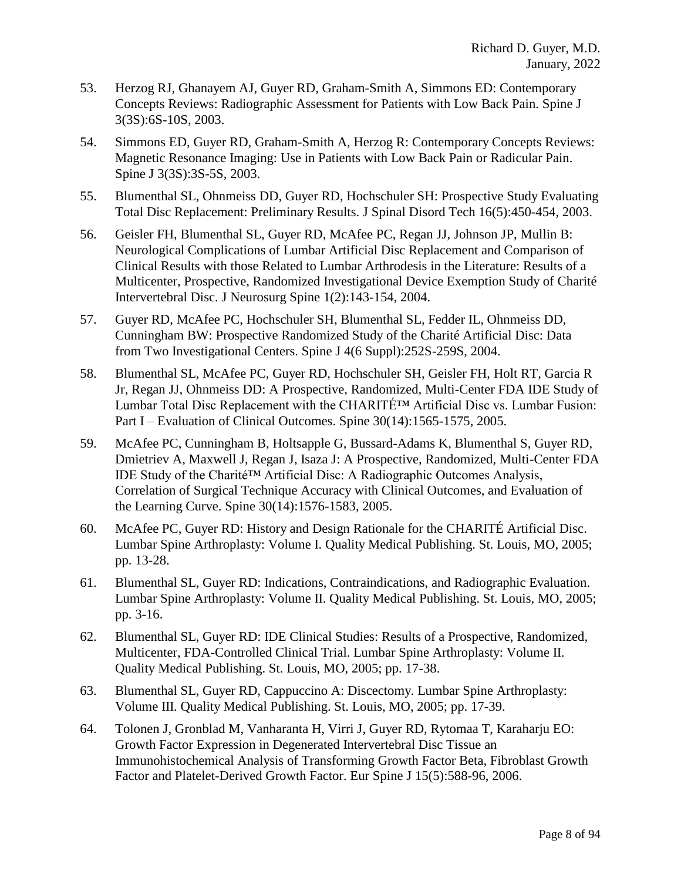- 53. Herzog RJ, Ghanayem AJ, Guyer RD, Graham-Smith A, Simmons ED: Contemporary Concepts Reviews: Radiographic Assessment for Patients with Low Back Pain. Spine J 3(3S):6S-10S, 2003.
- 54. Simmons ED, Guyer RD, Graham-Smith A, Herzog R: Contemporary Concepts Reviews: Magnetic Resonance Imaging: Use in Patients with Low Back Pain or Radicular Pain. Spine J 3(3S):3S-5S, 2003.
- 55. Blumenthal SL, Ohnmeiss DD, Guyer RD, Hochschuler SH: Prospective Study Evaluating Total Disc Replacement: Preliminary Results. J Spinal Disord Tech 16(5):450-454, 2003.
- 56. Geisler FH, Blumenthal SL, Guyer RD, McAfee PC, Regan JJ, Johnson JP, Mullin B: Neurological Complications of Lumbar Artificial Disc Replacement and Comparison of Clinical Results with those Related to Lumbar Arthrodesis in the Literature: Results of a Multicenter, Prospective, Randomized Investigational Device Exemption Study of Charité Intervertebral Disc. J Neurosurg Spine 1(2):143-154, 2004.
- 57. Guyer RD, McAfee PC, Hochschuler SH, Blumenthal SL, Fedder IL, Ohnmeiss DD, Cunningham BW: Prospective Randomized Study of the Charité Artificial Disc: Data from Two Investigational Centers. Spine J 4(6 Suppl):252S-259S, 2004.
- 58. Blumenthal SL, McAfee PC, Guyer RD, Hochschuler SH, Geisler FH, Holt RT, Garcia R Jr, Regan JJ, Ohnmeiss DD: A Prospective, Randomized, Multi-Center FDA IDE Study of Lumbar Total Disc Replacement with the CHARITÉ™ Artificial Disc vs. Lumbar Fusion: Part I – Evaluation of Clinical Outcomes. Spine 30(14):1565-1575, 2005.
- 59. McAfee PC, Cunningham B, Holtsapple G, Bussard-Adams K, Blumenthal S, Guyer RD, Dmietriev A, Maxwell J, Regan J, Isaza J: A Prospective, Randomized, Multi-Center FDA IDE Study of the Charité™ Artificial Disc: A Radiographic Outcomes Analysis, Correlation of Surgical Technique Accuracy with Clinical Outcomes, and Evaluation of the Learning Curve. Spine 30(14):1576-1583, 2005.
- 60. McAfee PC, Guyer RD: History and Design Rationale for the CHARITÉ Artificial Disc. Lumbar Spine Arthroplasty: Volume I. Quality Medical Publishing. St. Louis, MO, 2005; pp. 13-28.
- 61. Blumenthal SL, Guyer RD: Indications, Contraindications, and Radiographic Evaluation. Lumbar Spine Arthroplasty: Volume II. Quality Medical Publishing. St. Louis, MO, 2005; pp. 3-16.
- 62. Blumenthal SL, Guyer RD: IDE Clinical Studies: Results of a Prospective, Randomized, Multicenter, FDA-Controlled Clinical Trial. Lumbar Spine Arthroplasty: Volume II. Quality Medical Publishing. St. Louis, MO, 2005; pp. 17-38.
- 63. Blumenthal SL, Guyer RD, Cappuccino A: Discectomy. Lumbar Spine Arthroplasty: Volume III. Quality Medical Publishing. St. Louis, MO, 2005; pp. 17-39.
- 64. [Tolonen J,](http://www.ncbi.nlm.nih.gov/entrez/query.fcgi?db=pubmed&cmd=Search&term=%22Tolonen+J%22%5BAuthor%5D) [Gronblad M,](http://www.ncbi.nlm.nih.gov/entrez/query.fcgi?db=pubmed&cmd=Search&term=%22Gronblad+M%22%5BAuthor%5D) [Vanharanta H,](http://www.ncbi.nlm.nih.gov/entrez/query.fcgi?db=pubmed&cmd=Search&term=%22Vanharanta+H%22%5BAuthor%5D) [Virri J,](http://www.ncbi.nlm.nih.gov/entrez/query.fcgi?db=pubmed&cmd=Search&term=%22Virri+J%22%5BAuthor%5D) [Guyer RD,](http://www.ncbi.nlm.nih.gov/entrez/query.fcgi?db=pubmed&cmd=Search&term=%22Guyer+RD%22%5BAuthor%5D) [Rytomaa T,](http://www.ncbi.nlm.nih.gov/entrez/query.fcgi?db=pubmed&cmd=Search&term=%22Rytomaa+T%22%5BAuthor%5D) [Karaharju EO:](http://www.ncbi.nlm.nih.gov/entrez/query.fcgi?db=pubmed&cmd=Search&term=%22Karaharju+EO%22%5BAuthor%5D) Growth Factor Expression in Degenerated Intervertebral Disc Tissue an Immunohistochemical Analysis of Transforming Growth Factor Beta, Fibroblast Growth Factor and Platelet-Derived Growth Factor. Eur Spine J 15(5):588-96, 2006.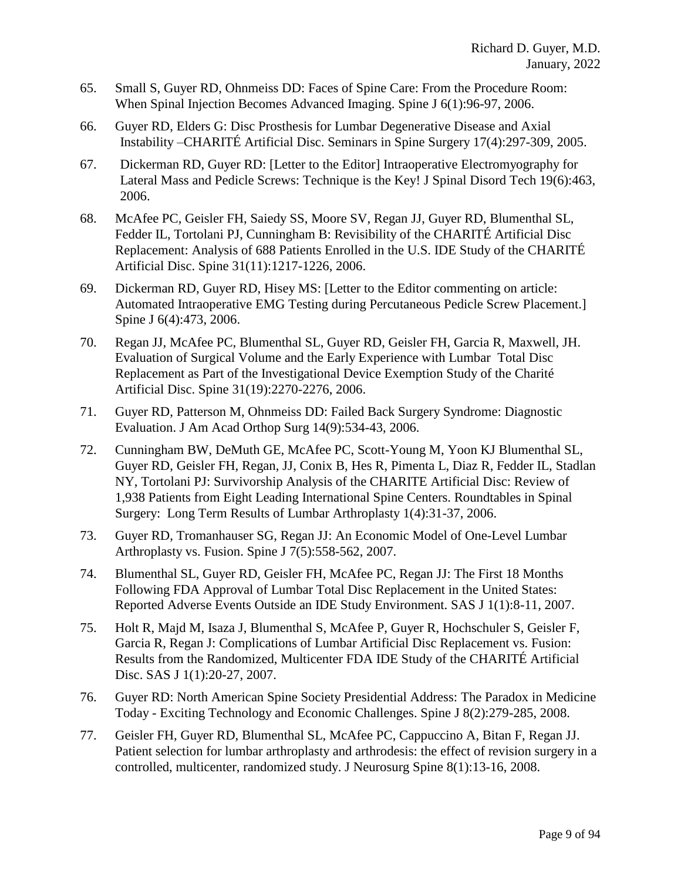- 65. Small S, Guyer RD, Ohnmeiss DD: Faces of Spine Care: From the Procedure Room: When Spinal Injection Becomes Advanced Imaging. Spine J 6(1):96-97, 2006.
- 66. Guyer RD, Elders G: Disc Prosthesis for Lumbar Degenerative Disease and Axial Instability –CHARITÉ Artificial Disc. Seminars in Spine Surgery 17(4):297-309, 2005.
- 67. Dickerman RD, Guyer RD: [Letter to the Editor] Intraoperative Electromyography for Lateral Mass and Pedicle Screws: Technique is the Key! J Spinal Disord Tech 19(6):463, 2006.
- 68. McAfee PC, Geisler FH, Saiedy SS, Moore SV, Regan JJ, Guyer RD, Blumenthal SL, Fedder IL, Tortolani PJ, Cunningham B: Revisibility of the CHARITÉ Artificial Disc Replacement: Analysis of 688 Patients Enrolled in the U.S. IDE Study of the CHARITÉ Artificial Disc. Spine 31(11):1217-1226, 2006.
- 69. Dickerman RD, Guyer RD, Hisey MS: [Letter to the Editor commenting on article: Automated Intraoperative EMG Testing during Percutaneous Pedicle Screw Placement.] Spine J 6(4):473, 2006.
- 70. Regan JJ, McAfee PC, Blumenthal SL, Guyer RD, Geisler FH, Garcia R, Maxwell, JH. Evaluation of Surgical Volume and the Early Experience with Lumbar Total Disc Replacement as Part of the Investigational Device Exemption Study of the Charité Artificial Disc. Spine 31(19):2270-2276, 2006.
- 71. Guyer RD, Patterson M, Ohnmeiss DD: Failed Back Surgery Syndrome: Diagnostic Evaluation. J Am Acad Orthop Surg 14(9):534-43, 2006.
- 72. Cunningham BW, DeMuth GE, McAfee PC, Scott-Young M, Yoon KJ Blumenthal SL, Guyer RD, Geisler FH, Regan, JJ, Conix B, Hes R, Pimenta L, Diaz R, Fedder IL, Stadlan NY, Tortolani PJ: Survivorship Analysis of the CHARITE Artificial Disc: Review of 1,938 Patients from Eight Leading International Spine Centers. Roundtables in Spinal Surgery: Long Term Results of Lumbar Arthroplasty 1(4):31-37, 2006.
- 73. Guyer RD, Tromanhauser SG, Regan JJ: An Economic Model of One-Level Lumbar Arthroplasty vs. Fusion. Spine J 7(5):558-562, 2007.
- 74. Blumenthal SL, Guyer RD, Geisler FH, McAfee PC, Regan JJ: The First 18 Months Following FDA Approval of Lumbar Total Disc Replacement in the United States: Reported Adverse Events Outside an IDE Study Environment. SAS J 1(1):8-11, 2007.
- 75. Holt R, Majd M, Isaza J, Blumenthal S, McAfee P, Guyer R, Hochschuler S, Geisler F, Garcia R, Regan J: Complications of Lumbar Artificial Disc Replacement vs. Fusion: Results from the Randomized, Multicenter FDA IDE Study of the CHARITÉ Artificial Disc. SAS J 1(1):20-27, 2007.
- 76. Guyer RD: North American Spine Society Presidential Address: The Paradox in Medicine Today - Exciting Technology and Economic Challenges. Spine J 8(2):279-285, 2008.
- 77. [Geisler FH, Guyer RD, Blumenthal SL, McAfee PC, Cappuccino A, Bitan F, Regan JJ.](http://www.ncbi.nlm.nih.gov/pubmed/18173341?ordinalpos=12&itool=EntrezSystem2.PEntrez.Pubmed.Pubmed_ResultsPanel.Pubmed_RVDocSum) Patient selection for lumbar arthroplasty and arthrodesis: the effect of revision surgery in a controlled, multicenter, randomized study. J Neurosurg Spine 8(1):13-16, 2008.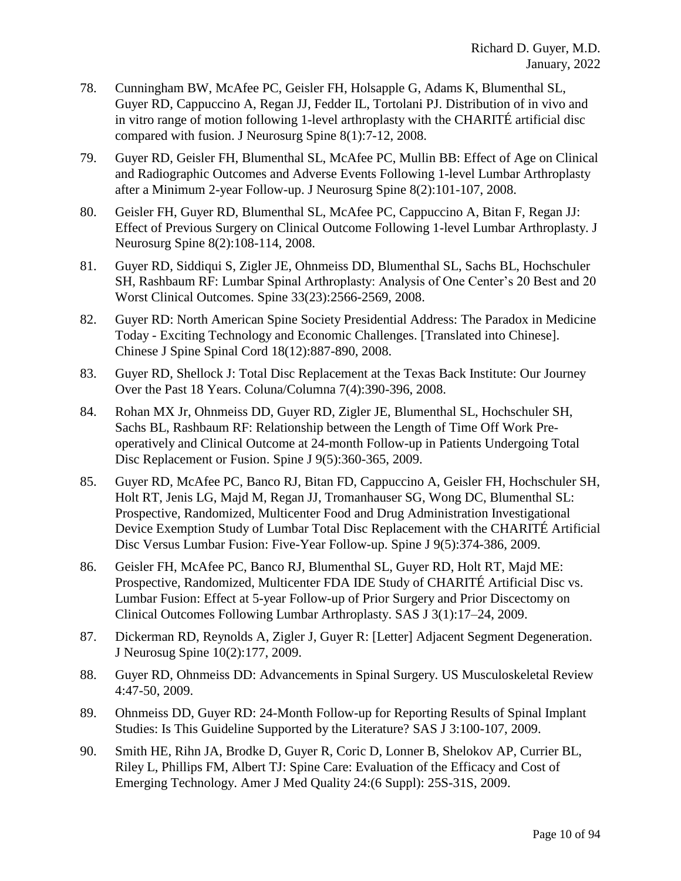- 78. [Cunningham BW, McAfee PC, Geisler FH, Holsapple G, Adams K, Blumenthal SL,](http://www.ncbi.nlm.nih.gov/pubmed/18173340?ordinalpos=13&itool=EntrezSystem2.PEntrez.Pubmed.Pubmed_ResultsPanel.Pubmed_RVDocSum)  [Guyer RD, Cappuccino A, Regan JJ, Fedder IL, Tortolani PJ.](http://www.ncbi.nlm.nih.gov/pubmed/18173340?ordinalpos=13&itool=EntrezSystem2.PEntrez.Pubmed.Pubmed_ResultsPanel.Pubmed_RVDocSum) Distribution of in vivo and in vitro range of motion following 1-level arthroplasty with the CHARITÉ artificial disc compared with fusion. J Neurosurg Spine 8(1):7-12, 2008.
- 79. Guyer RD, Geisler FH, Blumenthal SL, McAfee PC, Mullin BB: Effect of Age on Clinical and Radiographic Outcomes and Adverse Events Following 1-level Lumbar Arthroplasty after a Minimum 2-year Follow-up. J Neurosurg Spine 8(2):101-107, 2008.
- 80. Geisler FH, Guyer RD, Blumenthal SL, McAfee PC, Cappuccino A, Bitan F, Regan JJ: Effect of Previous Surgery on Clinical Outcome Following 1-level Lumbar Arthroplasty. J Neurosurg Spine 8(2):108-114, 2008.
- 81. Guyer RD, Siddiqui S, Zigler JE, Ohnmeiss DD, Blumenthal SL, Sachs BL, Hochschuler SH, Rashbaum RF: Lumbar Spinal Arthroplasty: Analysis of One Center's 20 Best and 20 Worst Clinical Outcomes. Spine 33(23):2566-2569, 2008.
- 82. Guyer RD: North American Spine Society Presidential Address: The Paradox in Medicine Today - Exciting Technology and Economic Challenges. [Translated into Chinese]. Chinese J Spine Spinal Cord 18(12):887-890, 2008.
- 83. Guyer RD, Shellock J: Total Disc Replacement at the Texas Back Institute: Our Journey Over the Past 18 Years. Coluna/Columna 7(4):390-396, 2008.
- 84. Rohan MX Jr, Ohnmeiss DD, Guyer RD, Zigler JE, Blumenthal SL, Hochschuler SH, Sachs BL, Rashbaum RF: Relationship between the Length of Time Off Work Preoperatively and Clinical Outcome at 24-month Follow-up in Patients Undergoing Total Disc Replacement or Fusion. Spine J 9(5):360-365, 2009.
- 85. Guyer RD, McAfee PC, Banco RJ, Bitan FD, Cappuccino A, Geisler FH, Hochschuler SH, Holt RT, Jenis LG, Majd M, Regan JJ, Tromanhauser SG, Wong DC, Blumenthal SL: Prospective, Randomized, Multicenter Food and Drug Administration Investigational Device Exemption Study of Lumbar Total Disc Replacement with the CHARITÉ Artificial Disc Versus Lumbar Fusion: Five-Year Follow-up. Spine J 9(5):374-386, 2009.
- 86. Geisler FH, McAfee PC, Banco RJ, Blumenthal SL, Guyer RD, Holt RT, Majd ME: Prospective, Randomized, Multicenter FDA IDE Study of CHARITÉ Artificial Disc vs. Lumbar Fusion: Effect at 5-year Follow-up of Prior Surgery and Prior Discectomy on Clinical Outcomes Following Lumbar Arthroplasty. SAS J 3(1):17–24, 2009.
- 87. Dickerman RD, Reynolds A, Zigler J, Guyer R: [Letter] Adjacent Segment Degeneration. J Neurosug Spine 10(2):177, 2009.
- 88. Guyer RD, Ohnmeiss DD: Advancements in Spinal Surgery. US Musculoskeletal Review 4:47-50, 2009.
- 89. Ohnmeiss DD, Guyer RD: 24-Month Follow-up for Reporting Results of Spinal Implant Studies: Is This Guideline Supported by the Literature? SAS J 3:100-107, 2009.
- 90. Smith HE, Rihn JA, Brodke D, Guyer R, Coric D, Lonner B, Shelokov AP, Currier BL, Riley L, Phillips FM, Albert TJ: Spine Care: Evaluation of the Efficacy and Cost of Emerging Technology. Amer J Med Quality 24:(6 Suppl): 25S-31S, 2009.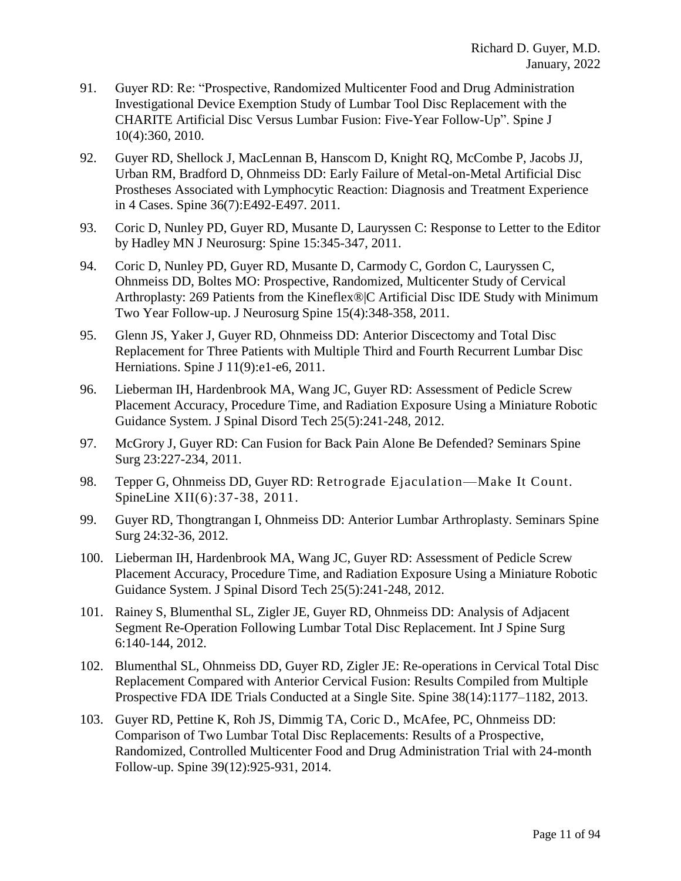- 91. Guyer RD: Re: "Prospective, Randomized Multicenter Food and Drug Administration Investigational Device Exemption Study of Lumbar Tool Disc Replacement with the CHARITE Artificial Disc Versus Lumbar Fusion: Five-Year Follow-Up". Spine J 10(4):360, 2010.
- 92. Guyer RD, Shellock J, MacLennan B, Hanscom D, Knight RQ, McCombe P, Jacobs JJ, Urban RM, Bradford D, Ohnmeiss DD: Early Failure of Metal-on-Metal Artificial Disc Prostheses Associated with Lymphocytic Reaction: Diagnosis and Treatment Experience in 4 Cases. Spine 36(7):E492-E497. 2011.
- 93. Coric D, Nunley PD, Guyer RD, Musante D, Lauryssen C: Response to Letter to the Editor by Hadley MN J Neurosurg: Spine 15:345-347, 2011.
- 94. Coric D, Nunley PD, Guyer RD, Musante D, Carmody C, Gordon C, Lauryssen C, Ohnmeiss DD, Boltes MO: Prospective, Randomized, Multicenter Study of Cervical Arthroplasty: 269 Patients from the Kineflex®|C Artificial Disc IDE Study with Minimum Two Year Follow-up. J Neurosurg Spine 15(4):348-358, 2011.
- 95. Glenn JS, Yaker J, Guyer RD, Ohnmeiss DD: Anterior Discectomy and Total Disc Replacement for Three Patients with Multiple Third and Fourth Recurrent Lumbar Disc Herniations. Spine J 11(9):e1-e6, 2011.
- 96. Lieberman IH, Hardenbrook MA, Wang JC, Guyer RD: Assessment of Pedicle Screw Placement Accuracy, Procedure Time, and Radiation Exposure Using a Miniature Robotic Guidance System. J Spinal Disord Tech 25(5):241-248, 2012.
- 97. McGrory J, Guyer RD: Can Fusion for Back Pain Alone Be Defended? Seminars Spine Surg 23:227-234, 2011.
- 98. Tepper G, Ohnmeiss DD, Guyer RD: Retrograde Ejaculation—Make It Count. SpineLine XII(6):37-38, 2011.
- 99. Guyer RD, Thongtrangan I, Ohnmeiss DD: Anterior Lumbar Arthroplasty. Seminars Spine Surg 24:32-36, 2012.
- 100. Lieberman IH, Hardenbrook MA, Wang JC, Guyer RD: Assessment of Pedicle Screw Placement Accuracy, Procedure Time, and Radiation Exposure Using a Miniature Robotic Guidance System. J Spinal Disord Tech 25(5):241-248, 2012.
- 101. Rainey S, Blumenthal SL, Zigler JE, Guyer RD, Ohnmeiss DD: Analysis of Adjacent Segment Re-Operation Following Lumbar Total Disc Replacement. Int J Spine Surg 6:140-144, 2012.
- 102. Blumenthal SL, Ohnmeiss DD, Guyer RD, Zigler JE: Re-operations in Cervical Total Disc Replacement Compared with Anterior Cervical Fusion: Results Compiled from Multiple Prospective FDA IDE Trials Conducted at a Single Site. Spine 38(14):1177–1182, 2013.
- 103. Guyer RD, Pettine K, Roh JS, Dimmig TA, Coric D., McAfee, PC, Ohnmeiss DD: Comparison of Two Lumbar Total Disc Replacements: Results of a Prospective, Randomized, Controlled Multicenter Food and Drug Administration Trial with 24-month Follow-up. Spine 39(12):925-931, 2014.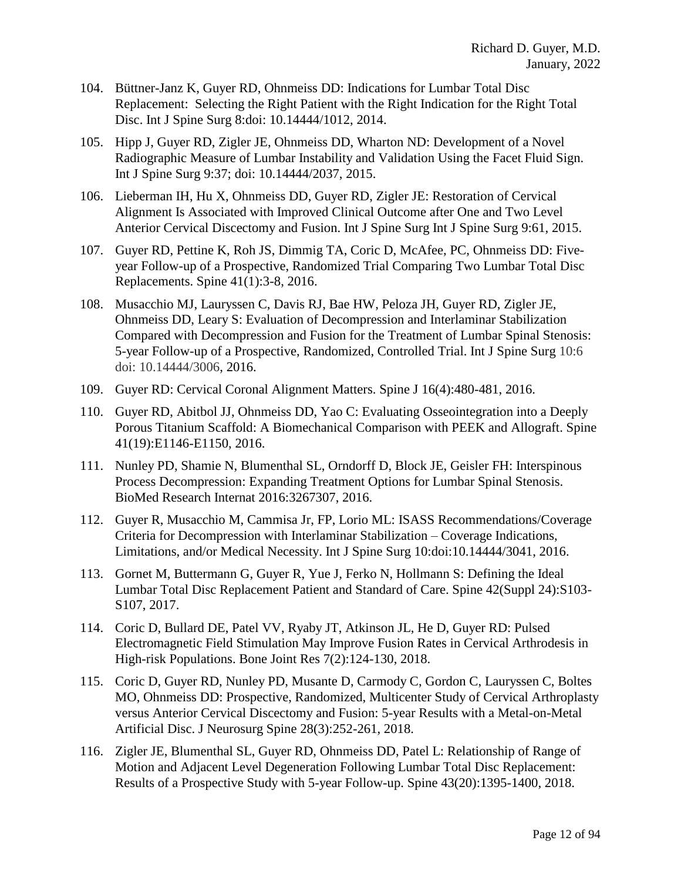- 104. Büttner-Janz K, Guyer RD, Ohnmeiss DD: Indications for Lumbar Total Disc Replacement: Selecting the Right Patient with the Right Indication for the Right Total Disc. Int J Spine Surg 8:doi: 10.14444/1012, 2014.
- 105. Hipp J, Guyer RD, Zigler JE, Ohnmeiss DD, Wharton ND: Development of a Novel Radiographic Measure of Lumbar Instability and Validation Using the Facet Fluid Sign. Int J Spine Surg 9:37; doi: 10.14444/2037, 2015.
- 106. Lieberman IH, Hu X, Ohnmeiss DD, Guyer RD, Zigler JE: Restoration of Cervical Alignment Is Associated with Improved Clinical Outcome after One and Two Level Anterior Cervical Discectomy and Fusion. Int J Spine Surg Int J Spine Surg 9:61, 2015.
- 107. Guyer RD, Pettine K, Roh JS, Dimmig TA, Coric D, McAfee, PC, Ohnmeiss DD: Fiveyear Follow-up of a Prospective, Randomized Trial Comparing Two Lumbar Total Disc Replacements. Spine 41(1):3-8, 2016.
- 108. Musacchio MJ, Lauryssen C, Davis RJ, Bae HW, Peloza JH, Guyer RD, Zigler JE, Ohnmeiss DD, Leary S: Evaluation of Decompression and Interlaminar Stabilization Compared with Decompression and Fusion for the Treatment of Lumbar Spinal Stenosis: 5-year Follow-up of a Prospective, Randomized, Controlled Trial. Int J Spine Surg 10:6 doi: 10.14444/3006, 2016.
- 109. Guyer RD: Cervical Coronal Alignment Matters. Spine J 16(4):480-481, 2016.
- 110. Guyer RD, Abitbol JJ, Ohnmeiss DD, Yao C: Evaluating Osseointegration into a Deeply Porous Titanium Scaffold: A Biomechanical Comparison with PEEK and Allograft. Spine 41(19):E1146-E1150, 2016.
- 111. Nunley PD, Shamie N, Blumenthal SL, Orndorff D, Block JE, Geisler FH: Interspinous Process Decompression: Expanding Treatment Options for Lumbar Spinal Stenosis. BioMed Research Internat 2016:3267307, 2016.
- 112. Guyer R, Musacchio M, Cammisa Jr, FP, Lorio ML: ISASS Recommendations/Coverage Criteria for Decompression with Interlaminar Stabilization – Coverage Indications, Limitations, and/or Medical Necessity. Int J Spine Surg 10:doi:10.14444/3041, 2016.
- 113. Gornet M, Buttermann G, Guyer R, Yue J, Ferko N, Hollmann S: Defining the Ideal Lumbar Total Disc Replacement Patient and Standard of Care. Spine 42(Suppl 24):S103- S107, 2017.
- 114. Coric D, Bullard DE, Patel VV, Ryaby JT, Atkinson JL, He D, Guyer RD: Pulsed Electromagnetic Field Stimulation May Improve Fusion Rates in Cervical Arthrodesis in High-risk Populations. Bone Joint Res 7(2):124-130, 2018.
- 115. Coric D, Guyer RD, Nunley PD, Musante D, Carmody C, Gordon C, Lauryssen C, Boltes MO, Ohnmeiss DD: Prospective, Randomized, Multicenter Study of Cervical Arthroplasty versus Anterior Cervical Discectomy and Fusion: 5-year Results with a Metal-on-Metal Artificial Disc. J Neurosurg Spine 28(3):252-261, 2018.
- 116. Zigler JE, Blumenthal SL, Guyer RD, Ohnmeiss DD, Patel L: Relationship of Range of Motion and Adjacent Level Degeneration Following Lumbar Total Disc Replacement: Results of a Prospective Study with 5-year Follow-up. Spine 43(20):1395-1400, 2018.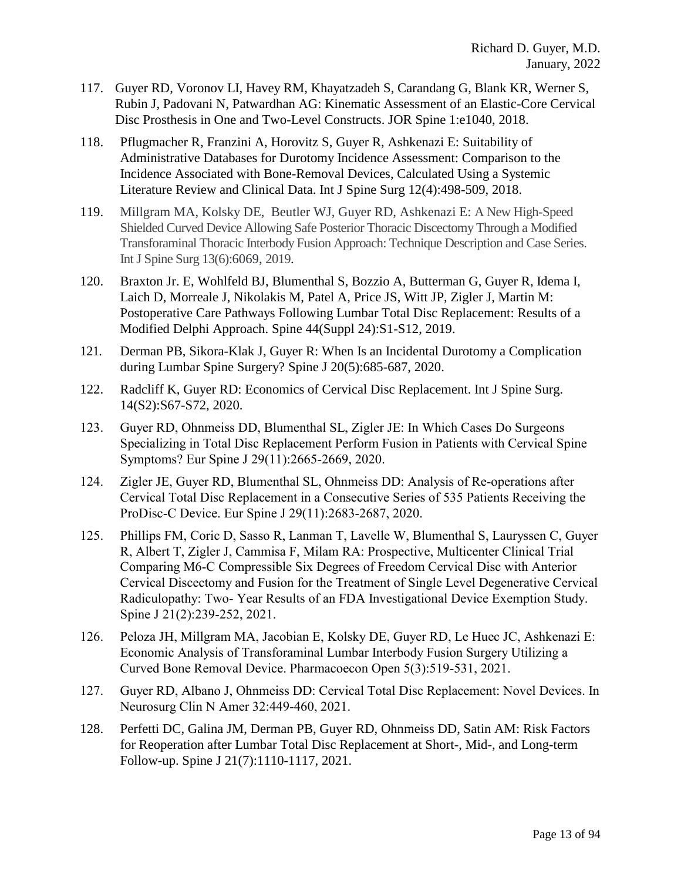- 117. Guyer RD, Voronov LI, Havey RM, Khayatzadeh S, Carandang G, Blank KR, Werner S, Rubin J, Padovani N, Patwardhan AG: Kinematic Assessment of an Elastic-Core Cervical Disc Prosthesis in One and Two-Level Constructs. JOR Spine 1:e1040, 2018.
- 118. Pflugmacher R, Franzini A, Horovitz S, Guyer R, Ashkenazi E: Suitability of Administrative Databases for Durotomy Incidence Assessment: Comparison to the Incidence Associated with Bone-Removal Devices, Calculated Using a Systemic Literature Review and Clinical Data. Int J Spine Surg 12(4):498-509, 2018.
- 119. Millgram MA, Kolsky DE, Beutler WJ, Guyer RD, Ashkenazi E: A New High-Speed Shielded Curved Device Allowing Safe Posterior Thoracic Discectomy Through a Modified Transforaminal Thoracic Interbody Fusion Approach: Technique Description and Case Series. Int J Spine Surg 13(6):6069, 2019.
- 120. Braxton Jr. E, Wohlfeld BJ, Blumenthal S, Bozzio A, Butterman G, Guyer R, Idema I, Laich D, Morreale J, Nikolakis M, Patel A, Price JS, Witt JP, Zigler J, Martin M: Postoperative Care Pathways Following Lumbar Total Disc Replacement: Results of a Modified Delphi Approach. Spine 44(Suppl 24):S1-S12, 2019.
- 121. Derman PB, Sikora-Klak J, Guyer R: When Is an Incidental Durotomy a Complication during Lumbar Spine Surgery? Spine J 20(5):685-687, 2020.
- 122. Radcliff K, Guyer RD: Economics of Cervical Disc Replacement. Int J Spine Surg. 14(S2):S67-S72, 2020.
- 123. Guyer RD, Ohnmeiss DD, Blumenthal SL, Zigler JE: In Which Cases Do Surgeons Specializing in Total Disc Replacement Perform Fusion in Patients with Cervical Spine Symptoms? Eur Spine J 29(11):2665-2669, 2020.
- 124. Zigler JE, Guyer RD, Blumenthal SL, Ohnmeiss DD: Analysis of Re-operations after Cervical Total Disc Replacement in a Consecutive Series of 535 Patients Receiving the ProDisc-C Device. Eur Spine J 29(11):2683-2687, 2020.
- 125. Phillips FM, Coric D, Sasso R, Lanman T, Lavelle W, Blumenthal S, Lauryssen C, Guyer R, Albert T, Zigler J, Cammisa F, Milam RA: Prospective, Multicenter Clinical Trial Comparing M6-C Compressible Six Degrees of Freedom Cervical Disc with Anterior Cervical Discectomy and Fusion for the Treatment of Single Level Degenerative Cervical Radiculopathy: Two- Year Results of an FDA Investigational Device Exemption Study. Spine J 21(2):239-252, 2021.
- 126. Peloza JH, Millgram MA, Jacobian E, Kolsky DE, Guyer RD, Le Huec JC, Ashkenazi E: Economic Analysis of Transforaminal Lumbar Interbody Fusion Surgery Utilizing a Curved Bone Removal Device. Pharmacoecon Open 5(3):519-531, 2021.
- 127. Guyer RD, Albano J, Ohnmeiss DD: Cervical Total Disc Replacement: Novel Devices. In Neurosurg Clin N Amer 32:449-460, 2021.
- 128. Perfetti DC, Galina JM, Derman PB, Guyer RD, Ohnmeiss DD, Satin AM: Risk Factors for Reoperation after Lumbar Total Disc Replacement at Short-, Mid-, and Long-term Follow-up. Spine J 21(7):1110-1117, 2021.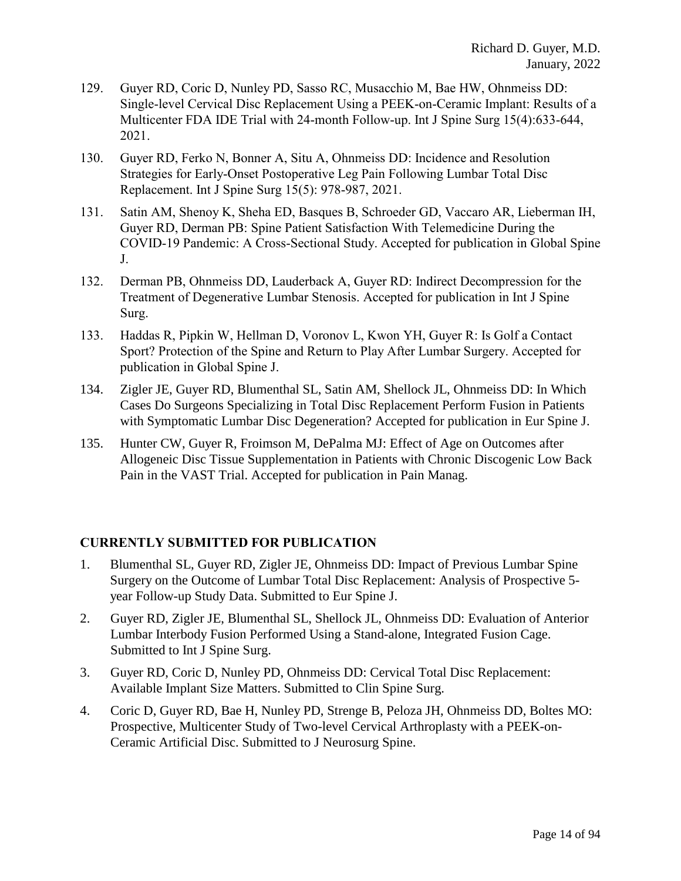- 129. Guyer RD, Coric D, Nunley PD, Sasso RC, Musacchio M, Bae HW, Ohnmeiss DD: Single-level Cervical Disc Replacement Using a PEEK-on-Ceramic Implant: Results of a Multicenter FDA IDE Trial with 24-month Follow-up. Int J Spine Surg 15(4):633-644, 2021.
- 130. Guyer RD, Ferko N, Bonner A, Situ A, Ohnmeiss DD: Incidence and Resolution Strategies for Early-Onset Postoperative Leg Pain Following Lumbar Total Disc Replacement. Int J Spine Surg 15(5): 978-987, 2021.
- 131. Satin AM, Shenoy K, Sheha ED, Basques B, Schroeder GD, Vaccaro AR, Lieberman IH, Guyer RD, Derman PB: Spine Patient Satisfaction With Telemedicine During the COVID-19 Pandemic: A Cross-Sectional Study. Accepted for publication in Global Spine J.
- 132. Derman PB, Ohnmeiss DD, Lauderback A, Guyer RD: Indirect Decompression for the Treatment of Degenerative Lumbar Stenosis. Accepted for publication in Int J Spine Surg.
- 133. Haddas R, Pipkin W, Hellman D, Voronov L, Kwon YH, Guyer R: Is Golf a Contact Sport? Protection of the Spine and Return to Play After Lumbar Surgery. Accepted for publication in Global Spine J.
- 134. Zigler JE, Guyer RD, Blumenthal SL, Satin AM, Shellock JL, Ohnmeiss DD: In Which Cases Do Surgeons Specializing in Total Disc Replacement Perform Fusion in Patients with Symptomatic Lumbar Disc Degeneration? Accepted for publication in Eur Spine J.
- 135. Hunter CW, Guyer R, Froimson M, DePalma MJ: Effect of Age on Outcomes after Allogeneic Disc Tissue Supplementation in Patients with Chronic Discogenic Low Back Pain in the VAST Trial. Accepted for publication in Pain Manag.

# **CURRENTLY SUBMITTED FOR PUBLICATION**

- 1. Blumenthal SL, Guyer RD, Zigler JE, Ohnmeiss DD: Impact of Previous Lumbar Spine Surgery on the Outcome of Lumbar Total Disc Replacement: Analysis of Prospective 5 year Follow-up Study Data. Submitted to Eur Spine J.
- 2. Guyer RD, Zigler JE, Blumenthal SL, Shellock JL, Ohnmeiss DD: Evaluation of Anterior Lumbar Interbody Fusion Performed Using a Stand-alone, Integrated Fusion Cage. Submitted to Int J Spine Surg.
- 3. Guyer RD, Coric D, Nunley PD, Ohnmeiss DD: Cervical Total Disc Replacement: Available Implant Size Matters. Submitted to Clin Spine Surg.
- 4. Coric D, Guyer RD, Bae H, Nunley PD, Strenge B, Peloza JH, Ohnmeiss DD, Boltes MO: Prospective, Multicenter Study of Two-level Cervical Arthroplasty with a PEEK-on-Ceramic Artificial Disc. Submitted to J Neurosurg Spine.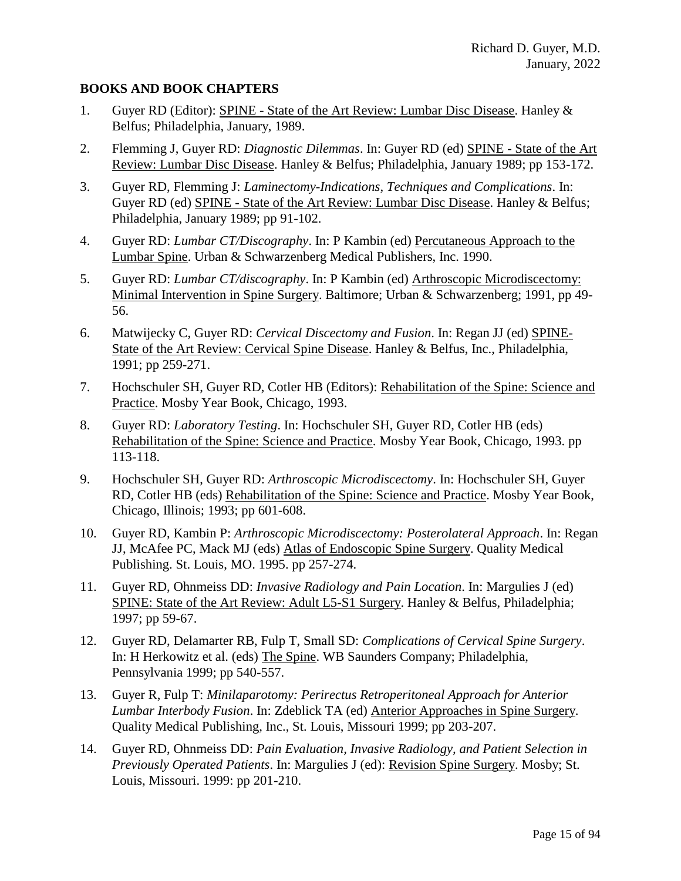### **BOOKS AND BOOK CHAPTERS**

- 1. Guyer RD (Editor): SPINE State of the Art Review: Lumbar Disc Disease. Hanley & Belfus; Philadelphia, January, 1989.
- 2. Flemming J, Guyer RD: *Diagnostic Dilemmas*. In: Guyer RD (ed) SPINE State of the Art Review: Lumbar Disc Disease. Hanley & Belfus; Philadelphia, January 1989; pp 153-172.
- 3. Guyer RD, Flemming J: *Laminectomy-Indications, Techniques and Complications*. In: Guyer RD (ed) SPINE - State of the Art Review: Lumbar Disc Disease. Hanley & Belfus; Philadelphia, January 1989; pp 91-102.
- 4. Guyer RD: *Lumbar CT/Discography*. In: P Kambin (ed) Percutaneous Approach to the Lumbar Spine. Urban & Schwarzenberg Medical Publishers, Inc. 1990.
- 5. Guyer RD: *Lumbar CT/discography*. In: P Kambin (ed) Arthroscopic Microdiscectomy: Minimal Intervention in Spine Surgery. Baltimore; Urban & Schwarzenberg; 1991, pp 49- 56.
- 6. Matwijecky C, Guyer RD: *Cervical Discectomy and Fusion*. In: Regan JJ (ed) SPINE-State of the Art Review: Cervical Spine Disease. Hanley & Belfus, Inc., Philadelphia, 1991; pp 259-271.
- 7. Hochschuler SH, Guyer RD, Cotler HB (Editors): Rehabilitation of the Spine: Science and Practice. Mosby Year Book, Chicago, 1993.
- 8. Guyer RD: *Laboratory Testing*. In: Hochschuler SH, Guyer RD, Cotler HB (eds) Rehabilitation of the Spine: Science and Practice. Mosby Year Book, Chicago, 1993. pp 113-118.
- 9. Hochschuler SH, Guyer RD: *Arthroscopic Microdiscectomy*. In: Hochschuler SH, Guyer RD, Cotler HB (eds) Rehabilitation of the Spine: Science and Practice. Mosby Year Book, Chicago, Illinois; 1993; pp 601-608.
- 10. Guyer RD, Kambin P: *Arthroscopic Microdiscectomy: Posterolateral Approach*. In: Regan JJ, McAfee PC, Mack MJ (eds) Atlas of Endoscopic Spine Surgery. Quality Medical Publishing. St. Louis, MO. 1995. pp 257-274.
- 11. Guyer RD, Ohnmeiss DD: *Invasive Radiology and Pain Location*. In: Margulies J (ed) SPINE: State of the Art Review: Adult L5-S1 Surgery. Hanley & Belfus, Philadelphia; 1997; pp 59-67.
- 12. Guyer RD, Delamarter RB, Fulp T, Small SD: *Complications of Cervical Spine Surgery*. In: H Herkowitz et al. (eds) The Spine. WB Saunders Company; Philadelphia, Pennsylvania 1999; pp 540-557.
- 13. Guyer R, Fulp T: *Minilaparotomy: Perirectus Retroperitoneal Approach for Anterior Lumbar Interbody Fusion*. In: Zdeblick TA (ed) Anterior Approaches in Spine Surgery. Quality Medical Publishing, Inc., St. Louis, Missouri 1999; pp 203-207.
- 14. Guyer RD, Ohnmeiss DD: *Pain Evaluation, Invasive Radiology, and Patient Selection in Previously Operated Patients*. In: Margulies J (ed): Revision Spine Surgery. Mosby; St. Louis, Missouri. 1999: pp 201-210.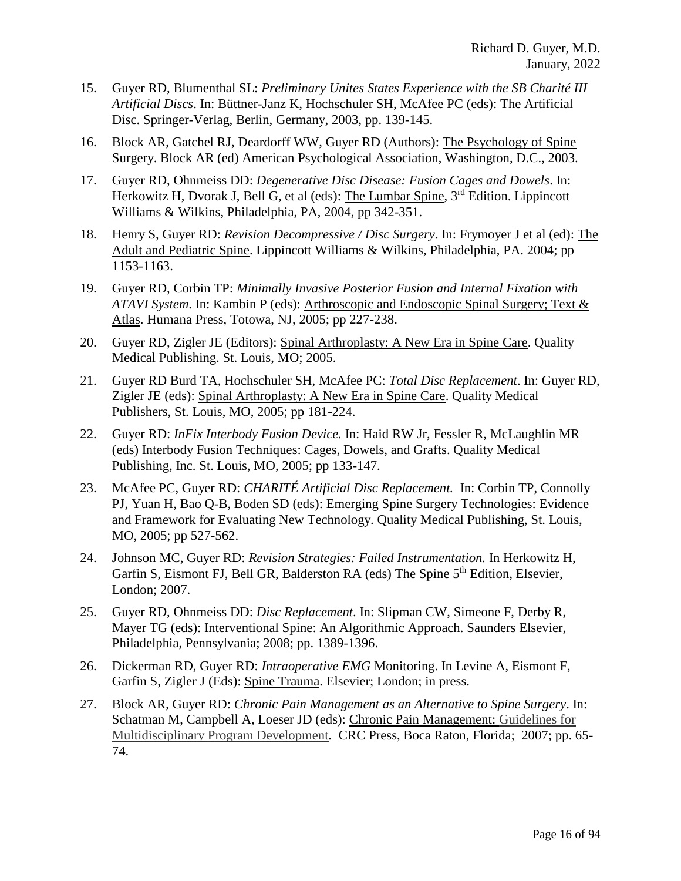- 15. Guyer RD, Blumenthal SL: *Preliminary Unites States Experience with the SB Charité III Artificial Discs*. In: Büttner-Janz K, Hochschuler SH, McAfee PC (eds): The Artificial Disc. Springer-Verlag, Berlin, Germany, 2003, pp. 139-145.
- 16. Block AR, Gatchel RJ, Deardorff WW, Guyer RD (Authors): The Psychology of Spine Surgery. Block AR (ed) American Psychological Association, Washington, D.C., 2003.
- 17. Guyer RD, Ohnmeiss DD: *Degenerative Disc Disease: Fusion Cages and Dowels*. In: Herkowitz H, Dvorak J, Bell G, et al (eds): The Lumbar Spine, 3<sup>rd</sup> Edition. Lippincott Williams & Wilkins, Philadelphia, PA, 2004, pp 342-351.
- 18. Henry S, Guyer RD: *Revision Decompressive / Disc Surgery*. In: Frymoyer J et al (ed): The Adult and Pediatric Spine. Lippincott Williams & Wilkins, Philadelphia, PA. 2004; pp 1153-1163.
- 19. Guyer RD, Corbin TP: *Minimally Invasive Posterior Fusion and Internal Fixation with ATAVI System*. In: Kambin P (eds): Arthroscopic and Endoscopic Spinal Surgery; Text & Atlas. Humana Press, Totowa, NJ, 2005; pp 227-238.
- 20. Guyer RD, Zigler JE (Editors): Spinal Arthroplasty: A New Era in Spine Care. Quality Medical Publishing. St. Louis, MO; 2005.
- 21. Guyer RD Burd TA, Hochschuler SH, McAfee PC: *Total Disc Replacement*. In: Guyer RD, Zigler JE (eds): Spinal Arthroplasty: A New Era in Spine Care. Quality Medical Publishers, St. Louis, MO, 2005; pp 181-224.
- 22. Guyer RD: *InFix Interbody Fusion Device.* In: Haid RW Jr, Fessler R, McLaughlin MR (eds) Interbody Fusion Techniques: Cages, Dowels, and Grafts. Quality Medical Publishing, Inc. St. Louis, MO, 2005; pp 133-147.
- 23. McAfee PC, Guyer RD: *CHARITÉ Artificial Disc Replacement.* In: Corbin TP, Connolly PJ, Yuan H, Bao Q-B, Boden SD (eds): Emerging Spine Surgery Technologies: Evidence and Framework for Evaluating New Technology. Quality Medical Publishing, St. Louis, MO, 2005; pp 527-562.
- 24. Johnson MC, Guyer RD: *Revision Strategies: Failed Instrumentation.* In Herkowitz H, Garfin S, Eismont FJ, Bell GR, Balderston RA (eds) The Spine 5<sup>th</sup> Edition, Elsevier, London; 2007.
- 25. Guyer RD, Ohnmeiss DD: *Disc Replacement*. In: Slipman CW, Simeone F, Derby R, Mayer TG (eds): Interventional Spine: An Algorithmic Approach. Saunders Elsevier, Philadelphia, Pennsylvania; 2008; pp. 1389-1396.
- 26. Dickerman RD, Guyer RD: *Intraoperative EMG* Monitoring. In Levine A, Eismont F, Garfin S, Zigler J (Eds): Spine Trauma. Elsevier; London; in press.
- 27. Block AR, Guyer RD: *Chronic Pain Management as an Alternative to Spine Surgery*. In: Schatman M, Campbell A, Loeser JD (eds): Chronic Pain Management: Guidelines for Multidisciplinary Program Development*.* CRC Press, Boca Raton, Florida; 2007; pp. 65- 74.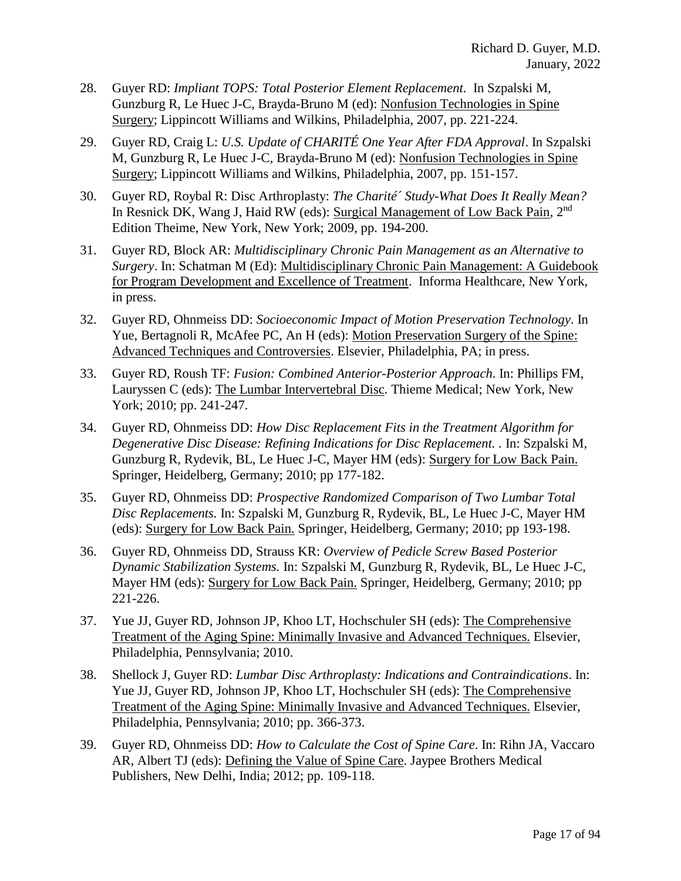- 28. Guyer RD: *Impliant TOPS: Total Posterior Element Replacement*. In Szpalski M, Gunzburg R, Le Huec J-C, Brayda-Bruno M (ed): Nonfusion Technologies in Spine Surgery; Lippincott Williams and Wilkins, Philadelphia, 2007, pp. 221-224.
- 29. Guyer RD, Craig L: *U.S. Update of CHARITÉ One Year After FDA Approval*. In Szpalski M, Gunzburg R, Le Huec J-C, Brayda-Bruno M (ed): Nonfusion Technologies in Spine Surgery; Lippincott Williams and Wilkins, Philadelphia, 2007, pp. 151-157.
- 30. Guyer RD, Roybal R: Disc Arthroplasty: *The Charité´ Study-What Does It Really Mean?* In Resnick DK, Wang J, Haid RW (eds): Surgical Management of Low Back Pain, 2nd Edition Theime, New York, New York; 2009, pp. 194-200.
- 31. Guyer RD, Block AR: *Multidisciplinary Chronic Pain Management as an Alternative to Surgery*. In: Schatman M (Ed): Multidisciplinary Chronic Pain Management: A Guidebook for Program Development and Excellence of Treatment. Informa Healthcare, New York, in press.
- 32. Guyer RD, Ohnmeiss DD: *Socioeconomic Impact of Motion Preservation Technology*. In Yue, Bertagnoli R, McAfee PC, An H (eds): Motion Preservation Surgery of the Spine: Advanced Techniques and Controversies. Elsevier, Philadelphia, PA; in press.
- 33. Guyer RD, Roush TF: *Fusion: Combined Anterior-Posterior Approach*. In: Phillips FM, Lauryssen C (eds): The Lumbar Intervertebral Disc. Thieme Medical; New York, New York; 2010; pp. 241-247.
- 34. Guyer RD, Ohnmeiss DD: *How Disc Replacement Fits in the Treatment Algorithm for Degenerative Disc Disease: Refining Indications for Disc Replacement. . In: Szpalski M,* Gunzburg R, Rydevik, BL, Le Huec J-C, Mayer HM (eds): Surgery for Low Back Pain. Springer, Heidelberg, Germany; 2010; pp 177-182.
- 35. Guyer RD, Ohnmeiss DD: *Prospective Randomized Comparison of Two Lumbar Total Disc Replacements.* In: Szpalski M, Gunzburg R, Rydevik, BL, Le Huec J-C, Mayer HM (eds): Surgery for Low Back Pain. Springer, Heidelberg, Germany; 2010; pp 193-198.
- 36. Guyer RD, Ohnmeiss DD, Strauss KR: *Overview of Pedicle Screw Based Posterior Dynamic Stabilization Systems.* In: Szpalski M, Gunzburg R, Rydevik, BL, Le Huec J-C, Mayer HM (eds): Surgery for Low Back Pain. Springer, Heidelberg, Germany; 2010; pp 221-226.
- 37. Yue JJ, Guyer RD, Johnson JP, Khoo LT, Hochschuler SH (eds): The Comprehensive Treatment of the Aging Spine: Minimally Invasive and Advanced Techniques. Elsevier, Philadelphia, Pennsylvania; 2010.
- 38. Shellock J, Guyer RD: *Lumbar Disc Arthroplasty: Indications and Contraindications*. In: Yue JJ, Guyer RD, Johnson JP, Khoo LT, Hochschuler SH (eds): The Comprehensive Treatment of the Aging Spine: Minimally Invasive and Advanced Techniques. Elsevier, Philadelphia, Pennsylvania; 2010; pp. 366-373.
- 39. Guyer RD, Ohnmeiss DD: *How to Calculate the Cost of Spine Care*. In: Rihn JA, Vaccaro AR, Albert TJ (eds): Defining the Value of Spine Care. Jaypee Brothers Medical Publishers, New Delhi, India; 2012; pp. 109-118.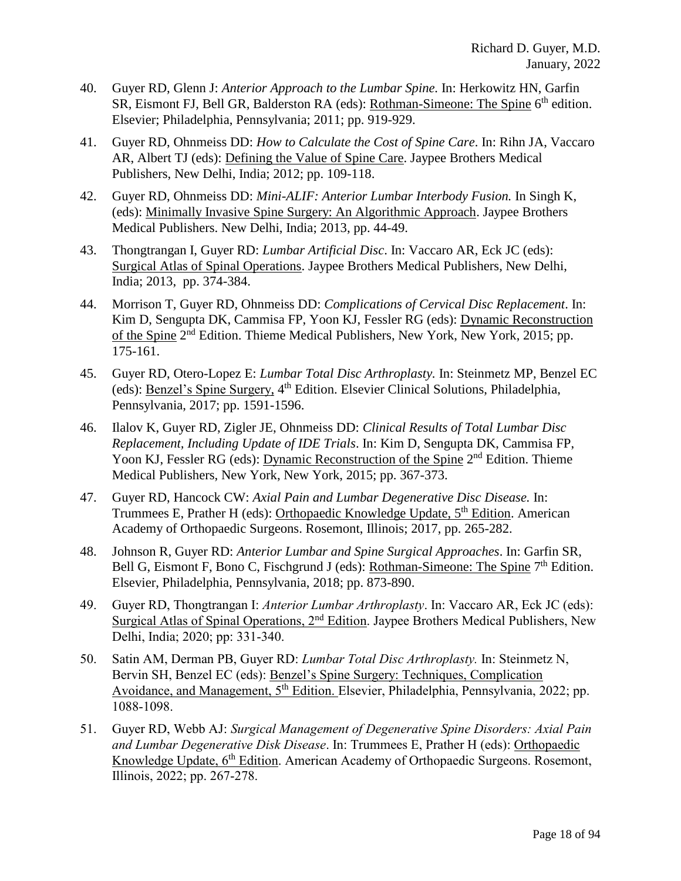- 40. Guyer RD, Glenn J: *Anterior Approach to the Lumbar Spine.* In: Herkowitz HN, Garfin SR, Eismont FJ, Bell GR, Balderston RA (eds): <u>Rothman-Simeone: The Spine</u> 6<sup>th</sup> edition. Elsevier; Philadelphia, Pennsylvania; 2011; pp. 919-929.
- 41. Guyer RD, Ohnmeiss DD: *How to Calculate the Cost of Spine Care*. In: Rihn JA, Vaccaro AR, Albert TJ (eds): Defining the Value of Spine Care. Jaypee Brothers Medical Publishers, New Delhi, India; 2012; pp. 109-118.
- 42. Guyer RD, Ohnmeiss DD: *Mini-ALIF: Anterior Lumbar Interbody Fusion.* In Singh K, (eds): Minimally Invasive Spine Surgery: An Algorithmic Approach. Jaypee Brothers Medical Publishers. New Delhi, India; 2013, pp. 44-49.
- 43. Thongtrangan I, Guyer RD: *Lumbar Artificial Disc*. In: Vaccaro AR, Eck JC (eds): Surgical Atlas of Spinal Operations. Jaypee Brothers Medical Publishers, New Delhi, India; 2013, pp. 374-384.
- 44. Morrison T, Guyer RD, Ohnmeiss DD: *Complications of Cervical Disc Replacement*. In: Kim D, Sengupta DK, Cammisa FP, Yoon KJ, Fessler RG (eds): Dynamic Reconstruction of the Spine 2<sup>nd</sup> Edition. Thieme Medical Publishers, New York, New York, 2015; pp. 175-161.
- 45. Guyer RD, Otero-Lopez E: *Lumbar Total Disc Arthroplasty.* In: Steinmetz MP, Benzel EC (eds): Benzel's Spine Surgery, 4<sup>th</sup> Edition. Elsevier Clinical Solutions, Philadelphia, Pennsylvania, 2017; pp. 1591-1596.
- 46. Ilalov K, Guyer RD, Zigler JE, Ohnmeiss DD: *Clinical Results of Total Lumbar Disc Replacement, Including Update of IDE Trials*. In: Kim D, Sengupta DK, Cammisa FP, Yoon KJ, Fessler RG (eds): Dynamic Reconstruction of the Spine 2<sup>nd</sup> Edition. Thieme Medical Publishers, New York, New York, 2015; pp. 367-373.
- 47. Guyer RD, Hancock CW: *Axial Pain and Lumbar Degenerative Disc Disease.* In: Trummees E, Prather H (eds): Orthopaedic Knowledge Update,  $5<sup>th</sup>$  Edition. American Academy of Orthopaedic Surgeons. Rosemont, Illinois; 2017, pp. 265-282.
- 48. Johnson R, Guyer RD: *Anterior Lumbar and Spine Surgical Approaches*. In: Garfin SR, Bell G, Eismont F, Bono C, Fischgrund J (eds): <u>Rothman-Simeone: The Spine</u> 7<sup>th</sup> Edition. Elsevier, Philadelphia, Pennsylvania, 2018; pp. 873-890.
- 49. Guyer RD, Thongtrangan I: *Anterior Lumbar Arthroplasty*. In: Vaccaro AR, Eck JC (eds): Surgical Atlas of Spinal Operations, 2nd Edition. Jaypee Brothers Medical Publishers, New Delhi, India; 2020; pp: 331-340.
- 50. Satin AM, Derman PB, Guyer RD: *Lumbar Total Disc Arthroplasty.* In: Steinmetz N, Bervin SH, Benzel EC (eds): Benzel's Spine Surgery: Techniques, Complication Avoidance, and Management, 5<sup>th</sup> Edition. Elsevier, Philadelphia, Pennsylvania, 2022; pp. 1088-1098.
- 51. Guyer RD, Webb AJ: *Surgical Management of Degenerative Spine Disorders: Axial Pain and Lumbar Degenerative Disk Disease*. In: Trummees E, Prather H (eds): Orthopaedic Knowledge Update, 6<sup>th</sup> Edition. American Academy of Orthopaedic Surgeons. Rosemont, Illinois, 2022; pp. 267-278.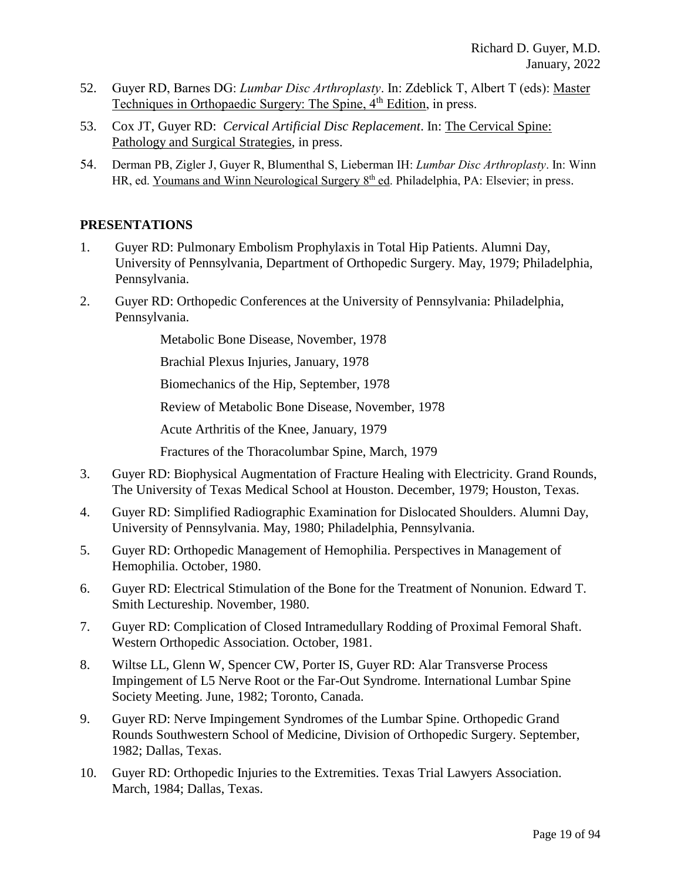- 52. Guyer RD, Barnes DG: *Lumbar Disc Arthroplasty*. In: Zdeblick T, Albert T (eds): Master Techniques in Orthopaedic Surgery: The Spine, 4<sup>th</sup> Edition, in press.
- 53. Cox JT, Guyer RD: *Cervical Artificial Disc Replacement*. In: The Cervical Spine: Pathology and Surgical Strategies, in press.
- 54. Derman PB, Zigler J, Guyer R, Blumenthal S, Lieberman IH: *Lumbar Disc Arthroplasty*. In: Winn HR, ed. Youmans and Winn Neurological Surgery 8th ed. Philadelphia, PA: Elsevier; in press.

### **PRESENTATIONS**

- 1. Guyer RD: Pulmonary Embolism Prophylaxis in Total Hip Patients. Alumni Day, University of Pennsylvania, Department of Orthopedic Surgery. May, 1979; Philadelphia, Pennsylvania.
- 2. Guyer RD: Orthopedic Conferences at the University of Pennsylvania: Philadelphia, Pennsylvania.

Metabolic Bone Disease, November, 1978

Brachial Plexus Injuries, January, 1978

Biomechanics of the Hip, September, 1978

Review of Metabolic Bone Disease, November, 1978

Acute Arthritis of the Knee, January, 1979

Fractures of the Thoracolumbar Spine, March, 1979

- 3. Guyer RD: Biophysical Augmentation of Fracture Healing with Electricity. Grand Rounds, The University of Texas Medical School at Houston. December, 1979; Houston, Texas.
- 4. Guyer RD: Simplified Radiographic Examination for Dislocated Shoulders. Alumni Day, University of Pennsylvania. May, 1980; Philadelphia, Pennsylvania.
- 5. Guyer RD: Orthopedic Management of Hemophilia. Perspectives in Management of Hemophilia. October, 1980.
- 6. Guyer RD: Electrical Stimulation of the Bone for the Treatment of Nonunion. Edward T. Smith Lectureship. November, 1980.
- 7. Guyer RD: Complication of Closed Intramedullary Rodding of Proximal Femoral Shaft. Western Orthopedic Association. October, 1981.
- 8. Wiltse LL, Glenn W, Spencer CW, Porter IS, Guyer RD: Alar Transverse Process Impingement of L5 Nerve Root or the Far-Out Syndrome. International Lumbar Spine Society Meeting. June, 1982; Toronto, Canada.
- 9. Guyer RD: Nerve Impingement Syndromes of the Lumbar Spine. Orthopedic Grand Rounds Southwestern School of Medicine, Division of Orthopedic Surgery. September, 1982; Dallas, Texas.
- 10. Guyer RD: Orthopedic Injuries to the Extremities. Texas Trial Lawyers Association. March, 1984; Dallas, Texas.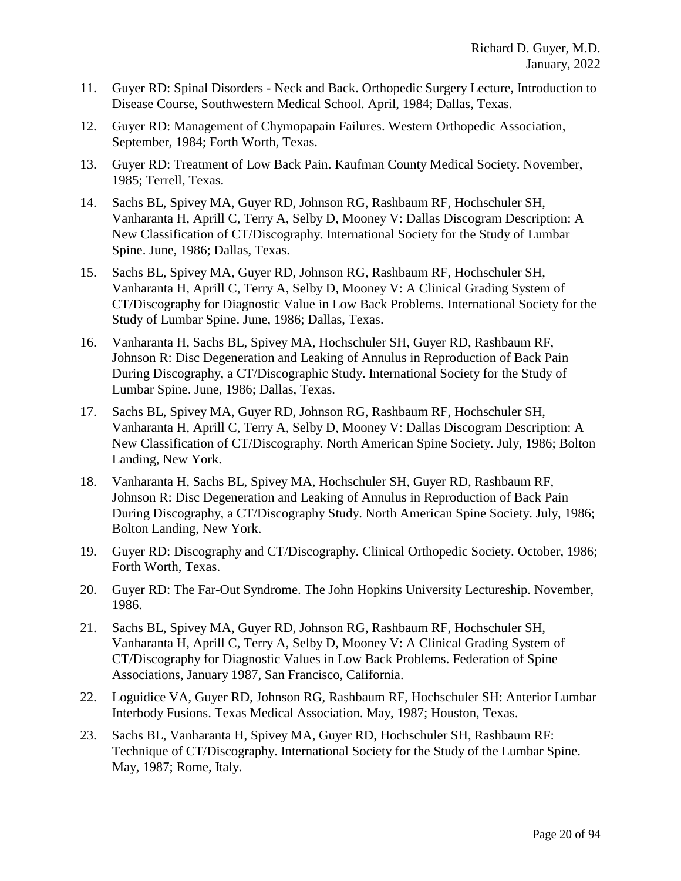- 11. Guyer RD: Spinal Disorders Neck and Back. Orthopedic Surgery Lecture, Introduction to Disease Course, Southwestern Medical School. April, 1984; Dallas, Texas.
- 12. Guyer RD: Management of Chymopapain Failures. Western Orthopedic Association, September, 1984; Forth Worth, Texas.
- 13. Guyer RD: Treatment of Low Back Pain. Kaufman County Medical Society. November, 1985; Terrell, Texas.
- 14. Sachs BL, Spivey MA, Guyer RD, Johnson RG, Rashbaum RF, Hochschuler SH, Vanharanta H, Aprill C, Terry A, Selby D, Mooney V: Dallas Discogram Description: A New Classification of CT/Discography. International Society for the Study of Lumbar Spine. June, 1986; Dallas, Texas.
- 15. Sachs BL, Spivey MA, Guyer RD, Johnson RG, Rashbaum RF, Hochschuler SH, Vanharanta H, Aprill C, Terry A, Selby D, Mooney V: A Clinical Grading System of CT/Discography for Diagnostic Value in Low Back Problems. International Society for the Study of Lumbar Spine. June, 1986; Dallas, Texas.
- 16. Vanharanta H, Sachs BL, Spivey MA, Hochschuler SH, Guyer RD, Rashbaum RF, Johnson R: Disc Degeneration and Leaking of Annulus in Reproduction of Back Pain During Discography, a CT/Discographic Study. International Society for the Study of Lumbar Spine. June, 1986; Dallas, Texas.
- 17. Sachs BL, Spivey MA, Guyer RD, Johnson RG, Rashbaum RF, Hochschuler SH, Vanharanta H, Aprill C, Terry A, Selby D, Mooney V: Dallas Discogram Description: A New Classification of CT/Discography. North American Spine Society. July, 1986; Bolton Landing, New York.
- 18. Vanharanta H, Sachs BL, Spivey MA, Hochschuler SH, Guyer RD, Rashbaum RF, Johnson R: Disc Degeneration and Leaking of Annulus in Reproduction of Back Pain During Discography, a CT/Discography Study. North American Spine Society. July, 1986; Bolton Landing, New York.
- 19. Guyer RD: Discography and CT/Discography. Clinical Orthopedic Society. October, 1986; Forth Worth, Texas.
- 20. Guyer RD: The Far-Out Syndrome. The John Hopkins University Lectureship. November, 1986.
- 21. Sachs BL, Spivey MA, Guyer RD, Johnson RG, Rashbaum RF, Hochschuler SH, Vanharanta H, Aprill C, Terry A, Selby D, Mooney V: A Clinical Grading System of CT/Discography for Diagnostic Values in Low Back Problems. Federation of Spine Associations, January 1987, San Francisco, California.
- 22. Loguidice VA, Guyer RD, Johnson RG, Rashbaum RF, Hochschuler SH: Anterior Lumbar Interbody Fusions. Texas Medical Association. May, 1987; Houston, Texas.
- 23. Sachs BL, Vanharanta H, Spivey MA, Guyer RD, Hochschuler SH, Rashbaum RF: Technique of CT/Discography. International Society for the Study of the Lumbar Spine. May, 1987; Rome, Italy.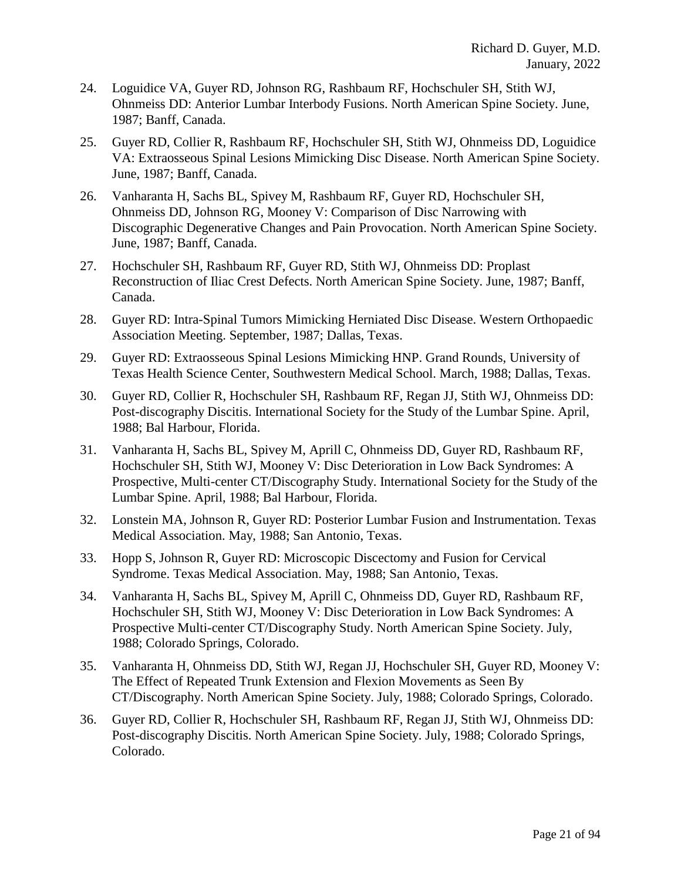- 24. Loguidice VA, Guyer RD, Johnson RG, Rashbaum RF, Hochschuler SH, Stith WJ, Ohnmeiss DD: Anterior Lumbar Interbody Fusions. North American Spine Society. June, 1987; Banff, Canada.
- 25. Guyer RD, Collier R, Rashbaum RF, Hochschuler SH, Stith WJ, Ohnmeiss DD, Loguidice VA: Extraosseous Spinal Lesions Mimicking Disc Disease. North American Spine Society. June, 1987; Banff, Canada.
- 26. Vanharanta H, Sachs BL, Spivey M, Rashbaum RF, Guyer RD, Hochschuler SH, Ohnmeiss DD, Johnson RG, Mooney V: Comparison of Disc Narrowing with Discographic Degenerative Changes and Pain Provocation. North American Spine Society. June, 1987; Banff, Canada.
- 27. Hochschuler SH, Rashbaum RF, Guyer RD, Stith WJ, Ohnmeiss DD: Proplast Reconstruction of Iliac Crest Defects. North American Spine Society. June, 1987; Banff, Canada.
- 28. Guyer RD: Intra-Spinal Tumors Mimicking Herniated Disc Disease. Western Orthopaedic Association Meeting. September, 1987; Dallas, Texas.
- 29. Guyer RD: Extraosseous Spinal Lesions Mimicking HNP. Grand Rounds, University of Texas Health Science Center, Southwestern Medical School. March, 1988; Dallas, Texas.
- 30. Guyer RD, Collier R, Hochschuler SH, Rashbaum RF, Regan JJ, Stith WJ, Ohnmeiss DD: Post-discography Discitis. International Society for the Study of the Lumbar Spine. April, 1988; Bal Harbour, Florida.
- 31. Vanharanta H, Sachs BL, Spivey M, Aprill C, Ohnmeiss DD, Guyer RD, Rashbaum RF, Hochschuler SH, Stith WJ, Mooney V: Disc Deterioration in Low Back Syndromes: A Prospective, Multi-center CT/Discography Study. International Society for the Study of the Lumbar Spine. April, 1988; Bal Harbour, Florida.
- 32. Lonstein MA, Johnson R, Guyer RD: Posterior Lumbar Fusion and Instrumentation. Texas Medical Association. May, 1988; San Antonio, Texas.
- 33. Hopp S, Johnson R, Guyer RD: Microscopic Discectomy and Fusion for Cervical Syndrome. Texas Medical Association. May, 1988; San Antonio, Texas.
- 34. Vanharanta H, Sachs BL, Spivey M, Aprill C, Ohnmeiss DD, Guyer RD, Rashbaum RF, Hochschuler SH, Stith WJ, Mooney V: Disc Deterioration in Low Back Syndromes: A Prospective Multi-center CT/Discography Study. North American Spine Society. July, 1988; Colorado Springs, Colorado.
- 35. Vanharanta H, Ohnmeiss DD, Stith WJ, Regan JJ, Hochschuler SH, Guyer RD, Mooney V: The Effect of Repeated Trunk Extension and Flexion Movements as Seen By CT/Discography. North American Spine Society. July, 1988; Colorado Springs, Colorado.
- 36. Guyer RD, Collier R, Hochschuler SH, Rashbaum RF, Regan JJ, Stith WJ, Ohnmeiss DD: Post-discography Discitis. North American Spine Society. July, 1988; Colorado Springs, Colorado.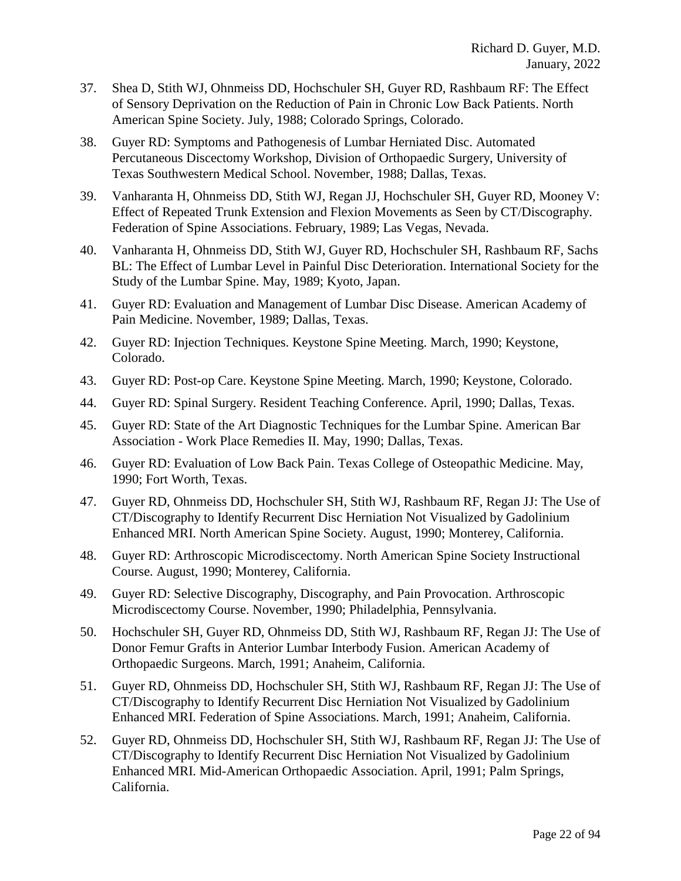- 37. Shea D, Stith WJ, Ohnmeiss DD, Hochschuler SH, Guyer RD, Rashbaum RF: The Effect of Sensory Deprivation on the Reduction of Pain in Chronic Low Back Patients. North American Spine Society. July, 1988; Colorado Springs, Colorado.
- 38. Guyer RD: Symptoms and Pathogenesis of Lumbar Herniated Disc. Automated Percutaneous Discectomy Workshop, Division of Orthopaedic Surgery, University of Texas Southwestern Medical School. November, 1988; Dallas, Texas.
- 39. Vanharanta H, Ohnmeiss DD, Stith WJ, Regan JJ, Hochschuler SH, Guyer RD, Mooney V: Effect of Repeated Trunk Extension and Flexion Movements as Seen by CT/Discography. Federation of Spine Associations. February, 1989; Las Vegas, Nevada.
- 40. Vanharanta H, Ohnmeiss DD, Stith WJ, Guyer RD, Hochschuler SH, Rashbaum RF, Sachs BL: The Effect of Lumbar Level in Painful Disc Deterioration. International Society for the Study of the Lumbar Spine. May, 1989; Kyoto, Japan.
- 41. Guyer RD: Evaluation and Management of Lumbar Disc Disease. American Academy of Pain Medicine. November, 1989; Dallas, Texas.
- 42. Guyer RD: Injection Techniques. Keystone Spine Meeting. March, 1990; Keystone, Colorado.
- 43. Guyer RD: Post-op Care. Keystone Spine Meeting. March, 1990; Keystone, Colorado.
- 44. Guyer RD: Spinal Surgery. Resident Teaching Conference. April, 1990; Dallas, Texas.
- 45. Guyer RD: State of the Art Diagnostic Techniques for the Lumbar Spine. American Bar Association - Work Place Remedies II. May, 1990; Dallas, Texas.
- 46. Guyer RD: Evaluation of Low Back Pain. Texas College of Osteopathic Medicine. May, 1990; Fort Worth, Texas.
- 47. Guyer RD, Ohnmeiss DD, Hochschuler SH, Stith WJ, Rashbaum RF, Regan JJ: The Use of CT/Discography to Identify Recurrent Disc Herniation Not Visualized by Gadolinium Enhanced MRI. North American Spine Society. August, 1990; Monterey, California.
- 48. Guyer RD: Arthroscopic Microdiscectomy. North American Spine Society Instructional Course. August, 1990; Monterey, California.
- 49. Guyer RD: Selective Discography, Discography, and Pain Provocation. Arthroscopic Microdiscectomy Course. November, 1990; Philadelphia, Pennsylvania.
- 50. Hochschuler SH, Guyer RD, Ohnmeiss DD, Stith WJ, Rashbaum RF, Regan JJ: The Use of Donor Femur Grafts in Anterior Lumbar Interbody Fusion. American Academy of Orthopaedic Surgeons. March, 1991; Anaheim, California.
- 51. Guyer RD, Ohnmeiss DD, Hochschuler SH, Stith WJ, Rashbaum RF, Regan JJ: The Use of CT/Discography to Identify Recurrent Disc Herniation Not Visualized by Gadolinium Enhanced MRI. Federation of Spine Associations. March, 1991; Anaheim, California.
- 52. Guyer RD, Ohnmeiss DD, Hochschuler SH, Stith WJ, Rashbaum RF, Regan JJ: The Use of CT/Discography to Identify Recurrent Disc Herniation Not Visualized by Gadolinium Enhanced MRI. Mid-American Orthopaedic Association. April, 1991; Palm Springs, California.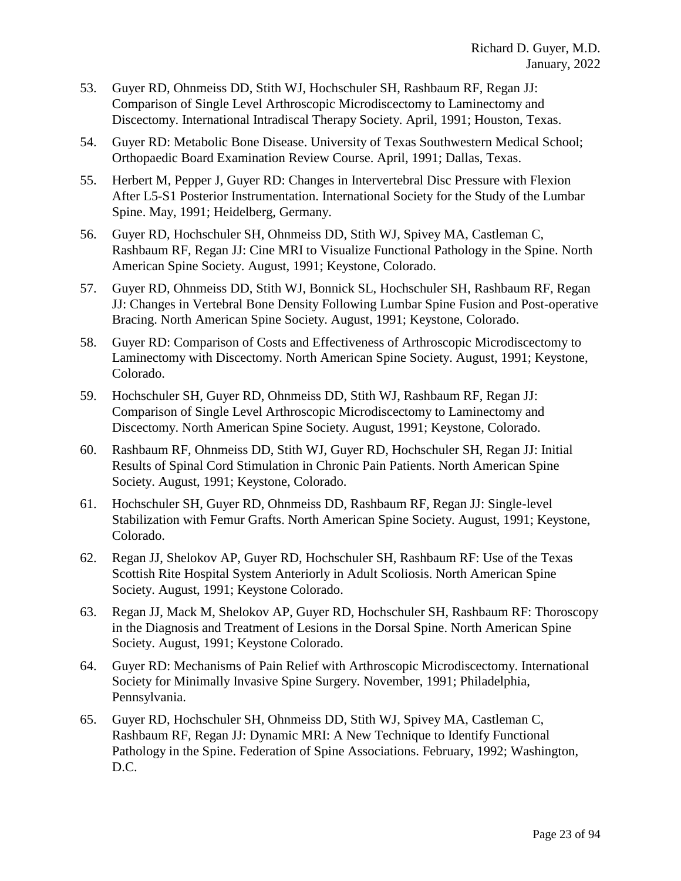- 53. Guyer RD, Ohnmeiss DD, Stith WJ, Hochschuler SH, Rashbaum RF, Regan JJ: Comparison of Single Level Arthroscopic Microdiscectomy to Laminectomy and Discectomy. International Intradiscal Therapy Society. April, 1991; Houston, Texas.
- 54. Guyer RD: Metabolic Bone Disease. University of Texas Southwestern Medical School; Orthopaedic Board Examination Review Course. April, 1991; Dallas, Texas.
- 55. Herbert M, Pepper J, Guyer RD: Changes in Intervertebral Disc Pressure with Flexion After L5-S1 Posterior Instrumentation. International Society for the Study of the Lumbar Spine. May, 1991; Heidelberg, Germany.
- 56. Guyer RD, Hochschuler SH, Ohnmeiss DD, Stith WJ, Spivey MA, Castleman C, Rashbaum RF, Regan JJ: Cine MRI to Visualize Functional Pathology in the Spine. North American Spine Society. August, 1991; Keystone, Colorado.
- 57. Guyer RD, Ohnmeiss DD, Stith WJ, Bonnick SL, Hochschuler SH, Rashbaum RF, Regan JJ: Changes in Vertebral Bone Density Following Lumbar Spine Fusion and Post-operative Bracing. North American Spine Society. August, 1991; Keystone, Colorado.
- 58. Guyer RD: Comparison of Costs and Effectiveness of Arthroscopic Microdiscectomy to Laminectomy with Discectomy. North American Spine Society. August, 1991; Keystone, Colorado.
- 59. Hochschuler SH, Guyer RD, Ohnmeiss DD, Stith WJ, Rashbaum RF, Regan JJ: Comparison of Single Level Arthroscopic Microdiscectomy to Laminectomy and Discectomy. North American Spine Society. August, 1991; Keystone, Colorado.
- 60. Rashbaum RF, Ohnmeiss DD, Stith WJ, Guyer RD, Hochschuler SH, Regan JJ: Initial Results of Spinal Cord Stimulation in Chronic Pain Patients. North American Spine Society. August, 1991; Keystone, Colorado.
- 61. Hochschuler SH, Guyer RD, Ohnmeiss DD, Rashbaum RF, Regan JJ: Single-level Stabilization with Femur Grafts. North American Spine Society. August, 1991; Keystone, Colorado.
- 62. Regan JJ, Shelokov AP, Guyer RD, Hochschuler SH, Rashbaum RF: Use of the Texas Scottish Rite Hospital System Anteriorly in Adult Scoliosis. North American Spine Society. August, 1991; Keystone Colorado.
- 63. Regan JJ, Mack M, Shelokov AP, Guyer RD, Hochschuler SH, Rashbaum RF: Thoroscopy in the Diagnosis and Treatment of Lesions in the Dorsal Spine. North American Spine Society. August, 1991; Keystone Colorado.
- 64. Guyer RD: Mechanisms of Pain Relief with Arthroscopic Microdiscectomy. International Society for Minimally Invasive Spine Surgery. November, 1991; Philadelphia, Pennsylvania.
- 65. Guyer RD, Hochschuler SH, Ohnmeiss DD, Stith WJ, Spivey MA, Castleman C, Rashbaum RF, Regan JJ: Dynamic MRI: A New Technique to Identify Functional Pathology in the Spine. Federation of Spine Associations. February, 1992; Washington, D.C.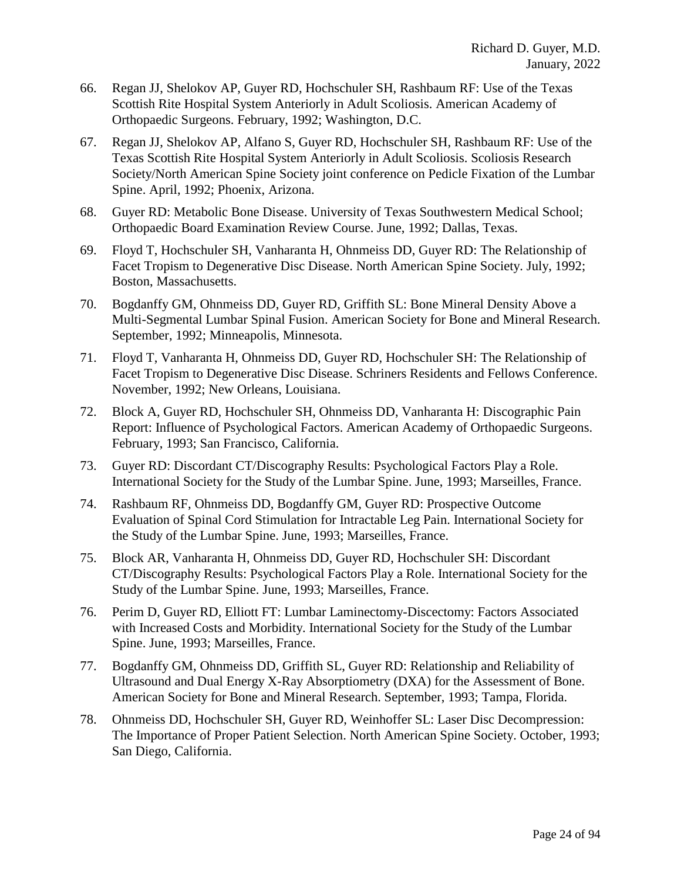- 66. Regan JJ, Shelokov AP, Guyer RD, Hochschuler SH, Rashbaum RF: Use of the Texas Scottish Rite Hospital System Anteriorly in Adult Scoliosis. American Academy of Orthopaedic Surgeons. February, 1992; Washington, D.C.
- 67. Regan JJ, Shelokov AP, Alfano S, Guyer RD, Hochschuler SH, Rashbaum RF: Use of the Texas Scottish Rite Hospital System Anteriorly in Adult Scoliosis. Scoliosis Research Society/North American Spine Society joint conference on Pedicle Fixation of the Lumbar Spine. April, 1992; Phoenix, Arizona.
- 68. Guyer RD: Metabolic Bone Disease. University of Texas Southwestern Medical School; Orthopaedic Board Examination Review Course. June, 1992; Dallas, Texas.
- 69. Floyd T, Hochschuler SH, Vanharanta H, Ohnmeiss DD, Guyer RD: The Relationship of Facet Tropism to Degenerative Disc Disease. North American Spine Society. July, 1992; Boston, Massachusetts.
- 70. Bogdanffy GM, Ohnmeiss DD, Guyer RD, Griffith SL: Bone Mineral Density Above a Multi-Segmental Lumbar Spinal Fusion. American Society for Bone and Mineral Research. September, 1992; Minneapolis, Minnesota.
- 71. Floyd T, Vanharanta H, Ohnmeiss DD, Guyer RD, Hochschuler SH: The Relationship of Facet Tropism to Degenerative Disc Disease. Schriners Residents and Fellows Conference. November, 1992; New Orleans, Louisiana.
- 72. Block A, Guyer RD, Hochschuler SH, Ohnmeiss DD, Vanharanta H: Discographic Pain Report: Influence of Psychological Factors. American Academy of Orthopaedic Surgeons. February, 1993; San Francisco, California.
- 73. Guyer RD: Discordant CT/Discography Results: Psychological Factors Play a Role. International Society for the Study of the Lumbar Spine. June, 1993; Marseilles, France.
- 74. Rashbaum RF, Ohnmeiss DD, Bogdanffy GM, Guyer RD: Prospective Outcome Evaluation of Spinal Cord Stimulation for Intractable Leg Pain. International Society for the Study of the Lumbar Spine. June, 1993; Marseilles, France.
- 75. Block AR, Vanharanta H, Ohnmeiss DD, Guyer RD, Hochschuler SH: Discordant CT/Discography Results: Psychological Factors Play a Role. International Society for the Study of the Lumbar Spine. June, 1993; Marseilles, France.
- 76. Perim D, Guyer RD, Elliott FT: Lumbar Laminectomy-Discectomy: Factors Associated with Increased Costs and Morbidity. International Society for the Study of the Lumbar Spine. June, 1993; Marseilles, France.
- 77. Bogdanffy GM, Ohnmeiss DD, Griffith SL, Guyer RD: Relationship and Reliability of Ultrasound and Dual Energy X-Ray Absorptiometry (DXA) for the Assessment of Bone. American Society for Bone and Mineral Research. September, 1993; Tampa, Florida.
- 78. Ohnmeiss DD, Hochschuler SH, Guyer RD, Weinhoffer SL: Laser Disc Decompression: The Importance of Proper Patient Selection. North American Spine Society. October, 1993; San Diego, California.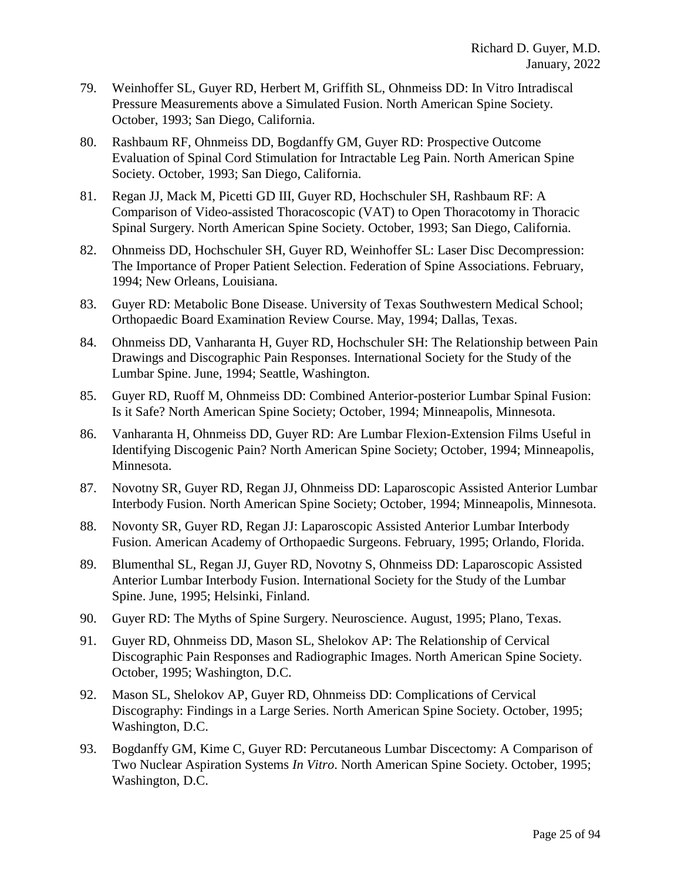- 79. Weinhoffer SL, Guyer RD, Herbert M, Griffith SL, Ohnmeiss DD: In Vitro Intradiscal Pressure Measurements above a Simulated Fusion. North American Spine Society. October, 1993; San Diego, California.
- 80. Rashbaum RF, Ohnmeiss DD, Bogdanffy GM, Guyer RD: Prospective Outcome Evaluation of Spinal Cord Stimulation for Intractable Leg Pain. North American Spine Society. October, 1993; San Diego, California.
- 81. Regan JJ, Mack M, Picetti GD III, Guyer RD, Hochschuler SH, Rashbaum RF: A Comparison of Video-assisted Thoracoscopic (VAT) to Open Thoracotomy in Thoracic Spinal Surgery. North American Spine Society. October, 1993; San Diego, California.
- 82. Ohnmeiss DD, Hochschuler SH, Guyer RD, Weinhoffer SL: Laser Disc Decompression: The Importance of Proper Patient Selection. Federation of Spine Associations. February, 1994; New Orleans, Louisiana.
- 83. Guyer RD: Metabolic Bone Disease. University of Texas Southwestern Medical School; Orthopaedic Board Examination Review Course. May, 1994; Dallas, Texas.
- 84. Ohnmeiss DD, Vanharanta H, Guyer RD, Hochschuler SH: The Relationship between Pain Drawings and Discographic Pain Responses. International Society for the Study of the Lumbar Spine. June, 1994; Seattle, Washington.
- 85. Guyer RD, Ruoff M, Ohnmeiss DD: Combined Anterior-posterior Lumbar Spinal Fusion: Is it Safe? North American Spine Society; October, 1994; Minneapolis, Minnesota.
- 86. Vanharanta H, Ohnmeiss DD, Guyer RD: Are Lumbar Flexion-Extension Films Useful in Identifying Discogenic Pain? North American Spine Society; October, 1994; Minneapolis, Minnesota.
- 87. Novotny SR, Guyer RD, Regan JJ, Ohnmeiss DD: Laparoscopic Assisted Anterior Lumbar Interbody Fusion. North American Spine Society; October, 1994; Minneapolis, Minnesota.
- 88. Novonty SR, Guyer RD, Regan JJ: Laparoscopic Assisted Anterior Lumbar Interbody Fusion. American Academy of Orthopaedic Surgeons. February, 1995; Orlando, Florida.
- 89. Blumenthal SL, Regan JJ, Guyer RD, Novotny S, Ohnmeiss DD: Laparoscopic Assisted Anterior Lumbar Interbody Fusion. International Society for the Study of the Lumbar Spine. June, 1995; Helsinki, Finland.
- 90. Guyer RD: The Myths of Spine Surgery. Neuroscience. August, 1995; Plano, Texas.
- 91. Guyer RD, Ohnmeiss DD, Mason SL, Shelokov AP: The Relationship of Cervical Discographic Pain Responses and Radiographic Images. North American Spine Society. October, 1995; Washington, D.C.
- 92. Mason SL, Shelokov AP, Guyer RD, Ohnmeiss DD: Complications of Cervical Discography: Findings in a Large Series. North American Spine Society. October, 1995; Washington, D.C.
- 93. Bogdanffy GM, Kime C, Guyer RD: Percutaneous Lumbar Discectomy: A Comparison of Two Nuclear Aspiration Systems *In Vitro*. North American Spine Society. October, 1995; Washington, D.C.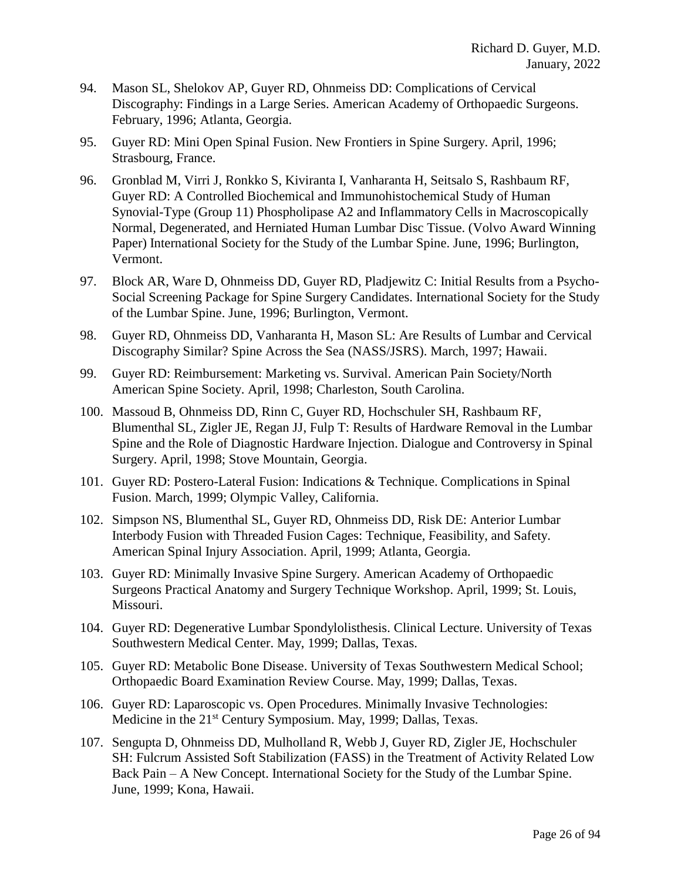- 94. Mason SL, Shelokov AP, Guyer RD, Ohnmeiss DD: Complications of Cervical Discography: Findings in a Large Series. American Academy of Orthopaedic Surgeons. February, 1996; Atlanta, Georgia.
- 95. Guyer RD: Mini Open Spinal Fusion. New Frontiers in Spine Surgery. April, 1996; Strasbourg, France.
- 96. Gronblad M, Virri J, Ronkko S, Kiviranta I, Vanharanta H, Seitsalo S, Rashbaum RF, Guyer RD: A Controlled Biochemical and Immunohistochemical Study of Human Synovial-Type (Group 11) Phospholipase A2 and Inflammatory Cells in Macroscopically Normal, Degenerated, and Herniated Human Lumbar Disc Tissue. (Volvo Award Winning Paper) International Society for the Study of the Lumbar Spine. June, 1996; Burlington, Vermont.
- 97. Block AR, Ware D, Ohnmeiss DD, Guyer RD, Pladjewitz C: Initial Results from a Psycho-Social Screening Package for Spine Surgery Candidates. International Society for the Study of the Lumbar Spine. June, 1996; Burlington, Vermont.
- 98. Guyer RD, Ohnmeiss DD, Vanharanta H, Mason SL: Are Results of Lumbar and Cervical Discography Similar? Spine Across the Sea (NASS/JSRS). March, 1997; Hawaii.
- 99. Guyer RD: Reimbursement: Marketing vs. Survival. American Pain Society/North American Spine Society. April, 1998; Charleston, South Carolina.
- 100. Massoud B, Ohnmeiss DD, Rinn C, Guyer RD, Hochschuler SH, Rashbaum RF, Blumenthal SL, Zigler JE, Regan JJ, Fulp T: Results of Hardware Removal in the Lumbar Spine and the Role of Diagnostic Hardware Injection. Dialogue and Controversy in Spinal Surgery. April, 1998; Stove Mountain, Georgia.
- 101. Guyer RD: Postero-Lateral Fusion: Indications & Technique. Complications in Spinal Fusion. March, 1999; Olympic Valley, California.
- 102. Simpson NS, Blumenthal SL, Guyer RD, Ohnmeiss DD, Risk DE: Anterior Lumbar Interbody Fusion with Threaded Fusion Cages: Technique, Feasibility, and Safety. American Spinal Injury Association. April, 1999; Atlanta, Georgia.
- 103. Guyer RD: Minimally Invasive Spine Surgery. American Academy of Orthopaedic Surgeons Practical Anatomy and Surgery Technique Workshop. April, 1999; St. Louis, Missouri.
- 104. Guyer RD: Degenerative Lumbar Spondylolisthesis. Clinical Lecture. University of Texas Southwestern Medical Center. May, 1999; Dallas, Texas.
- 105. Guyer RD: Metabolic Bone Disease. University of Texas Southwestern Medical School; Orthopaedic Board Examination Review Course. May, 1999; Dallas, Texas.
- 106. Guyer RD: Laparoscopic vs. Open Procedures. Minimally Invasive Technologies: Medicine in the 21<sup>st</sup> Century Symposium. May, 1999; Dallas, Texas.
- 107. Sengupta D, Ohnmeiss DD, Mulholland R, Webb J, Guyer RD, Zigler JE, Hochschuler SH: Fulcrum Assisted Soft Stabilization (FASS) in the Treatment of Activity Related Low Back Pain – A New Concept. International Society for the Study of the Lumbar Spine. June, 1999; Kona, Hawaii.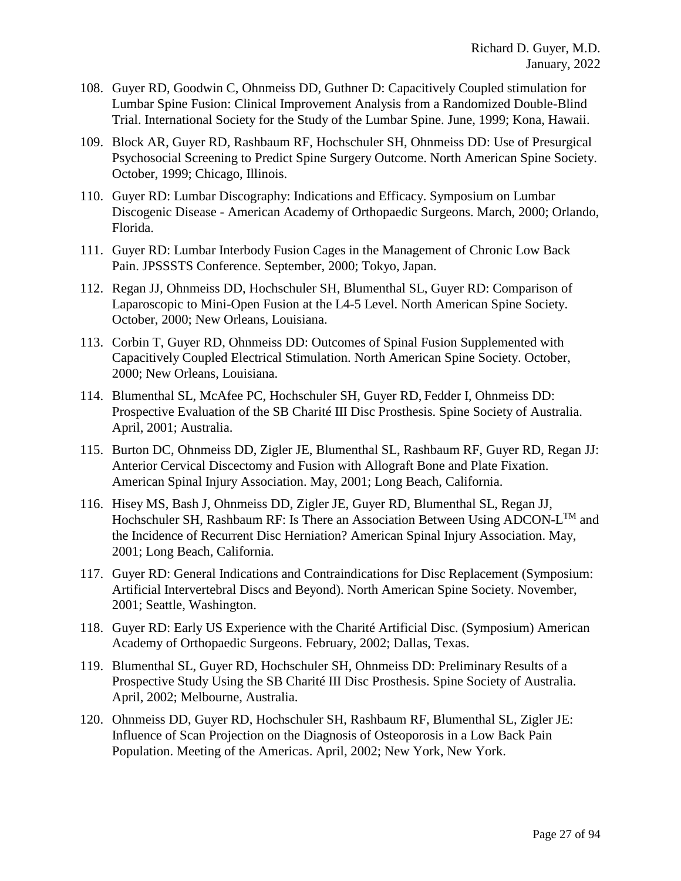- 108. Guyer RD, Goodwin C, Ohnmeiss DD, Guthner D: Capacitively Coupled stimulation for Lumbar Spine Fusion: Clinical Improvement Analysis from a Randomized Double-Blind Trial. International Society for the Study of the Lumbar Spine. June, 1999; Kona, Hawaii.
- 109. Block AR, Guyer RD, Rashbaum RF, Hochschuler SH, Ohnmeiss DD: Use of Presurgical Psychosocial Screening to Predict Spine Surgery Outcome. North American Spine Society. October, 1999; Chicago, Illinois.
- 110. Guyer RD: Lumbar Discography: Indications and Efficacy. Symposium on Lumbar Discogenic Disease - American Academy of Orthopaedic Surgeons. March, 2000; Orlando, Florida.
- 111. Guyer RD: Lumbar Interbody Fusion Cages in the Management of Chronic Low Back Pain. JPSSSTS Conference. September, 2000; Tokyo, Japan.
- 112. Regan JJ, Ohnmeiss DD, Hochschuler SH, Blumenthal SL, Guyer RD: Comparison of Laparoscopic to Mini-Open Fusion at the L4-5 Level. North American Spine Society. October, 2000; New Orleans, Louisiana.
- 113. Corbin T, Guyer RD, Ohnmeiss DD: Outcomes of Spinal Fusion Supplemented with Capacitively Coupled Electrical Stimulation. North American Spine Society. October, 2000; New Orleans, Louisiana.
- 114. Blumenthal SL, McAfee PC, Hochschuler SH, Guyer RD, Fedder I, Ohnmeiss DD: Prospective Evaluation of the SB Charité III Disc Prosthesis. Spine Society of Australia. April, 2001; Australia.
- 115. Burton DC, Ohnmeiss DD, Zigler JE, Blumenthal SL, Rashbaum RF, Guyer RD, Regan JJ: Anterior Cervical Discectomy and Fusion with Allograft Bone and Plate Fixation. American Spinal Injury Association. May, 2001; Long Beach, California.
- 116. Hisey MS, Bash J, Ohnmeiss DD, Zigler JE, Guyer RD, Blumenthal SL, Regan JJ, Hochschuler SH, Rashbaum RF: Is There an Association Between Using ADCON- $L^{TM}$  and the Incidence of Recurrent Disc Herniation? American Spinal Injury Association. May, 2001; Long Beach, California.
- 117. Guyer RD: General Indications and Contraindications for Disc Replacement (Symposium: Artificial Intervertebral Discs and Beyond). North American Spine Society. November, 2001; Seattle, Washington.
- 118. Guyer RD: Early US Experience with the Charité Artificial Disc. (Symposium) American Academy of Orthopaedic Surgeons. February, 2002; Dallas, Texas.
- 119. Blumenthal SL, Guyer RD, Hochschuler SH, Ohnmeiss DD: Preliminary Results of a Prospective Study Using the SB Charité III Disc Prosthesis. Spine Society of Australia. April, 2002; Melbourne, Australia.
- 120. Ohnmeiss DD, Guyer RD, Hochschuler SH, Rashbaum RF, Blumenthal SL, Zigler JE: Influence of Scan Projection on the Diagnosis of Osteoporosis in a Low Back Pain Population. Meeting of the Americas. April, 2002; New York, New York.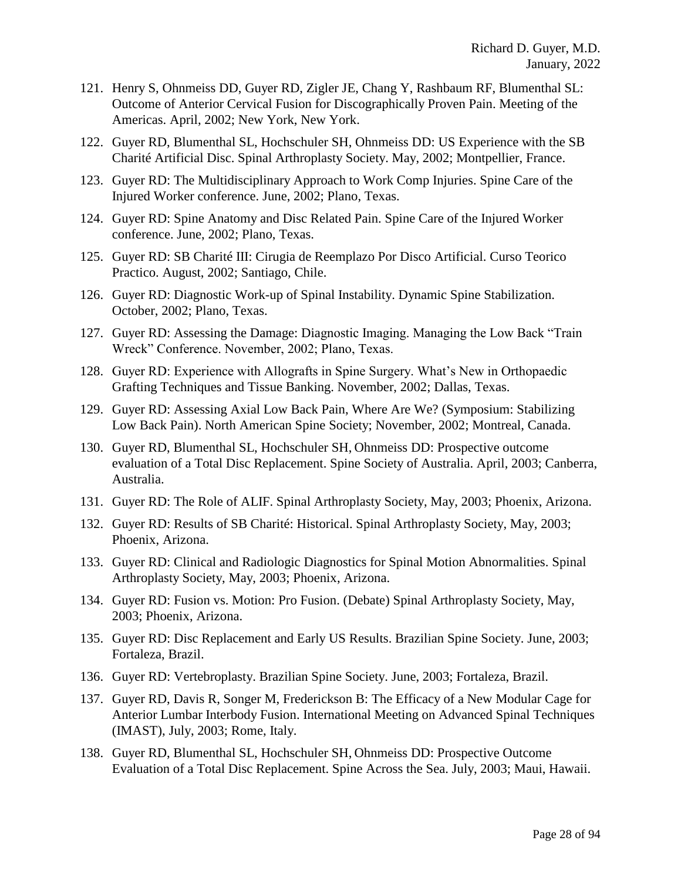- 121. Henry S, Ohnmeiss DD, Guyer RD, Zigler JE, Chang Y, Rashbaum RF, Blumenthal SL: Outcome of Anterior Cervical Fusion for Discographically Proven Pain. Meeting of the Americas. April, 2002; New York, New York.
- 122. Guyer RD, Blumenthal SL, Hochschuler SH, Ohnmeiss DD: US Experience with the SB Charité Artificial Disc. Spinal Arthroplasty Society. May, 2002; Montpellier, France.
- 123. Guyer RD: The Multidisciplinary Approach to Work Comp Injuries. Spine Care of the Injured Worker conference. June, 2002; Plano, Texas.
- 124. Guyer RD: Spine Anatomy and Disc Related Pain. Spine Care of the Injured Worker conference. June, 2002; Plano, Texas.
- 125. Guyer RD: SB Charité III: Cirugia de Reemplazo Por Disco Artificial. Curso Teorico Practico. August, 2002; Santiago, Chile.
- 126. Guyer RD: Diagnostic Work-up of Spinal Instability. Dynamic Spine Stabilization. October, 2002; Plano, Texas.
- 127. Guyer RD: Assessing the Damage: Diagnostic Imaging. Managing the Low Back "Train Wreck" Conference. November, 2002; Plano, Texas.
- 128. Guyer RD: Experience with Allografts in Spine Surgery. What's New in Orthopaedic Grafting Techniques and Tissue Banking. November, 2002; Dallas, Texas.
- 129. Guyer RD: Assessing Axial Low Back Pain, Where Are We? (Symposium: Stabilizing Low Back Pain). North American Spine Society; November, 2002; Montreal, Canada.
- 130. Guyer RD, Blumenthal SL, Hochschuler SH, Ohnmeiss DD: Prospective outcome evaluation of a Total Disc Replacement. Spine Society of Australia. April, 2003; Canberra, Australia.
- 131. Guyer RD: The Role of ALIF. Spinal Arthroplasty Society, May, 2003; Phoenix, Arizona.
- 132. Guyer RD: Results of SB Charité: Historical. Spinal Arthroplasty Society, May, 2003; Phoenix, Arizona.
- 133. Guyer RD: Clinical and Radiologic Diagnostics for Spinal Motion Abnormalities. Spinal Arthroplasty Society, May, 2003; Phoenix, Arizona.
- 134. Guyer RD: Fusion vs. Motion: Pro Fusion. (Debate) Spinal Arthroplasty Society, May, 2003; Phoenix, Arizona.
- 135. Guyer RD: Disc Replacement and Early US Results. Brazilian Spine Society. June, 2003; Fortaleza, Brazil.
- 136. Guyer RD: Vertebroplasty. Brazilian Spine Society. June, 2003; Fortaleza, Brazil.
- 137. Guyer RD, Davis R, Songer M, Frederickson B: The Efficacy of a New Modular Cage for Anterior Lumbar Interbody Fusion. International Meeting on Advanced Spinal Techniques (IMAST), July, 2003; Rome, Italy.
- 138. Guyer RD, Blumenthal SL, Hochschuler SH, Ohnmeiss DD: Prospective Outcome Evaluation of a Total Disc Replacement. Spine Across the Sea. July, 2003; Maui, Hawaii.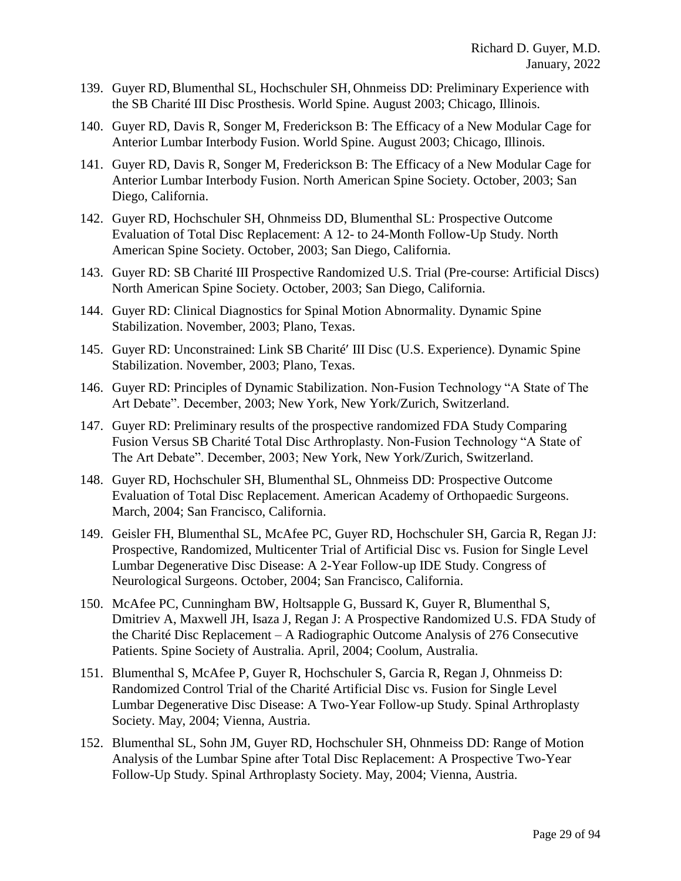- 139. Guyer RD, Blumenthal SL, Hochschuler SH, Ohnmeiss DD: Preliminary Experience with the SB Charité III Disc Prosthesis. World Spine. August 2003; Chicago, Illinois.
- 140. Guyer RD, Davis R, Songer M, Frederickson B: The Efficacy of a New Modular Cage for Anterior Lumbar Interbody Fusion. World Spine. August 2003; Chicago, Illinois.
- 141. Guyer RD, Davis R, Songer M, Frederickson B: The Efficacy of a New Modular Cage for Anterior Lumbar Interbody Fusion. North American Spine Society. October, 2003; San Diego, California.
- 142. Guyer RD, Hochschuler SH, Ohnmeiss DD, Blumenthal SL: Prospective Outcome Evaluation of Total Disc Replacement: A 12- to 24-Month Follow-Up Study. North American Spine Society. October, 2003; San Diego, California.
- 143. Guyer RD: SB Charité III Prospective Randomized U.S. Trial (Pre-course: Artificial Discs) North American Spine Society. October, 2003; San Diego, California.
- 144. Guyer RD: Clinical Diagnostics for Spinal Motion Abnormality. Dynamic Spine Stabilization. November, 2003; Plano, Texas.
- 145. Guyer RD: Unconstrained: Link SB Charité III Disc (U.S. Experience). Dynamic Spine Stabilization. November, 2003; Plano, Texas.
- 146. Guyer RD: Principles of Dynamic Stabilization. Non-Fusion Technology "A State of The Art Debate". December, 2003; New York, New York/Zurich, Switzerland.
- 147. Guyer RD: Preliminary results of the prospective randomized FDA Study Comparing Fusion Versus SB Charité Total Disc Arthroplasty. Non-Fusion Technology "A State of The Art Debate". December, 2003; New York, New York/Zurich, Switzerland.
- 148. Guyer RD, Hochschuler SH, Blumenthal SL, Ohnmeiss DD: Prospective Outcome Evaluation of Total Disc Replacement. American Academy of Orthopaedic Surgeons. March, 2004; San Francisco, California.
- 149. Geisler FH, Blumenthal SL, McAfee PC, Guyer RD, Hochschuler SH, Garcia R, Regan JJ: Prospective, Randomized, Multicenter Trial of Artificial Disc vs. Fusion for Single Level Lumbar Degenerative Disc Disease: A 2-Year Follow-up IDE Study. Congress of Neurological Surgeons. October, 2004; San Francisco, California.
- 150. McAfee PC, Cunningham BW, Holtsapple G, Bussard K, Guyer R, Blumenthal S, Dmitriev A, Maxwell JH, Isaza J, Regan J: A Prospective Randomized U.S. FDA Study of the Charité Disc Replacement – A Radiographic Outcome Analysis of 276 Consecutive Patients. Spine Society of Australia. April, 2004; Coolum, Australia.
- 151. Blumenthal S, McAfee P, Guyer R, Hochschuler S, Garcia R, Regan J, Ohnmeiss D: Randomized Control Trial of the Charité Artificial Disc vs. Fusion for Single Level Lumbar Degenerative Disc Disease: A Two-Year Follow-up Study. Spinal Arthroplasty Society. May, 2004; Vienna, Austria.
- 152. Blumenthal SL, Sohn JM, Guyer RD, Hochschuler SH, Ohnmeiss DD: Range of Motion Analysis of the Lumbar Spine after Total Disc Replacement: A Prospective Two-Year Follow-Up Study. Spinal Arthroplasty Society. May, 2004; Vienna, Austria.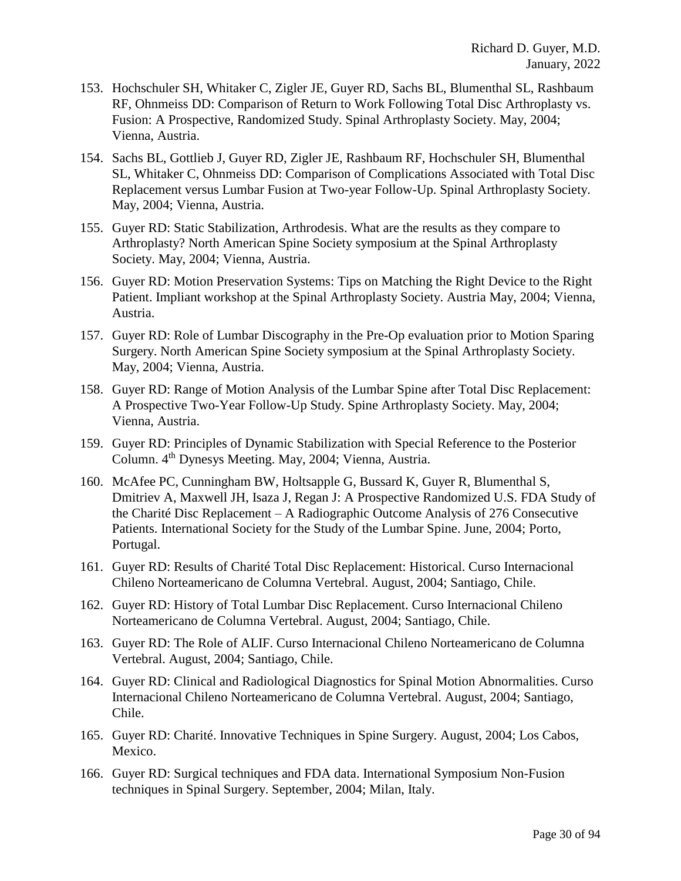- 153. Hochschuler SH, Whitaker C, Zigler JE, Guyer RD, Sachs BL, Blumenthal SL, Rashbaum RF, Ohnmeiss DD: Comparison of Return to Work Following Total Disc Arthroplasty vs. Fusion: A Prospective, Randomized Study. Spinal Arthroplasty Society. May, 2004; Vienna, Austria.
- 154. Sachs BL, Gottlieb J, Guyer RD, Zigler JE, Rashbaum RF, Hochschuler SH, Blumenthal SL, Whitaker C, Ohnmeiss DD: Comparison of Complications Associated with Total Disc Replacement versus Lumbar Fusion at Two-year Follow-Up. Spinal Arthroplasty Society. May, 2004; Vienna, Austria.
- 155. Guyer RD: Static Stabilization, Arthrodesis. What are the results as they compare to Arthroplasty? North American Spine Society symposium at the Spinal Arthroplasty Society. May, 2004; Vienna, Austria.
- 156. Guyer RD: Motion Preservation Systems: Tips on Matching the Right Device to the Right Patient. Impliant workshop at the Spinal Arthroplasty Society. Austria May, 2004; Vienna, Austria.
- 157. Guyer RD: Role of Lumbar Discography in the Pre-Op evaluation prior to Motion Sparing Surgery. North American Spine Society symposium at the Spinal Arthroplasty Society. May, 2004; Vienna, Austria.
- 158. Guyer RD: Range of Motion Analysis of the Lumbar Spine after Total Disc Replacement: A Prospective Two-Year Follow-Up Study. Spine Arthroplasty Society. May, 2004; Vienna, Austria.
- 159. Guyer RD: Principles of Dynamic Stabilization with Special Reference to the Posterior Column. 4th Dynesys Meeting. May, 2004; Vienna, Austria.
- 160. McAfee PC, Cunningham BW, Holtsapple G, Bussard K, Guyer R, Blumenthal S, Dmitriev A, Maxwell JH, Isaza J, Regan J: A Prospective Randomized U.S. FDA Study of the Charité Disc Replacement – A Radiographic Outcome Analysis of 276 Consecutive Patients. International Society for the Study of the Lumbar Spine. June, 2004; Porto, Portugal.
- 161. Guyer RD: Results of Charité Total Disc Replacement: Historical. Curso Internacional Chileno Norteamericano de Columna Vertebral. August, 2004; Santiago, Chile.
- 162. Guyer RD: History of Total Lumbar Disc Replacement. Curso Internacional Chileno Norteamericano de Columna Vertebral. August, 2004; Santiago, Chile.
- 163. Guyer RD: The Role of ALIF. Curso Internacional Chileno Norteamericano de Columna Vertebral. August, 2004; Santiago, Chile.
- 164. Guyer RD: Clinical and Radiological Diagnostics for Spinal Motion Abnormalities. Curso Internacional Chileno Norteamericano de Columna Vertebral. August, 2004; Santiago, Chile.
- 165. Guyer RD: Charité. Innovative Techniques in Spine Surgery. August, 2004; Los Cabos, Mexico.
- 166. Guyer RD: Surgical techniques and FDA data. International Symposium Non-Fusion techniques in Spinal Surgery. September, 2004; Milan, Italy.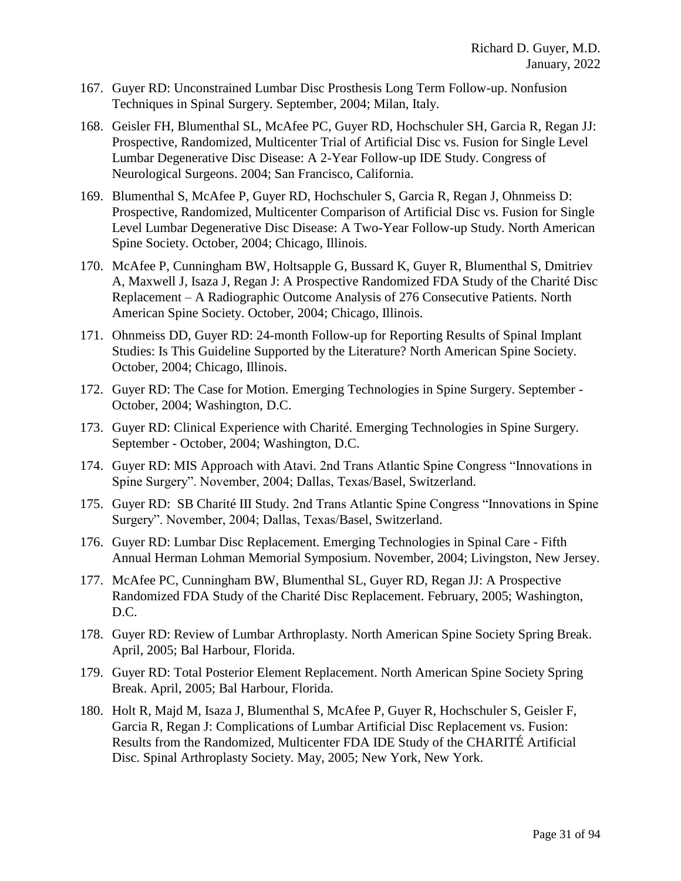- 167. Guyer RD: Unconstrained Lumbar Disc Prosthesis Long Term Follow-up. Nonfusion Techniques in Spinal Surgery. September, 2004; Milan, Italy.
- 168. Geisler FH, Blumenthal SL, McAfee PC, Guyer RD, Hochschuler SH, Garcia R, Regan JJ: Prospective, Randomized, Multicenter Trial of Artificial Disc vs. Fusion for Single Level Lumbar Degenerative Disc Disease: A 2-Year Follow-up IDE Study. Congress of Neurological Surgeons. 2004; San Francisco, California.
- 169. Blumenthal S, McAfee P, Guyer RD, Hochschuler S, Garcia R, Regan J, Ohnmeiss D: Prospective, Randomized, Multicenter Comparison of Artificial Disc vs. Fusion for Single Level Lumbar Degenerative Disc Disease: A Two-Year Follow-up Study. North American Spine Society. October, 2004; Chicago, Illinois.
- 170. McAfee P, Cunningham BW, Holtsapple G, Bussard K, Guyer R, Blumenthal S, Dmitriev A, Maxwell J, Isaza J, Regan J: A Prospective Randomized FDA Study of the Charité Disc Replacement – A Radiographic Outcome Analysis of 276 Consecutive Patients. North American Spine Society. October, 2004; Chicago, Illinois.
- 171. Ohnmeiss DD, Guyer RD: 24-month Follow-up for Reporting Results of Spinal Implant Studies: Is This Guideline Supported by the Literature? North American Spine Society. October, 2004; Chicago, Illinois.
- 172. Guyer RD: The Case for Motion. Emerging Technologies in Spine Surgery. September October, 2004; Washington, D.C.
- 173. Guyer RD: Clinical Experience with Charité. Emerging Technologies in Spine Surgery. September - October, 2004; Washington, D.C.
- 174. Guyer RD: MIS Approach with Atavi. 2nd Trans Atlantic Spine Congress "Innovations in Spine Surgery". November, 2004; Dallas, Texas/Basel, Switzerland.
- 175. Guyer RD: SB Charité III Study. 2nd Trans Atlantic Spine Congress "Innovations in Spine Surgery". November, 2004; Dallas, Texas/Basel, Switzerland.
- 176. Guyer RD: Lumbar Disc Replacement. Emerging Technologies in Spinal Care Fifth Annual Herman Lohman Memorial Symposium. November, 2004; Livingston, New Jersey.
- 177. McAfee PC, Cunningham BW, Blumenthal SL, Guyer RD, Regan JJ: A Prospective Randomized FDA Study of the Charité Disc Replacement. February, 2005; Washington, D.C.
- 178. Guyer RD: Review of Lumbar Arthroplasty. North American Spine Society Spring Break. April, 2005; Bal Harbour, Florida.
- 179. Guyer RD: Total Posterior Element Replacement. North American Spine Society Spring Break. April, 2005; Bal Harbour, Florida.
- 180. Holt R, Majd M, Isaza J, Blumenthal S, McAfee P, Guyer R, Hochschuler S, Geisler F, Garcia R, Regan J: Complications of Lumbar Artificial Disc Replacement vs. Fusion: Results from the Randomized, Multicenter FDA IDE Study of the CHARITÉ Artificial Disc. Spinal Arthroplasty Society. May, 2005; New York, New York.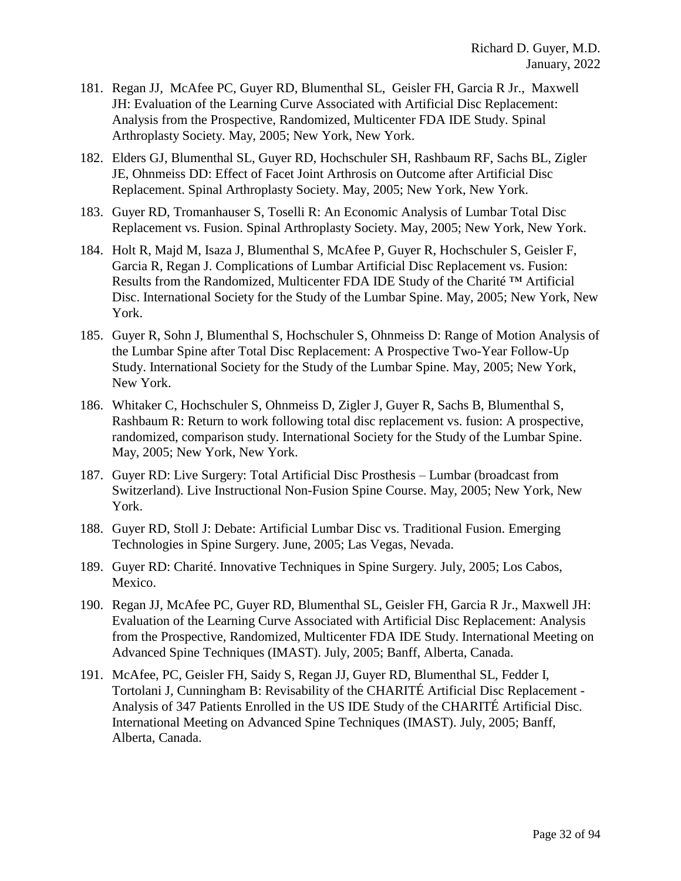- 181. Regan JJ, McAfee PC, Guyer RD, Blumenthal SL, Geisler FH, Garcia R Jr., Maxwell JH: Evaluation of the Learning Curve Associated with Artificial Disc Replacement: Analysis from the Prospective, Randomized, Multicenter FDA IDE Study. Spinal Arthroplasty Society. May, 2005; New York, New York.
- 182. Elders GJ, Blumenthal SL, Guyer RD, Hochschuler SH, Rashbaum RF, Sachs BL, Zigler JE, Ohnmeiss DD: Effect of Facet Joint Arthrosis on Outcome after Artificial Disc Replacement. Spinal Arthroplasty Society. May, 2005; New York, New York.
- 183. Guyer RD, Tromanhauser S, Toselli R: An Economic Analysis of Lumbar Total Disc Replacement vs. Fusion. Spinal Arthroplasty Society. May, 2005; New York, New York.
- 184. Holt R, Majd M, Isaza J, Blumenthal S, McAfee P, Guyer R, Hochschuler S, Geisler F, Garcia R, Regan J. Complications of Lumbar Artificial Disc Replacement vs. Fusion: Results from the Randomized, Multicenter FDA IDE Study of the Charité ™ Artificial Disc. International Society for the Study of the Lumbar Spine. May, 2005; New York, New York.
- 185. Guyer R, Sohn J, Blumenthal S, Hochschuler S, Ohnmeiss D: Range of Motion Analysis of the Lumbar Spine after Total Disc Replacement: A Prospective Two-Year Follow-Up Study. International Society for the Study of the Lumbar Spine. May, 2005; New York, New York.
- 186. Whitaker C, Hochschuler S, Ohnmeiss D, Zigler J, Guyer R, Sachs B, Blumenthal S, Rashbaum R: Return to work following total disc replacement vs. fusion: A prospective, randomized, comparison study. International Society for the Study of the Lumbar Spine. May, 2005; New York, New York.
- 187. Guyer RD: Live Surgery: Total Artificial Disc Prosthesis Lumbar (broadcast from Switzerland). Live Instructional Non-Fusion Spine Course. May, 2005; New York, New York.
- 188. Guyer RD, Stoll J: Debate: Artificial Lumbar Disc vs. Traditional Fusion. Emerging Technologies in Spine Surgery. June, 2005; Las Vegas, Nevada.
- 189. Guyer RD: Charité. Innovative Techniques in Spine Surgery. July, 2005; Los Cabos, Mexico.
- 190. Regan JJ, McAfee PC, Guyer RD, Blumenthal SL, Geisler FH, Garcia R Jr., Maxwell JH: Evaluation of the Learning Curve Associated with Artificial Disc Replacement: Analysis from the Prospective, Randomized, Multicenter FDA IDE Study. International Meeting on Advanced Spine Techniques (IMAST). July, 2005; Banff, Alberta, Canada.
- 191. McAfee, PC, Geisler FH, Saidy S, Regan JJ, Guyer RD, Blumenthal SL, Fedder I, Tortolani J, Cunningham B: Revisability of the CHARITÉ Artificial Disc Replacement - Analysis of 347 Patients Enrolled in the US IDE Study of the CHARITÉ Artificial Disc. International Meeting on Advanced Spine Techniques (IMAST). July, 2005; Banff, Alberta, Canada.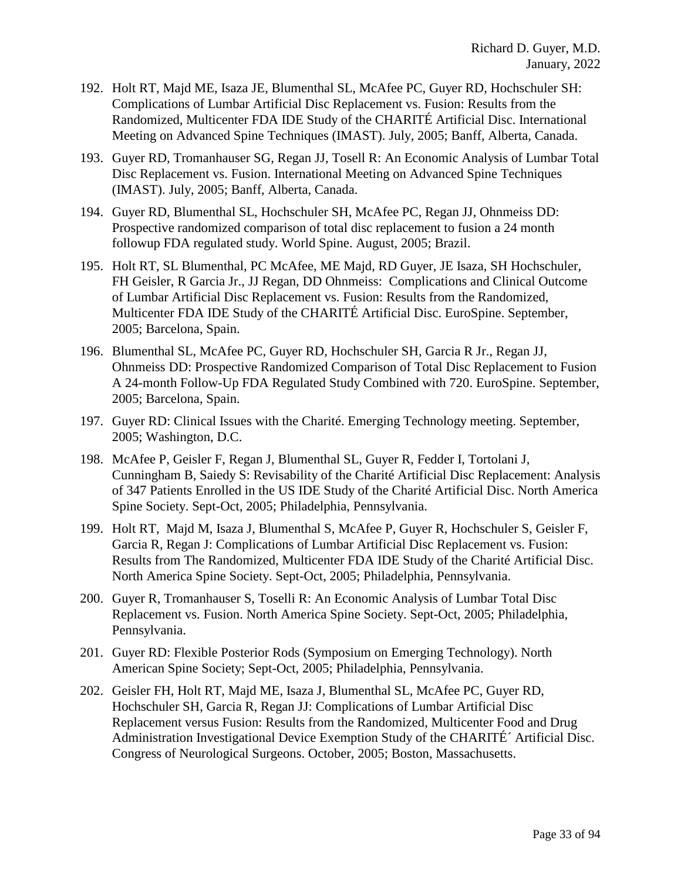- 192. Holt RT, Majd ME, Isaza JE, Blumenthal SL, McAfee PC, Guyer RD, Hochschuler SH: Complications of Lumbar Artificial Disc Replacement vs. Fusion: Results from the Randomized, Multicenter FDA IDE Study of the CHARITÉ Artificial Disc. International Meeting on Advanced Spine Techniques (IMAST). July, 2005; Banff, Alberta, Canada.
- 193. Guyer RD, Tromanhauser SG, Regan JJ, Tosell R: An Economic Analysis of Lumbar Total Disc Replacement vs. Fusion. International Meeting on Advanced Spine Techniques (IMAST). July, 2005; Banff, Alberta, Canada.
- 194. Guyer RD, Blumenthal SL, Hochschuler SH, McAfee PC, Regan JJ, Ohnmeiss DD: Prospective randomized comparison of total disc replacement to fusion a 24 month followup FDA regulated study. World Spine. August, 2005; Brazil.
- 195. Holt RT, SL Blumenthal, PC McAfee, ME Majd, RD Guyer, JE Isaza, SH Hochschuler, FH Geisler, R Garcia Jr., JJ Regan, DD Ohnmeiss: Complications and Clinical Outcome of Lumbar Artificial Disc Replacement vs. Fusion: Results from the Randomized, Multicenter FDA IDE Study of the CHARITÉ Artificial Disc. EuroSpine. September, 2005; Barcelona, Spain.
- 196. Blumenthal SL, McAfee PC, Guyer RD, Hochschuler SH, Garcia R Jr., Regan JJ, Ohnmeiss DD: Prospective Randomized Comparison of Total Disc Replacement to Fusion A 24-month Follow-Up FDA Regulated Study Combined with 720. EuroSpine. September, 2005; Barcelona, Spain.
- 197. Guyer RD: Clinical Issues with the Charité. Emerging Technology meeting. September, 2005; Washington, D.C.
- 198. McAfee P, Geisler F, Regan J, Blumenthal SL, Guyer R, Fedder I, Tortolani J, Cunningham B, Saiedy S: Revisability of the Charité Artificial Disc Replacement: Analysis of 347 Patients Enrolled in the US IDE Study of the Charité Artificial Disc. North America Spine Society. Sept-Oct, 2005; Philadelphia, Pennsylvania.
- 199. Holt RT, Majd M, Isaza J, Blumenthal S, McAfee P, Guyer R, Hochschuler S, Geisler F, Garcia R, Regan J: Complications of Lumbar Artificial Disc Replacement vs. Fusion: Results from The Randomized, Multicenter FDA IDE Study of the Charité Artificial Disc. North America Spine Society. Sept-Oct, 2005; Philadelphia, Pennsylvania.
- 200. Guyer R, Tromanhauser S, Toselli R: An Economic Analysis of Lumbar Total Disc Replacement vs. Fusion. North America Spine Society. Sept-Oct, 2005; Philadelphia, Pennsylvania.
- 201. Guyer RD: Flexible Posterior Rods (Symposium on Emerging Technology). North American Spine Society; Sept-Oct, 2005; Philadelphia, Pennsylvania.
- 202. Geisler FH, Holt RT, Majd ME, Isaza J, Blumenthal SL, McAfee PC, Guyer RD, Hochschuler SH, Garcia R, Regan JJ: Complications of Lumbar Artificial Disc Replacement versus Fusion: Results from the Randomized, Multicenter Food and Drug Administration Investigational Device Exemption Study of the CHARITÉ´ Artificial Disc. Congress of Neurological Surgeons. October, 2005; Boston, Massachusetts.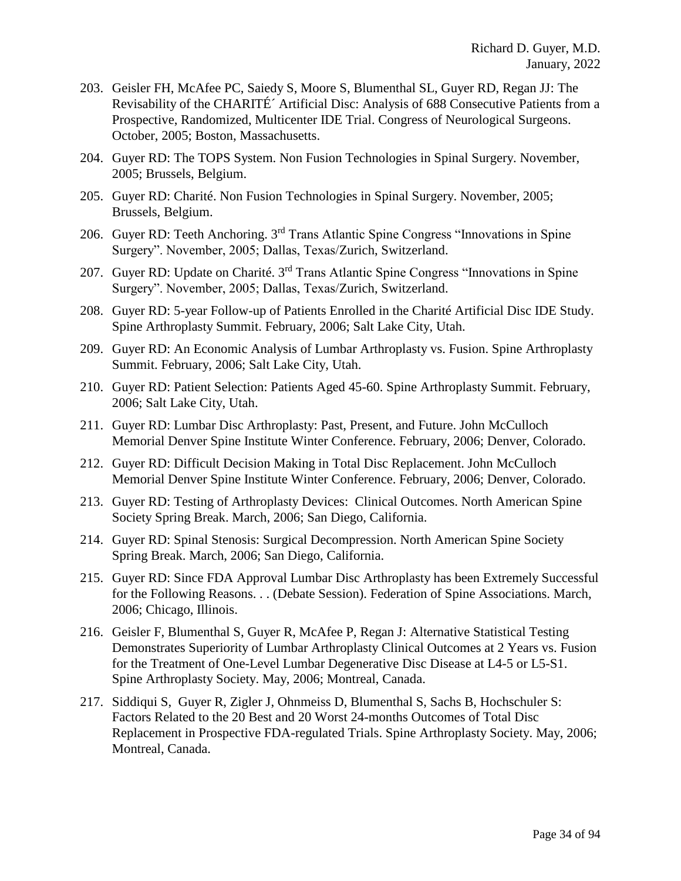- 203. Geisler FH, McAfee PC, Saiedy S, Moore S, Blumenthal SL, Guyer RD, Regan JJ: The Revisability of the CHARITÉ´ Artificial Disc: Analysis of 688 Consecutive Patients from a Prospective, Randomized, Multicenter IDE Trial. Congress of Neurological Surgeons. October, 2005; Boston, Massachusetts.
- 204. Guyer RD: The TOPS System. Non Fusion Technologies in Spinal Surgery. November, 2005; Brussels, Belgium.
- 205. Guyer RD: Charité. Non Fusion Technologies in Spinal Surgery. November, 2005; Brussels, Belgium.
- 206. Guyer RD: Teeth Anchoring. 3rd Trans Atlantic Spine Congress "Innovations in Spine Surgery". November, 2005; Dallas, Texas/Zurich, Switzerland.
- 207. Guyer RD: Update on Charité. 3rd Trans Atlantic Spine Congress "Innovations in Spine Surgery". November, 2005; Dallas, Texas/Zurich, Switzerland.
- 208. Guyer RD: 5-year Follow-up of Patients Enrolled in the Charité Artificial Disc IDE Study. Spine Arthroplasty Summit. February, 2006; Salt Lake City, Utah.
- 209. Guyer RD: An Economic Analysis of Lumbar Arthroplasty vs. Fusion. Spine Arthroplasty Summit. February, 2006; Salt Lake City, Utah.
- 210. Guyer RD: Patient Selection: Patients Aged 45-60. Spine Arthroplasty Summit. February, 2006; Salt Lake City, Utah.
- 211. Guyer RD: Lumbar Disc Arthroplasty: Past, Present, and Future. John McCulloch Memorial Denver Spine Institute Winter Conference. February, 2006; Denver, Colorado.
- 212. Guyer RD: Difficult Decision Making in Total Disc Replacement. John McCulloch Memorial Denver Spine Institute Winter Conference. February, 2006; Denver, Colorado.
- 213. Guyer RD: Testing of Arthroplasty Devices: Clinical Outcomes. North American Spine Society Spring Break. March, 2006; San Diego, California.
- 214. Guyer RD: Spinal Stenosis: Surgical Decompression. North American Spine Society Spring Break. March, 2006; San Diego, California.
- 215. Guyer RD: Since FDA Approval Lumbar Disc Arthroplasty has been Extremely Successful for the Following Reasons. . . (Debate Session). Federation of Spine Associations. March, 2006; Chicago, Illinois.
- 216. Geisler F, Blumenthal S, Guyer R, McAfee P, Regan J: Alternative Statistical Testing Demonstrates Superiority of Lumbar Arthroplasty Clinical Outcomes at 2 Years vs. Fusion for the Treatment of One-Level Lumbar Degenerative Disc Disease at L4-5 or L5-S1. Spine Arthroplasty Society. May, 2006; Montreal, Canada.
- 217. Siddiqui S, Guyer R, Zigler J, Ohnmeiss D, Blumenthal S, Sachs B, Hochschuler S: Factors Related to the 20 Best and 20 Worst 24-months Outcomes of Total Disc Replacement in Prospective FDA-regulated Trials. Spine Arthroplasty Society. May, 2006; Montreal, Canada.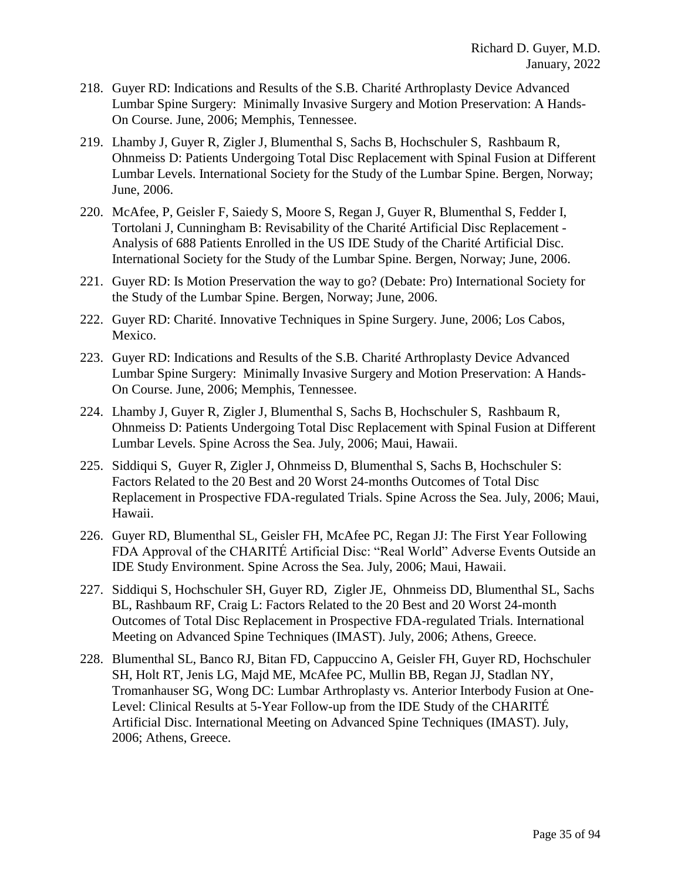- 218. Guyer RD: Indications and Results of the S.B. Charité Arthroplasty Device Advanced Lumbar Spine Surgery: Minimally Invasive Surgery and Motion Preservation: A Hands-On Course. June, 2006; Memphis, Tennessee.
- 219. Lhamby J, Guyer R, Zigler J, Blumenthal S, Sachs B, Hochschuler S, Rashbaum R, Ohnmeiss D: Patients Undergoing Total Disc Replacement with Spinal Fusion at Different Lumbar Levels. International Society for the Study of the Lumbar Spine. Bergen, Norway; June, 2006.
- 220. McAfee, P, Geisler F, Saiedy S, Moore S, Regan J, Guyer R, Blumenthal S, Fedder I, Tortolani J, Cunningham B: Revisability of the Charité Artificial Disc Replacement - Analysis of 688 Patients Enrolled in the US IDE Study of the Charité Artificial Disc. International Society for the Study of the Lumbar Spine. Bergen, Norway; June, 2006.
- 221. Guyer RD: Is Motion Preservation the way to go? (Debate: Pro) International Society for the Study of the Lumbar Spine. Bergen, Norway; June, 2006.
- 222. Guyer RD: Charité. Innovative Techniques in Spine Surgery. June, 2006; Los Cabos, Mexico.
- 223. Guyer RD: Indications and Results of the S.B. Charité Arthroplasty Device Advanced Lumbar Spine Surgery: Minimally Invasive Surgery and Motion Preservation: A Hands-On Course. June, 2006; Memphis, Tennessee.
- 224. Lhamby J, Guyer R, Zigler J, Blumenthal S, Sachs B, Hochschuler S, Rashbaum R, Ohnmeiss D: Patients Undergoing Total Disc Replacement with Spinal Fusion at Different Lumbar Levels. Spine Across the Sea. July, 2006; Maui, Hawaii.
- 225. Siddiqui S, Guyer R, Zigler J, Ohnmeiss D, Blumenthal S, Sachs B, Hochschuler S: Factors Related to the 20 Best and 20 Worst 24-months Outcomes of Total Disc Replacement in Prospective FDA-regulated Trials. Spine Across the Sea. July, 2006; Maui, Hawaii.
- 226. Guyer RD, Blumenthal SL, Geisler FH, McAfee PC, Regan JJ: The First Year Following FDA Approval of the CHARITÉ Artificial Disc: "Real World" Adverse Events Outside an IDE Study Environment. Spine Across the Sea. July, 2006; Maui, Hawaii.
- 227. Siddiqui S, Hochschuler SH, Guyer RD, Zigler JE, Ohnmeiss DD, Blumenthal SL, Sachs BL, Rashbaum RF, Craig L: Factors Related to the 20 Best and 20 Worst 24-month Outcomes of Total Disc Replacement in Prospective FDA-regulated Trials. International Meeting on Advanced Spine Techniques (IMAST). July, 2006; Athens, Greece.
- 228. Blumenthal SL, Banco RJ, Bitan FD, Cappuccino A, Geisler FH, Guyer RD, Hochschuler SH, Holt RT, Jenis LG, Majd ME, McAfee PC, Mullin BB, Regan JJ, Stadlan NY, Tromanhauser SG, Wong DC: Lumbar Arthroplasty vs. Anterior Interbody Fusion at One-Level: Clinical Results at 5-Year Follow-up from the IDE Study of the CHARITÉ Artificial Disc. International Meeting on Advanced Spine Techniques (IMAST). July, 2006; Athens, Greece.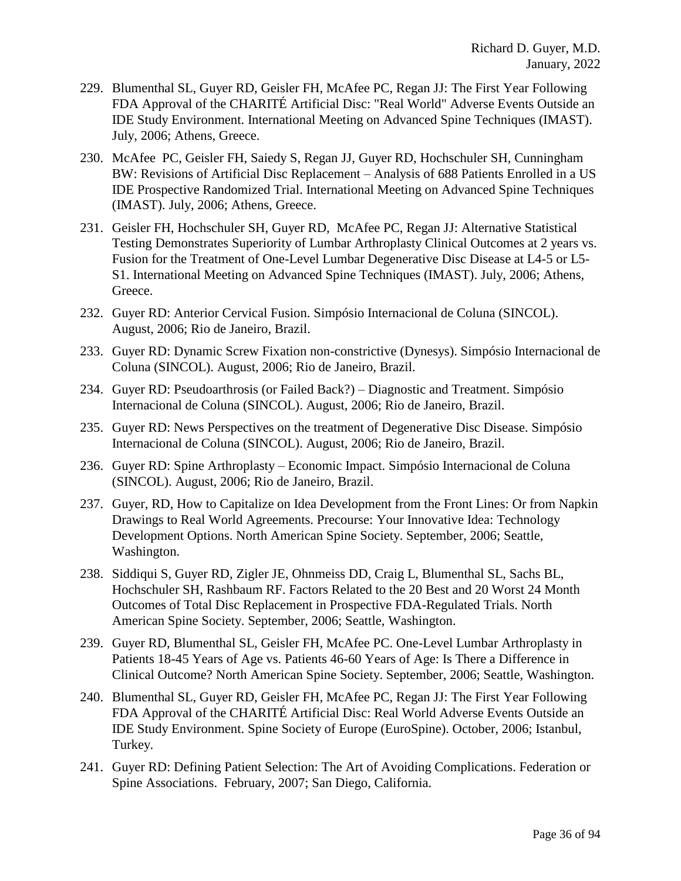- 229. Blumenthal SL, Guyer RD, Geisler FH, McAfee PC, Regan JJ: The First Year Following FDA Approval of the CHARITÉ Artificial Disc: "Real World" Adverse Events Outside an IDE Study Environment. International Meeting on Advanced Spine Techniques (IMAST). July, 2006; Athens, Greece.
- 230. McAfee PC, Geisler FH, Saiedy S, Regan JJ, Guyer RD, Hochschuler SH, Cunningham BW: Revisions of Artificial Disc Replacement – Analysis of 688 Patients Enrolled in a US IDE Prospective Randomized Trial. International Meeting on Advanced Spine Techniques (IMAST). July, 2006; Athens, Greece.
- 231. Geisler FH, Hochschuler SH, Guyer RD, McAfee PC, Regan JJ: Alternative Statistical Testing Demonstrates Superiority of Lumbar Arthroplasty Clinical Outcomes at 2 years vs. Fusion for the Treatment of One-Level Lumbar Degenerative Disc Disease at L4-5 or L5- S1. International Meeting on Advanced Spine Techniques (IMAST). July, 2006; Athens, Greece.
- 232. Guyer RD: Anterior Cervical Fusion. Simpósio Internacional de Coluna (SINCOL). August, 2006; Rio de Janeiro, Brazil.
- 233. Guyer RD: Dynamic Screw Fixation non-constrictive (Dynesys). Simpósio Internacional de Coluna (SINCOL). August, 2006; Rio de Janeiro, Brazil.
- 234. Guyer RD: Pseudoarthrosis (or Failed Back?) Diagnostic and Treatment. Simpósio Internacional de Coluna (SINCOL). August, 2006; Rio de Janeiro, Brazil.
- 235. Guyer RD: News Perspectives on the treatment of Degenerative Disc Disease. Simpósio Internacional de Coluna (SINCOL). August, 2006; Rio de Janeiro, Brazil.
- 236. Guyer RD: Spine Arthroplasty Economic Impact. Simpósio Internacional de Coluna (SINCOL). August, 2006; Rio de Janeiro, Brazil.
- 237. Guyer, RD, How to Capitalize on Idea Development from the Front Lines: Or from Napkin Drawings to Real World Agreements. Precourse: Your Innovative Idea: Technology Development Options. North American Spine Society. September, 2006; Seattle, Washington.
- 238. Siddiqui S, Guyer RD, Zigler JE, Ohnmeiss DD, Craig L, Blumenthal SL, Sachs BL, Hochschuler SH, Rashbaum RF. Factors Related to the 20 Best and 20 Worst 24 Month Outcomes of Total Disc Replacement in Prospective FDA-Regulated Trials. North American Spine Society. September, 2006; Seattle, Washington.
- 239. Guyer RD, Blumenthal SL, Geisler FH, McAfee PC. One-Level Lumbar Arthroplasty in Patients 18-45 Years of Age vs. Patients 46-60 Years of Age: Is There a Difference in Clinical Outcome? North American Spine Society. September, 2006; Seattle, Washington.
- 240. Blumenthal SL, Guyer RD, Geisler FH, McAfee PC, Regan JJ: The First Year Following FDA Approval of the CHARITÉ Artificial Disc: Real World Adverse Events Outside an IDE Study Environment. Spine Society of Europe (EuroSpine). October, 2006; Istanbul, Turkey.
- 241. Guyer RD: Defining Patient Selection: The Art of Avoiding Complications. Federation or Spine Associations. February, 2007; San Diego, California.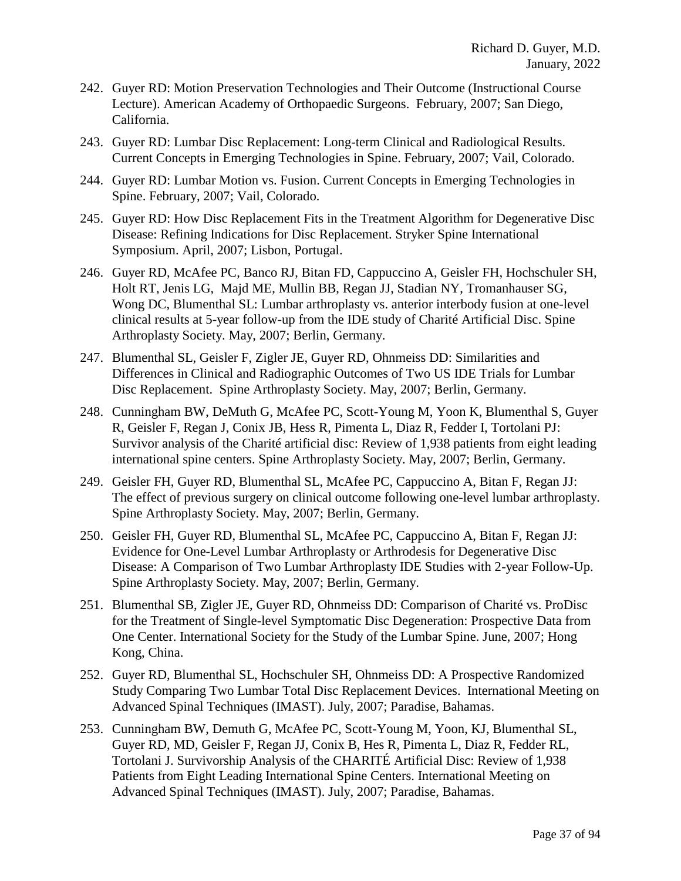- 242. Guyer RD: Motion Preservation Technologies and Their Outcome (Instructional Course Lecture). American Academy of Orthopaedic Surgeons. February, 2007; San Diego, California.
- 243. Guyer RD: Lumbar Disc Replacement: Long-term Clinical and Radiological Results. Current Concepts in Emerging Technologies in Spine. February, 2007; Vail, Colorado.
- 244. Guyer RD: Lumbar Motion vs. Fusion. Current Concepts in Emerging Technologies in Spine. February, 2007; Vail, Colorado.
- 245. Guyer RD: How Disc Replacement Fits in the Treatment Algorithm for Degenerative Disc Disease: Refining Indications for Disc Replacement. Stryker Spine International Symposium. April, 2007; Lisbon, Portugal.
- 246. Guyer RD, McAfee PC, Banco RJ, Bitan FD, Cappuccino A, Geisler FH, Hochschuler SH, Holt RT, Jenis LG, Majd ME, Mullin BB, Regan JJ, Stadian NY, Tromanhauser SG, Wong DC, Blumenthal SL: Lumbar arthroplasty vs. anterior interbody fusion at one-level clinical results at 5-year follow-up from the IDE study of Charité Artificial Disc. Spine Arthroplasty Society. May, 2007; Berlin, Germany.
- 247. Blumenthal SL, Geisler F, Zigler JE, Guyer RD, Ohnmeiss DD: Similarities and Differences in Clinical and Radiographic Outcomes of Two US IDE Trials for Lumbar Disc Replacement. Spine Arthroplasty Society. May, 2007; Berlin, Germany.
- 248. Cunningham BW, DeMuth G, McAfee PC, Scott-Young M, Yoon K, Blumenthal S, Guyer R, Geisler F, Regan J, Conix JB, Hess R, Pimenta L, Diaz R, Fedder I, Tortolani PJ: Survivor analysis of the Charité artificial disc: Review of 1,938 patients from eight leading international spine centers. Spine Arthroplasty Society. May, 2007; Berlin, Germany.
- 249. Geisler FH, Guyer RD, Blumenthal SL, McAfee PC, Cappuccino A, Bitan F, Regan JJ: The effect of previous surgery on clinical outcome following one-level lumbar arthroplasty. Spine Arthroplasty Society. May, 2007; Berlin, Germany.
- 250. Geisler FH, Guyer RD, Blumenthal SL, McAfee PC, Cappuccino A, Bitan F, Regan JJ: Evidence for One-Level Lumbar Arthroplasty or Arthrodesis for Degenerative Disc Disease: A Comparison of Two Lumbar Arthroplasty IDE Studies with 2-year Follow-Up. Spine Arthroplasty Society. May, 2007; Berlin, Germany.
- 251. Blumenthal SB, Zigler JE, Guyer RD, Ohnmeiss DD: Comparison of Charité vs. ProDisc for the Treatment of Single-level Symptomatic Disc Degeneration: Prospective Data from One Center. International Society for the Study of the Lumbar Spine. June, 2007; Hong Kong, China.
- 252. Guyer RD, Blumenthal SL, Hochschuler SH, Ohnmeiss DD: A Prospective Randomized Study Comparing Two Lumbar Total Disc Replacement Devices. International Meeting on Advanced Spinal Techniques (IMAST). July, 2007; Paradise, Bahamas.
- 253. Cunningham BW, Demuth G, McAfee PC, Scott-Young M, Yoon, KJ, Blumenthal SL, Guyer RD, MD, Geisler F, Regan JJ, Conix B, Hes R, Pimenta L, Diaz R, Fedder RL, Tortolani J. Survivorship Analysis of the CHARITÉ Artificial Disc: Review of 1,938 Patients from Eight Leading International Spine Centers. International Meeting on Advanced Spinal Techniques (IMAST). July, 2007; Paradise, Bahamas.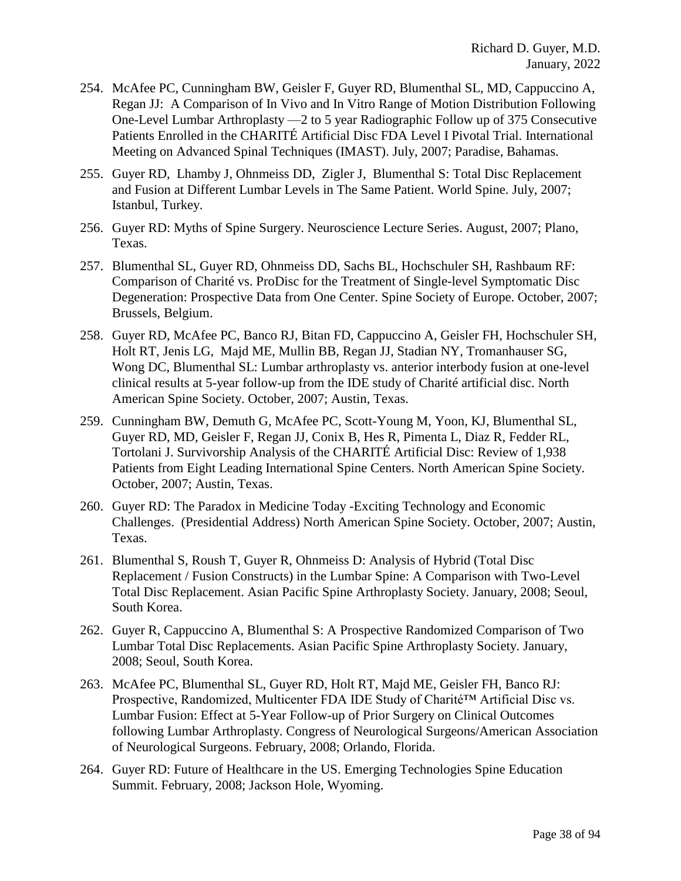- 254. McAfee PC, Cunningham BW, Geisler F, Guyer RD, Blumenthal SL, MD, Cappuccino A, Regan JJ: A Comparison of In Vivo and In Vitro Range of Motion Distribution Following One-Level Lumbar Arthroplasty —2 to 5 year Radiographic Follow up of 375 Consecutive Patients Enrolled in the CHARITÉ Artificial Disc FDA Level I Pivotal Trial. International Meeting on Advanced Spinal Techniques (IMAST). July, 2007; Paradise, Bahamas.
- 255. Guyer RD, Lhamby J, Ohnmeiss DD, Zigler J, Blumenthal S: Total Disc Replacement and Fusion at Different Lumbar Levels in The Same Patient. World Spine. July, 2007; Istanbul, Turkey.
- 256. Guyer RD: Myths of Spine Surgery. Neuroscience Lecture Series. August, 2007; Plano, Texas.
- 257. Blumenthal SL, Guyer RD, Ohnmeiss DD, Sachs BL, Hochschuler SH, Rashbaum RF: Comparison of Charité vs. ProDisc for the Treatment of Single-level Symptomatic Disc Degeneration: Prospective Data from One Center. Spine Society of Europe. October, 2007; Brussels, Belgium.
- 258. Guyer RD, McAfee PC, Banco RJ, Bitan FD, Cappuccino A, Geisler FH, Hochschuler SH, Holt RT, Jenis LG, Majd ME, Mullin BB, Regan JJ, Stadian NY, Tromanhauser SG, Wong DC, Blumenthal SL: Lumbar arthroplasty vs. anterior interbody fusion at one-level clinical results at 5-year follow-up from the IDE study of Charité artificial disc. North American Spine Society. October, 2007; Austin, Texas.
- 259. Cunningham BW, Demuth G, McAfee PC, Scott-Young M, Yoon, KJ, Blumenthal SL, Guyer RD, MD, Geisler F, Regan JJ, Conix B, Hes R, Pimenta L, Diaz R, Fedder RL, Tortolani J. Survivorship Analysis of the CHARITÉ Artificial Disc: Review of 1,938 Patients from Eight Leading International Spine Centers. North American Spine Society. October, 2007; Austin, Texas.
- 260. Guyer RD: The Paradox in Medicine Today -Exciting Technology and Economic Challenges. (Presidential Address) North American Spine Society. October, 2007; Austin, Texas.
- 261. Blumenthal S, Roush T, Guyer R, Ohnmeiss D: Analysis of Hybrid (Total Disc Replacement / Fusion Constructs) in the Lumbar Spine: A Comparison with Two-Level Total Disc Replacement. Asian Pacific Spine Arthroplasty Society. January, 2008; Seoul, South Korea.
- 262. Guyer R, Cappuccino A, Blumenthal S: A Prospective Randomized Comparison of Two Lumbar Total Disc Replacements. Asian Pacific Spine Arthroplasty Society. January, 2008; Seoul, South Korea.
- 263. McAfee PC, Blumenthal SL, Guyer RD, Holt RT, Majd ME, Geisler FH, Banco RJ: Prospective, Randomized, Multicenter FDA IDE Study of Charité™ Artificial Disc vs. Lumbar Fusion: Effect at 5-Year Follow-up of Prior Surgery on Clinical Outcomes following Lumbar Arthroplasty. Congress of Neurological Surgeons/American Association of Neurological Surgeons. February, 2008; Orlando, Florida.
- 264. Guyer RD: Future of Healthcare in the US. Emerging Technologies Spine Education Summit. February, 2008; Jackson Hole, Wyoming.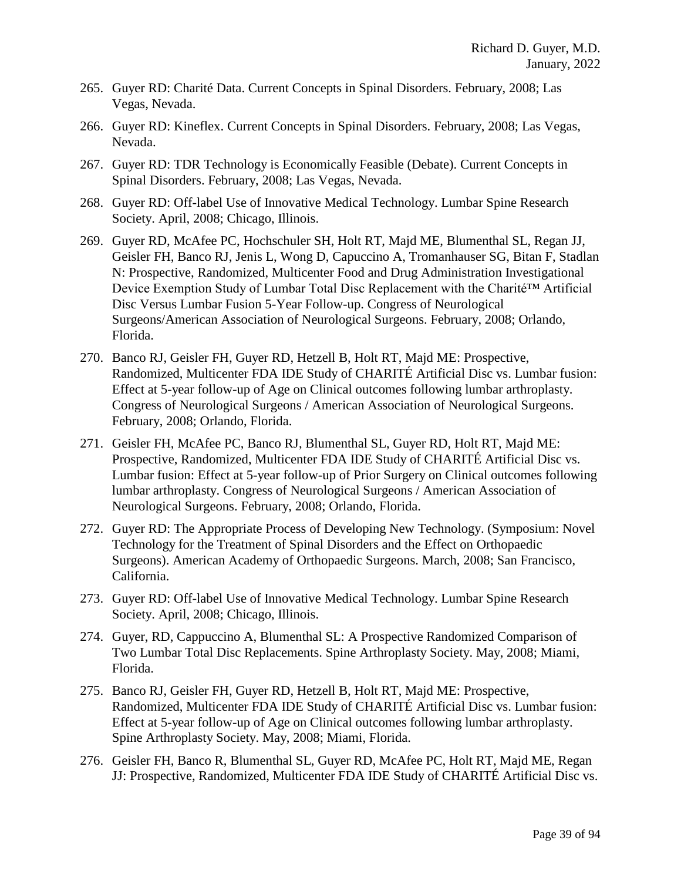- 265. Guyer RD: Charité Data. Current Concepts in Spinal Disorders. February, 2008; Las Vegas, Nevada.
- 266. Guyer RD: Kineflex. Current Concepts in Spinal Disorders. February, 2008; Las Vegas, Nevada.
- 267. Guyer RD: TDR Technology is Economically Feasible (Debate). Current Concepts in Spinal Disorders. February, 2008; Las Vegas, Nevada.
- 268. Guyer RD: Off-label Use of Innovative Medical Technology. Lumbar Spine Research Society. April, 2008; Chicago, Illinois.
- 269. Guyer RD, McAfee PC, Hochschuler SH, Holt RT, Majd ME, Blumenthal SL, Regan JJ, Geisler FH, Banco RJ, Jenis L, Wong D, Capuccino A, Tromanhauser SG, Bitan F, Stadlan N: Prospective, Randomized, Multicenter Food and Drug Administration Investigational Device Exemption Study of Lumbar Total Disc Replacement with the Charité™ Artificial Disc Versus Lumbar Fusion 5-Year Follow-up. Congress of Neurological Surgeons/American Association of Neurological Surgeons. February, 2008; Orlando, Florida.
- 270. Banco RJ, Geisler FH, Guyer RD, Hetzell B, Holt RT, Majd ME: Prospective, Randomized, Multicenter FDA IDE Study of CHARITÉ Artificial Disc vs. Lumbar fusion: Effect at 5-year follow-up of Age on Clinical outcomes following lumbar arthroplasty. Congress of Neurological Surgeons / American Association of Neurological Surgeons. February, 2008; Orlando, Florida.
- 271. Geisler FH, McAfee PC, Banco RJ, Blumenthal SL, Guyer RD, Holt RT, Majd ME: Prospective, Randomized, Multicenter FDA IDE Study of CHARITÉ Artificial Disc vs. Lumbar fusion: Effect at 5-year follow-up of Prior Surgery on Clinical outcomes following lumbar arthroplasty. Congress of Neurological Surgeons / American Association of Neurological Surgeons. February, 2008; Orlando, Florida.
- 272. Guyer RD: The Appropriate Process of Developing New Technology. (Symposium: Novel Technology for the Treatment of Spinal Disorders and the Effect on Orthopaedic Surgeons). American Academy of Orthopaedic Surgeons. March, 2008; San Francisco, California.
- 273. Guyer RD: Off-label Use of Innovative Medical Technology. Lumbar Spine Research Society. April, 2008; Chicago, Illinois.
- 274. Guyer, RD, Cappuccino A, Blumenthal SL: A Prospective Randomized Comparison of Two Lumbar Total Disc Replacements. Spine Arthroplasty Society. May, 2008; Miami, Florida.
- 275. Banco RJ, Geisler FH, Guyer RD, Hetzell B, Holt RT, Majd ME: Prospective, Randomized, Multicenter FDA IDE Study of CHARITÉ Artificial Disc vs. Lumbar fusion: Effect at 5-year follow-up of Age on Clinical outcomes following lumbar arthroplasty. Spine Arthroplasty Society. May, 2008; Miami, Florida.
- 276. Geisler FH, Banco R, Blumenthal SL, Guyer RD, McAfee PC, Holt RT, Majd ME, Regan JJ: Prospective, Randomized, Multicenter FDA IDE Study of CHARITÉ Artificial Disc vs.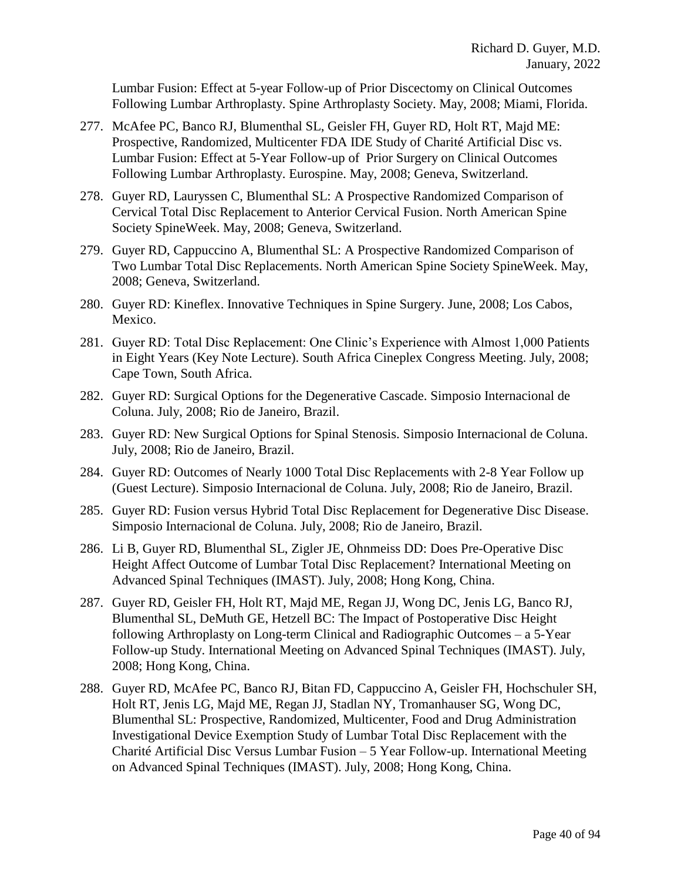Lumbar Fusion: Effect at 5-year Follow-up of Prior Discectomy on Clinical Outcomes Following Lumbar Arthroplasty. Spine Arthroplasty Society. May, 2008; Miami, Florida.

- 277. McAfee PC, Banco RJ, Blumenthal SL, Geisler FH, Guyer RD, Holt RT, Majd ME: Prospective, Randomized, Multicenter FDA IDE Study of Charité Artificial Disc vs. Lumbar Fusion: Effect at 5-Year Follow-up of Prior Surgery on Clinical Outcomes Following Lumbar Arthroplasty. Eurospine. May, 2008; Geneva, Switzerland.
- 278. Guyer RD, Lauryssen C, Blumenthal SL: A Prospective Randomized Comparison of Cervical Total Disc Replacement to Anterior Cervical Fusion. North American Spine Society SpineWeek. May, 2008; Geneva, Switzerland.
- 279. Guyer RD, Cappuccino A, Blumenthal SL: A Prospective Randomized Comparison of Two Lumbar Total Disc Replacements. North American Spine Society SpineWeek. May, 2008; Geneva, Switzerland.
- 280. Guyer RD: Kineflex. Innovative Techniques in Spine Surgery. June, 2008; Los Cabos, Mexico.
- 281. Guyer RD: Total Disc Replacement: One Clinic's Experience with Almost 1,000 Patients in Eight Years (Key Note Lecture). South Africa Cineplex Congress Meeting. July, 2008; Cape Town, South Africa.
- 282. Guyer RD: Surgical Options for the Degenerative Cascade. Simposio Internacional de Coluna. July, 2008; Rio de Janeiro, Brazil.
- 283. Guyer RD: New Surgical Options for Spinal Stenosis. Simposio Internacional de Coluna. July, 2008; Rio de Janeiro, Brazil.
- 284. Guyer RD: Outcomes of Nearly 1000 Total Disc Replacements with 2-8 Year Follow up (Guest Lecture). Simposio Internacional de Coluna. July, 2008; Rio de Janeiro, Brazil.
- 285. Guyer RD: Fusion versus Hybrid Total Disc Replacement for Degenerative Disc Disease. Simposio Internacional de Coluna. July, 2008; Rio de Janeiro, Brazil.
- 286. Li B, Guyer RD, Blumenthal SL, Zigler JE, Ohnmeiss DD: Does Pre-Operative Disc Height Affect Outcome of Lumbar Total Disc Replacement? International Meeting on Advanced Spinal Techniques (IMAST). July, 2008; Hong Kong, China.
- 287. Guyer RD, Geisler FH, Holt RT, Majd ME, Regan JJ, Wong DC, Jenis LG, Banco RJ, Blumenthal SL, DeMuth GE, Hetzell BC: The Impact of Postoperative Disc Height following Arthroplasty on Long-term Clinical and Radiographic Outcomes – a 5-Year Follow-up Study. International Meeting on Advanced Spinal Techniques (IMAST). July, 2008; Hong Kong, China.
- 288. Guyer RD, McAfee PC, Banco RJ, Bitan FD, Cappuccino A, Geisler FH, Hochschuler SH, Holt RT, Jenis LG, Majd ME, Regan JJ, Stadlan NY, Tromanhauser SG, Wong DC, Blumenthal SL: Prospective, Randomized, Multicenter, Food and Drug Administration Investigational Device Exemption Study of Lumbar Total Disc Replacement with the Charité Artificial Disc Versus Lumbar Fusion – 5 Year Follow-up. International Meeting on Advanced Spinal Techniques (IMAST). July, 2008; Hong Kong, China.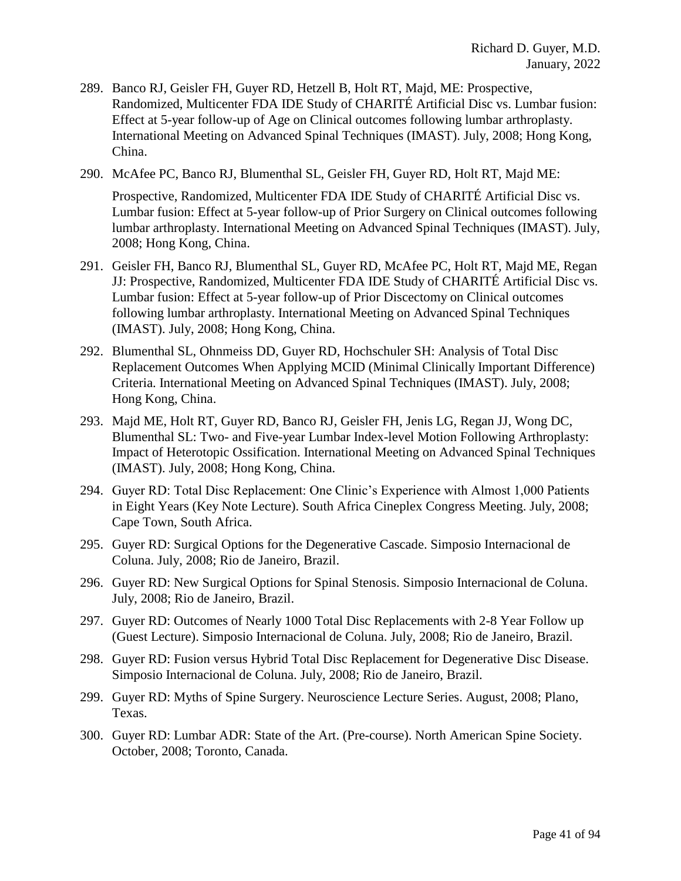- 289. Banco RJ, Geisler FH, Guyer RD, Hetzell B, Holt RT, Majd, ME: Prospective, Randomized, Multicenter FDA IDE Study of CHARITÉ Artificial Disc vs. Lumbar fusion: Effect at 5-year follow-up of Age on Clinical outcomes following lumbar arthroplasty. International Meeting on Advanced Spinal Techniques (IMAST). July, 2008; Hong Kong, China.
- 290. McAfee PC, Banco RJ, Blumenthal SL, Geisler FH, Guyer RD, Holt RT, Majd ME:

Prospective, Randomized, Multicenter FDA IDE Study of CHARITÉ Artificial Disc vs. Lumbar fusion: Effect at 5-year follow-up of Prior Surgery on Clinical outcomes following lumbar arthroplasty. International Meeting on Advanced Spinal Techniques (IMAST). July, 2008; Hong Kong, China.

- 291. Geisler FH, Banco RJ, Blumenthal SL, Guyer RD, McAfee PC, Holt RT, Majd ME, Regan JJ: Prospective, Randomized, Multicenter FDA IDE Study of CHARITÉ Artificial Disc vs. Lumbar fusion: Effect at 5-year follow-up of Prior Discectomy on Clinical outcomes following lumbar arthroplasty. International Meeting on Advanced Spinal Techniques (IMAST). July, 2008; Hong Kong, China.
- 292. Blumenthal SL, Ohnmeiss DD, Guyer RD, Hochschuler SH: Analysis of Total Disc Replacement Outcomes When Applying MCID (Minimal Clinically Important Difference) Criteria. International Meeting on Advanced Spinal Techniques (IMAST). July, 2008; Hong Kong, China.
- 293. Majd ME, Holt RT, Guyer RD, Banco RJ, Geisler FH, Jenis LG, Regan JJ, Wong DC, Blumenthal SL: Two- and Five-year Lumbar Index-level Motion Following Arthroplasty: Impact of Heterotopic Ossification. International Meeting on Advanced Spinal Techniques (IMAST). July, 2008; Hong Kong, China.
- 294. Guyer RD: Total Disc Replacement: One Clinic's Experience with Almost 1,000 Patients in Eight Years (Key Note Lecture). South Africa Cineplex Congress Meeting. July, 2008; Cape Town, South Africa.
- 295. Guyer RD: Surgical Options for the Degenerative Cascade. Simposio Internacional de Coluna. July, 2008; Rio de Janeiro, Brazil.
- 296. Guyer RD: New Surgical Options for Spinal Stenosis. Simposio Internacional de Coluna. July, 2008; Rio de Janeiro, Brazil.
- 297. Guyer RD: Outcomes of Nearly 1000 Total Disc Replacements with 2-8 Year Follow up (Guest Lecture). Simposio Internacional de Coluna. July, 2008; Rio de Janeiro, Brazil.
- 298. Guyer RD: Fusion versus Hybrid Total Disc Replacement for Degenerative Disc Disease. Simposio Internacional de Coluna. July, 2008; Rio de Janeiro, Brazil.
- 299. Guyer RD: Myths of Spine Surgery. Neuroscience Lecture Series. August, 2008; Plano, Texas.
- 300. Guyer RD: Lumbar ADR: State of the Art. (Pre-course). North American Spine Society. October, 2008; Toronto, Canada.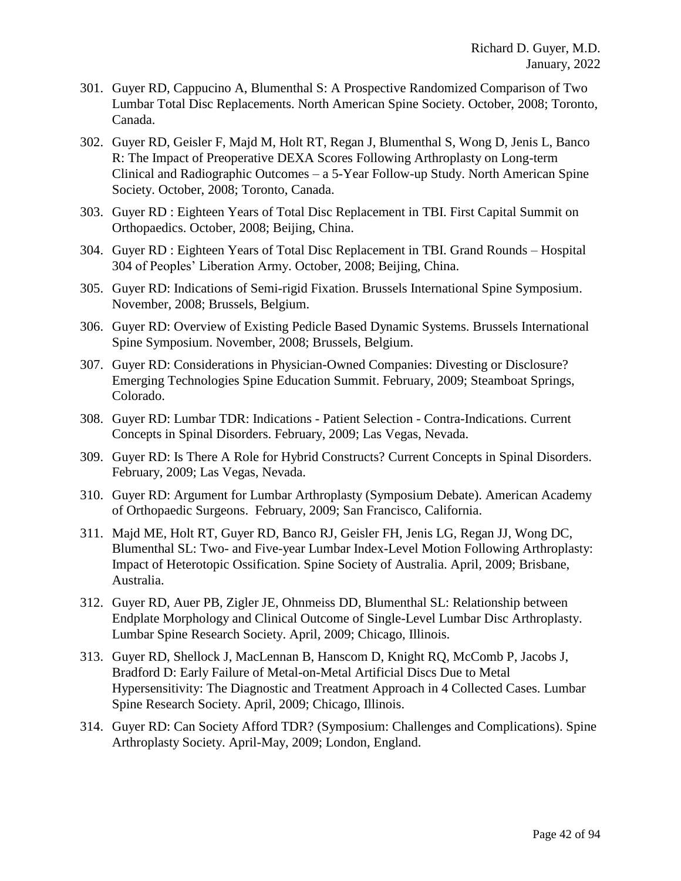- 301. Guyer RD, Cappucino A, Blumenthal S: A Prospective Randomized Comparison of Two Lumbar Total Disc Replacements. North American Spine Society. October, 2008; Toronto, Canada.
- 302. Guyer RD, Geisler F, Majd M, Holt RT, Regan J, Blumenthal S, Wong D, Jenis L, Banco R: The Impact of Preoperative DEXA Scores Following Arthroplasty on Long-term Clinical and Radiographic Outcomes – a 5-Year Follow-up Study. North American Spine Society. October, 2008; Toronto, Canada.
- 303. Guyer RD : Eighteen Years of Total Disc Replacement in TBI. First Capital Summit on Orthopaedics. October, 2008; Beijing, China.
- 304. Guyer RD : Eighteen Years of Total Disc Replacement in TBI. Grand Rounds Hospital 304 of Peoples' Liberation Army. October, 2008; Beijing, China.
- 305. Guyer RD: Indications of Semi-rigid Fixation. Brussels International Spine Symposium. November, 2008; Brussels, Belgium.
- 306. Guyer RD: Overview of Existing Pedicle Based Dynamic Systems. Brussels International Spine Symposium. November, 2008; Brussels, Belgium.
- 307. Guyer RD: Considerations in Physician-Owned Companies: Divesting or Disclosure? Emerging Technologies Spine Education Summit. February, 2009; Steamboat Springs, Colorado.
- 308. Guyer RD: Lumbar TDR: Indications Patient Selection Contra-Indications. Current Concepts in Spinal Disorders. February, 2009; Las Vegas, Nevada.
- 309. Guyer RD: Is There A Role for Hybrid Constructs? Current Concepts in Spinal Disorders. February, 2009; Las Vegas, Nevada.
- 310. Guyer RD: Argument for Lumbar Arthroplasty (Symposium Debate). American Academy of Orthopaedic Surgeons. February, 2009; San Francisco, California.
- 311. Majd ME, Holt RT, Guyer RD, Banco RJ, Geisler FH, Jenis LG, Regan JJ, Wong DC, Blumenthal SL: Two- and Five-year Lumbar Index-Level Motion Following Arthroplasty: Impact of Heterotopic Ossification. Spine Society of Australia. April, 2009; Brisbane, Australia.
- 312. Guyer RD, Auer PB, Zigler JE, Ohnmeiss DD, Blumenthal SL: Relationship between Endplate Morphology and Clinical Outcome of Single-Level Lumbar Disc Arthroplasty. Lumbar Spine Research Society. April, 2009; Chicago, Illinois.
- 313. Guyer RD, Shellock J, MacLennan B, Hanscom D, Knight RQ, McComb P, Jacobs J, Bradford D: Early Failure of Metal-on-Metal Artificial Discs Due to Metal Hypersensitivity: The Diagnostic and Treatment Approach in 4 Collected Cases. Lumbar Spine Research Society. April, 2009; Chicago, Illinois.
- 314. Guyer RD: Can Society Afford TDR? (Symposium: Challenges and Complications). Spine Arthroplasty Society. April-May, 2009; London, England.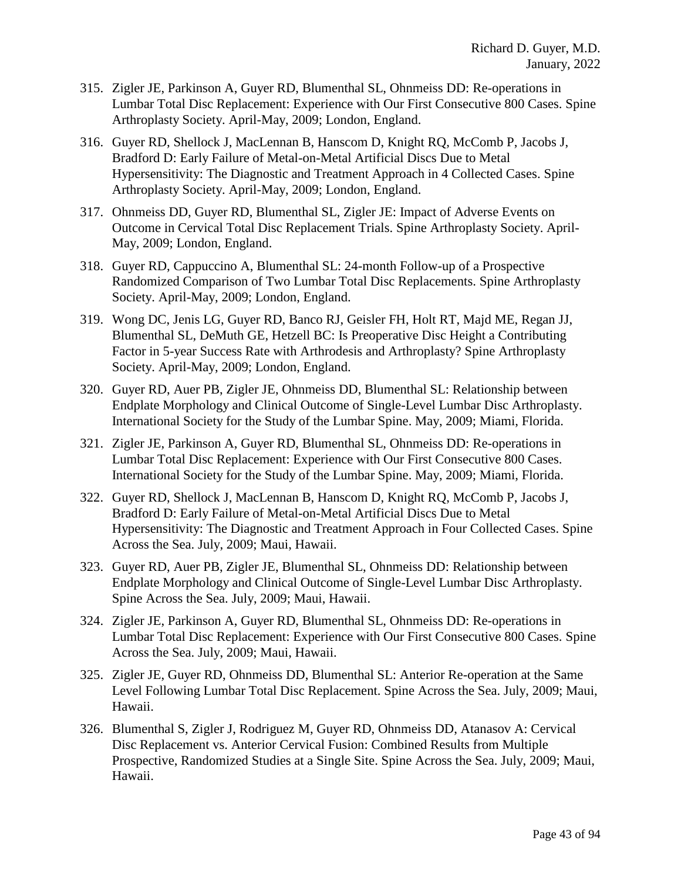- 315. Zigler JE, Parkinson A, Guyer RD, Blumenthal SL, Ohnmeiss DD: Re-operations in Lumbar Total Disc Replacement: Experience with Our First Consecutive 800 Cases. Spine Arthroplasty Society. April-May, 2009; London, England.
- 316. Guyer RD, Shellock J, MacLennan B, Hanscom D, Knight RQ, McComb P, Jacobs J, Bradford D: Early Failure of Metal-on-Metal Artificial Discs Due to Metal Hypersensitivity: The Diagnostic and Treatment Approach in 4 Collected Cases. Spine Arthroplasty Society. April-May, 2009; London, England.
- 317. Ohnmeiss DD, Guyer RD, Blumenthal SL, Zigler JE: Impact of Adverse Events on Outcome in Cervical Total Disc Replacement Trials. Spine Arthroplasty Society. April-May, 2009; London, England.
- 318. Guyer RD, Cappuccino A, Blumenthal SL: 24-month Follow-up of a Prospective Randomized Comparison of Two Lumbar Total Disc Replacements. Spine Arthroplasty Society. April-May, 2009; London, England.
- 319. Wong DC, Jenis LG, Guyer RD, Banco RJ, Geisler FH, Holt RT, Majd ME, Regan JJ, Blumenthal SL, DeMuth GE, Hetzell BC: Is Preoperative Disc Height a Contributing Factor in 5-year Success Rate with Arthrodesis and Arthroplasty? Spine Arthroplasty Society. April-May, 2009; London, England.
- 320. Guyer RD, Auer PB, Zigler JE, Ohnmeiss DD, Blumenthal SL: Relationship between Endplate Morphology and Clinical Outcome of Single-Level Lumbar Disc Arthroplasty. International Society for the Study of the Lumbar Spine. May, 2009; Miami, Florida.
- 321. Zigler JE, Parkinson A, Guyer RD, Blumenthal SL, Ohnmeiss DD: Re-operations in Lumbar Total Disc Replacement: Experience with Our First Consecutive 800 Cases. International Society for the Study of the Lumbar Spine. May, 2009; Miami, Florida.
- 322. Guyer RD, Shellock J, MacLennan B, Hanscom D, Knight RQ, McComb P, Jacobs J, Bradford D: Early Failure of Metal-on-Metal Artificial Discs Due to Metal Hypersensitivity: The Diagnostic and Treatment Approach in Four Collected Cases. Spine Across the Sea. July, 2009; Maui, Hawaii.
- 323. Guyer RD, Auer PB, Zigler JE, Blumenthal SL, Ohnmeiss DD: Relationship between Endplate Morphology and Clinical Outcome of Single-Level Lumbar Disc Arthroplasty. Spine Across the Sea. July, 2009; Maui, Hawaii.
- 324. Zigler JE, Parkinson A, Guyer RD, Blumenthal SL, Ohnmeiss DD: Re-operations in Lumbar Total Disc Replacement: Experience with Our First Consecutive 800 Cases. Spine Across the Sea. July, 2009; Maui, Hawaii.
- 325. Zigler JE, Guyer RD, Ohnmeiss DD, Blumenthal SL: Anterior Re-operation at the Same Level Following Lumbar Total Disc Replacement. Spine Across the Sea. July, 2009; Maui, Hawaii.
- 326. Blumenthal S, Zigler J, Rodriguez M, Guyer RD, Ohnmeiss DD, Atanasov A: Cervical Disc Replacement vs. Anterior Cervical Fusion: Combined Results from Multiple Prospective, Randomized Studies at a Single Site. Spine Across the Sea. July, 2009; Maui, Hawaii.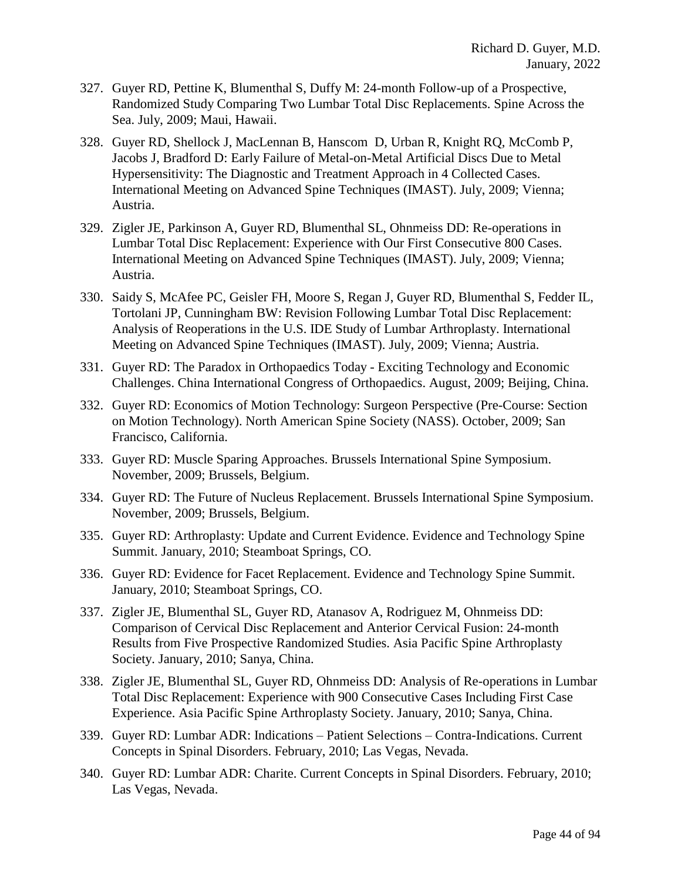- 327. Guyer RD, Pettine K, Blumenthal S, Duffy M: 24-month Follow-up of a Prospective, Randomized Study Comparing Two Lumbar Total Disc Replacements. Spine Across the Sea. July, 2009; Maui, Hawaii.
- 328. Guyer RD, Shellock J, MacLennan B, Hanscom D, Urban R, Knight RQ, McComb P, Jacobs J, Bradford D: Early Failure of Metal-on-Metal Artificial Discs Due to Metal Hypersensitivity: The Diagnostic and Treatment Approach in 4 Collected Cases. International Meeting on Advanced Spine Techniques (IMAST). July, 2009; Vienna; Austria.
- 329. Zigler JE, Parkinson A, Guyer RD, Blumenthal SL, Ohnmeiss DD: Re-operations in Lumbar Total Disc Replacement: Experience with Our First Consecutive 800 Cases. International Meeting on Advanced Spine Techniques (IMAST). July, 2009; Vienna; Austria.
- 330. Saidy S, McAfee PC, Geisler FH, Moore S, Regan J, Guyer RD, Blumenthal S, Fedder IL, Tortolani JP, Cunningham BW: Revision Following Lumbar Total Disc Replacement: Analysis of Reoperations in the U.S. IDE Study of Lumbar Arthroplasty. International Meeting on Advanced Spine Techniques (IMAST). July, 2009; Vienna; Austria.
- 331. Guyer RD: [The Paradox in Orthopaedics Today -](http://www.ncbi.nlm.nih.gov/pubmed/18299104?ordinalpos=3&itool=EntrezSystem2.PEntrez.Pubmed.Pubmed_ResultsPanel.Pubmed_DefaultReportPanel.Pubmed_RVDocSum) Exciting Technology and Economic [Challenges.](http://www.ncbi.nlm.nih.gov/pubmed/18299104?ordinalpos=3&itool=EntrezSystem2.PEntrez.Pubmed.Pubmed_ResultsPanel.Pubmed_DefaultReportPanel.Pubmed_RVDocSum) China International Congress of Orthopaedics. August, 2009; Beijing, China.
- 332. Guyer RD: Economics of Motion Technology: Surgeon Perspective (Pre-Course: Section on Motion Technology). North American Spine Society (NASS). October, 2009; San Francisco, California.
- 333. Guyer RD: Muscle Sparing Approaches. Brussels International Spine Symposium. November, 2009; Brussels, Belgium.
- 334. Guyer RD: The Future of Nucleus Replacement. Brussels International Spine Symposium. November, 2009; Brussels, Belgium.
- 335. Guyer RD: Arthroplasty: Update and Current Evidence. Evidence and Technology Spine Summit. January, 2010; Steamboat Springs, CO.
- 336. Guyer RD: Evidence for Facet Replacement. Evidence and Technology Spine Summit. January, 2010; Steamboat Springs, CO.
- 337. Zigler JE, Blumenthal SL, Guyer RD, Atanasov A, Rodriguez M, Ohnmeiss DD: Comparison of Cervical Disc Replacement and Anterior Cervical Fusion: 24-month Results from Five Prospective Randomized Studies. Asia Pacific Spine Arthroplasty Society. January, 2010; Sanya, China.
- 338. Zigler JE, Blumenthal SL, Guyer RD, Ohnmeiss DD: Analysis of Re-operations in Lumbar Total Disc Replacement: Experience with 900 Consecutive Cases Including First Case Experience. Asia Pacific Spine Arthroplasty Society. January, 2010; Sanya, China.
- 339. Guyer RD: Lumbar ADR: Indications Patient Selections Contra-Indications. Current Concepts in Spinal Disorders. February, 2010; Las Vegas, Nevada.
- 340. Guyer RD: Lumbar ADR: Charite. Current Concepts in Spinal Disorders. February, 2010; Las Vegas, Nevada.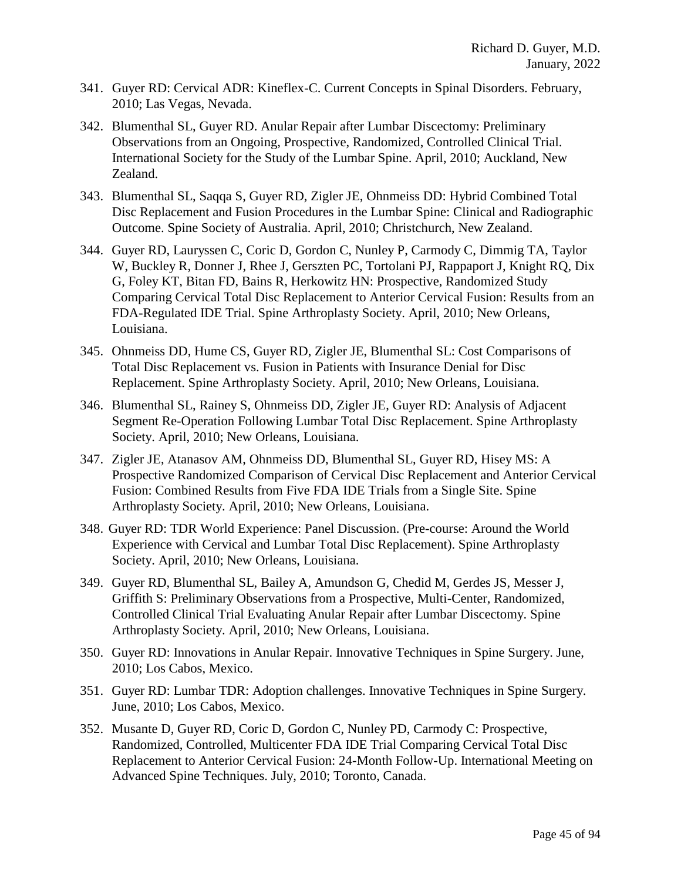- 341. Guyer RD: Cervical ADR: Kineflex-C. Current Concepts in Spinal Disorders. February, 2010; Las Vegas, Nevada.
- 342. Blumenthal SL, Guyer RD. Anular Repair after Lumbar Discectomy: Preliminary Observations from an Ongoing, Prospective, Randomized, Controlled Clinical Trial. International Society for the Study of the Lumbar Spine. April, 2010; Auckland, New Zealand.
- 343. Blumenthal SL, Saqqa S, Guyer RD, Zigler JE, Ohnmeiss DD: Hybrid Combined Total Disc Replacement and Fusion Procedures in the Lumbar Spine: Clinical and Radiographic Outcome. Spine Society of Australia. April, 2010; Christchurch, New Zealand.
- 344. Guyer RD, Lauryssen C, Coric D, Gordon C, Nunley P, Carmody C, Dimmig TA, Taylor W, Buckley R, Donner J, Rhee J, Gerszten PC, Tortolani PJ, Rappaport J, Knight RQ, Dix G, Foley KT, Bitan FD, Bains R, Herkowitz HN: Prospective, Randomized Study Comparing Cervical Total Disc Replacement to Anterior Cervical Fusion: Results from an FDA-Regulated IDE Trial. Spine Arthroplasty Society. April, 2010; New Orleans, Louisiana.
- 345. Ohnmeiss DD, Hume CS, Guyer RD, Zigler JE, Blumenthal SL: Cost Comparisons of Total Disc Replacement vs. Fusion in Patients with Insurance Denial for Disc Replacement. Spine Arthroplasty Society. April, 2010; New Orleans, Louisiana.
- 346. Blumenthal SL, Rainey S, Ohnmeiss DD, Zigler JE, Guyer RD: Analysis of Adjacent Segment Re-Operation Following Lumbar Total Disc Replacement. Spine Arthroplasty Society. April, 2010; New Orleans, Louisiana.
- 347. Zigler JE, Atanasov AM, Ohnmeiss DD, Blumenthal SL, Guyer RD, Hisey MS: A Prospective Randomized Comparison of Cervical Disc Replacement and Anterior Cervical Fusion: Combined Results from Five FDA IDE Trials from a Single Site. Spine Arthroplasty Society. April, 2010; New Orleans, Louisiana.
- 348. Guyer RD: TDR World Experience: Panel Discussion. (Pre-course: Around the World Experience with Cervical and Lumbar Total Disc Replacement). Spine Arthroplasty Society. April, 2010; New Orleans, Louisiana.
- 349. Guyer RD, Blumenthal SL, Bailey A, Amundson G, Chedid M, Gerdes JS, Messer J, Griffith S: Preliminary Observations from a Prospective, Multi-Center, Randomized, Controlled Clinical Trial Evaluating Anular Repair after Lumbar Discectomy. Spine Arthroplasty Society. April, 2010; New Orleans, Louisiana.
- 350. Guyer RD: Innovations in Anular Repair. Innovative Techniques in Spine Surgery. June, 2010; Los Cabos, Mexico.
- 351. Guyer RD: Lumbar TDR: Adoption challenges. Innovative Techniques in Spine Surgery. June, 2010; Los Cabos, Mexico.
- 352. Musante D, Guyer RD, Coric D, Gordon C, Nunley PD, Carmody C: Prospective, Randomized, Controlled, Multicenter FDA IDE Trial Comparing Cervical Total Disc Replacement to Anterior Cervical Fusion: 24-Month Follow-Up. International Meeting on Advanced Spine Techniques. July, 2010; Toronto, Canada.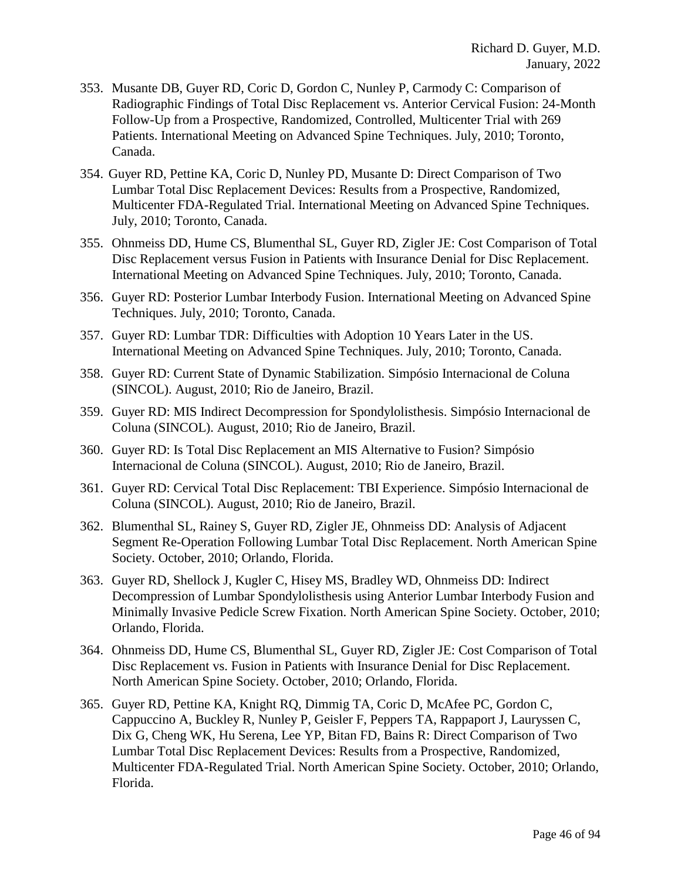- 353. Musante DB, Guyer RD, Coric D, Gordon C, Nunley P, Carmody C: Comparison of Radiographic Findings of Total Disc Replacement vs. Anterior Cervical Fusion: 24-Month Follow-Up from a Prospective, Randomized, Controlled, Multicenter Trial with 269 Patients. International Meeting on Advanced Spine Techniques. July, 2010; Toronto, Canada.
- 354. Guyer RD, Pettine KA, Coric D, Nunley PD, Musante D: Direct Comparison of Two Lumbar Total Disc Replacement Devices: Results from a Prospective, Randomized, Multicenter FDA-Regulated Trial. International Meeting on Advanced Spine Techniques. July, 2010; Toronto, Canada.
- 355. Ohnmeiss DD, Hume CS, Blumenthal SL, Guyer RD, Zigler JE: Cost Comparison of Total Disc Replacement versus Fusion in Patients with Insurance Denial for Disc Replacement. International Meeting on Advanced Spine Techniques. July, 2010; Toronto, Canada.
- 356. Guyer RD: Posterior Lumbar Interbody Fusion. International Meeting on Advanced Spine Techniques. July, 2010; Toronto, Canada.
- 357. Guyer RD: Lumbar TDR: Difficulties with Adoption 10 Years Later in the US. International Meeting on Advanced Spine Techniques. July, 2010; Toronto, Canada.
- 358. Guyer RD: Current State of Dynamic Stabilization. Simpósio Internacional de Coluna (SINCOL). August, 2010; Rio de Janeiro, Brazil.
- 359. Guyer RD: MIS Indirect Decompression for Spondylolisthesis. Simpósio Internacional de Coluna (SINCOL). August, 2010; Rio de Janeiro, Brazil.
- 360. Guyer RD: Is Total Disc Replacement an MIS Alternative to Fusion? Simpósio Internacional de Coluna (SINCOL). August, 2010; Rio de Janeiro, Brazil.
- 361. Guyer RD: Cervical Total Disc Replacement: TBI Experience. Simpósio Internacional de Coluna (SINCOL). August, 2010; Rio de Janeiro, Brazil.
- 362. Blumenthal SL, Rainey S, Guyer RD, Zigler JE, Ohnmeiss DD: Analysis of Adjacent Segment Re-Operation Following Lumbar Total Disc Replacement. North American Spine Society. October, 2010; Orlando, Florida.
- 363. Guyer RD, Shellock J, Kugler C, Hisey MS, Bradley WD, Ohnmeiss DD: Indirect Decompression of Lumbar Spondylolisthesis using Anterior Lumbar Interbody Fusion and Minimally Invasive Pedicle Screw Fixation. North American Spine Society. October, 2010; Orlando, Florida.
- 364. Ohnmeiss DD, Hume CS, Blumenthal SL, Guyer RD, Zigler JE: Cost Comparison of Total Disc Replacement vs. Fusion in Patients with Insurance Denial for Disc Replacement. North American Spine Society. October, 2010; Orlando, Florida.
- 365. Guyer RD, Pettine KA, Knight RQ, Dimmig TA, Coric D, McAfee PC, Gordon C, Cappuccino A, Buckley R, Nunley P, Geisler F, Peppers TA, Rappaport J, Lauryssen C, Dix G, Cheng WK, Hu Serena, Lee YP, Bitan FD, Bains R: Direct Comparison of Two Lumbar Total Disc Replacement Devices: Results from a Prospective, Randomized, Multicenter FDA-Regulated Trial. North American Spine Society. October, 2010; Orlando, Florida.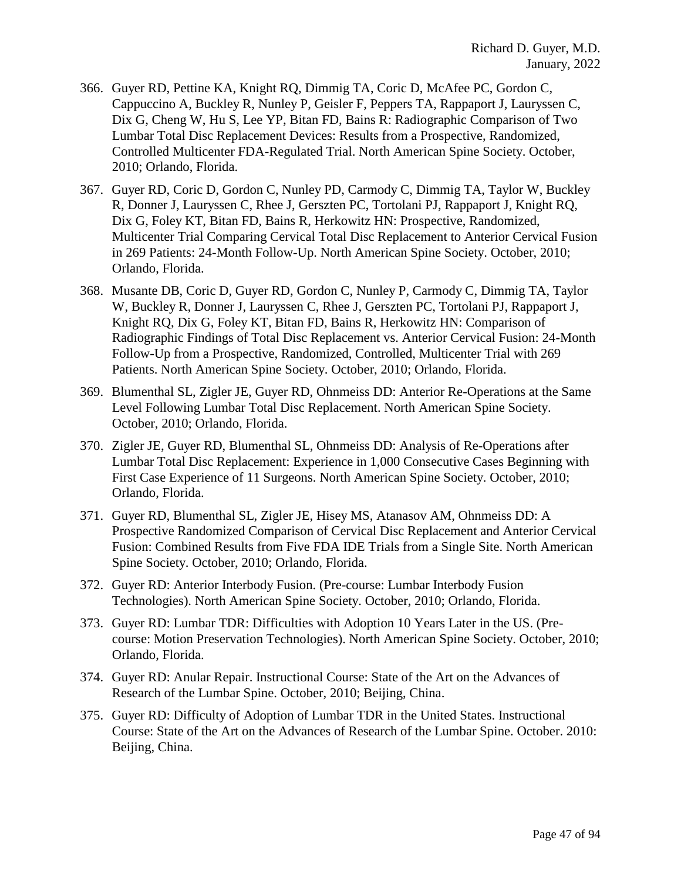- 366. Guyer RD, Pettine KA, Knight RQ, Dimmig TA, Coric D, McAfee PC, Gordon C, Cappuccino A, Buckley R, Nunley P, Geisler F, Peppers TA, Rappaport J, Lauryssen C, Dix G, Cheng W, Hu S, Lee YP, Bitan FD, Bains R: Radiographic Comparison of Two Lumbar Total Disc Replacement Devices: Results from a Prospective, Randomized, Controlled Multicenter FDA-Regulated Trial. North American Spine Society. October, 2010; Orlando, Florida.
- 367. Guyer RD, Coric D, Gordon C, Nunley PD, Carmody C, Dimmig TA, Taylor W, Buckley R, Donner J, Lauryssen C, Rhee J, Gerszten PC, Tortolani PJ, Rappaport J, Knight RQ, Dix G, Foley KT, Bitan FD, Bains R, Herkowitz HN: Prospective, Randomized, Multicenter Trial Comparing Cervical Total Disc Replacement to Anterior Cervical Fusion in 269 Patients: 24-Month Follow-Up. North American Spine Society. October, 2010; Orlando, Florida.
- 368. Musante DB, Coric D, Guyer RD, Gordon C, Nunley P, Carmody C, Dimmig TA, Taylor W, Buckley R, Donner J, Lauryssen C, Rhee J, Gerszten PC, Tortolani PJ, Rappaport J, Knight RQ, Dix G, Foley KT, Bitan FD, Bains R, Herkowitz HN: Comparison of Radiographic Findings of Total Disc Replacement vs. Anterior Cervical Fusion: 24-Month Follow-Up from a Prospective, Randomized, Controlled, Multicenter Trial with 269 Patients. North American Spine Society. October, 2010; Orlando, Florida.
- 369. Blumenthal SL, Zigler JE, Guyer RD, Ohnmeiss DD: Anterior Re-Operations at the Same Level Following Lumbar Total Disc Replacement. North American Spine Society. October, 2010; Orlando, Florida.
- 370. Zigler JE, Guyer RD, Blumenthal SL, Ohnmeiss DD: Analysis of Re-Operations after Lumbar Total Disc Replacement: Experience in 1,000 Consecutive Cases Beginning with First Case Experience of 11 Surgeons. North American Spine Society. October, 2010; Orlando, Florida.
- 371. Guyer RD, Blumenthal SL, Zigler JE, Hisey MS, Atanasov AM, Ohnmeiss DD: A Prospective Randomized Comparison of Cervical Disc Replacement and Anterior Cervical Fusion: Combined Results from Five FDA IDE Trials from a Single Site. North American Spine Society. October, 2010; Orlando, Florida.
- 372. Guyer RD: Anterior Interbody Fusion. (Pre-course: Lumbar Interbody Fusion Technologies). North American Spine Society. October, 2010; Orlando, Florida.
- 373. Guyer RD: Lumbar TDR: Difficulties with Adoption 10 Years Later in the US. (Precourse: Motion Preservation Technologies). North American Spine Society. October, 2010; Orlando, Florida.
- 374. Guyer RD: Anular Repair. Instructional Course: State of the Art on the Advances of Research of the Lumbar Spine. October, 2010; Beijing, China.
- 375. Guyer RD: Difficulty of Adoption of Lumbar TDR in the United States. Instructional Course: State of the Art on the Advances of Research of the Lumbar Spine. October. 2010: Beijing, China.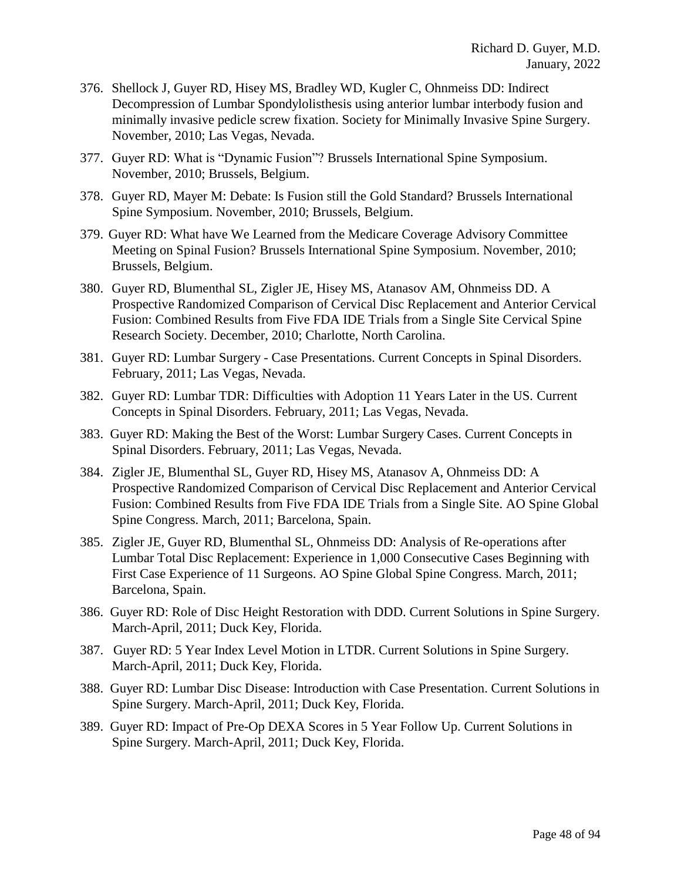- 376. Shellock J, Guyer RD, Hisey MS, Bradley WD, Kugler C, Ohnmeiss DD: Indirect Decompression of Lumbar Spondylolisthesis using anterior lumbar interbody fusion and minimally invasive pedicle screw fixation. Society for Minimally Invasive Spine Surgery. November, 2010; Las Vegas, Nevada.
- 377. Guyer RD: What is "Dynamic Fusion"? Brussels International Spine Symposium. November, 2010; Brussels, Belgium.
- 378. Guyer RD, Mayer M: Debate: Is Fusion still the Gold Standard? Brussels International Spine Symposium. November, 2010; Brussels, Belgium.
- 379. Guyer RD: What have We Learned from the Medicare Coverage Advisory Committee Meeting on Spinal Fusion? Brussels International Spine Symposium. November, 2010; Brussels, Belgium.
- 380. Guyer RD, Blumenthal SL, Zigler JE, Hisey MS, Atanasov AM, Ohnmeiss DD. A Prospective Randomized Comparison of Cervical Disc Replacement and Anterior Cervical Fusion: Combined Results from Five FDA IDE Trials from a Single Site Cervical Spine Research Society. December, 2010; Charlotte, North Carolina.
- 381. Guyer RD: Lumbar Surgery Case Presentations. Current Concepts in Spinal Disorders. February, 2011; Las Vegas, Nevada.
- 382. Guyer RD: Lumbar TDR: Difficulties with Adoption 11 Years Later in the US*.* Current Concepts in Spinal Disorders. February, 2011; Las Vegas, Nevada.
- 383. Guyer RD: Making the Best of the Worst: Lumbar Surgery Cases. Current Concepts in Spinal Disorders. February, 2011; Las Vegas, Nevada.
- 384. Zigler JE, Blumenthal SL, Guyer RD, Hisey MS, Atanasov A, Ohnmeiss DD: A Prospective Randomized Comparison of Cervical Disc Replacement and Anterior Cervical Fusion: Combined Results from Five FDA IDE Trials from a Single Site. AO Spine Global Spine Congress. March, 2011; Barcelona, Spain.
- 385. Zigler JE, Guyer RD, Blumenthal SL, Ohnmeiss DD: Analysis of Re-operations after Lumbar Total Disc Replacement: Experience in 1,000 Consecutive Cases Beginning with First Case Experience of 11 Surgeons. AO Spine Global Spine Congress. March, 2011; Barcelona, Spain.
- 386. Guyer RD: Role of Disc Height Restoration with DDD. Current Solutions in Spine Surgery. March-April, 2011; Duck Key, Florida.
- 387. Guyer RD: 5 Year Index Level Motion in LTDR. Current Solutions in Spine Surgery. March-April, 2011; Duck Key, Florida.
- 388. Guyer RD: Lumbar Disc Disease: Introduction with Case Presentation. Current Solutions in Spine Surgery. March-April, 2011; Duck Key, Florida.
- 389. Guyer RD: Impact of Pre-Op DEXA Scores in 5 Year Follow Up. Current Solutions in Spine Surgery. March-April, 2011; Duck Key, Florida.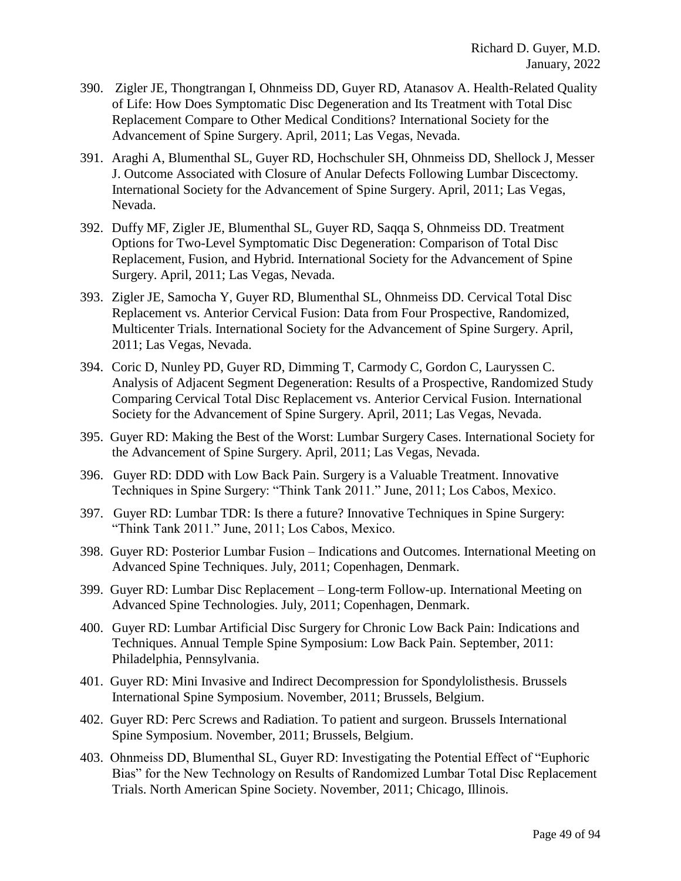- 390. Zigler JE, Thongtrangan I, Ohnmeiss DD, Guyer RD, Atanasov A. Health-Related Quality of Life: How Does Symptomatic Disc Degeneration and Its Treatment with Total Disc Replacement Compare to Other Medical Conditions? International Society for the Advancement of Spine Surgery. April, 2011; Las Vegas, Nevada.
- 391. Araghi A, Blumenthal SL, Guyer RD, Hochschuler SH, Ohnmeiss DD, Shellock J, Messer J. Outcome Associated with Closure of Anular Defects Following Lumbar Discectomy. International Society for the Advancement of Spine Surgery. April, 2011; Las Vegas, Nevada.
- 392. Duffy MF, Zigler JE, Blumenthal SL, Guyer RD, Saqqa S, Ohnmeiss DD. Treatment Options for Two-Level Symptomatic Disc Degeneration: Comparison of Total Disc Replacement, Fusion, and Hybrid. International Society for the Advancement of Spine Surgery. April, 2011; Las Vegas, Nevada.
- 393. Zigler JE, Samocha Y, Guyer RD, Blumenthal SL, Ohnmeiss DD. Cervical Total Disc Replacement vs. Anterior Cervical Fusion: Data from Four Prospective, Randomized, Multicenter Trials. International Society for the Advancement of Spine Surgery. April, 2011; Las Vegas, Nevada.
- 394. Coric D, Nunley PD, Guyer RD, Dimming T, Carmody C, Gordon C, Lauryssen C. Analysis of Adjacent Segment Degeneration: Results of a Prospective, Randomized Study Comparing Cervical Total Disc Replacement vs. Anterior Cervical Fusion. International Society for the Advancement of Spine Surgery. April, 2011; Las Vegas, Nevada.
- 395. Guyer RD: Making the Best of the Worst: Lumbar Surgery Cases. International Society for the Advancement of Spine Surgery. April, 2011; Las Vegas, Nevada.
- 396. Guyer RD: DDD with Low Back Pain. Surgery is a Valuable Treatment. Innovative Techniques in Spine Surgery: "Think Tank 2011." June, 2011; Los Cabos, Mexico.
- 397. Guyer RD: Lumbar TDR: Is there a future? Innovative Techniques in Spine Surgery: "Think Tank 2011." June, 2011; Los Cabos, Mexico.
- 398. Guyer RD: Posterior Lumbar Fusion Indications and Outcomes. International Meeting on Advanced Spine Techniques. July, 2011; Copenhagen, Denmark.
- 399. Guyer RD: Lumbar Disc Replacement Long-term Follow-up. International Meeting on Advanced Spine Technologies. July, 2011; Copenhagen, Denmark.
- 400. Guyer RD: Lumbar Artificial Disc Surgery for Chronic Low Back Pain: Indications and Techniques. Annual Temple Spine Symposium: Low Back Pain. September, 2011: Philadelphia, Pennsylvania.
- 401. Guyer RD: Mini Invasive and Indirect Decompression for Spondylolisthesis. Brussels International Spine Symposium. November, 2011; Brussels, Belgium.
- 402. Guyer RD: Perc Screws and Radiation. To patient and surgeon. Brussels International Spine Symposium. November, 2011; Brussels, Belgium.
- 403. Ohnmeiss DD, Blumenthal SL, Guyer RD: Investigating the Potential Effect of "Euphoric Bias" for the New Technology on Results of Randomized Lumbar Total Disc Replacement Trials. North American Spine Society. November, 2011; Chicago, Illinois.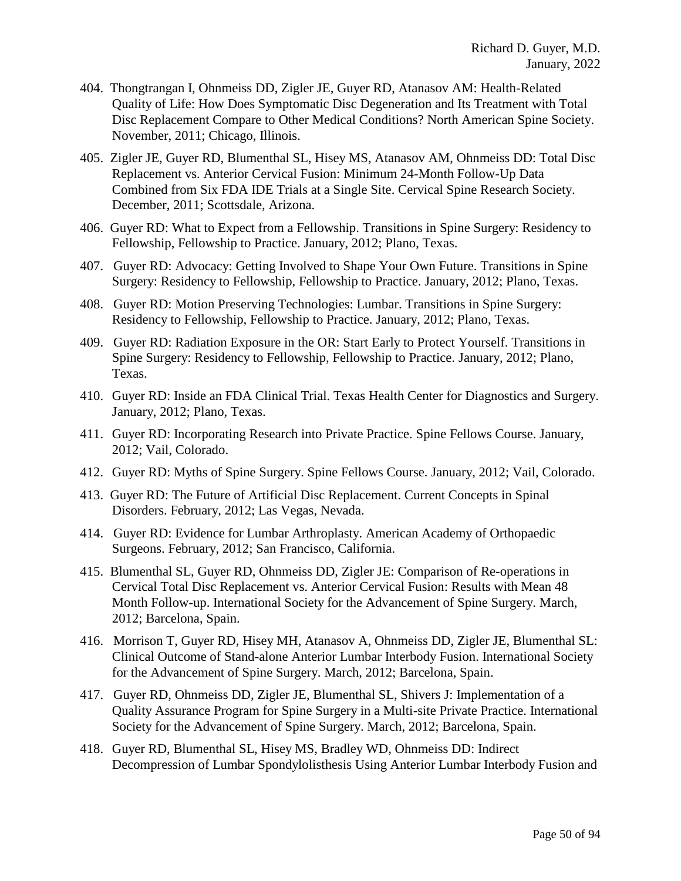- 404. Thongtrangan I, Ohnmeiss DD, Zigler JE, Guyer RD, Atanasov AM: Health-Related Quality of Life: How Does Symptomatic Disc Degeneration and Its Treatment with Total Disc Replacement Compare to Other Medical Conditions? North American Spine Society. November, 2011; Chicago, Illinois.
- 405. Zigler JE, Guyer RD, Blumenthal SL, Hisey MS, Atanasov AM, Ohnmeiss DD: Total Disc Replacement vs. Anterior Cervical Fusion: Minimum 24-Month Follow-Up Data Combined from Six FDA IDE Trials at a Single Site. Cervical Spine Research Society. December, 2011; Scottsdale, Arizona.
- 406. Guyer RD: What to Expect from a Fellowship. Transitions in Spine Surgery: Residency to Fellowship, Fellowship to Practice. January, 2012; Plano, Texas.
- 407. Guyer RD: Advocacy: Getting Involved to Shape Your Own Future. Transitions in Spine Surgery: Residency to Fellowship, Fellowship to Practice. January, 2012; Plano, Texas.
- 408. Guyer RD: Motion Preserving Technologies: Lumbar. Transitions in Spine Surgery: Residency to Fellowship, Fellowship to Practice. January, 2012; Plano, Texas.
- 409. Guyer RD: Radiation Exposure in the OR: Start Early to Protect Yourself. Transitions in Spine Surgery: Residency to Fellowship, Fellowship to Practice. January, 2012; Plano, Texas.
- 410. Guyer RD: Inside an FDA Clinical Trial. Texas Health Center for Diagnostics and Surgery. January, 2012; Plano, Texas.
- 411. Guyer RD: Incorporating Research into Private Practice. Spine Fellows Course. January, 2012; Vail, Colorado.
- 412. Guyer RD: Myths of Spine Surgery. Spine Fellows Course. January, 2012; Vail, Colorado.
- 413. Guyer RD: The Future of Artificial Disc Replacement. Current Concepts in Spinal Disorders. February, 2012; Las Vegas, Nevada.
- 414. Guyer RD: Evidence for Lumbar Arthroplasty. American Academy of Orthopaedic Surgeons. February, 2012; San Francisco, California.
- 415. Blumenthal SL, Guyer RD, Ohnmeiss DD, Zigler JE: Comparison of Re-operations in Cervical Total Disc Replacement vs. Anterior Cervical Fusion: Results with Mean 48 Month Follow-up. International Society for the Advancement of Spine Surgery. March, 2012; Barcelona, Spain.
- 416. Morrison T, Guyer RD, Hisey MH, Atanasov A, Ohnmeiss DD, Zigler JE, Blumenthal SL: Clinical Outcome of Stand-alone Anterior Lumbar Interbody Fusion. International Society for the Advancement of Spine Surgery. March, 2012; Barcelona, Spain.
- 417. Guyer RD, Ohnmeiss DD, Zigler JE, Blumenthal SL, Shivers J: Implementation of a Quality Assurance Program for Spine Surgery in a Multi-site Private Practice. International Society for the Advancement of Spine Surgery. March, 2012; Barcelona, Spain.
- 418. Guyer RD, Blumenthal SL, Hisey MS, Bradley WD, Ohnmeiss DD: Indirect Decompression of Lumbar Spondylolisthesis Using Anterior Lumbar Interbody Fusion and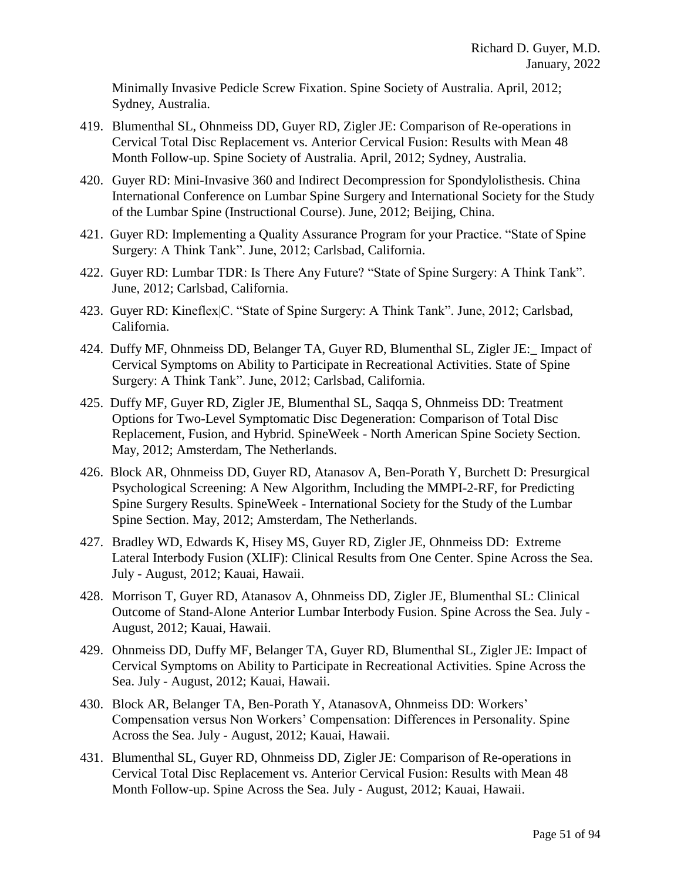Minimally Invasive Pedicle Screw Fixation. Spine Society of Australia. April, 2012; Sydney, Australia.

- 419. Blumenthal SL, Ohnmeiss DD, Guyer RD, Zigler JE: Comparison of Re-operations in Cervical Total Disc Replacement vs. Anterior Cervical Fusion: Results with Mean 48 Month Follow-up. Spine Society of Australia. April, 2012; Sydney, Australia.
- 420. Guyer RD: Mini-Invasive 360 and Indirect Decompression for Spondylolisthesis. China International Conference on Lumbar Spine Surgery and International Society for the Study of the Lumbar Spine (Instructional Course). June, 2012; Beijing, China.
- 421. Guyer RD: Implementing a Quality Assurance Program for your Practice. "State of Spine Surgery: A Think Tank". June, 2012; Carlsbad, California.
- 422. Guyer RD: Lumbar TDR: Is There Any Future? "State of Spine Surgery: A Think Tank". June, 2012; Carlsbad, California.
- 423. Guyer RD: Kineflex|C. "State of Spine Surgery: A Think Tank". June, 2012; Carlsbad, California.
- 424. Duffy MF, Ohnmeiss DD, Belanger TA, Guyer RD, Blumenthal SL, Zigler JE:\_ Impact of Cervical Symptoms on Ability to Participate in Recreational Activities. State of Spine Surgery: A Think Tank". June, 2012; Carlsbad, California.
- 425. Duffy MF, Guyer RD, Zigler JE, Blumenthal SL, Saqqa S, Ohnmeiss DD: Treatment Options for Two-Level Symptomatic Disc Degeneration: Comparison of Total Disc Replacement, Fusion, and Hybrid. SpineWeek - North American Spine Society Section. May, 2012; Amsterdam, The Netherlands.
- 426. Block AR, Ohnmeiss DD, Guyer RD, Atanasov A, Ben-Porath Y, Burchett D: Presurgical Psychological Screening: A New Algorithm, Including the MMPI-2-RF, for Predicting Spine Surgery Results. SpineWeek - International Society for the Study of the Lumbar Spine Section. May, 2012; Amsterdam, The Netherlands.
- 427. Bradley WD, Edwards K, Hisey MS, Guyer RD, Zigler JE, Ohnmeiss DD: Extreme Lateral Interbody Fusion (XLIF): Clinical Results from One Center. Spine Across the Sea. July - August, 2012; Kauai, Hawaii.
- 428. Morrison T, Guyer RD, Atanasov A, Ohnmeiss DD, Zigler JE, Blumenthal SL: Clinical Outcome of Stand-Alone Anterior Lumbar Interbody Fusion. Spine Across the Sea. July - August, 2012; Kauai, Hawaii.
- 429. Ohnmeiss DD, Duffy MF, Belanger TA, Guyer RD, Blumenthal SL, Zigler JE: Impact of Cervical Symptoms on Ability to Participate in Recreational Activities. Spine Across the Sea. July - August, 2012; Kauai, Hawaii.
- 430. Block AR, Belanger TA, Ben-Porath Y, AtanasovA, Ohnmeiss DD: Workers' Compensation versus Non Workers' Compensation: Differences in Personality. Spine Across the Sea. July - August, 2012; Kauai, Hawaii.
- 431. Blumenthal SL, Guyer RD, Ohnmeiss DD, Zigler JE: Comparison of Re-operations in Cervical Total Disc Replacement vs. Anterior Cervical Fusion: Results with Mean 48 Month Follow-up. Spine Across the Sea. July - August, 2012; Kauai, Hawaii.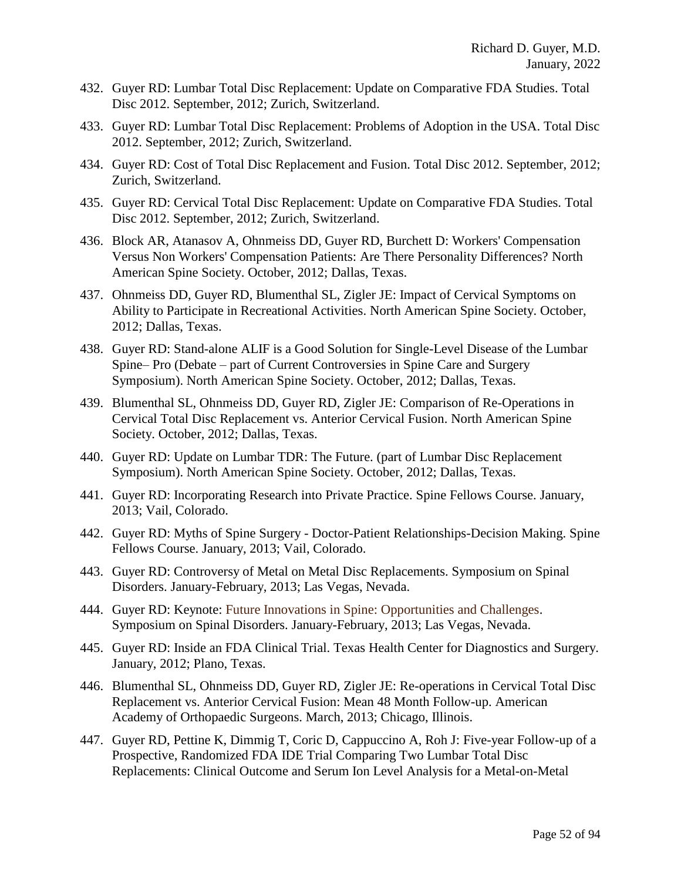- 432. Guyer RD: Lumbar Total Disc Replacement: Update on Comparative FDA Studies. Total Disc 2012. September, 2012; Zurich, Switzerland.
- 433. Guyer RD: Lumbar Total Disc Replacement: Problems of Adoption in the USA. Total Disc 2012. September, 2012; Zurich, Switzerland.
- 434. Guyer RD: Cost of Total Disc Replacement and Fusion. Total Disc 2012. September, 2012; Zurich, Switzerland.
- 435. Guyer RD: Cervical Total Disc Replacement: Update on Comparative FDA Studies. Total Disc 2012. September, 2012; Zurich, Switzerland.
- 436. Block AR, Atanasov A, Ohnmeiss DD, Guyer RD, Burchett D: Workers' Compensation Versus Non Workers' Compensation Patients: Are There Personality Differences? North American Spine Society. October, 2012; Dallas, Texas.
- 437. Ohnmeiss DD, Guyer RD, Blumenthal SL, Zigler JE: Impact of Cervical Symptoms on Ability to Participate in Recreational Activities. North American Spine Society. October, 2012; Dallas, Texas.
- 438. Guyer RD: Stand-alone ALIF is a Good Solution for Single-Level Disease of the Lumbar Spine– Pro (Debate – part of Current Controversies in Spine Care and Surgery Symposium). North American Spine Society. October, 2012; Dallas, Texas.
- 439. Blumenthal SL, Ohnmeiss DD, Guyer RD, Zigler JE: Comparison of Re-Operations in Cervical Total Disc Replacement vs. Anterior Cervical Fusion. North American Spine Society. October, 2012; Dallas, Texas.
- 440. Guyer RD: Update on Lumbar TDR: The Future. (part of Lumbar Disc Replacement Symposium). North American Spine Society. October, 2012; Dallas, Texas.
- 441. Guyer RD: Incorporating Research into Private Practice. Spine Fellows Course. January, 2013; Vail, Colorado.
- 442. Guyer RD: Myths of Spine Surgery Doctor-Patient Relationships-Decision Making. Spine Fellows Course. January, 2013; Vail, Colorado.
- 443. Guyer RD: Controversy of Metal on Metal Disc Replacements. Symposium on Spinal Disorders. January-February, 2013; Las Vegas, Nevada.
- 444. Guyer RD: Keynote: Future Innovations in Spine: Opportunities and Challenges. Symposium on Spinal Disorders. January-February, 2013; Las Vegas, Nevada.
- 445. Guyer RD: Inside an FDA Clinical Trial. Texas Health Center for Diagnostics and Surgery. January, 2012; Plano, Texas.
- 446. Blumenthal SL, Ohnmeiss DD, Guyer RD, Zigler JE: Re-operations in Cervical Total Disc Replacement vs. Anterior Cervical Fusion: Mean 48 Month Follow-up. American Academy of Orthopaedic Surgeons. March, 2013; Chicago, Illinois.
- 447. Guyer RD, Pettine K, Dimmig T, Coric D, Cappuccino A, Roh J: Five-year Follow-up of a Prospective, Randomized FDA IDE Trial Comparing Two Lumbar Total Disc Replacements: Clinical Outcome and Serum Ion Level Analysis for a Metal-on-Metal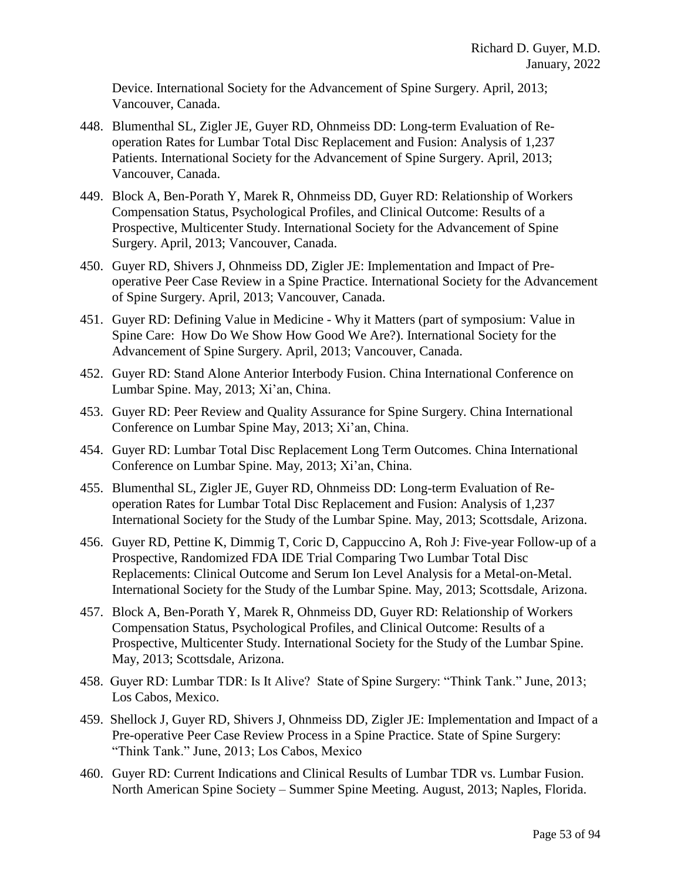Device. International Society for the Advancement of Spine Surgery. April, 2013; Vancouver, Canada.

- 448. Blumenthal SL, Zigler JE, Guyer RD, Ohnmeiss DD: Long-term Evaluation of Reoperation Rates for Lumbar Total Disc Replacement and Fusion: Analysis of 1,237 Patients. International Society for the Advancement of Spine Surgery. April, 2013; Vancouver, Canada.
- 449. Block A, Ben-Porath Y, Marek R, Ohnmeiss DD, Guyer RD: Relationship of Workers Compensation Status, Psychological Profiles, and Clinical Outcome: Results of a Prospective, Multicenter Study. International Society for the Advancement of Spine Surgery. April, 2013; Vancouver, Canada.
- 450. Guyer RD, Shivers J, Ohnmeiss DD, Zigler JE: Implementation and Impact of Preoperative Peer Case Review in a Spine Practice. International Society for the Advancement of Spine Surgery. April, 2013; Vancouver, Canada.
- 451. Guyer RD: Defining Value in Medicine Why it Matters (part of symposium: Value in Spine Care: How Do We Show How Good We Are?). International Society for the Advancement of Spine Surgery. April, 2013; Vancouver, Canada.
- 452. Guyer RD: Stand Alone Anterior Interbody Fusion. China International Conference on Lumbar Spine. May, 2013; Xi'an, China.
- 453. Guyer RD: Peer Review and Quality Assurance for Spine Surgery. China International Conference on Lumbar Spine May, 2013; Xi'an, China.
- 454. Guyer RD: Lumbar Total Disc Replacement Long Term Outcomes. China International Conference on Lumbar Spine. May, 2013; Xi'an, China.
- 455. Blumenthal SL, Zigler JE, Guyer RD, Ohnmeiss DD: Long-term Evaluation of Reoperation Rates for Lumbar Total Disc Replacement and Fusion: Analysis of 1,237 International Society for the Study of the Lumbar Spine. May, 2013; Scottsdale, Arizona.
- 456. Guyer RD, Pettine K, Dimmig T, Coric D, Cappuccino A, Roh J: Five-year Follow-up of a Prospective, Randomized FDA IDE Trial Comparing Two Lumbar Total Disc Replacements: Clinical Outcome and Serum Ion Level Analysis for a Metal-on-Metal. International Society for the Study of the Lumbar Spine. May, 2013; Scottsdale, Arizona.
- 457. Block A, Ben-Porath Y, Marek R, Ohnmeiss DD, Guyer RD: Relationship of Workers Compensation Status, Psychological Profiles, and Clinical Outcome: Results of a Prospective, Multicenter Study. International Society for the Study of the Lumbar Spine. May, 2013; Scottsdale, Arizona.
- 458. Guyer RD: Lumbar TDR: Is It Alive? State of Spine Surgery: "Think Tank." June, 2013; Los Cabos, Mexico.
- 459. Shellock J, Guyer RD, Shivers J, Ohnmeiss DD, Zigler JE: Implementation and Impact of a Pre-operative Peer Case Review Process in a Spine Practice. State of Spine Surgery: "Think Tank." June, 2013; Los Cabos, Mexico
- 460. Guyer RD: Current Indications and Clinical Results of Lumbar TDR vs. Lumbar Fusion. North American Spine Society – Summer Spine Meeting. August, 2013; Naples, Florida.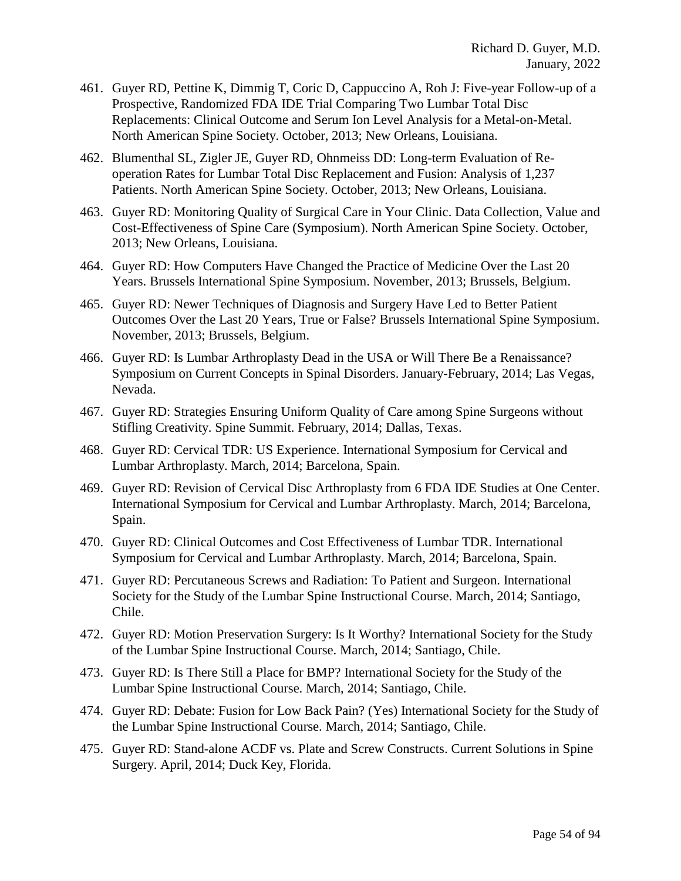- 461. Guyer RD, Pettine K, Dimmig T, Coric D, Cappuccino A, Roh J: Five-year Follow-up of a Prospective, Randomized FDA IDE Trial Comparing Two Lumbar Total Disc Replacements: Clinical Outcome and Serum Ion Level Analysis for a Metal-on-Metal. North American Spine Society. October, 2013; New Orleans, Louisiana.
- 462. Blumenthal SL, Zigler JE, Guyer RD, Ohnmeiss DD: Long-term Evaluation of Reoperation Rates for Lumbar Total Disc Replacement and Fusion: Analysis of 1,237 Patients. North American Spine Society. October, 2013; New Orleans, Louisiana.
- 463. Guyer RD: Monitoring Quality of Surgical Care in Your Clinic. Data Collection, Value and Cost-Effectiveness of Spine Care (Symposium). North American Spine Society. October, 2013; New Orleans, Louisiana.
- 464. Guyer RD: How Computers Have Changed the Practice of Medicine Over the Last 20 Years. Brussels International Spine Symposium. November, 2013; Brussels, Belgium.
- 465. Guyer RD: Newer Techniques of Diagnosis and Surgery Have Led to Better Patient Outcomes Over the Last 20 Years, True or False? Brussels International Spine Symposium. November, 2013; Brussels, Belgium.
- 466. Guyer RD: Is Lumbar Arthroplasty Dead in the USA or Will There Be a Renaissance? Symposium on Current Concepts in Spinal Disorders. January-February, 2014; Las Vegas, Nevada.
- 467. Guyer RD: Strategies Ensuring Uniform Quality of Care among Spine Surgeons without Stifling Creativity. Spine Summit. February, 2014; Dallas, Texas.
- 468. Guyer RD: Cervical TDR: US Experience. International Symposium for Cervical and Lumbar Arthroplasty. March, 2014; Barcelona, Spain.
- 469. Guyer RD: Revision of Cervical Disc Arthroplasty from 6 FDA IDE Studies at One Center. International Symposium for Cervical and Lumbar Arthroplasty. March, 2014; Barcelona, Spain.
- 470. Guyer RD: Clinical Outcomes and Cost Effectiveness of Lumbar TDR. International Symposium for Cervical and Lumbar Arthroplasty. March, 2014; Barcelona, Spain.
- 471. Guyer RD: Percutaneous Screws and Radiation: To Patient and Surgeon. International Society for the Study of the Lumbar Spine Instructional Course. March, 2014; Santiago, Chile.
- 472. Guyer RD: Motion Preservation Surgery: Is It Worthy? International Society for the Study of the Lumbar Spine Instructional Course. March, 2014; Santiago, Chile.
- 473. Guyer RD: Is There Still a Place for BMP? International Society for the Study of the Lumbar Spine Instructional Course. March, 2014; Santiago, Chile.
- 474. Guyer RD: Debate: Fusion for Low Back Pain? (Yes) International Society for the Study of the Lumbar Spine Instructional Course. March, 2014; Santiago, Chile.
- 475. Guyer RD: Stand-alone ACDF vs. Plate and Screw Constructs. Current Solutions in Spine Surgery. April, 2014; Duck Key, Florida.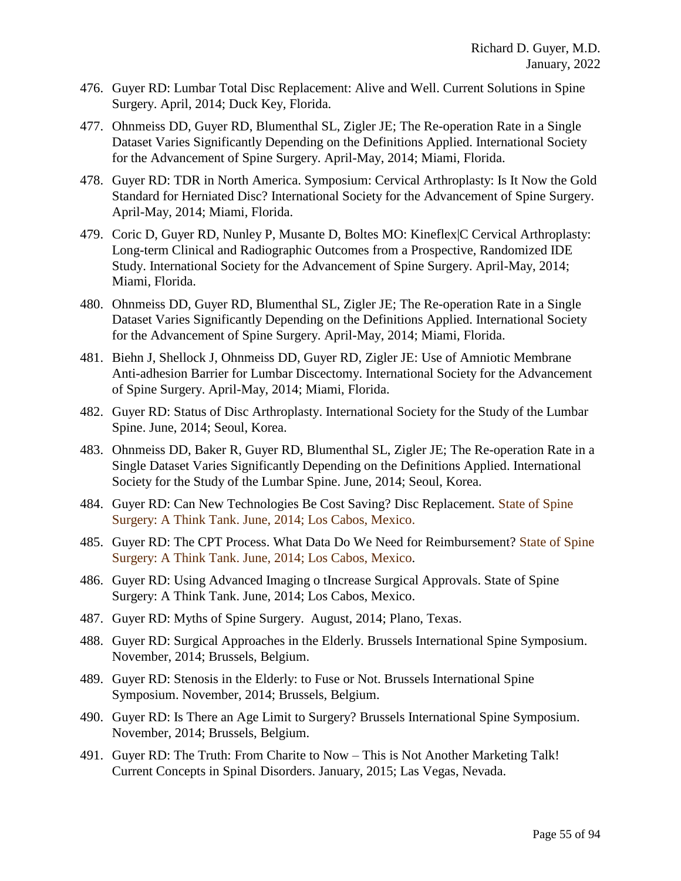- 476. Guyer RD: Lumbar Total Disc Replacement: Alive and Well. Current Solutions in Spine Surgery. April, 2014; Duck Key, Florida.
- 477. Ohnmeiss DD, Guyer RD, Blumenthal SL, Zigler JE; The Re-operation Rate in a Single Dataset Varies Significantly Depending on the Definitions Applied. International Society for the Advancement of Spine Surgery. April-May, 2014; Miami, Florida.
- 478. Guyer RD: TDR in North America. Symposium: Cervical Arthroplasty: Is It Now the Gold Standard for Herniated Disc? International Society for the Advancement of Spine Surgery. April-May, 2014; Miami, Florida.
- 479. Coric D, Guyer RD, Nunley P, Musante D, Boltes MO: Kineflex|C Cervical Arthroplasty: Long-term Clinical and Radiographic Outcomes from a Prospective, Randomized IDE Study. International Society for the Advancement of Spine Surgery. April-May, 2014; Miami, Florida.
- 480. Ohnmeiss DD, Guyer RD, Blumenthal SL, Zigler JE; The Re-operation Rate in a Single Dataset Varies Significantly Depending on the Definitions Applied. International Society for the Advancement of Spine Surgery. April-May, 2014; Miami, Florida.
- 481. Biehn J, Shellock J, Ohnmeiss DD, Guyer RD, Zigler JE: Use of Amniotic Membrane Anti-adhesion Barrier for Lumbar Discectomy. International Society for the Advancement of Spine Surgery. April-May, 2014; Miami, Florida.
- 482. Guyer RD: Status of Disc Arthroplasty. International Society for the Study of the Lumbar Spine. June, 2014; Seoul, Korea.
- 483. Ohnmeiss DD, Baker R, Guyer RD, Blumenthal SL, Zigler JE; The Re-operation Rate in a Single Dataset Varies Significantly Depending on the Definitions Applied. International Society for the Study of the Lumbar Spine. June, 2014; Seoul, Korea.
- 484. Guyer RD: Can New Technologies Be Cost Saving? Disc Replacement. State of Spine Surgery: A Think Tank. June, 2014; Los Cabos, Mexico.
- 485. Guyer RD: The CPT Process. What Data Do We Need for Reimbursement? State of Spine Surgery: A Think Tank. June, 2014; Los Cabos, Mexico.
- 486. Guyer RD: Using Advanced Imaging o tIncrease Surgical Approvals. State of Spine Surgery: A Think Tank. June, 2014; Los Cabos, Mexico.
- 487. Guyer RD: Myths of Spine Surgery. August, 2014; Plano, Texas.
- 488. Guyer RD: Surgical Approaches in the Elderly. Brussels International Spine Symposium. November, 2014; Brussels, Belgium.
- 489. Guyer RD: Stenosis in the Elderly: to Fuse or Not. Brussels International Spine Symposium. November, 2014; Brussels, Belgium.
- 490. Guyer RD: Is There an Age Limit to Surgery? Brussels International Spine Symposium. November, 2014; Brussels, Belgium.
- 491. Guyer RD: The Truth: From Charite to Now This is Not Another Marketing Talk! Current Concepts in Spinal Disorders. January, 2015; Las Vegas, Nevada.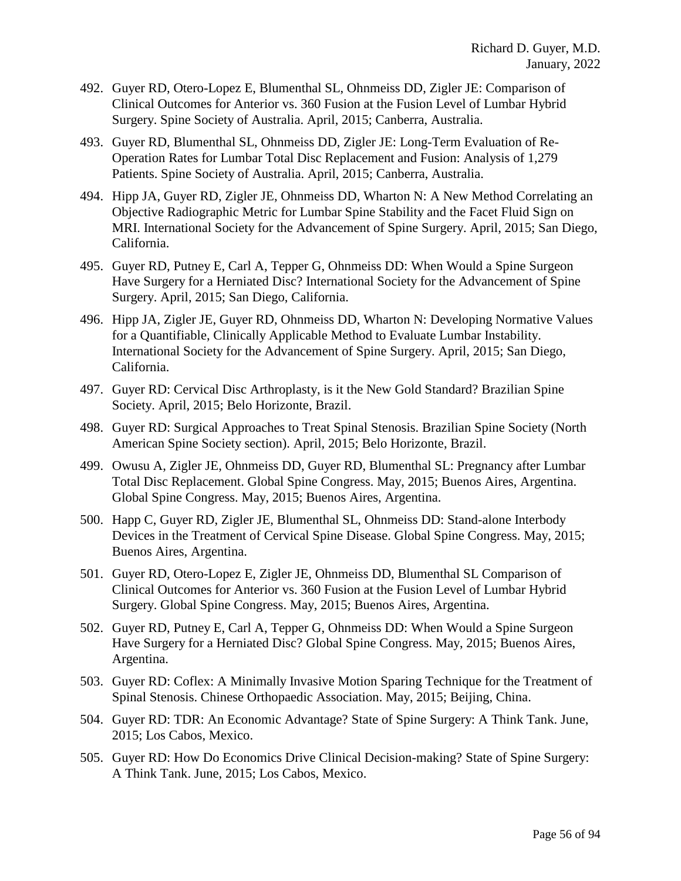- 492. Guyer RD, Otero-Lopez E, Blumenthal SL, Ohnmeiss DD, Zigler JE: Comparison of Clinical Outcomes for Anterior vs. 360 Fusion at the Fusion Level of Lumbar Hybrid Surgery. Spine Society of Australia. April, 2015; Canberra, Australia.
- 493. Guyer RD, Blumenthal SL, Ohnmeiss DD, Zigler JE: Long-Term Evaluation of Re-Operation Rates for Lumbar Total Disc Replacement and Fusion: Analysis of 1,279 Patients. Spine Society of Australia. April, 2015; Canberra, Australia.
- 494. Hipp JA, Guyer RD, Zigler JE, Ohnmeiss DD, Wharton N: A New Method Correlating an Objective Radiographic Metric for Lumbar Spine Stability and the Facet Fluid Sign on MRI. International Society for the Advancement of Spine Surgery. April, 2015; San Diego, California.
- 495. Guyer RD, Putney E, Carl A, Tepper G, Ohnmeiss DD: When Would a Spine Surgeon Have Surgery for a Herniated Disc? International Society for the Advancement of Spine Surgery. April, 2015; San Diego, California.
- 496. Hipp JA, Zigler JE, Guyer RD, Ohnmeiss DD, Wharton N: Developing Normative Values for a Quantifiable, Clinically Applicable Method to Evaluate Lumbar Instability. International Society for the Advancement of Spine Surgery. April, 2015; San Diego, California.
- 497. Guyer RD: Cervical Disc Arthroplasty, is it the New Gold Standard? Brazilian Spine Society. April, 2015; Belo Horizonte, Brazil.
- 498. Guyer RD: Surgical Approaches to Treat Spinal Stenosis. Brazilian Spine Society (North American Spine Society section). April, 2015; Belo Horizonte, Brazil.
- 499. Owusu A, Zigler JE, Ohnmeiss DD, Guyer RD, Blumenthal SL: Pregnancy after Lumbar Total Disc Replacement. Global Spine Congress. May, 2015; Buenos Aires, Argentina. Global Spine Congress. May, 2015; Buenos Aires, Argentina.
- 500. Happ C, Guyer RD, Zigler JE, Blumenthal SL, Ohnmeiss DD: Stand-alone Interbody Devices in the Treatment of Cervical Spine Disease. Global Spine Congress. May, 2015; Buenos Aires, Argentina.
- 501. Guyer RD, Otero-Lopez E, Zigler JE, Ohnmeiss DD, Blumenthal SL Comparison of Clinical Outcomes for Anterior vs. 360 Fusion at the Fusion Level of Lumbar Hybrid Surgery. Global Spine Congress. May, 2015; Buenos Aires, Argentina.
- 502. Guyer RD, Putney E, Carl A, Tepper G, Ohnmeiss DD: When Would a Spine Surgeon Have Surgery for a Herniated Disc? Global Spine Congress. May, 2015; Buenos Aires, Argentina.
- 503. Guyer RD: Coflex: A Minimally Invasive Motion Sparing Technique for the Treatment of Spinal Stenosis. Chinese Orthopaedic Association. May, 2015; Beijing, China.
- 504. Guyer RD: TDR: An Economic Advantage? State of Spine Surgery: A Think Tank. June, 2015; Los Cabos, Mexico.
- 505. Guyer RD: How Do Economics Drive Clinical Decision-making? State of Spine Surgery: A Think Tank. June, 2015; Los Cabos, Mexico.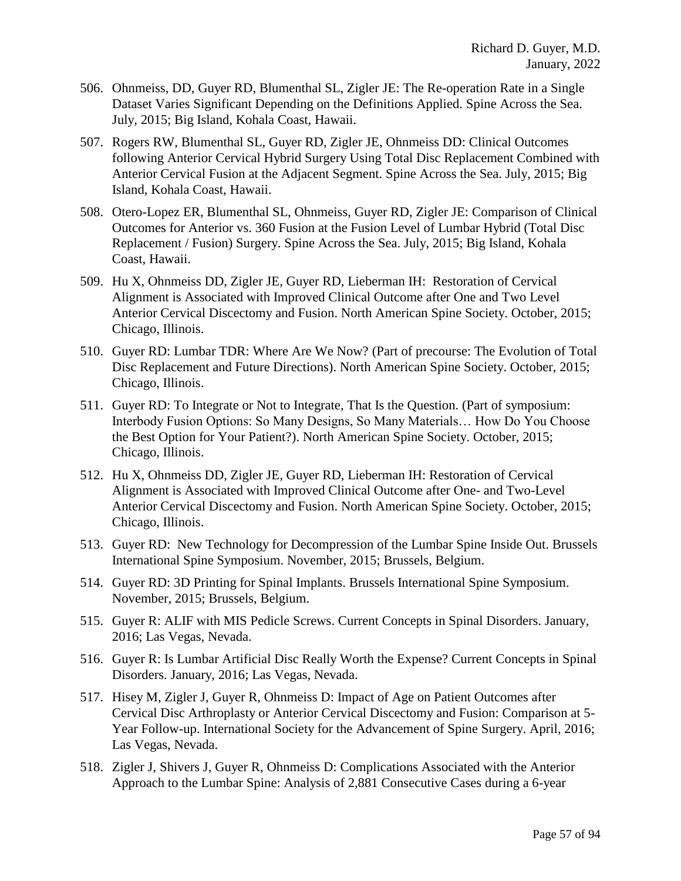- 506. Ohnmeiss, DD, Guyer RD, Blumenthal SL, Zigler JE: The Re-operation Rate in a Single Dataset Varies Significant Depending on the Definitions Applied. Spine Across the Sea. July, 2015; Big Island, Kohala Coast, Hawaii.
- 507. Rogers RW, Blumenthal SL, Guyer RD, Zigler JE, Ohnmeiss DD: Clinical Outcomes following Anterior Cervical Hybrid Surgery Using Total Disc Replacement Combined with Anterior Cervical Fusion at the Adjacent Segment. Spine Across the Sea. July, 2015; Big Island, Kohala Coast, Hawaii.
- 508. Otero-Lopez ER, Blumenthal SL, Ohnmeiss, Guyer RD, Zigler JE: Comparison of Clinical Outcomes for Anterior vs. 360 Fusion at the Fusion Level of Lumbar Hybrid (Total Disc Replacement / Fusion) Surgery. Spine Across the Sea. July, 2015; Big Island, Kohala Coast, Hawaii.
- 509. Hu X, Ohnmeiss DD, Zigler JE, Guyer RD, Lieberman IH: Restoration of Cervical Alignment is Associated with Improved Clinical Outcome after One and Two Level Anterior Cervical Discectomy and Fusion. North American Spine Society. October, 2015; Chicago, Illinois.
- 510. Guyer RD: Lumbar TDR: Where Are We Now? (Part of precourse: The Evolution of Total Disc Replacement and Future Directions). North American Spine Society. October, 2015; Chicago, Illinois.
- 511. Guyer RD: To Integrate or Not to Integrate, That Is the Question. (Part of symposium: Interbody Fusion Options: So Many Designs, So Many Materials… How Do You Choose the Best Option for Your Patient?). North American Spine Society. October, 2015; Chicago, Illinois.
- 512. Hu X, Ohnmeiss DD, Zigler JE, Guyer RD, Lieberman IH: Restoration of Cervical Alignment is Associated with Improved Clinical Outcome after One- and Two-Level Anterior Cervical Discectomy and Fusion. North American Spine Society. October, 2015; Chicago, Illinois.
- 513. Guyer RD: New Technology for Decompression of the Lumbar Spine Inside Out. Brussels International Spine Symposium. November, 2015; Brussels, Belgium.
- 514. Guyer RD: 3D Printing for Spinal Implants. Brussels International Spine Symposium. November, 2015; Brussels, Belgium.
- 515. Guyer R: ALIF with MIS Pedicle Screws. Current Concepts in Spinal Disorders. January, 2016; Las Vegas, Nevada.
- 516. Guyer R: Is Lumbar Artificial Disc Really Worth the Expense? Current Concepts in Spinal Disorders. January, 2016; Las Vegas, Nevada.
- 517. Hisey M, Zigler J, Guyer R, Ohnmeiss D: Impact of Age on Patient Outcomes after Cervical Disc Arthroplasty or Anterior Cervical Discectomy and Fusion: Comparison at 5- Year Follow-up. International Society for the Advancement of Spine Surgery. April, 2016; Las Vegas, Nevada.
- 518. Zigler J, Shivers J, Guyer R, Ohnmeiss D: Complications Associated with the Anterior Approach to the Lumbar Spine: Analysis of 2,881 Consecutive Cases during a 6-year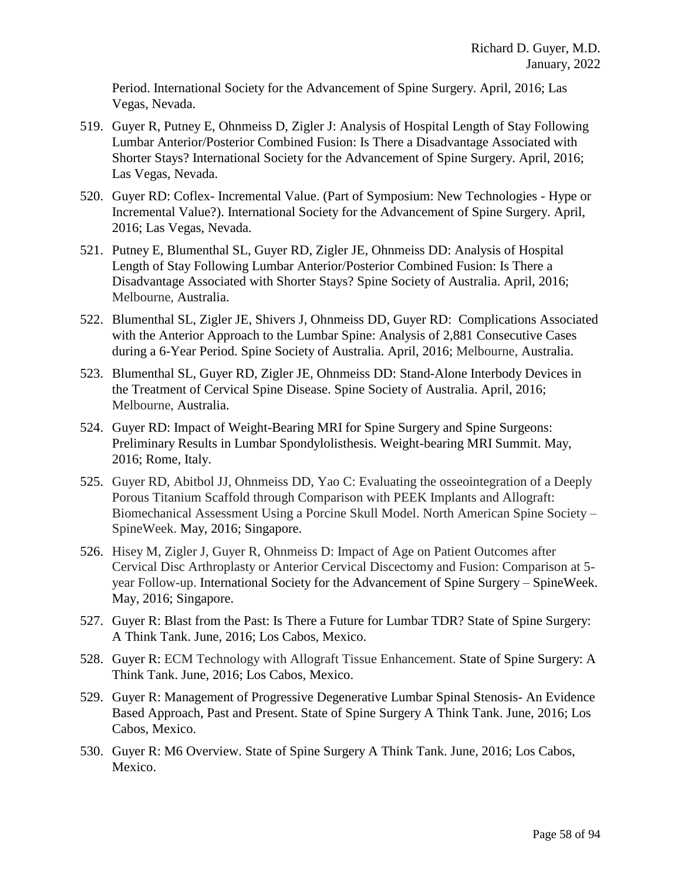Period. International Society for the Advancement of Spine Surgery. April, 2016; Las Vegas, Nevada.

- 519. Guyer R, Putney E, Ohnmeiss D, Zigler J: Analysis of Hospital Length of Stay Following Lumbar Anterior/Posterior Combined Fusion: Is There a Disadvantage Associated with Shorter Stays? International Society for the Advancement of Spine Surgery. April, 2016; Las Vegas, Nevada.
- 520. Guyer RD: Coflex- Incremental Value. (Part of Symposium: New Technologies Hype or Incremental Value?). International Society for the Advancement of Spine Surgery. April, 2016; Las Vegas, Nevada.
- 521. Putney E, Blumenthal SL, Guyer RD, Zigler JE, Ohnmeiss DD: Analysis of Hospital Length of Stay Following Lumbar Anterior/Posterior Combined Fusion: Is There a Disadvantage Associated with Shorter Stays? Spine Society of Australia. April, 2016; Melbourne, Australia.
- 522. Blumenthal SL, Zigler JE, Shivers J, Ohnmeiss DD, Guyer RD: Complications Associated with the Anterior Approach to the Lumbar Spine: Analysis of 2,881 Consecutive Cases during a 6-Year Period. Spine Society of Australia. April, 2016; Melbourne, Australia.
- 523. Blumenthal SL, Guyer RD, Zigler JE, Ohnmeiss DD: Stand-Alone Interbody Devices in the Treatment of Cervical Spine Disease. Spine Society of Australia. April, 2016; Melbourne, Australia.
- 524. Guyer RD: Impact of Weight-Bearing MRI for Spine Surgery and Spine Surgeons: Preliminary Results in Lumbar Spondylolisthesis. Weight-bearing MRI Summit. May, 2016; Rome, Italy.
- 525. Guyer RD, Abitbol JJ, Ohnmeiss DD, Yao C: Evaluating the osseointegration of a Deeply Porous Titanium Scaffold through Comparison with PEEK Implants and Allograft: Biomechanical Assessment Using a Porcine Skull Model. North American Spine Society – SpineWeek. May, 2016; Singapore.
- 526. Hisey M, Zigler J, Guyer R, Ohnmeiss D: Impact of Age on Patient Outcomes after Cervical Disc Arthroplasty or Anterior Cervical Discectomy and Fusion: Comparison at 5 year Follow-up. International Society for the Advancement of Spine Surgery – SpineWeek. May, 2016; Singapore.
- 527. Guyer R: Blast from the Past: Is There a Future for Lumbar TDR? State of Spine Surgery: A Think Tank. June, 2016; Los Cabos, Mexico.
- 528. Guyer R: ECM Technology with Allograft Tissue Enhancement. State of Spine Surgery: A Think Tank. June, 2016; Los Cabos, Mexico.
- 529. Guyer R: Management of Progressive Degenerative Lumbar Spinal Stenosis- An Evidence Based Approach, Past and Present. State of Spine Surgery A Think Tank. June, 2016; Los Cabos, Mexico.
- 530. Guyer R: M6 Overview. State of Spine Surgery A Think Tank. June, 2016; Los Cabos, Mexico.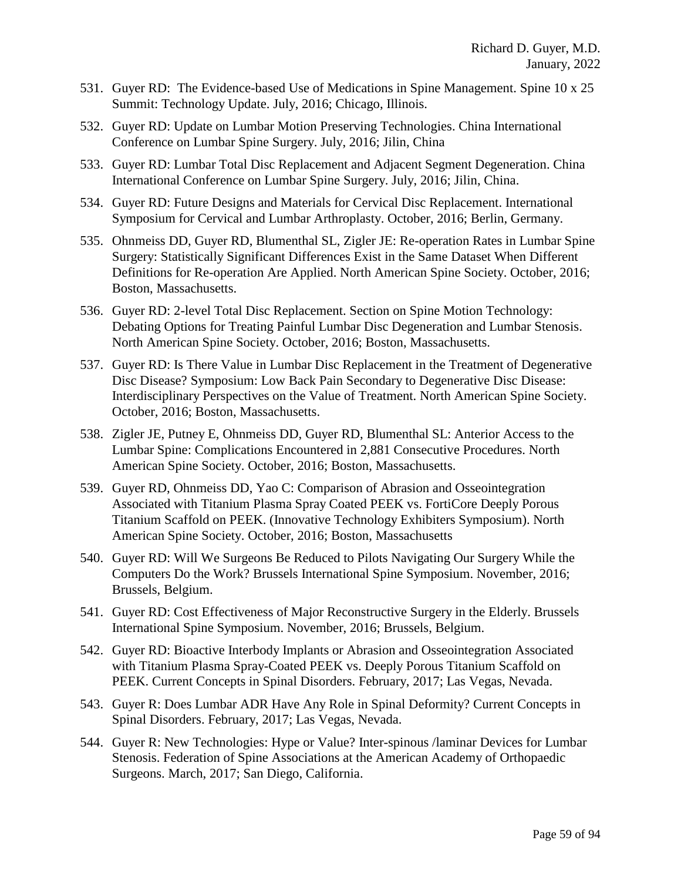- 531. Guyer RD: The Evidence-based Use of Medications in Spine Management. Spine 10 x 25 Summit: Technology Update. July, 2016; Chicago, Illinois.
- 532. Guyer RD: Update on Lumbar Motion Preserving Technologies. China International Conference on Lumbar Spine Surgery. July, 2016; Jilin, China
- 533. Guyer RD: Lumbar Total Disc Replacement and Adjacent Segment Degeneration. China International Conference on Lumbar Spine Surgery. July, 2016; Jilin, China.
- 534. Guyer RD: Future Designs and Materials for Cervical Disc Replacement. International Symposium for Cervical and Lumbar Arthroplasty. October, 2016; Berlin, Germany.
- 535. Ohnmeiss DD, Guyer RD, Blumenthal SL, Zigler JE: Re-operation Rates in Lumbar Spine Surgery: Statistically Significant Differences Exist in the Same Dataset When Different Definitions for Re-operation Are Applied. North American Spine Society. October, 2016; Boston, Massachusetts.
- 536. Guyer RD: 2-level Total Disc Replacement. Section on Spine Motion Technology: Debating Options for Treating Painful Lumbar Disc Degeneration and Lumbar Stenosis. North American Spine Society. October, 2016; Boston, Massachusetts.
- 537. Guyer RD: Is There Value in Lumbar Disc Replacement in the Treatment of Degenerative Disc Disease? Symposium: Low Back Pain Secondary to Degenerative Disc Disease: Interdisciplinary Perspectives on the Value of Treatment. North American Spine Society. October, 2016; Boston, Massachusetts.
- 538. Zigler JE, Putney E, Ohnmeiss DD, Guyer RD, Blumenthal SL: Anterior Access to the Lumbar Spine: Complications Encountered in 2,881 Consecutive Procedures. North American Spine Society. October, 2016; Boston, Massachusetts.
- 539. Guyer RD, Ohnmeiss DD, Yao C: Comparison of Abrasion and Osseointegration Associated with Titanium Plasma Spray Coated PEEK vs. FortiCore Deeply Porous Titanium Scaffold on PEEK. (Innovative Technology Exhibiters Symposium). North American Spine Society. October, 2016; Boston, Massachusetts
- 540. Guyer RD: Will We Surgeons Be Reduced to Pilots Navigating Our Surgery While the Computers Do the Work? Brussels International Spine Symposium. November, 2016; Brussels, Belgium.
- 541. Guyer RD: Cost Effectiveness of Major Reconstructive Surgery in the Elderly. Brussels International Spine Symposium. November, 2016; Brussels, Belgium.
- 542. Guyer RD: Bioactive Interbody Implants or Abrasion and Osseointegration Associated with Titanium Plasma Spray-Coated PEEK vs. Deeply Porous Titanium Scaffold on PEEK. Current Concepts in Spinal Disorders. February, 2017; Las Vegas, Nevada.
- 543. Guyer R: Does Lumbar ADR Have Any Role in Spinal Deformity? Current Concepts in Spinal Disorders. February, 2017; Las Vegas, Nevada.
- 544. Guyer R: New Technologies: Hype or Value? Inter-spinous /laminar Devices for Lumbar Stenosis. Federation of Spine Associations at the American Academy of Orthopaedic Surgeons. March, 2017; San Diego, California.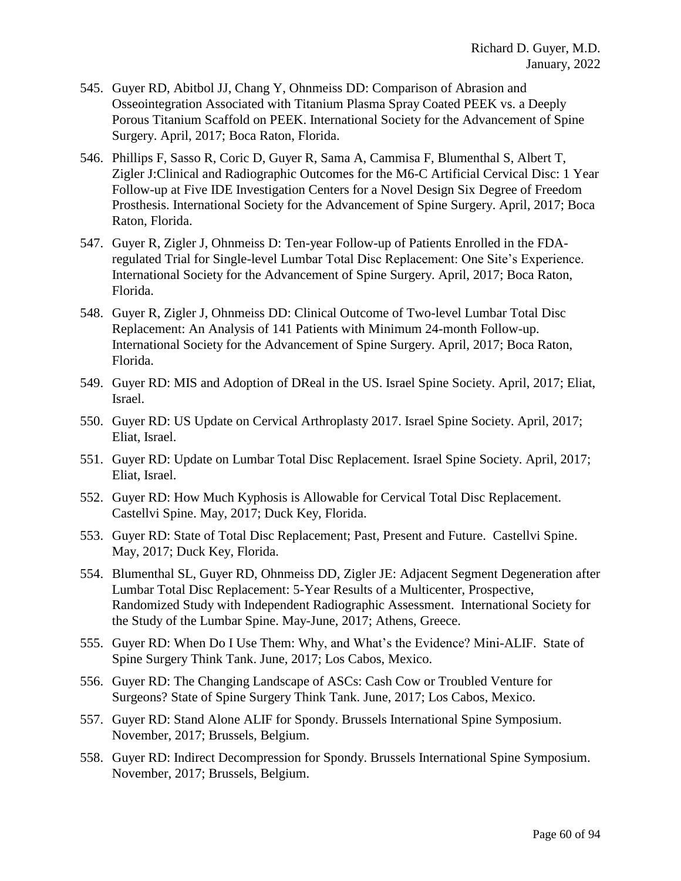- 545. Guyer RD, Abitbol JJ, Chang Y, Ohnmeiss DD: Comparison of Abrasion and Osseointegration Associated with Titanium Plasma Spray Coated PEEK vs. a Deeply Porous Titanium Scaffold on PEEK. International Society for the Advancement of Spine Surgery. April, 2017; Boca Raton, Florida.
- 546. Phillips F, Sasso R, Coric D, Guyer R, Sama A, Cammisa F, Blumenthal S, Albert T, Zigler J:Clinical and Radiographic Outcomes for the M6-C Artificial Cervical Disc: 1 Year Follow-up at Five IDE Investigation Centers for a Novel Design Six Degree of Freedom Prosthesis. International Society for the Advancement of Spine Surgery. April, 2017; Boca Raton, Florida.
- 547. Guyer R, Zigler J, Ohnmeiss D: Ten-year Follow-up of Patients Enrolled in the FDAregulated Trial for Single-level Lumbar Total Disc Replacement: One Site's Experience. International Society for the Advancement of Spine Surgery. April, 2017; Boca Raton, Florida.
- 548. Guyer R, Zigler J, Ohnmeiss DD: Clinical Outcome of Two-level Lumbar Total Disc Replacement: An Analysis of 141 Patients with Minimum 24-month Follow-up. International Society for the Advancement of Spine Surgery. April, 2017; Boca Raton, Florida.
- 549. Guyer RD: MIS and Adoption of DReal in the US. Israel Spine Society. April, 2017; Eliat, Israel.
- 550. Guyer RD: US Update on Cervical Arthroplasty 2017. Israel Spine Society. April, 2017; Eliat, Israel.
- 551. Guyer RD: Update on Lumbar Total Disc Replacement. Israel Spine Society. April, 2017; Eliat, Israel.
- 552. Guyer RD: How Much Kyphosis is Allowable for Cervical Total Disc Replacement. Castellvi Spine. May, 2017; Duck Key, Florida.
- 553. Guyer RD: State of Total Disc Replacement; Past, Present and Future. Castellvi Spine. May, 2017; Duck Key, Florida.
- 554. Blumenthal SL, Guyer RD, Ohnmeiss DD, Zigler JE: Adjacent Segment Degeneration after Lumbar Total Disc Replacement: 5-Year Results of a Multicenter, Prospective, Randomized Study with Independent Radiographic Assessment. International Society for the Study of the Lumbar Spine. May-June, 2017; Athens, Greece.
- 555. Guyer RD: When Do I Use Them: Why, and What's the Evidence? Mini-ALIF. State of Spine Surgery Think Tank. June, 2017; Los Cabos, Mexico.
- 556. Guyer RD: The Changing Landscape of ASCs: Cash Cow or Troubled Venture for Surgeons? State of Spine Surgery Think Tank. June, 2017; Los Cabos, Mexico.
- 557. Guyer RD: Stand Alone ALIF for Spondy. Brussels International Spine Symposium. November, 2017; Brussels, Belgium.
- 558. Guyer RD: Indirect Decompression for Spondy. Brussels International Spine Symposium. November, 2017; Brussels, Belgium.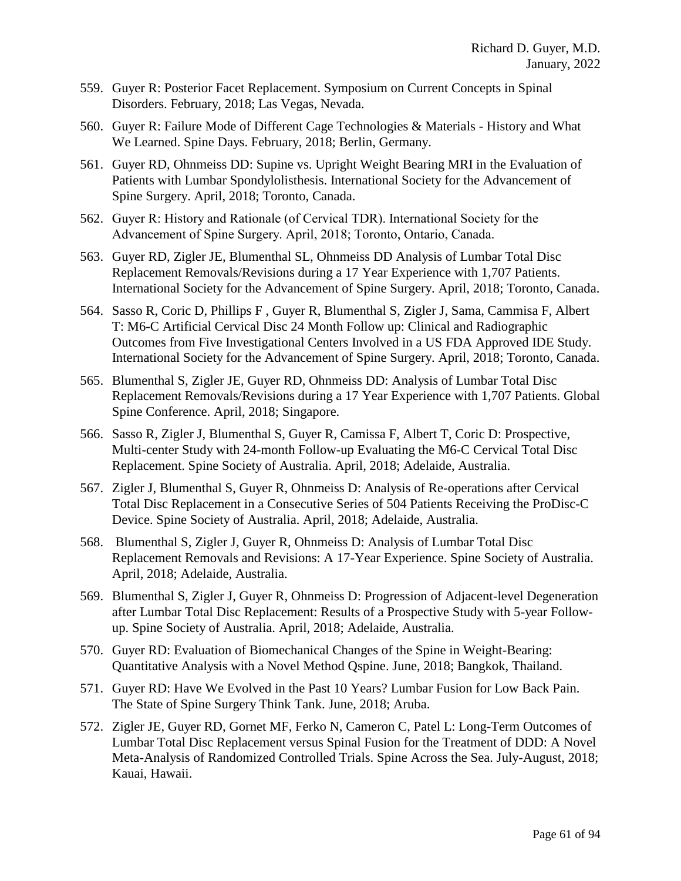- 559. Guyer R: Posterior Facet Replacement. Symposium on Current Concepts in Spinal Disorders. February, 2018; Las Vegas, Nevada.
- 560. Guyer R: Failure Mode of Different Cage Technologies & Materials History and What We Learned. Spine Days. February, 2018; Berlin, Germany.
- 561. Guyer RD, Ohnmeiss DD: Supine vs. Upright Weight Bearing MRI in the Evaluation of Patients with Lumbar Spondylolisthesis. International Society for the Advancement of Spine Surgery. April, 2018; Toronto, Canada.
- 562. Guyer R: History and Rationale (of Cervical TDR). International Society for the Advancement of Spine Surgery. April, 2018; Toronto, Ontario, Canada.
- 563. Guyer RD, Zigler JE, Blumenthal SL, Ohnmeiss DD Analysis of Lumbar Total Disc Replacement Removals/Revisions during a 17 Year Experience with 1,707 Patients. International Society for the Advancement of Spine Surgery. April, 2018; Toronto, Canada.
- 564. Sasso R, Coric D, Phillips F , Guyer R, Blumenthal S, Zigler J, Sama, Cammisa F, Albert T: M6-C Artificial Cervical Disc 24 Month Follow up: Clinical and Radiographic Outcomes from Five Investigational Centers Involved in a US FDA Approved IDE Study. International Society for the Advancement of Spine Surgery. April, 2018; Toronto, Canada.
- 565. Blumenthal S, Zigler JE, Guyer RD, Ohnmeiss DD: Analysis of Lumbar Total Disc Replacement Removals/Revisions during a 17 Year Experience with 1,707 Patients. Global Spine Conference. April, 2018; Singapore.
- 566. Sasso R, Zigler J, Blumenthal S, Guyer R, Camissa F, Albert T, Coric D: Prospective, Multi-center Study with 24-month Follow-up Evaluating the M6-C Cervical Total Disc Replacement. Spine Society of Australia. April, 2018; Adelaide, Australia.
- 567. Zigler J, Blumenthal S, Guyer R, Ohnmeiss D: Analysis of Re-operations after Cervical Total Disc Replacement in a Consecutive Series of 504 Patients Receiving the ProDisc-C Device. Spine Society of Australia. April, 2018; Adelaide, Australia.
- 568. Blumenthal S, Zigler J, Guyer R, Ohnmeiss D: Analysis of Lumbar Total Disc Replacement Removals and Revisions: A 17-Year Experience. Spine Society of Australia. April, 2018; Adelaide, Australia.
- 569. Blumenthal S, Zigler J, Guyer R, Ohnmeiss D: Progression of Adjacent-level Degeneration after Lumbar Total Disc Replacement: Results of a Prospective Study with 5-year Followup. Spine Society of Australia. April, 2018; Adelaide, Australia.
- 570. Guyer RD: Evaluation of Biomechanical Changes of the Spine in Weight-Bearing: Quantitative Analysis with a Novel Method Qspine. June, 2018; Bangkok, Thailand.
- 571. Guyer RD: Have We Evolved in the Past 10 Years? Lumbar Fusion for Low Back Pain. The State of Spine Surgery Think Tank. June, 2018; Aruba.
- 572. Zigler JE, Guyer RD, Gornet MF, Ferko N, Cameron C, Patel L: Long-Term Outcomes of Lumbar Total Disc Replacement versus Spinal Fusion for the Treatment of DDD: A Novel Meta-Analysis of Randomized Controlled Trials. Spine Across the Sea. July-August, 2018; Kauai, Hawaii.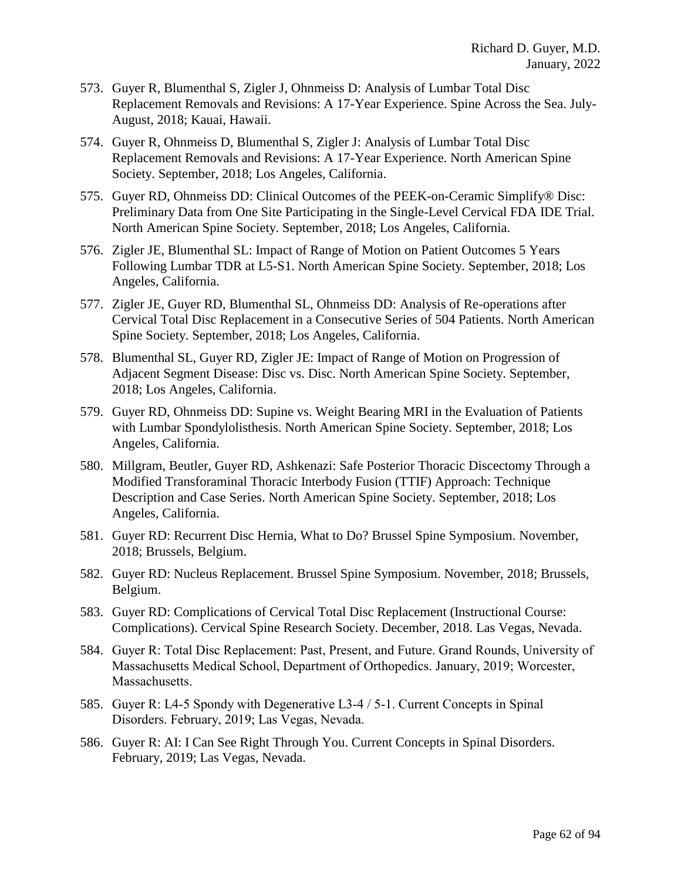- 573. Guyer R, Blumenthal S, Zigler J, Ohnmeiss D: Analysis of Lumbar Total Disc Replacement Removals and Revisions: A 17-Year Experience. Spine Across the Sea. July-August, 2018; Kauai, Hawaii.
- 574. Guyer R, Ohnmeiss D, Blumenthal S, Zigler J: Analysis of Lumbar Total Disc Replacement Removals and Revisions: A 17-Year Experience. North American Spine Society. September, 2018; Los Angeles, California.
- 575. Guyer RD, Ohnmeiss DD: Clinical Outcomes of the PEEK-on-Ceramic Simplify® Disc: Preliminary Data from One Site Participating in the Single-Level Cervical FDA IDE Trial. North American Spine Society. September, 2018; Los Angeles, California.
- 576. Zigler JE, Blumenthal SL: Impact of Range of Motion on Patient Outcomes 5 Years Following Lumbar TDR at L5-S1. North American Spine Society. September, 2018; Los Angeles, California.
- 577. Zigler JE, Guyer RD, Blumenthal SL, Ohnmeiss DD: Analysis of Re-operations after Cervical Total Disc Replacement in a Consecutive Series of 504 Patients. North American Spine Society. September, 2018; Los Angeles, California.
- 578. Blumenthal SL, Guyer RD, Zigler JE: Impact of Range of Motion on Progression of Adjacent Segment Disease: Disc vs. Disc. North American Spine Society. September, 2018; Los Angeles, California.
- 579. Guyer RD, Ohnmeiss DD: Supine vs. Weight Bearing MRI in the Evaluation of Patients with Lumbar Spondylolisthesis. North American Spine Society. September, 2018; Los Angeles, California.
- 580. Millgram, Beutler, Guyer RD, Ashkenazi: Safe Posterior Thoracic Discectomy Through a Modified Transforaminal Thoracic Interbody Fusion (TTIF) Approach: Technique Description and Case Series. North American Spine Society. September, 2018; Los Angeles, California.
- 581. Guyer RD: Recurrent Disc Hernia, What to Do? Brussel Spine Symposium. November, 2018; Brussels, Belgium.
- 582. Guyer RD: Nucleus Replacement. Brussel Spine Symposium. November, 2018; Brussels, Belgium.
- 583. Guyer RD: Complications of Cervical Total Disc Replacement (Instructional Course: Complications). Cervical Spine Research Society. December, 2018. Las Vegas, Nevada.
- 584. Guyer R: Total Disc Replacement: Past, Present, and Future. Grand Rounds, University of Massachusetts Medical School, Department of Orthopedics. January, 2019; Worcester, Massachusetts.
- 585. Guyer R: L4-5 Spondy with Degenerative L3-4 / 5-1. Current Concepts in Spinal Disorders. February, 2019; Las Vegas, Nevada.
- 586. Guyer R: AI: I Can See Right Through You. Current Concepts in Spinal Disorders. February, 2019; Las Vegas, Nevada.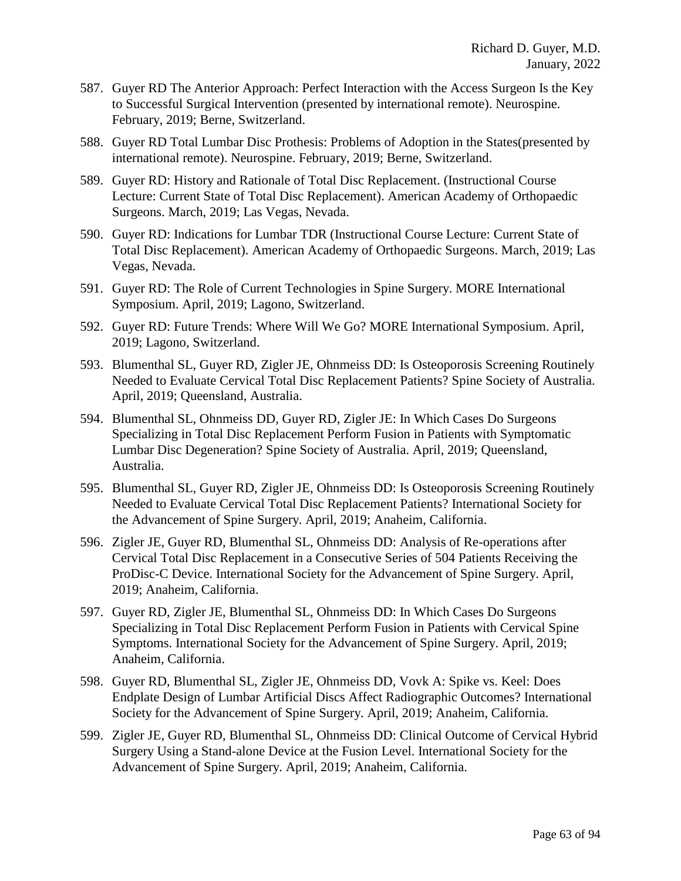- 587. Guyer RD The Anterior Approach: Perfect Interaction with the Access Surgeon Is the Key to Successful Surgical Intervention (presented by international remote). Neurospine. February, 2019; Berne, Switzerland.
- 588. Guyer RD Total Lumbar Disc Prothesis: Problems of Adoption in the States(presented by international remote). Neurospine. February, 2019; Berne, Switzerland.
- 589. Guyer RD: History and Rationale of Total Disc Replacement. (Instructional Course Lecture: Current State of Total Disc Replacement). American Academy of Orthopaedic Surgeons. March, 2019; Las Vegas, Nevada.
- 590. Guyer RD: Indications for Lumbar TDR (Instructional Course Lecture: Current State of Total Disc Replacement). American Academy of Orthopaedic Surgeons. March, 2019; Las Vegas, Nevada.
- 591. Guyer RD: The Role of Current Technologies in Spine Surgery. MORE International Symposium. April, 2019; Lagono, Switzerland.
- 592. Guyer RD: Future Trends: Where Will We Go? MORE International Symposium. April, 2019; Lagono, Switzerland.
- 593. Blumenthal SL, Guyer RD, Zigler JE, Ohnmeiss DD: Is Osteoporosis Screening Routinely Needed to Evaluate Cervical Total Disc Replacement Patients? Spine Society of Australia. April, 2019; Queensland, Australia.
- 594. Blumenthal SL, Ohnmeiss DD, Guyer RD, Zigler JE: In Which Cases Do Surgeons Specializing in Total Disc Replacement Perform Fusion in Patients with Symptomatic Lumbar Disc Degeneration? Spine Society of Australia. April, 2019; Queensland, Australia.
- 595. Blumenthal SL, Guyer RD, Zigler JE, Ohnmeiss DD: Is Osteoporosis Screening Routinely Needed to Evaluate Cervical Total Disc Replacement Patients? International Society for the Advancement of Spine Surgery. April, 2019; Anaheim, California.
- 596. Zigler JE, Guyer RD, Blumenthal SL, Ohnmeiss DD: Analysis of Re-operations after Cervical Total Disc Replacement in a Consecutive Series of 504 Patients Receiving the ProDisc-C Device. International Society for the Advancement of Spine Surgery. April, 2019; Anaheim, California.
- 597. Guyer RD, Zigler JE, Blumenthal SL, Ohnmeiss DD: In Which Cases Do Surgeons Specializing in Total Disc Replacement Perform Fusion in Patients with Cervical Spine Symptoms. International Society for the Advancement of Spine Surgery. April, 2019; Anaheim, California.
- 598. Guyer RD, Blumenthal SL, Zigler JE, Ohnmeiss DD, Vovk A: Spike vs. Keel: Does Endplate Design of Lumbar Artificial Discs Affect Radiographic Outcomes? International Society for the Advancement of Spine Surgery. April, 2019; Anaheim, California.
- 599. Zigler JE, Guyer RD, Blumenthal SL, Ohnmeiss DD: Clinical Outcome of Cervical Hybrid Surgery Using a Stand-alone Device at the Fusion Level. International Society for the Advancement of Spine Surgery. April, 2019; Anaheim, California.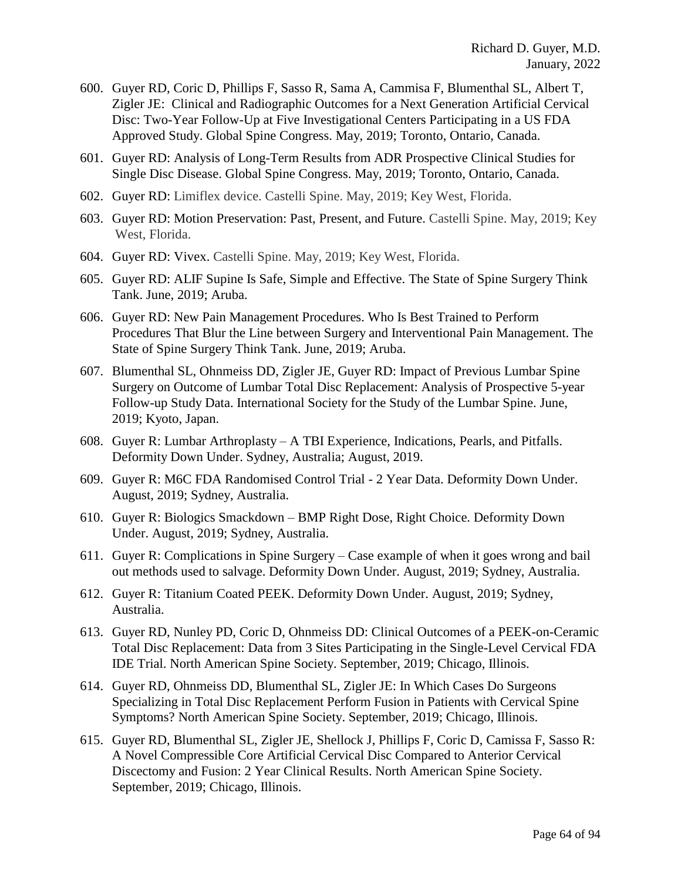- 600. Guyer RD, Coric D, Phillips F, Sasso R, Sama A, Cammisa F, Blumenthal SL, Albert T, Zigler JE: Clinical and Radiographic Outcomes for a Next Generation Artificial Cervical Disc: Two-Year Follow-Up at Five Investigational Centers Participating in a US FDA Approved Study. Global Spine Congress. May, 2019; Toronto, Ontario, Canada.
- 601. Guyer RD: Analysis of Long-Term Results from ADR Prospective Clinical Studies for Single Disc Disease. Global Spine Congress. May, 2019; Toronto, Ontario, Canada.
- 602. Guyer RD: Limiflex device. Castelli Spine. May, 2019; Key West, Florida.
- 603. Guyer RD: Motion Preservation: Past, Present, and Future. Castelli Spine. May, 2019; Key West, Florida.
- 604. Guyer RD: Vivex. Castelli Spine. May, 2019; Key West, Florida.
- 605. Guyer RD: ALIF Supine Is Safe, Simple and Effective. The State of Spine Surgery Think Tank. June, 2019; Aruba.
- 606. Guyer RD: New Pain Management Procedures. Who Is Best Trained to Perform Procedures That Blur the Line between Surgery and Interventional Pain Management. The State of Spine Surgery Think Tank. June, 2019; Aruba.
- 607. Blumenthal SL, Ohnmeiss DD, Zigler JE, Guyer RD: Impact of Previous Lumbar Spine Surgery on Outcome of Lumbar Total Disc Replacement: Analysis of Prospective 5-year Follow-up Study Data. International Society for the Study of the Lumbar Spine. June, 2019; Kyoto, Japan.
- 608. Guyer R: Lumbar Arthroplasty A TBI Experience, Indications, Pearls, and Pitfalls. Deformity Down Under. Sydney, Australia; August, 2019.
- 609. Guyer R: M6C FDA Randomised Control Trial 2 Year Data. Deformity Down Under. August, 2019; Sydney, Australia.
- 610. Guyer R: Biologics Smackdown BMP Right Dose, Right Choice. Deformity Down Under. August, 2019; Sydney, Australia.
- 611. Guyer R: Complications in Spine Surgery Case example of when it goes wrong and bail out methods used to salvage. Deformity Down Under. August, 2019; Sydney, Australia.
- 612. Guyer R: Titanium Coated PEEK. Deformity Down Under. August, 2019; Sydney, Australia.
- 613. Guyer RD, Nunley PD, Coric D, Ohnmeiss DD: Clinical Outcomes of a PEEK-on-Ceramic Total Disc Replacement: Data from 3 Sites Participating in the Single-Level Cervical FDA IDE Trial. North American Spine Society. September, 2019; Chicago, Illinois.
- 614. Guyer RD, Ohnmeiss DD, Blumenthal SL, Zigler JE: In Which Cases Do Surgeons Specializing in Total Disc Replacement Perform Fusion in Patients with Cervical Spine Symptoms? North American Spine Society. September, 2019; Chicago, Illinois.
- 615. Guyer RD, Blumenthal SL, Zigler JE, Shellock J, Phillips F, Coric D, Camissa F, Sasso R: A Novel Compressible Core Artificial Cervical Disc Compared to Anterior Cervical Discectomy and Fusion: 2 Year Clinical Results. North American Spine Society. September, 2019; Chicago, Illinois.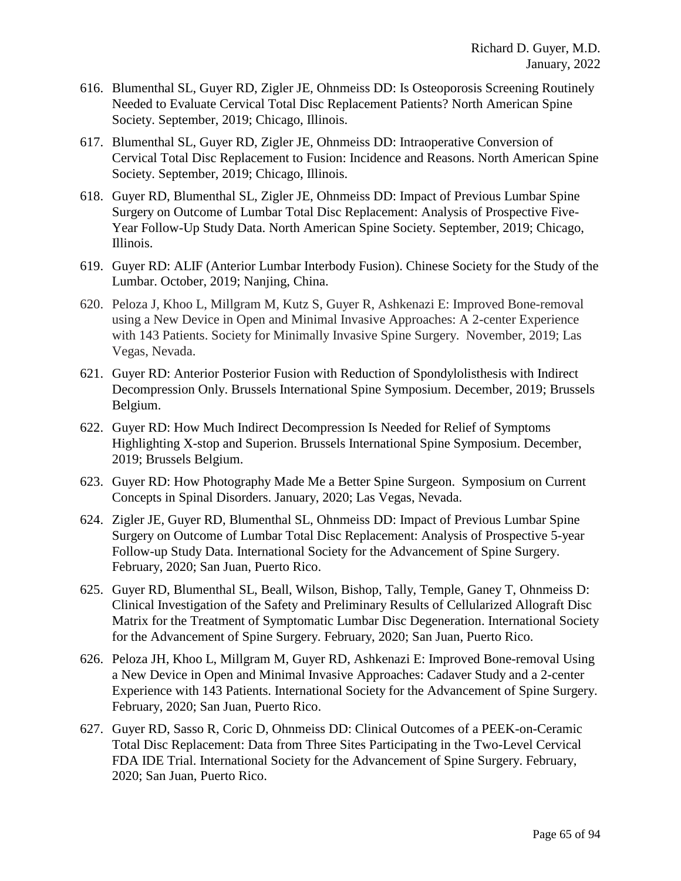- 616. Blumenthal SL, Guyer RD, Zigler JE, Ohnmeiss DD: Is Osteoporosis Screening Routinely Needed to Evaluate Cervical Total Disc Replacement Patients? North American Spine Society. September, 2019; Chicago, Illinois.
- 617. Blumenthal SL, Guyer RD, Zigler JE, Ohnmeiss DD: Intraoperative Conversion of Cervical Total Disc Replacement to Fusion: Incidence and Reasons. North American Spine Society. September, 2019; Chicago, Illinois.
- 618. Guyer RD, Blumenthal SL, Zigler JE, Ohnmeiss DD: Impact of Previous Lumbar Spine Surgery on Outcome of Lumbar Total Disc Replacement: Analysis of Prospective Five-Year Follow-Up Study Data. North American Spine Society. September, 2019; Chicago, Illinois.
- 619. Guyer RD: ALIF (Anterior Lumbar Interbody Fusion). Chinese Society for the Study of the Lumbar. October, 2019; Nanjing, China.
- 620. Peloza J, Khoo L, Millgram M, Kutz S, Guyer R, Ashkenazi E: Improved Bone-removal using a New Device in Open and Minimal Invasive Approaches: A 2-center Experience with 143 Patients. Society for Minimally Invasive Spine Surgery. November, 2019; Las Vegas, Nevada.
- 621. Guyer RD: Anterior Posterior Fusion with Reduction of Spondylolisthesis with Indirect Decompression Only. Brussels International Spine Symposium. December, 2019; Brussels Belgium.
- 622. Guyer RD: How Much Indirect Decompression Is Needed for Relief of Symptoms Highlighting X-stop and Superion. Brussels International Spine Symposium. December, 2019; Brussels Belgium.
- 623. Guyer RD: How Photography Made Me a Better Spine Surgeon. Symposium on Current Concepts in Spinal Disorders. January, 2020; Las Vegas, Nevada.
- 624. Zigler JE, Guyer RD, Blumenthal SL, Ohnmeiss DD: Impact of Previous Lumbar Spine Surgery on Outcome of Lumbar Total Disc Replacement: Analysis of Prospective 5-year Follow-up Study Data. International Society for the Advancement of Spine Surgery. February, 2020; San Juan, Puerto Rico.
- 625. Guyer RD, Blumenthal SL, Beall, Wilson, Bishop, Tally, Temple, Ganey T, Ohnmeiss D: Clinical Investigation of the Safety and Preliminary Results of Cellularized Allograft Disc Matrix for the Treatment of Symptomatic Lumbar Disc Degeneration. International Society for the Advancement of Spine Surgery. February, 2020; San Juan, Puerto Rico.
- 626. Peloza JH, Khoo L, Millgram M, Guyer RD, Ashkenazi E: Improved Bone-removal Using a New Device in Open and Minimal Invasive Approaches: Cadaver Study and a 2-center Experience with 143 Patients. International Society for the Advancement of Spine Surgery. February, 2020; San Juan, Puerto Rico.
- 627. Guyer RD, Sasso R, Coric D, Ohnmeiss DD: Clinical Outcomes of a PEEK-on-Ceramic Total Disc Replacement: Data from Three Sites Participating in the Two-Level Cervical FDA IDE Trial. International Society for the Advancement of Spine Surgery. February, 2020; San Juan, Puerto Rico.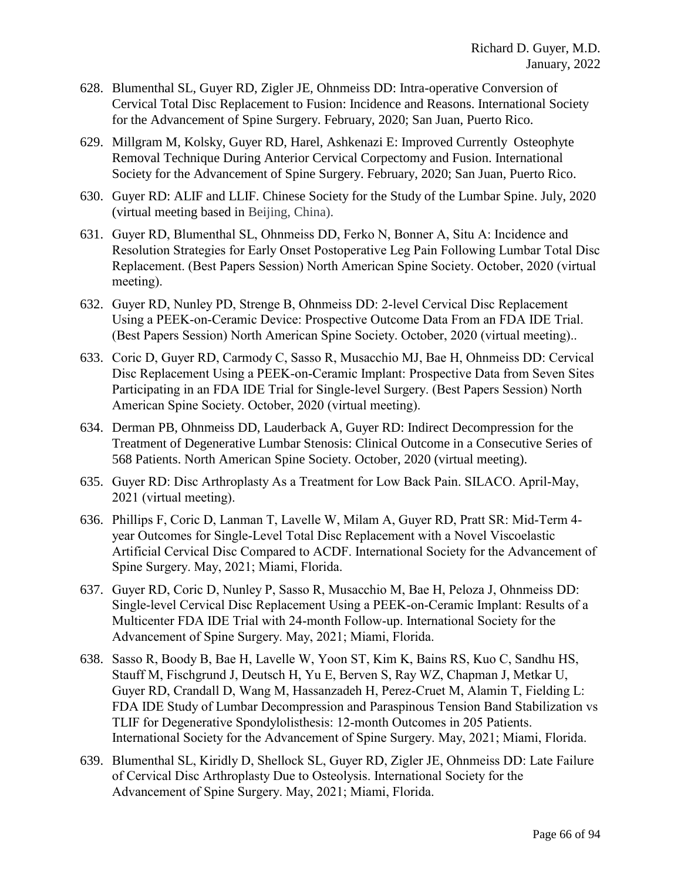- 628. Blumenthal SL, Guyer RD, Zigler JE, Ohnmeiss DD: Intra-operative Conversion of Cervical Total Disc Replacement to Fusion: Incidence and Reasons. International Society for the Advancement of Spine Surgery. February, 2020; San Juan, Puerto Rico.
- 629. Millgram M, Kolsky, Guyer RD, Harel, Ashkenazi E: Improved Currently Osteophyte Removal Technique During Anterior Cervical Corpectomy and Fusion. International Society for the Advancement of Spine Surgery. February, 2020; San Juan, Puerto Rico.
- 630. Guyer RD: ALIF and LLIF. Chinese Society for the Study of the Lumbar Spine. July, 2020 (virtual meeting based in Beijing, China).
- 631. Guyer RD, Blumenthal SL, Ohnmeiss DD, Ferko N, Bonner A, Situ A: Incidence and Resolution Strategies for Early Onset Postoperative Leg Pain Following Lumbar Total Disc Replacement. (Best Papers Session) North American Spine Society. October, 2020 (virtual meeting).
- 632. Guyer RD, Nunley PD, Strenge B, Ohnmeiss DD: 2-level Cervical Disc Replacement Using a PEEK-on-Ceramic Device: Prospective Outcome Data From an FDA IDE Trial. (Best Papers Session) North American Spine Society. October, 2020 (virtual meeting)..
- 633. Coric D, Guyer RD, Carmody C, Sasso R, Musacchio MJ, Bae H, Ohnmeiss DD: Cervical Disc Replacement Using a PEEK-on-Ceramic Implant: Prospective Data from Seven Sites Participating in an FDA IDE Trial for Single-level Surgery. (Best Papers Session) North American Spine Society. October, 2020 (virtual meeting).
- 634. Derman PB, Ohnmeiss DD, Lauderback A, Guyer RD: Indirect Decompression for the Treatment of Degenerative Lumbar Stenosis: Clinical Outcome in a Consecutive Series of 568 Patients. North American Spine Society. October, 2020 (virtual meeting).
- 635. Guyer RD: Disc Arthroplasty As a Treatment for Low Back Pain. SILACO. April-May, 2021 (virtual meeting).
- 636. Phillips F, Coric D, Lanman T, Lavelle W, Milam A, Guyer RD, Pratt SR: Mid-Term 4 year Outcomes for Single-Level Total Disc Replacement with a Novel Viscoelastic Artificial Cervical Disc Compared to ACDF. International Society for the Advancement of Spine Surgery. May, 2021; Miami, Florida.
- 637. Guyer RD, Coric D, Nunley P, Sasso R, Musacchio M, Bae H, Peloza J, Ohnmeiss DD: Single-level Cervical Disc Replacement Using a PEEK-on-Ceramic Implant: Results of a Multicenter FDA IDE Trial with 24-month Follow-up. International Society for the Advancement of Spine Surgery. May, 2021; Miami, Florida.
- 638. Sasso R, Boody B, Bae H, Lavelle W, Yoon ST, Kim K, Bains RS, Kuo C, Sandhu HS, Stauff M, Fischgrund J, Deutsch H, Yu E, Berven S, Ray WZ, Chapman J, Metkar U, Guyer RD, Crandall D, Wang M, Hassanzadeh H, Perez-Cruet M, Alamin T, Fielding L: FDA IDE Study of Lumbar Decompression and Paraspinous Tension Band Stabilization vs TLIF for Degenerative Spondylolisthesis: 12-month Outcomes in 205 Patients. International Society for the Advancement of Spine Surgery. May, 2021; Miami, Florida.
- 639. Blumenthal SL, Kiridly D, Shellock SL, Guyer RD, Zigler JE, Ohnmeiss DD: Late Failure of Cervical Disc Arthroplasty Due to Osteolysis. International Society for the Advancement of Spine Surgery. May, 2021; Miami, Florida.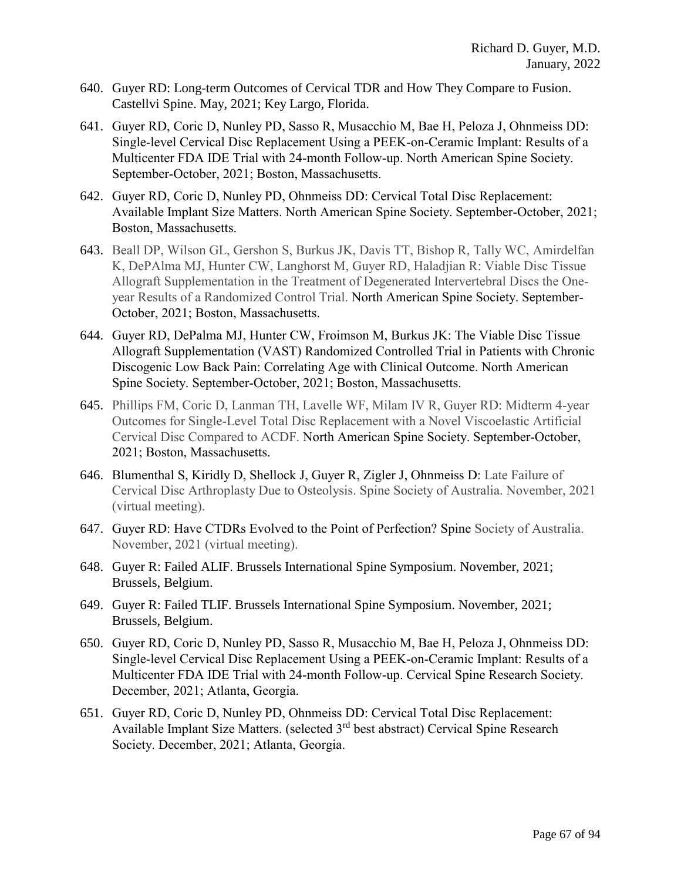- 640. Guyer RD: Long-term Outcomes of Cervical TDR and How They Compare to Fusion. Castellvi Spine. May, 2021; Key Largo, Florida.
- 641. Guyer RD, Coric D, Nunley PD, Sasso R, Musacchio M, Bae H, Peloza J, Ohnmeiss DD: Single-level Cervical Disc Replacement Using a PEEK-on-Ceramic Implant: Results of a Multicenter FDA IDE Trial with 24-month Follow-up. North American Spine Society. September-October, 2021; Boston, Massachusetts.
- 642. Guyer RD, Coric D, Nunley PD, Ohnmeiss DD: Cervical Total Disc Replacement: Available Implant Size Matters. North American Spine Society. September-October, 2021; Boston, Massachusetts.
- 643. Beall DP, Wilson GL, Gershon S, Burkus JK, Davis TT, Bishop R, Tally WC, Amirdelfan K, DePAlma MJ, Hunter CW, Langhorst M, Guyer RD, Haladjian R: Viable Disc Tissue Allograft Supplementation in the Treatment of Degenerated Intervertebral Discs the Oneyear Results of a Randomized Control Trial. North American Spine Society. September-October, 2021; Boston, Massachusetts.
- 644. Guyer RD, DePalma MJ, Hunter CW, Froimson M, Burkus JK: The Viable Disc Tissue Allograft Supplementation (VAST) Randomized Controlled Trial in Patients with Chronic Discogenic Low Back Pain: Correlating Age with Clinical Outcome. North American Spine Society. September-October, 2021; Boston, Massachusetts.
- 645. Phillips FM, Coric D, Lanman TH, Lavelle WF, Milam IV R, Guyer RD: Midterm 4-year Outcomes for Single-Level Total Disc Replacement with a Novel Viscoelastic Artificial Cervical Disc Compared to ACDF. North American Spine Society. September-October, 2021; Boston, Massachusetts.
- 646. Blumenthal S, Kiridly D, Shellock J, Guyer R, Zigler J, Ohnmeiss D: Late Failure of Cervical Disc Arthroplasty Due to Osteolysis. Spine Society of Australia. November, 2021 (virtual meeting).
- 647. Guyer RD: Have CTDRs Evolved to the Point of Perfection? Spine Society of Australia. November, 2021 (virtual meeting).
- 648. Guyer R: Failed ALIF. Brussels International Spine Symposium. November, 2021; Brussels, Belgium.
- 649. Guyer R: Failed TLIF. Brussels International Spine Symposium. November, 2021; Brussels, Belgium.
- 650. Guyer RD, Coric D, Nunley PD, Sasso R, Musacchio M, Bae H, Peloza J, Ohnmeiss DD: Single-level Cervical Disc Replacement Using a PEEK-on-Ceramic Implant: Results of a Multicenter FDA IDE Trial with 24-month Follow-up. Cervical Spine Research Society. December, 2021; Atlanta, Georgia.
- 651. Guyer RD, Coric D, Nunley PD, Ohnmeiss DD: Cervical Total Disc Replacement: Available Implant Size Matters. (selected 3rd best abstract) Cervical Spine Research Society. December, 2021; Atlanta, Georgia.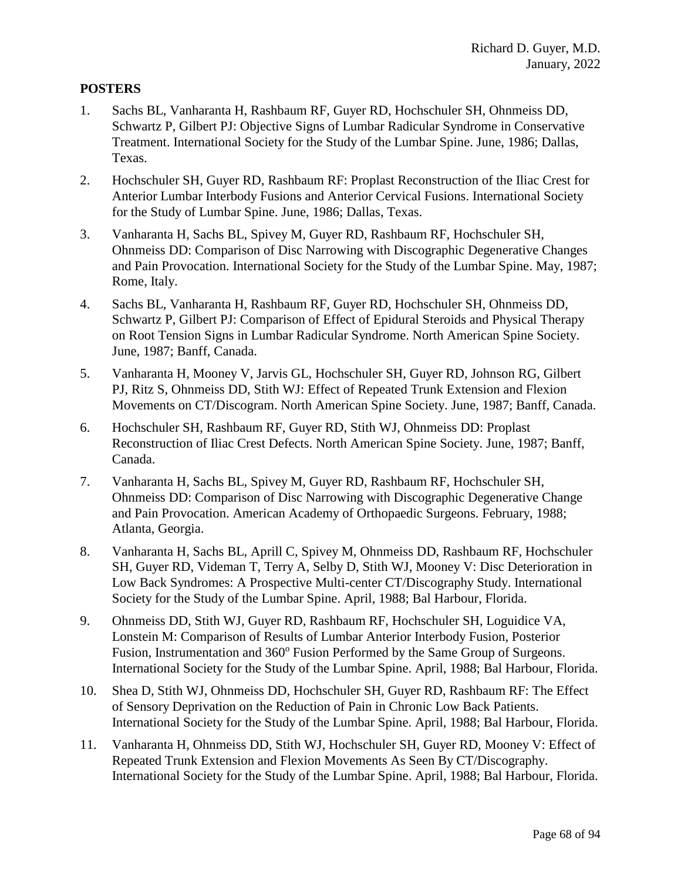## **POSTERS**

- 1. Sachs BL, Vanharanta H, Rashbaum RF, Guyer RD, Hochschuler SH, Ohnmeiss DD, Schwartz P, Gilbert PJ: Objective Signs of Lumbar Radicular Syndrome in Conservative Treatment. International Society for the Study of the Lumbar Spine. June, 1986; Dallas, Texas.
- 2. Hochschuler SH, Guyer RD, Rashbaum RF: Proplast Reconstruction of the Iliac Crest for Anterior Lumbar Interbody Fusions and Anterior Cervical Fusions. International Society for the Study of Lumbar Spine. June, 1986; Dallas, Texas.
- 3. Vanharanta H, Sachs BL, Spivey M, Guyer RD, Rashbaum RF, Hochschuler SH, Ohnmeiss DD: Comparison of Disc Narrowing with Discographic Degenerative Changes and Pain Provocation. International Society for the Study of the Lumbar Spine. May, 1987; Rome, Italy.
- 4. Sachs BL, Vanharanta H, Rashbaum RF, Guyer RD, Hochschuler SH, Ohnmeiss DD, Schwartz P, Gilbert PJ: Comparison of Effect of Epidural Steroids and Physical Therapy on Root Tension Signs in Lumbar Radicular Syndrome. North American Spine Society. June, 1987; Banff, Canada.
- 5. Vanharanta H, Mooney V, Jarvis GL, Hochschuler SH, Guyer RD, Johnson RG, Gilbert PJ, Ritz S, Ohnmeiss DD, Stith WJ: Effect of Repeated Trunk Extension and Flexion Movements on CT/Discogram. North American Spine Society. June, 1987; Banff, Canada.
- 6. Hochschuler SH, Rashbaum RF, Guyer RD, Stith WJ, Ohnmeiss DD: Proplast Reconstruction of Iliac Crest Defects. North American Spine Society. June, 1987; Banff, Canada.
- 7. Vanharanta H, Sachs BL, Spivey M, Guyer RD, Rashbaum RF, Hochschuler SH, Ohnmeiss DD: Comparison of Disc Narrowing with Discographic Degenerative Change and Pain Provocation. American Academy of Orthopaedic Surgeons. February, 1988; Atlanta, Georgia.
- 8. Vanharanta H, Sachs BL, Aprill C, Spivey M, Ohnmeiss DD, Rashbaum RF, Hochschuler SH, Guyer RD, Videman T, Terry A, Selby D, Stith WJ, Mooney V: Disc Deterioration in Low Back Syndromes: A Prospective Multi-center CT/Discography Study. International Society for the Study of the Lumbar Spine. April, 1988; Bal Harbour, Florida.
- 9. Ohnmeiss DD, Stith WJ, Guyer RD, Rashbaum RF, Hochschuler SH, Loguidice VA, Lonstein M: Comparison of Results of Lumbar Anterior Interbody Fusion, Posterior Fusion, Instrumentation and 360° Fusion Performed by the Same Group of Surgeons. International Society for the Study of the Lumbar Spine. April, 1988; Bal Harbour, Florida.
- 10. Shea D, Stith WJ, Ohnmeiss DD, Hochschuler SH, Guyer RD, Rashbaum RF: The Effect of Sensory Deprivation on the Reduction of Pain in Chronic Low Back Patients. International Society for the Study of the Lumbar Spine. April, 1988; Bal Harbour, Florida.
- 11. Vanharanta H, Ohnmeiss DD, Stith WJ, Hochschuler SH, Guyer RD, Mooney V: Effect of Repeated Trunk Extension and Flexion Movements As Seen By CT/Discography. International Society for the Study of the Lumbar Spine. April, 1988; Bal Harbour, Florida.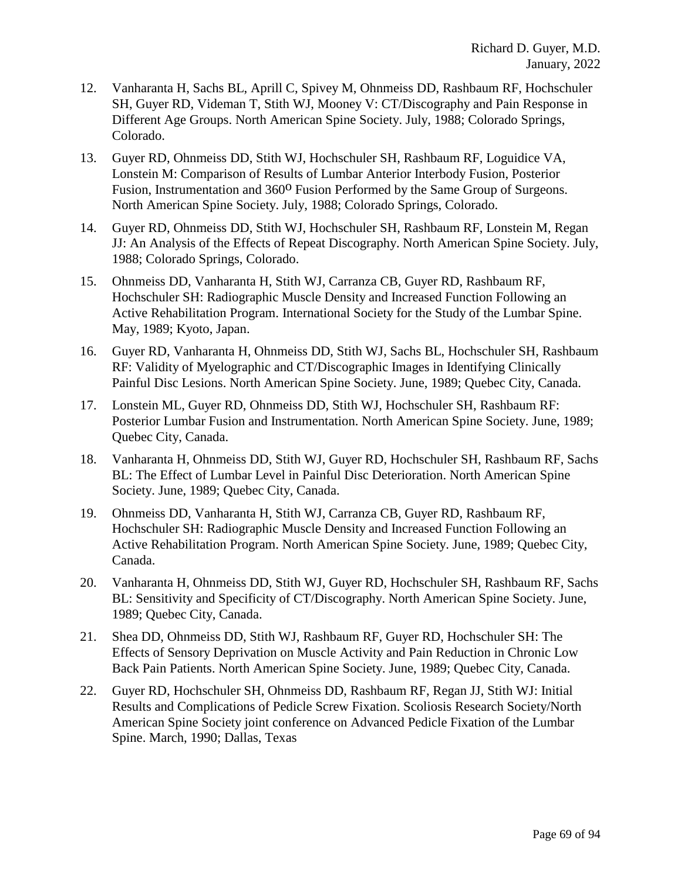- 12. Vanharanta H, Sachs BL, Aprill C, Spivey M, Ohnmeiss DD, Rashbaum RF, Hochschuler SH, Guyer RD, Videman T, Stith WJ, Mooney V: CT/Discography and Pain Response in Different Age Groups. North American Spine Society. July, 1988; Colorado Springs, Colorado.
- 13. Guyer RD, Ohnmeiss DD, Stith WJ, Hochschuler SH, Rashbaum RF, Loguidice VA, Lonstein M: Comparison of Results of Lumbar Anterior Interbody Fusion, Posterior Fusion, Instrumentation and 360<sup>o</sup> Fusion Performed by the Same Group of Surgeons. North American Spine Society. July, 1988; Colorado Springs, Colorado.
- 14. Guyer RD, Ohnmeiss DD, Stith WJ, Hochschuler SH, Rashbaum RF, Lonstein M, Regan JJ: An Analysis of the Effects of Repeat Discography. North American Spine Society. July, 1988; Colorado Springs, Colorado.
- 15. Ohnmeiss DD, Vanharanta H, Stith WJ, Carranza CB, Guyer RD, Rashbaum RF, Hochschuler SH: Radiographic Muscle Density and Increased Function Following an Active Rehabilitation Program. International Society for the Study of the Lumbar Spine. May, 1989; Kyoto, Japan.
- 16. Guyer RD, Vanharanta H, Ohnmeiss DD, Stith WJ, Sachs BL, Hochschuler SH, Rashbaum RF: Validity of Myelographic and CT/Discographic Images in Identifying Clinically Painful Disc Lesions. North American Spine Society. June, 1989; Quebec City, Canada.
- 17. Lonstein ML, Guyer RD, Ohnmeiss DD, Stith WJ, Hochschuler SH, Rashbaum RF: Posterior Lumbar Fusion and Instrumentation. North American Spine Society. June, 1989; Quebec City, Canada.
- 18. Vanharanta H, Ohnmeiss DD, Stith WJ, Guyer RD, Hochschuler SH, Rashbaum RF, Sachs BL: The Effect of Lumbar Level in Painful Disc Deterioration. North American Spine Society. June, 1989; Quebec City, Canada.
- 19. Ohnmeiss DD, Vanharanta H, Stith WJ, Carranza CB, Guyer RD, Rashbaum RF, Hochschuler SH: Radiographic Muscle Density and Increased Function Following an Active Rehabilitation Program. North American Spine Society. June, 1989; Quebec City, Canada.
- 20. Vanharanta H, Ohnmeiss DD, Stith WJ, Guyer RD, Hochschuler SH, Rashbaum RF, Sachs BL: Sensitivity and Specificity of CT/Discography. North American Spine Society. June, 1989; Quebec City, Canada.
- 21. Shea DD, Ohnmeiss DD, Stith WJ, Rashbaum RF, Guyer RD, Hochschuler SH: The Effects of Sensory Deprivation on Muscle Activity and Pain Reduction in Chronic Low Back Pain Patients. North American Spine Society. June, 1989; Quebec City, Canada.
- 22. Guyer RD, Hochschuler SH, Ohnmeiss DD, Rashbaum RF, Regan JJ, Stith WJ: Initial Results and Complications of Pedicle Screw Fixation. Scoliosis Research Society/North American Spine Society joint conference on Advanced Pedicle Fixation of the Lumbar Spine. March, 1990; Dallas, Texas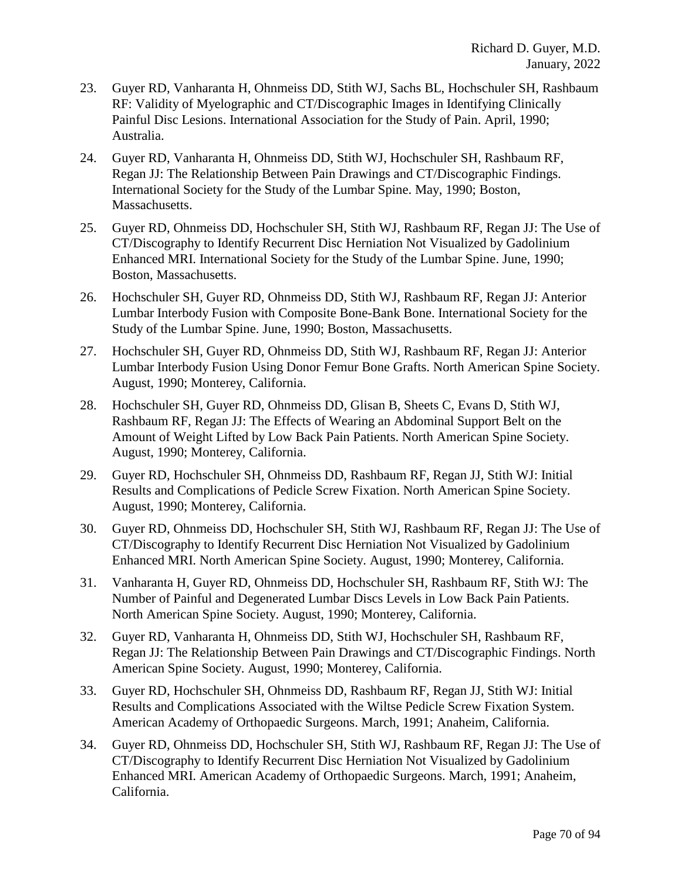- 23. Guyer RD, Vanharanta H, Ohnmeiss DD, Stith WJ, Sachs BL, Hochschuler SH, Rashbaum RF: Validity of Myelographic and CT/Discographic Images in Identifying Clinically Painful Disc Lesions. International Association for the Study of Pain. April, 1990; Australia.
- 24. Guyer RD, Vanharanta H, Ohnmeiss DD, Stith WJ, Hochschuler SH, Rashbaum RF, Regan JJ: The Relationship Between Pain Drawings and CT/Discographic Findings. International Society for the Study of the Lumbar Spine. May, 1990; Boston, Massachusetts.
- 25. Guyer RD, Ohnmeiss DD, Hochschuler SH, Stith WJ, Rashbaum RF, Regan JJ: The Use of CT/Discography to Identify Recurrent Disc Herniation Not Visualized by Gadolinium Enhanced MRI. International Society for the Study of the Lumbar Spine. June, 1990; Boston, Massachusetts.
- 26. Hochschuler SH, Guyer RD, Ohnmeiss DD, Stith WJ, Rashbaum RF, Regan JJ: Anterior Lumbar Interbody Fusion with Composite Bone-Bank Bone. International Society for the Study of the Lumbar Spine. June, 1990; Boston, Massachusetts.
- 27. Hochschuler SH, Guyer RD, Ohnmeiss DD, Stith WJ, Rashbaum RF, Regan JJ: Anterior Lumbar Interbody Fusion Using Donor Femur Bone Grafts. North American Spine Society. August, 1990; Monterey, California.
- 28. Hochschuler SH, Guyer RD, Ohnmeiss DD, Glisan B, Sheets C, Evans D, Stith WJ, Rashbaum RF, Regan JJ: The Effects of Wearing an Abdominal Support Belt on the Amount of Weight Lifted by Low Back Pain Patients. North American Spine Society. August, 1990; Monterey, California.
- 29. Guyer RD, Hochschuler SH, Ohnmeiss DD, Rashbaum RF, Regan JJ, Stith WJ: Initial Results and Complications of Pedicle Screw Fixation. North American Spine Society. August, 1990; Monterey, California.
- 30. Guyer RD, Ohnmeiss DD, Hochschuler SH, Stith WJ, Rashbaum RF, Regan JJ: The Use of CT/Discography to Identify Recurrent Disc Herniation Not Visualized by Gadolinium Enhanced MRI. North American Spine Society. August, 1990; Monterey, California.
- 31. Vanharanta H, Guyer RD, Ohnmeiss DD, Hochschuler SH, Rashbaum RF, Stith WJ: The Number of Painful and Degenerated Lumbar Discs Levels in Low Back Pain Patients. North American Spine Society. August, 1990; Monterey, California.
- 32. Guyer RD, Vanharanta H, Ohnmeiss DD, Stith WJ, Hochschuler SH, Rashbaum RF, Regan JJ: The Relationship Between Pain Drawings and CT/Discographic Findings. North American Spine Society. August, 1990; Monterey, California.
- 33. Guyer RD, Hochschuler SH, Ohnmeiss DD, Rashbaum RF, Regan JJ, Stith WJ: Initial Results and Complications Associated with the Wiltse Pedicle Screw Fixation System. American Academy of Orthopaedic Surgeons. March, 1991; Anaheim, California.
- 34. Guyer RD, Ohnmeiss DD, Hochschuler SH, Stith WJ, Rashbaum RF, Regan JJ: The Use of CT/Discography to Identify Recurrent Disc Herniation Not Visualized by Gadolinium Enhanced MRI. American Academy of Orthopaedic Surgeons. March, 1991; Anaheim, California.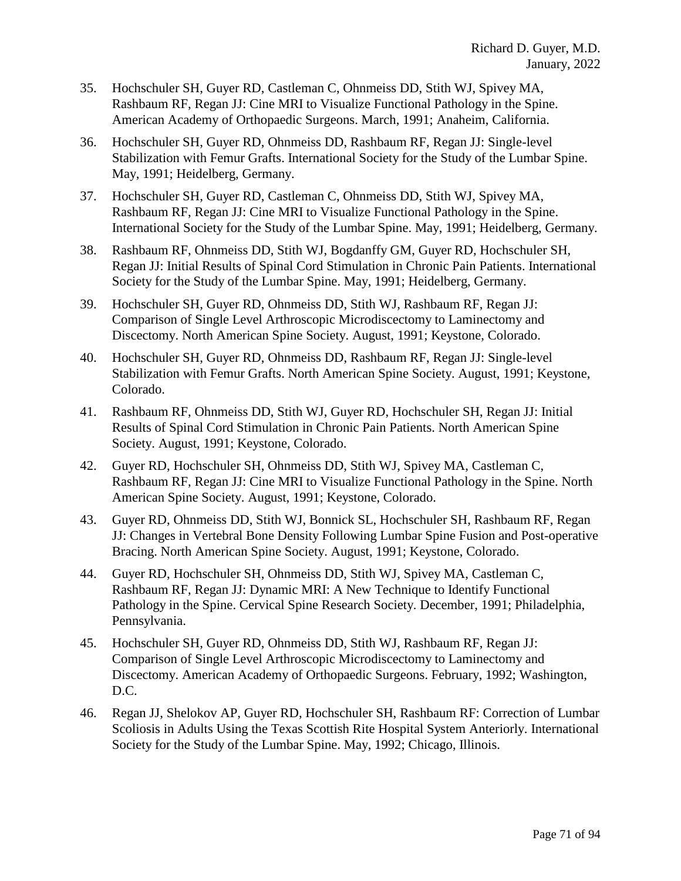- 35. Hochschuler SH, Guyer RD, Castleman C, Ohnmeiss DD, Stith WJ, Spivey MA, Rashbaum RF, Regan JJ: Cine MRI to Visualize Functional Pathology in the Spine. American Academy of Orthopaedic Surgeons. March, 1991; Anaheim, California.
- 36. Hochschuler SH, Guyer RD, Ohnmeiss DD, Rashbaum RF, Regan JJ: Single-level Stabilization with Femur Grafts. International Society for the Study of the Lumbar Spine. May, 1991; Heidelberg, Germany.
- 37. Hochschuler SH, Guyer RD, Castleman C, Ohnmeiss DD, Stith WJ, Spivey MA, Rashbaum RF, Regan JJ: Cine MRI to Visualize Functional Pathology in the Spine. International Society for the Study of the Lumbar Spine. May, 1991; Heidelberg, Germany.
- 38. Rashbaum RF, Ohnmeiss DD, Stith WJ, Bogdanffy GM, Guyer RD, Hochschuler SH, Regan JJ: Initial Results of Spinal Cord Stimulation in Chronic Pain Patients. International Society for the Study of the Lumbar Spine. May, 1991; Heidelberg, Germany.
- 39. Hochschuler SH, Guyer RD, Ohnmeiss DD, Stith WJ, Rashbaum RF, Regan JJ: Comparison of Single Level Arthroscopic Microdiscectomy to Laminectomy and Discectomy. North American Spine Society. August, 1991; Keystone, Colorado.
- 40. Hochschuler SH, Guyer RD, Ohnmeiss DD, Rashbaum RF, Regan JJ: Single-level Stabilization with Femur Grafts. North American Spine Society. August, 1991; Keystone, Colorado.
- 41. Rashbaum RF, Ohnmeiss DD, Stith WJ, Guyer RD, Hochschuler SH, Regan JJ: Initial Results of Spinal Cord Stimulation in Chronic Pain Patients. North American Spine Society. August, 1991; Keystone, Colorado.
- 42. Guyer RD, Hochschuler SH, Ohnmeiss DD, Stith WJ, Spivey MA, Castleman C, Rashbaum RF, Regan JJ: Cine MRI to Visualize Functional Pathology in the Spine. North American Spine Society. August, 1991; Keystone, Colorado.
- 43. Guyer RD, Ohnmeiss DD, Stith WJ, Bonnick SL, Hochschuler SH, Rashbaum RF, Regan JJ: Changes in Vertebral Bone Density Following Lumbar Spine Fusion and Post-operative Bracing. North American Spine Society. August, 1991; Keystone, Colorado.
- 44. Guyer RD, Hochschuler SH, Ohnmeiss DD, Stith WJ, Spivey MA, Castleman C, Rashbaum RF, Regan JJ: Dynamic MRI: A New Technique to Identify Functional Pathology in the Spine. Cervical Spine Research Society. December, 1991; Philadelphia, Pennsylvania.
- 45. Hochschuler SH, Guyer RD, Ohnmeiss DD, Stith WJ, Rashbaum RF, Regan JJ: Comparison of Single Level Arthroscopic Microdiscectomy to Laminectomy and Discectomy. American Academy of Orthopaedic Surgeons. February, 1992; Washington, D.C.
- 46. Regan JJ, Shelokov AP, Guyer RD, Hochschuler SH, Rashbaum RF: Correction of Lumbar Scoliosis in Adults Using the Texas Scottish Rite Hospital System Anteriorly. International Society for the Study of the Lumbar Spine. May, 1992; Chicago, Illinois.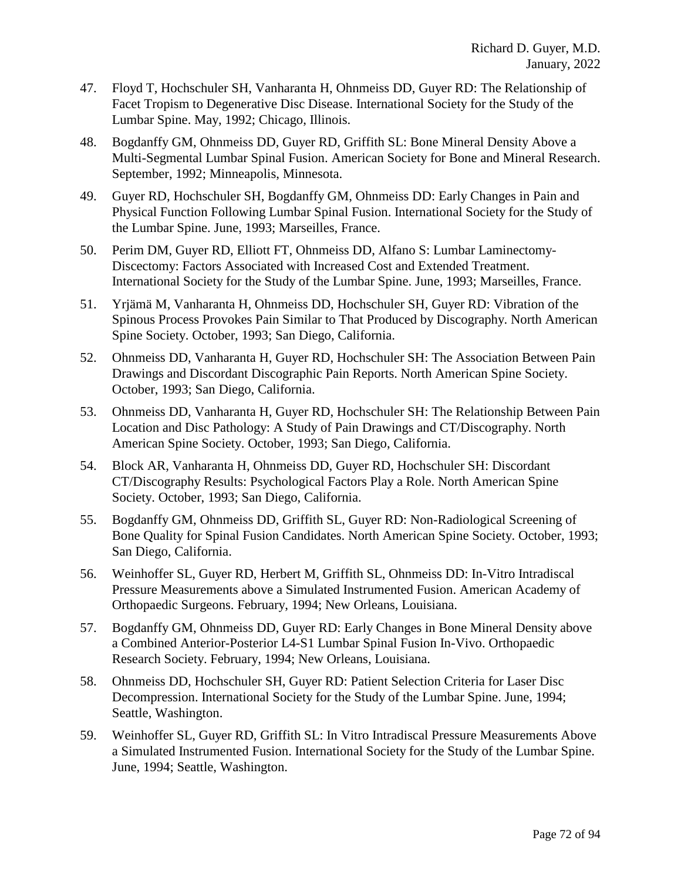- 47. Floyd T, Hochschuler SH, Vanharanta H, Ohnmeiss DD, Guyer RD: The Relationship of Facet Tropism to Degenerative Disc Disease. International Society for the Study of the Lumbar Spine. May, 1992; Chicago, Illinois.
- 48. Bogdanffy GM, Ohnmeiss DD, Guyer RD, Griffith SL: Bone Mineral Density Above a Multi-Segmental Lumbar Spinal Fusion. American Society for Bone and Mineral Research. September, 1992; Minneapolis, Minnesota.
- 49. Guyer RD, Hochschuler SH, Bogdanffy GM, Ohnmeiss DD: Early Changes in Pain and Physical Function Following Lumbar Spinal Fusion. International Society for the Study of the Lumbar Spine. June, 1993; Marseilles, France.
- 50. Perim DM, Guyer RD, Elliott FT, Ohnmeiss DD, Alfano S: Lumbar Laminectomy-Discectomy: Factors Associated with Increased Cost and Extended Treatment. International Society for the Study of the Lumbar Spine. June, 1993; Marseilles, France.
- 51. Yrjämä M, Vanharanta H, Ohnmeiss DD, Hochschuler SH, Guyer RD: Vibration of the Spinous Process Provokes Pain Similar to That Produced by Discography. North American Spine Society. October, 1993; San Diego, California.
- 52. Ohnmeiss DD, Vanharanta H, Guyer RD, Hochschuler SH: The Association Between Pain Drawings and Discordant Discographic Pain Reports. North American Spine Society. October, 1993; San Diego, California.
- 53. Ohnmeiss DD, Vanharanta H, Guyer RD, Hochschuler SH: The Relationship Between Pain Location and Disc Pathology: A Study of Pain Drawings and CT/Discography. North American Spine Society. October, 1993; San Diego, California.
- 54. Block AR, Vanharanta H, Ohnmeiss DD, Guyer RD, Hochschuler SH: Discordant CT/Discography Results: Psychological Factors Play a Role. North American Spine Society. October, 1993; San Diego, California.
- 55. Bogdanffy GM, Ohnmeiss DD, Griffith SL, Guyer RD: Non-Radiological Screening of Bone Quality for Spinal Fusion Candidates. North American Spine Society. October, 1993; San Diego, California.
- 56. Weinhoffer SL, Guyer RD, Herbert M, Griffith SL, Ohnmeiss DD: In-Vitro Intradiscal Pressure Measurements above a Simulated Instrumented Fusion. American Academy of Orthopaedic Surgeons. February, 1994; New Orleans, Louisiana.
- 57. Bogdanffy GM, Ohnmeiss DD, Guyer RD: Early Changes in Bone Mineral Density above a Combined Anterior-Posterior L4-S1 Lumbar Spinal Fusion In-Vivo. Orthopaedic Research Society. February, 1994; New Orleans, Louisiana.
- 58. Ohnmeiss DD, Hochschuler SH, Guyer RD: Patient Selection Criteria for Laser Disc Decompression. International Society for the Study of the Lumbar Spine. June, 1994; Seattle, Washington.
- 59. Weinhoffer SL, Guyer RD, Griffith SL: In Vitro Intradiscal Pressure Measurements Above a Simulated Instrumented Fusion. International Society for the Study of the Lumbar Spine. June, 1994; Seattle, Washington.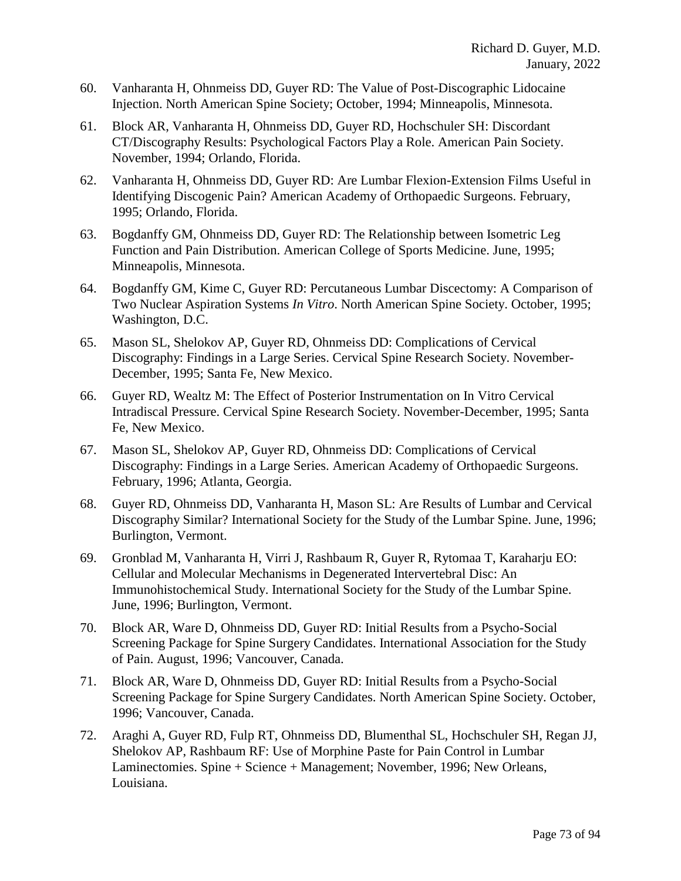- 60. Vanharanta H, Ohnmeiss DD, Guyer RD: The Value of Post-Discographic Lidocaine Injection. North American Spine Society; October, 1994; Minneapolis, Minnesota.
- 61. Block AR, Vanharanta H, Ohnmeiss DD, Guyer RD, Hochschuler SH: Discordant CT/Discography Results: Psychological Factors Play a Role. American Pain Society. November, 1994; Orlando, Florida.
- 62. Vanharanta H, Ohnmeiss DD, Guyer RD: Are Lumbar Flexion-Extension Films Useful in Identifying Discogenic Pain? American Academy of Orthopaedic Surgeons. February, 1995; Orlando, Florida.
- 63. Bogdanffy GM, Ohnmeiss DD, Guyer RD: The Relationship between Isometric Leg Function and Pain Distribution. American College of Sports Medicine. June, 1995; Minneapolis, Minnesota.
- 64. Bogdanffy GM, Kime C, Guyer RD: Percutaneous Lumbar Discectomy: A Comparison of Two Nuclear Aspiration Systems *In Vitro*. North American Spine Society. October, 1995; Washington, D.C.
- 65. Mason SL, Shelokov AP, Guyer RD, Ohnmeiss DD: Complications of Cervical Discography: Findings in a Large Series. Cervical Spine Research Society. November-December, 1995; Santa Fe, New Mexico.
- 66. Guyer RD, Wealtz M: The Effect of Posterior Instrumentation on In Vitro Cervical Intradiscal Pressure. Cervical Spine Research Society. November-December, 1995; Santa Fe, New Mexico.
- 67. Mason SL, Shelokov AP, Guyer RD, Ohnmeiss DD: Complications of Cervical Discography: Findings in a Large Series. American Academy of Orthopaedic Surgeons. February, 1996; Atlanta, Georgia.
- 68. Guyer RD, Ohnmeiss DD, Vanharanta H, Mason SL: Are Results of Lumbar and Cervical Discography Similar? International Society for the Study of the Lumbar Spine. June, 1996; Burlington, Vermont.
- 69. Gronblad M, Vanharanta H, Virri J, Rashbaum R, Guyer R, Rytomaa T, Karaharju EO: Cellular and Molecular Mechanisms in Degenerated Intervertebral Disc: An Immunohistochemical Study. International Society for the Study of the Lumbar Spine. June, 1996; Burlington, Vermont.
- 70. Block AR, Ware D, Ohnmeiss DD, Guyer RD: Initial Results from a Psycho-Social Screening Package for Spine Surgery Candidates. International Association for the Study of Pain. August, 1996; Vancouver, Canada.
- 71. Block AR, Ware D, Ohnmeiss DD, Guyer RD: Initial Results from a Psycho-Social Screening Package for Spine Surgery Candidates. North American Spine Society. October, 1996; Vancouver, Canada.
- 72. Araghi A, Guyer RD, Fulp RT, Ohnmeiss DD, Blumenthal SL, Hochschuler SH, Regan JJ, Shelokov AP, Rashbaum RF: Use of Morphine Paste for Pain Control in Lumbar Laminectomies. Spine + Science + Management; November, 1996; New Orleans, Louisiana.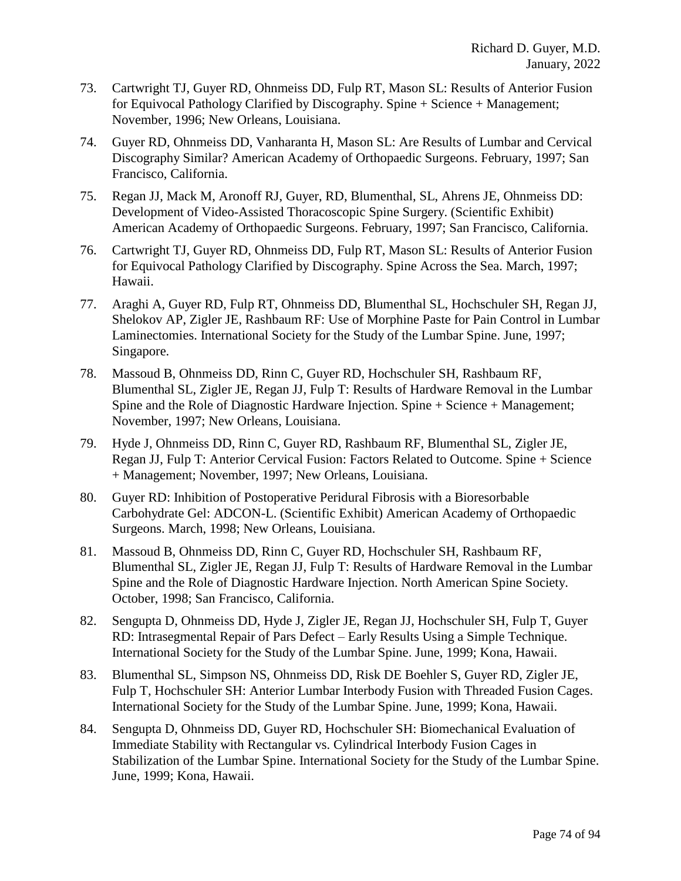- 73. Cartwright TJ, Guyer RD, Ohnmeiss DD, Fulp RT, Mason SL: Results of Anterior Fusion for Equivocal Pathology Clarified by Discography. Spine + Science + Management; November, 1996; New Orleans, Louisiana.
- 74. Guyer RD, Ohnmeiss DD, Vanharanta H, Mason SL: Are Results of Lumbar and Cervical Discography Similar? American Academy of Orthopaedic Surgeons. February, 1997; San Francisco, California.
- 75. Regan JJ, Mack M, Aronoff RJ, Guyer, RD, Blumenthal, SL, Ahrens JE, Ohnmeiss DD: Development of Video-Assisted Thoracoscopic Spine Surgery. (Scientific Exhibit) American Academy of Orthopaedic Surgeons. February, 1997; San Francisco, California.
- 76. Cartwright TJ, Guyer RD, Ohnmeiss DD, Fulp RT, Mason SL: Results of Anterior Fusion for Equivocal Pathology Clarified by Discography. Spine Across the Sea. March, 1997; Hawaii.
- 77. Araghi A, Guyer RD, Fulp RT, Ohnmeiss DD, Blumenthal SL, Hochschuler SH, Regan JJ, Shelokov AP, Zigler JE, Rashbaum RF: Use of Morphine Paste for Pain Control in Lumbar Laminectomies. International Society for the Study of the Lumbar Spine. June, 1997; Singapore.
- 78. Massoud B, Ohnmeiss DD, Rinn C, Guyer RD, Hochschuler SH, Rashbaum RF, Blumenthal SL, Zigler JE, Regan JJ, Fulp T: Results of Hardware Removal in the Lumbar Spine and the Role of Diagnostic Hardware Injection. Spine + Science + Management; November, 1997; New Orleans, Louisiana.
- 79. Hyde J, Ohnmeiss DD, Rinn C, Guyer RD, Rashbaum RF, Blumenthal SL, Zigler JE, Regan JJ, Fulp T: Anterior Cervical Fusion: Factors Related to Outcome. Spine + Science + Management; November, 1997; New Orleans, Louisiana.
- 80. Guyer RD: Inhibition of Postoperative Peridural Fibrosis with a Bioresorbable Carbohydrate Gel: ADCON-L. (Scientific Exhibit) American Academy of Orthopaedic Surgeons. March, 1998; New Orleans, Louisiana.
- 81. Massoud B, Ohnmeiss DD, Rinn C, Guyer RD, Hochschuler SH, Rashbaum RF, Blumenthal SL, Zigler JE, Regan JJ, Fulp T: Results of Hardware Removal in the Lumbar Spine and the Role of Diagnostic Hardware Injection. North American Spine Society. October, 1998; San Francisco, California.
- 82. Sengupta D, Ohnmeiss DD, Hyde J, Zigler JE, Regan JJ, Hochschuler SH, Fulp T, Guyer RD: Intrasegmental Repair of Pars Defect – Early Results Using a Simple Technique. International Society for the Study of the Lumbar Spine. June, 1999; Kona, Hawaii.
- 83. Blumenthal SL, Simpson NS, Ohnmeiss DD, Risk DE Boehler S, Guyer RD, Zigler JE, Fulp T, Hochschuler SH: Anterior Lumbar Interbody Fusion with Threaded Fusion Cages. International Society for the Study of the Lumbar Spine. June, 1999; Kona, Hawaii.
- 84. Sengupta D, Ohnmeiss DD, Guyer RD, Hochschuler SH: Biomechanical Evaluation of Immediate Stability with Rectangular vs. Cylindrical Interbody Fusion Cages in Stabilization of the Lumbar Spine. International Society for the Study of the Lumbar Spine. June, 1999; Kona, Hawaii.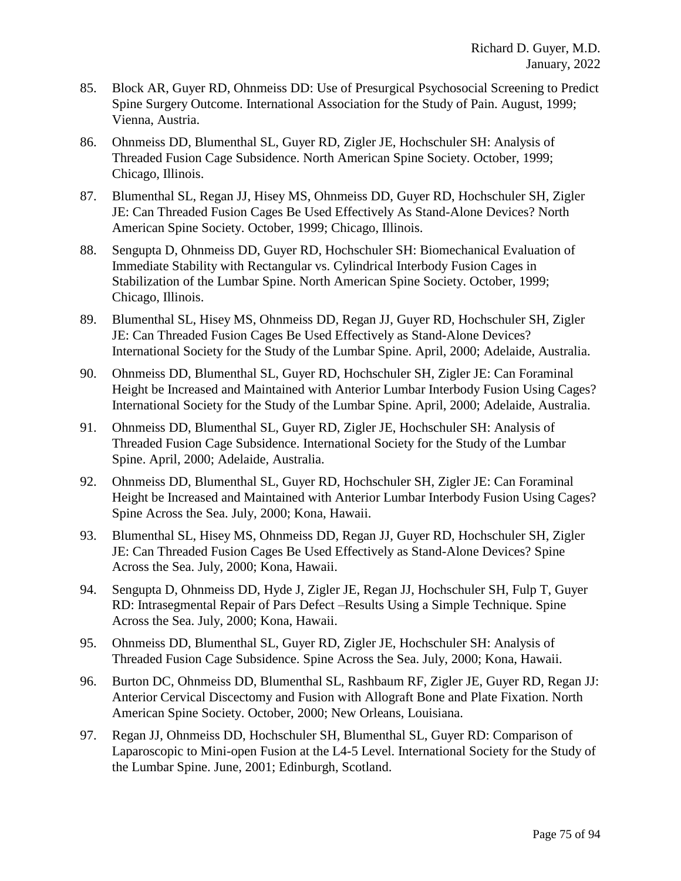- 85. Block AR, Guyer RD, Ohnmeiss DD: Use of Presurgical Psychosocial Screening to Predict Spine Surgery Outcome. International Association for the Study of Pain. August, 1999; Vienna, Austria.
- 86. Ohnmeiss DD, Blumenthal SL, Guyer RD, Zigler JE, Hochschuler SH: Analysis of Threaded Fusion Cage Subsidence. North American Spine Society. October, 1999; Chicago, Illinois.
- 87. Blumenthal SL, Regan JJ, Hisey MS, Ohnmeiss DD, Guyer RD, Hochschuler SH, Zigler JE: Can Threaded Fusion Cages Be Used Effectively As Stand-Alone Devices? North American Spine Society. October, 1999; Chicago, Illinois.
- 88. Sengupta D, Ohnmeiss DD, Guyer RD, Hochschuler SH: Biomechanical Evaluation of Immediate Stability with Rectangular vs. Cylindrical Interbody Fusion Cages in Stabilization of the Lumbar Spine. North American Spine Society. October, 1999; Chicago, Illinois.
- 89. Blumenthal SL, Hisey MS, Ohnmeiss DD, Regan JJ, Guyer RD, Hochschuler SH, Zigler JE: Can Threaded Fusion Cages Be Used Effectively as Stand-Alone Devices? International Society for the Study of the Lumbar Spine. April, 2000; Adelaide, Australia.
- 90. Ohnmeiss DD, Blumenthal SL, Guyer RD, Hochschuler SH, Zigler JE: Can Foraminal Height be Increased and Maintained with Anterior Lumbar Interbody Fusion Using Cages? International Society for the Study of the Lumbar Spine. April, 2000; Adelaide, Australia.
- 91. Ohnmeiss DD, Blumenthal SL, Guyer RD, Zigler JE, Hochschuler SH: Analysis of Threaded Fusion Cage Subsidence. International Society for the Study of the Lumbar Spine. April, 2000; Adelaide, Australia.
- 92. Ohnmeiss DD, Blumenthal SL, Guyer RD, Hochschuler SH, Zigler JE: Can Foraminal Height be Increased and Maintained with Anterior Lumbar Interbody Fusion Using Cages? Spine Across the Sea. July, 2000; Kona, Hawaii.
- 93. Blumenthal SL, Hisey MS, Ohnmeiss DD, Regan JJ, Guyer RD, Hochschuler SH, Zigler JE: Can Threaded Fusion Cages Be Used Effectively as Stand-Alone Devices? Spine Across the Sea. July, 2000; Kona, Hawaii.
- 94. Sengupta D, Ohnmeiss DD, Hyde J, Zigler JE, Regan JJ, Hochschuler SH, Fulp T, Guyer RD: Intrasegmental Repair of Pars Defect –Results Using a Simple Technique. Spine Across the Sea. July, 2000; Kona, Hawaii.
- 95. Ohnmeiss DD, Blumenthal SL, Guyer RD, Zigler JE, Hochschuler SH: Analysis of Threaded Fusion Cage Subsidence. Spine Across the Sea. July, 2000; Kona, Hawaii.
- 96. Burton DC, Ohnmeiss DD, Blumenthal SL, Rashbaum RF, Zigler JE, Guyer RD, Regan JJ: Anterior Cervical Discectomy and Fusion with Allograft Bone and Plate Fixation. North American Spine Society. October, 2000; New Orleans, Louisiana.
- 97. Regan JJ, Ohnmeiss DD, Hochschuler SH, Blumenthal SL, Guyer RD: Comparison of Laparoscopic to Mini-open Fusion at the L4-5 Level. International Society for the Study of the Lumbar Spine. June, 2001; Edinburgh, Scotland.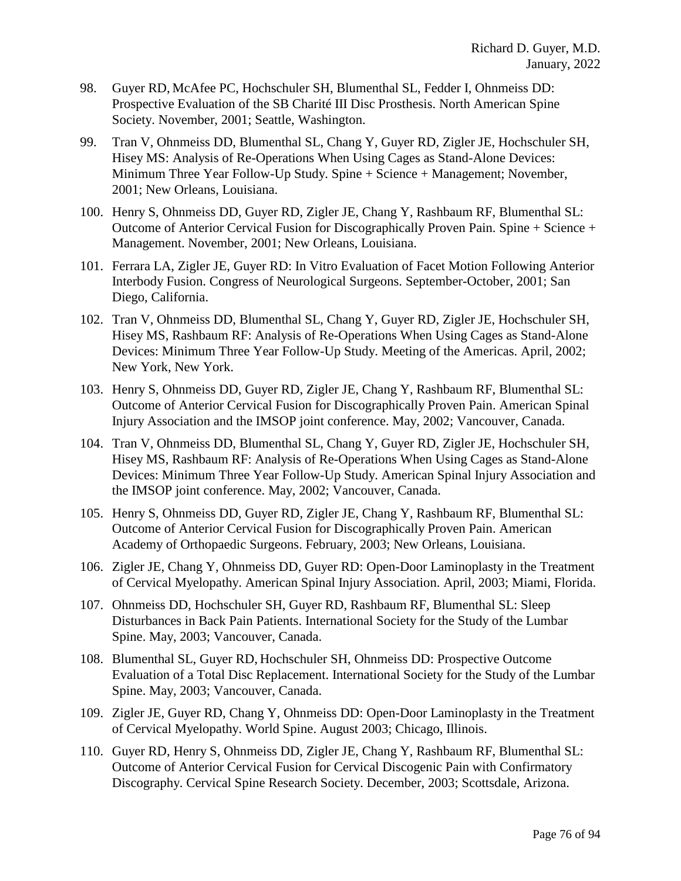- 98. Guyer RD, McAfee PC, Hochschuler SH, Blumenthal SL, Fedder I, Ohnmeiss DD: Prospective Evaluation of the SB Charité III Disc Prosthesis. North American Spine Society. November, 2001; Seattle, Washington.
- 99. Tran V, Ohnmeiss DD, Blumenthal SL, Chang Y, Guyer RD, Zigler JE, Hochschuler SH, Hisey MS: Analysis of Re-Operations When Using Cages as Stand-Alone Devices: Minimum Three Year Follow-Up Study. Spine + Science + Management; November, 2001; New Orleans, Louisiana.
- 100. Henry S, Ohnmeiss DD, Guyer RD, Zigler JE, Chang Y, Rashbaum RF, Blumenthal SL: Outcome of Anterior Cervical Fusion for Discographically Proven Pain. Spine + Science + Management. November, 2001; New Orleans, Louisiana.
- 101. Ferrara LA, Zigler JE, Guyer RD: In Vitro Evaluation of Facet Motion Following Anterior Interbody Fusion. Congress of Neurological Surgeons. September-October, 2001; San Diego, California.
- 102. Tran V, Ohnmeiss DD, Blumenthal SL, Chang Y, Guyer RD, Zigler JE, Hochschuler SH, Hisey MS, Rashbaum RF: Analysis of Re-Operations When Using Cages as Stand-Alone Devices: Minimum Three Year Follow-Up Study. Meeting of the Americas. April, 2002; New York, New York.
- 103. Henry S, Ohnmeiss DD, Guyer RD, Zigler JE, Chang Y, Rashbaum RF, Blumenthal SL: Outcome of Anterior Cervical Fusion for Discographically Proven Pain. American Spinal Injury Association and the IMSOP joint conference. May, 2002; Vancouver, Canada.
- 104. Tran V, Ohnmeiss DD, Blumenthal SL, Chang Y, Guyer RD, Zigler JE, Hochschuler SH, Hisey MS, Rashbaum RF: Analysis of Re-Operations When Using Cages as Stand-Alone Devices: Minimum Three Year Follow-Up Study. American Spinal Injury Association and the IMSOP joint conference. May, 2002; Vancouver, Canada.
- 105. Henry S, Ohnmeiss DD, Guyer RD, Zigler JE, Chang Y, Rashbaum RF, Blumenthal SL: Outcome of Anterior Cervical Fusion for Discographically Proven Pain. American Academy of Orthopaedic Surgeons. February, 2003; New Orleans, Louisiana.
- 106. Zigler JE, Chang Y, Ohnmeiss DD, Guyer RD: Open-Door Laminoplasty in the Treatment of Cervical Myelopathy. American Spinal Injury Association. April, 2003; Miami, Florida.
- 107. Ohnmeiss DD, Hochschuler SH, Guyer RD, Rashbaum RF, Blumenthal SL: Sleep Disturbances in Back Pain Patients. International Society for the Study of the Lumbar Spine. May, 2003; Vancouver, Canada.
- 108. Blumenthal SL, Guyer RD, Hochschuler SH, Ohnmeiss DD: Prospective Outcome Evaluation of a Total Disc Replacement. International Society for the Study of the Lumbar Spine. May, 2003; Vancouver, Canada.
- 109. Zigler JE, Guyer RD, Chang Y, Ohnmeiss DD: Open-Door Laminoplasty in the Treatment of Cervical Myelopathy. World Spine. August 2003; Chicago, Illinois.
- 110. Guyer RD, Henry S, Ohnmeiss DD, Zigler JE, Chang Y, Rashbaum RF, Blumenthal SL: Outcome of Anterior Cervical Fusion for Cervical Discogenic Pain with Confirmatory Discography. Cervical Spine Research Society. December, 2003; Scottsdale, Arizona.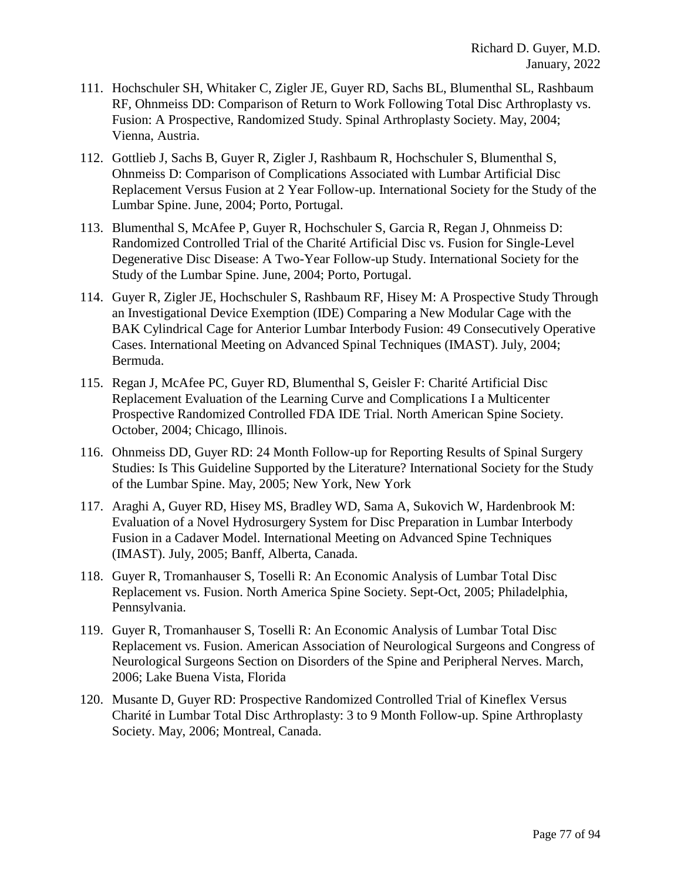- 111. Hochschuler SH, Whitaker C, Zigler JE, Guyer RD, Sachs BL, Blumenthal SL, Rashbaum RF, Ohnmeiss DD: Comparison of Return to Work Following Total Disc Arthroplasty vs. Fusion: A Prospective, Randomized Study. Spinal Arthroplasty Society. May, 2004; Vienna, Austria.
- 112. Gottlieb J, Sachs B, Guyer R, Zigler J, Rashbaum R, Hochschuler S, Blumenthal S, Ohnmeiss D: Comparison of Complications Associated with Lumbar Artificial Disc Replacement Versus Fusion at 2 Year Follow-up. International Society for the Study of the Lumbar Spine. June, 2004; Porto, Portugal.
- 113. Blumenthal S, McAfee P, Guyer R, Hochschuler S, Garcia R, Regan J, Ohnmeiss D: Randomized Controlled Trial of the Charité Artificial Disc vs. Fusion for Single-Level Degenerative Disc Disease: A Two-Year Follow-up Study. International Society for the Study of the Lumbar Spine. June, 2004; Porto, Portugal.
- 114. Guyer R, Zigler JE, Hochschuler S, Rashbaum RF, Hisey M: A Prospective Study Through an Investigational Device Exemption (IDE) Comparing a New Modular Cage with the BAK Cylindrical Cage for Anterior Lumbar Interbody Fusion: 49 Consecutively Operative Cases. International Meeting on Advanced Spinal Techniques (IMAST). July, 2004; Bermuda.
- 115. Regan J, McAfee PC, Guyer RD, Blumenthal S, Geisler F: Charité Artificial Disc Replacement Evaluation of the Learning Curve and Complications I a Multicenter Prospective Randomized Controlled FDA IDE Trial. North American Spine Society. October, 2004; Chicago, Illinois.
- 116. Ohnmeiss DD, Guyer RD: 24 Month Follow-up for Reporting Results of Spinal Surgery Studies: Is This Guideline Supported by the Literature? International Society for the Study of the Lumbar Spine. May, 2005; New York, New York
- 117. Araghi A, Guyer RD, Hisey MS, Bradley WD, Sama A, Sukovich W, Hardenbrook M: Evaluation of a Novel Hydrosurgery System for Disc Preparation in Lumbar Interbody Fusion in a Cadaver Model. International Meeting on Advanced Spine Techniques (IMAST). July, 2005; Banff, Alberta, Canada.
- 118. Guyer R, Tromanhauser S, Toselli R: An Economic Analysis of Lumbar Total Disc Replacement vs. Fusion. North America Spine Society. Sept-Oct, 2005; Philadelphia, Pennsylvania.
- 119. Guyer R, Tromanhauser S, Toselli R: An Economic Analysis of Lumbar Total Disc Replacement vs. Fusion. American Association of Neurological Surgeons and Congress of Neurological Surgeons Section on Disorders of the Spine and Peripheral Nerves. March, 2006; Lake Buena Vista, Florida
- 120. Musante D, Guyer RD: Prospective Randomized Controlled Trial of Kineflex Versus Charité in Lumbar Total Disc Arthroplasty: 3 to 9 Month Follow-up. Spine Arthroplasty Society. May, 2006; Montreal, Canada.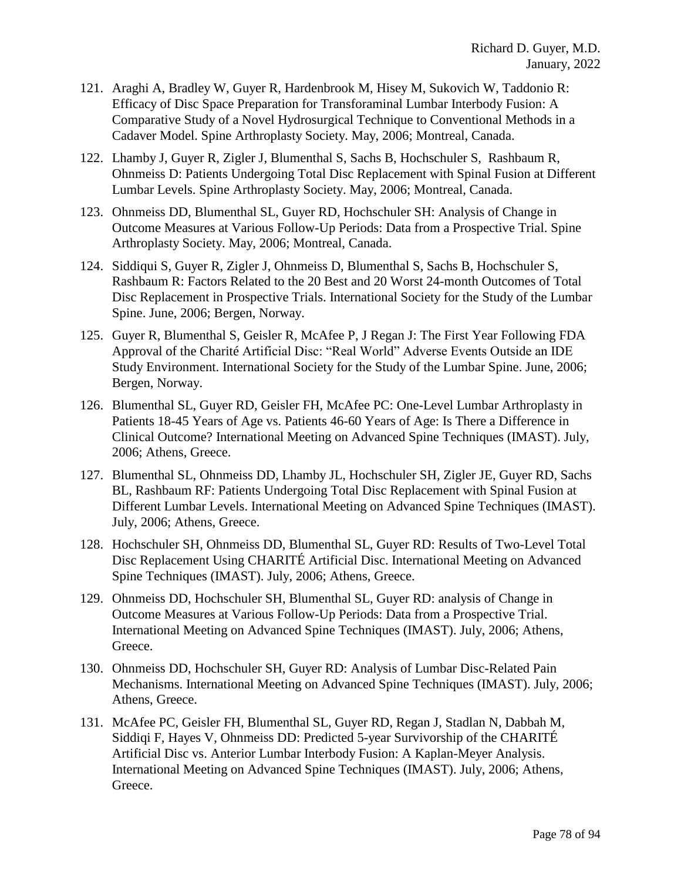- 121. Araghi A, Bradley W, Guyer R, Hardenbrook M, Hisey M, Sukovich W, Taddonio R: Efficacy of Disc Space Preparation for Transforaminal Lumbar Interbody Fusion: A Comparative Study of a Novel Hydrosurgical Technique to Conventional Methods in a Cadaver Model. Spine Arthroplasty Society. May, 2006; Montreal, Canada.
- 122. Lhamby J, Guyer R, Zigler J, Blumenthal S, Sachs B, Hochschuler S, Rashbaum R, Ohnmeiss D: Patients Undergoing Total Disc Replacement with Spinal Fusion at Different Lumbar Levels. Spine Arthroplasty Society. May, 2006; Montreal, Canada.
- 123. Ohnmeiss DD, Blumenthal SL, Guyer RD, Hochschuler SH: Analysis of Change in Outcome Measures at Various Follow-Up Periods: Data from a Prospective Trial. Spine Arthroplasty Society. May, 2006; Montreal, Canada.
- 124. Siddiqui S, Guyer R, Zigler J, Ohnmeiss D, Blumenthal S, Sachs B, Hochschuler S, Rashbaum R: Factors Related to the 20 Best and 20 Worst 24-month Outcomes of Total Disc Replacement in Prospective Trials. International Society for the Study of the Lumbar Spine. June, 2006; Bergen, Norway.
- 125. Guyer R, Blumenthal S, Geisler R, McAfee P, J Regan J: The First Year Following FDA Approval of the Charité Artificial Disc: "Real World" Adverse Events Outside an IDE Study Environment. International Society for the Study of the Lumbar Spine. June, 2006; Bergen, Norway.
- 126. Blumenthal SL, Guyer RD, Geisler FH, McAfee PC: One-Level Lumbar Arthroplasty in Patients 18-45 Years of Age vs. Patients 46-60 Years of Age: Is There a Difference in Clinical Outcome? International Meeting on Advanced Spine Techniques (IMAST). July, 2006; Athens, Greece.
- 127. Blumenthal SL, Ohnmeiss DD, Lhamby JL, Hochschuler SH, Zigler JE, Guyer RD, Sachs BL, Rashbaum RF: Patients Undergoing Total Disc Replacement with Spinal Fusion at Different Lumbar Levels. International Meeting on Advanced Spine Techniques (IMAST). July, 2006; Athens, Greece.
- 128. Hochschuler SH, Ohnmeiss DD, Blumenthal SL, Guyer RD: Results of Two-Level Total Disc Replacement Using CHARITÉ Artificial Disc. International Meeting on Advanced Spine Techniques (IMAST). July, 2006; Athens, Greece.
- 129. Ohnmeiss DD, Hochschuler SH, Blumenthal SL, Guyer RD: analysis of Change in Outcome Measures at Various Follow-Up Periods: Data from a Prospective Trial. International Meeting on Advanced Spine Techniques (IMAST). July, 2006; Athens, Greece.
- 130. Ohnmeiss DD, Hochschuler SH, Guyer RD: Analysis of Lumbar Disc-Related Pain Mechanisms. International Meeting on Advanced Spine Techniques (IMAST). July, 2006; Athens, Greece.
- 131. McAfee PC, Geisler FH, Blumenthal SL, Guyer RD, Regan J, Stadlan N, Dabbah M, Siddiqi F, Hayes V, Ohnmeiss DD: Predicted 5-year Survivorship of the CHARITÉ Artificial Disc vs. Anterior Lumbar Interbody Fusion: A Kaplan-Meyer Analysis. International Meeting on Advanced Spine Techniques (IMAST). July, 2006; Athens, Greece.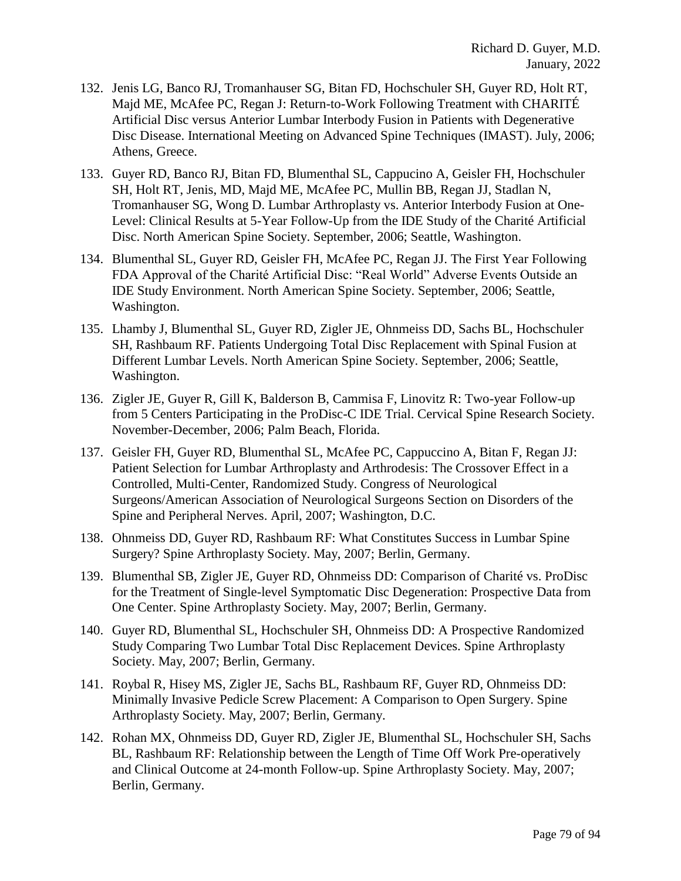- 132. Jenis LG, Banco RJ, Tromanhauser SG, Bitan FD, Hochschuler SH, Guyer RD, Holt RT, Majd ME, McAfee PC, Regan J: Return-to-Work Following Treatment with CHARITÉ Artificial Disc versus Anterior Lumbar Interbody Fusion in Patients with Degenerative Disc Disease. International Meeting on Advanced Spine Techniques (IMAST). July, 2006; Athens, Greece.
- 133. Guyer RD, Banco RJ, Bitan FD, Blumenthal SL, Cappucino A, Geisler FH, Hochschuler SH, Holt RT, Jenis, MD, Majd ME, McAfee PC, Mullin BB, Regan JJ, Stadlan N, Tromanhauser SG, Wong D. Lumbar Arthroplasty vs. Anterior Interbody Fusion at One-Level: Clinical Results at 5-Year Follow-Up from the IDE Study of the Charité Artificial Disc. North American Spine Society. September, 2006; Seattle, Washington.
- 134. Blumenthal SL, Guyer RD, Geisler FH, McAfee PC, Regan JJ. The First Year Following FDA Approval of the Charité Artificial Disc: "Real World" Adverse Events Outside an IDE Study Environment. North American Spine Society. September, 2006; Seattle, Washington.
- 135. Lhamby J, Blumenthal SL, Guyer RD, Zigler JE, Ohnmeiss DD, Sachs BL, Hochschuler SH, Rashbaum RF. Patients Undergoing Total Disc Replacement with Spinal Fusion at Different Lumbar Levels. North American Spine Society. September, 2006; Seattle, Washington.
- 136. Zigler JE, Guyer R, Gill K, Balderson B, Cammisa F, Linovitz R: Two-year Follow-up from 5 Centers Participating in the ProDisc-C IDE Trial. Cervical Spine Research Society. November-December, 2006; Palm Beach, Florida.
- 137. Geisler FH, Guyer RD, Blumenthal SL, McAfee PC, Cappuccino A, Bitan F, Regan JJ: Patient Selection for Lumbar Arthroplasty and Arthrodesis: The Crossover Effect in a Controlled, Multi-Center, Randomized Study. Congress of Neurological Surgeons/American Association of Neurological Surgeons Section on Disorders of the Spine and Peripheral Nerves. April, 2007; Washington, D.C.
- 138. Ohnmeiss DD, Guyer RD, Rashbaum RF: What Constitutes Success in Lumbar Spine Surgery? Spine Arthroplasty Society. May, 2007; Berlin, Germany.
- 139. Blumenthal SB, Zigler JE, Guyer RD, Ohnmeiss DD: Comparison of Charité vs. ProDisc for the Treatment of Single-level Symptomatic Disc Degeneration: Prospective Data from One Center. Spine Arthroplasty Society. May, 2007; Berlin, Germany.
- 140. Guyer RD, Blumenthal SL, Hochschuler SH, Ohnmeiss DD: A Prospective Randomized Study Comparing Two Lumbar Total Disc Replacement Devices. Spine Arthroplasty Society. May, 2007; Berlin, Germany.
- 141. Roybal R, Hisey MS, Zigler JE, Sachs BL, Rashbaum RF, Guyer RD, Ohnmeiss DD: Minimally Invasive Pedicle Screw Placement: A Comparison to Open Surgery. Spine Arthroplasty Society. May, 2007; Berlin, Germany.
- 142. Rohan MX, Ohnmeiss DD, Guyer RD, Zigler JE, Blumenthal SL, Hochschuler SH, Sachs BL, Rashbaum RF: Relationship between the Length of Time Off Work Pre-operatively and Clinical Outcome at 24-month Follow-up. Spine Arthroplasty Society. May, 2007; Berlin, Germany.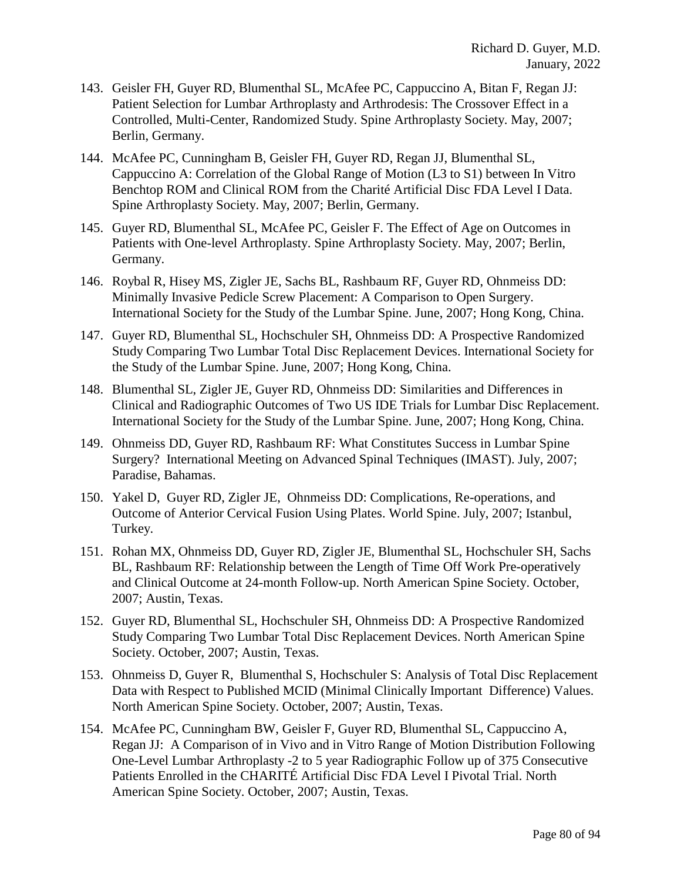- 143. Geisler FH, Guyer RD, Blumenthal SL, McAfee PC, Cappuccino A, Bitan F, Regan JJ: Patient Selection for Lumbar Arthroplasty and Arthrodesis: The Crossover Effect in a Controlled, Multi-Center, Randomized Study. Spine Arthroplasty Society. May, 2007; Berlin, Germany.
- 144. McAfee PC, Cunningham B, Geisler FH, Guyer RD, Regan JJ, Blumenthal SL, Cappuccino A: Correlation of the Global Range of Motion (L3 to S1) between In Vitro Benchtop ROM and Clinical ROM from the Charité Artificial Disc FDA Level I Data. Spine Arthroplasty Society. May, 2007; Berlin, Germany.
- 145. Guyer RD, Blumenthal SL, McAfee PC, Geisler F. The Effect of Age on Outcomes in Patients with One-level Arthroplasty. Spine Arthroplasty Society. May, 2007; Berlin, Germany.
- 146. Roybal R, Hisey MS, Zigler JE, Sachs BL, Rashbaum RF, Guyer RD, Ohnmeiss DD: Minimally Invasive Pedicle Screw Placement: A Comparison to Open Surgery. International Society for the Study of the Lumbar Spine. June, 2007; Hong Kong, China.
- 147. Guyer RD, Blumenthal SL, Hochschuler SH, Ohnmeiss DD: A Prospective Randomized Study Comparing Two Lumbar Total Disc Replacement Devices. International Society for the Study of the Lumbar Spine. June, 2007; Hong Kong, China.
- 148. Blumenthal SL, Zigler JE, Guyer RD, Ohnmeiss DD: Similarities and Differences in Clinical and Radiographic Outcomes of Two US IDE Trials for Lumbar Disc Replacement. International Society for the Study of the Lumbar Spine. June, 2007; Hong Kong, China.
- 149. Ohnmeiss DD, Guyer RD, Rashbaum RF: What Constitutes Success in Lumbar Spine Surgery? International Meeting on Advanced Spinal Techniques (IMAST). July, 2007; Paradise, Bahamas.
- 150. Yakel D, Guyer RD, Zigler JE, Ohnmeiss DD: Complications, Re-operations, and Outcome of Anterior Cervical Fusion Using Plates. World Spine. July, 2007; Istanbul, Turkey.
- 151. Rohan MX, Ohnmeiss DD, Guyer RD, Zigler JE, Blumenthal SL, Hochschuler SH, Sachs BL, Rashbaum RF: Relationship between the Length of Time Off Work Pre-operatively and Clinical Outcome at 24-month Follow-up. North American Spine Society. October, 2007; Austin, Texas.
- 152. Guyer RD, Blumenthal SL, Hochschuler SH, Ohnmeiss DD: A Prospective Randomized Study Comparing Two Lumbar Total Disc Replacement Devices. North American Spine Society. October, 2007; Austin, Texas.
- 153. Ohnmeiss D, Guyer R, Blumenthal S, Hochschuler S: Analysis of Total Disc Replacement Data with Respect to Published MCID (Minimal Clinically Important Difference) Values. North American Spine Society. October, 2007; Austin, Texas.
- 154. McAfee PC, Cunningham BW, Geisler F, Guyer RD, Blumenthal SL, Cappuccino A, Regan JJ: A Comparison of in Vivo and in Vitro Range of Motion Distribution Following One-Level Lumbar Arthroplasty -2 to 5 year Radiographic Follow up of 375 Consecutive Patients Enrolled in the CHARITÉ Artificial Disc FDA Level I Pivotal Trial. North American Spine Society. October, 2007; Austin, Texas.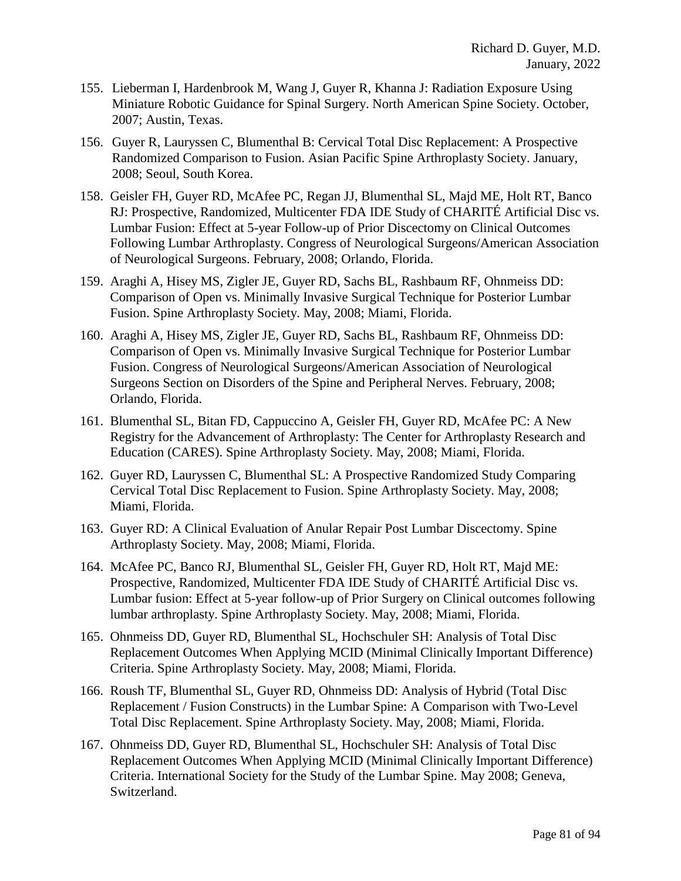- 155. Lieberman I, Hardenbrook M, Wang J, Guyer R, Khanna J: Radiation Exposure Using Miniature Robotic Guidance for Spinal Surgery. North American Spine Society. October, 2007; Austin, Texas.
- 156. Guyer R, Lauryssen C, Blumenthal B: Cervical Total Disc Replacement: A Prospective Randomized Comparison to Fusion. Asian Pacific Spine Arthroplasty Society. January, 2008; Seoul, South Korea.
- 158. Geisler FH, Guyer RD, McAfee PC, Regan JJ, Blumenthal SL, Majd ME, Holt RT, Banco RJ: Prospective, Randomized, Multicenter FDA IDE Study of CHARITÉ Artificial Disc vs. Lumbar Fusion: Effect at 5-year Follow-up of Prior Discectomy on Clinical Outcomes Following Lumbar Arthroplasty. Congress of Neurological Surgeons/American Association of Neurological Surgeons. February, 2008; Orlando, Florida.
- 159. Araghi A, Hisey MS, Zigler JE, Guyer RD, Sachs BL, Rashbaum RF, Ohnmeiss DD: Comparison of Open vs. Minimally Invasive Surgical Technique for Posterior Lumbar Fusion. Spine Arthroplasty Society. May, 2008; Miami, Florida.
- 160. Araghi A, Hisey MS, Zigler JE, Guyer RD, Sachs BL, Rashbaum RF, Ohnmeiss DD: Comparison of Open vs. Minimally Invasive Surgical Technique for Posterior Lumbar Fusion. Congress of Neurological Surgeons/American Association of Neurological Surgeons Section on Disorders of the Spine and Peripheral Nerves. February, 2008; Orlando, Florida.
- 161. Blumenthal SL, Bitan FD, Cappuccino A, Geisler FH, Guyer RD, McAfee PC: A New Registry for the Advancement of Arthroplasty: The Center for Arthroplasty Research and Education (CARES). Spine Arthroplasty Society. May, 2008; Miami, Florida.
- 162. Guyer RD, Lauryssen C, Blumenthal SL: A Prospective Randomized Study Comparing Cervical Total Disc Replacement to Fusion. Spine Arthroplasty Society. May, 2008; Miami, Florida.
- 163. Guyer RD: A Clinical Evaluation of Anular Repair Post Lumbar Discectomy. Spine Arthroplasty Society. May, 2008; Miami, Florida.
- 164. McAfee PC, Banco RJ, Blumenthal SL, Geisler FH, Guyer RD, Holt RT, Majd ME: Prospective, Randomized, Multicenter FDA IDE Study of CHARITÉ Artificial Disc vs. Lumbar fusion: Effect at 5-year follow-up of Prior Surgery on Clinical outcomes following lumbar arthroplasty. Spine Arthroplasty Society. May, 2008; Miami, Florida.
- 165. Ohnmeiss DD, Guyer RD, Blumenthal SL, Hochschuler SH: Analysis of Total Disc Replacement Outcomes When Applying MCID (Minimal Clinically Important Difference) Criteria. Spine Arthroplasty Society. May, 2008; Miami, Florida.
- 166. Roush TF, Blumenthal SL, Guyer RD, Ohnmeiss DD: Analysis of Hybrid (Total Disc Replacement / Fusion Constructs) in the Lumbar Spine: A Comparison with Two-Level Total Disc Replacement. Spine Arthroplasty Society. May, 2008; Miami, Florida.
- 167. Ohnmeiss DD, Guyer RD, Blumenthal SL, Hochschuler SH: Analysis of Total Disc Replacement Outcomes When Applying MCID (Minimal Clinically Important Difference) Criteria. International Society for the Study of the Lumbar Spine. May 2008; Geneva, Switzerland.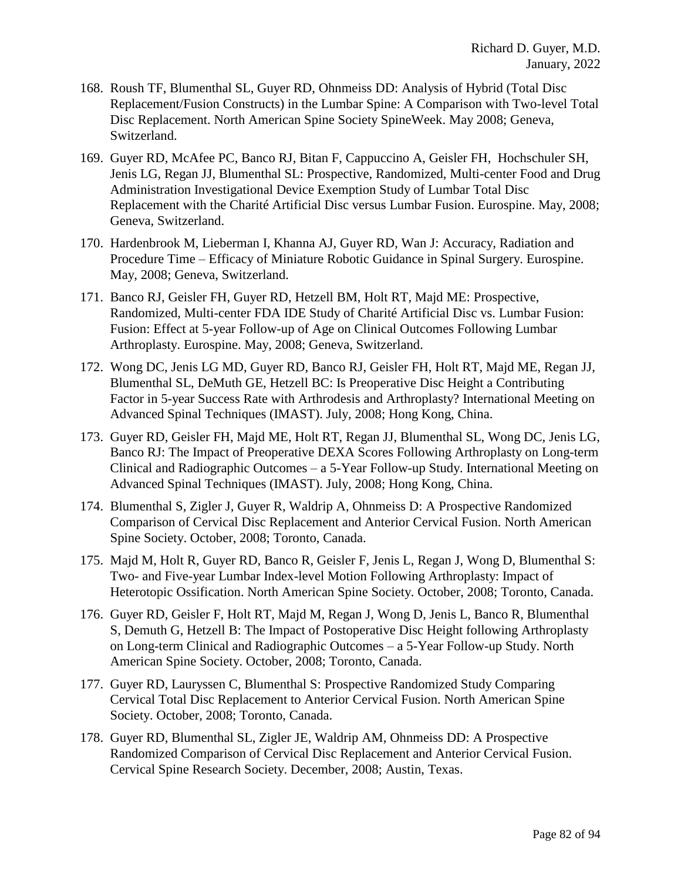- 168. Roush TF, Blumenthal SL, Guyer RD, Ohnmeiss DD: Analysis of Hybrid (Total Disc Replacement/Fusion Constructs) in the Lumbar Spine: A Comparison with Two-level Total Disc Replacement. North American Spine Society SpineWeek. May 2008; Geneva, Switzerland.
- 169. Guyer RD, McAfee PC, Banco RJ, Bitan F, Cappuccino A, Geisler FH, Hochschuler SH, Jenis LG, Regan JJ, Blumenthal SL: Prospective, Randomized, Multi-center Food and Drug Administration Investigational Device Exemption Study of Lumbar Total Disc Replacement with the Charité Artificial Disc versus Lumbar Fusion. Eurospine. May, 2008; Geneva, Switzerland.
- 170. Hardenbrook M, Lieberman I, Khanna AJ, Guyer RD, Wan J: Accuracy, Radiation and Procedure Time – Efficacy of Miniature Robotic Guidance in Spinal Surgery. Eurospine. May, 2008; Geneva, Switzerland.
- 171. Banco RJ, Geisler FH, Guyer RD, Hetzell BM, Holt RT, Majd ME: Prospective, Randomized, Multi-center FDA IDE Study of Charité Artificial Disc vs. Lumbar Fusion: Fusion: Effect at 5-year Follow-up of Age on Clinical Outcomes Following Lumbar Arthroplasty. Eurospine. May, 2008; Geneva, Switzerland.
- 172. Wong DC, Jenis LG MD, Guyer RD, Banco RJ, Geisler FH, Holt RT, Majd ME, Regan JJ, Blumenthal SL, DeMuth GE, Hetzell BC: Is Preoperative Disc Height a Contributing Factor in 5-year Success Rate with Arthrodesis and Arthroplasty? International Meeting on Advanced Spinal Techniques (IMAST). July, 2008; Hong Kong, China.
- 173. Guyer RD, Geisler FH, Majd ME, Holt RT, Regan JJ, Blumenthal SL, Wong DC, Jenis LG, Banco RJ: The Impact of Preoperative DEXA Scores Following Arthroplasty on Long-term Clinical and Radiographic Outcomes – a 5-Year Follow-up Study. International Meeting on Advanced Spinal Techniques (IMAST). July, 2008; Hong Kong, China.
- 174. Blumenthal S, Zigler J, Guyer R, Waldrip A, Ohnmeiss D: A Prospective Randomized Comparison of Cervical Disc Replacement and Anterior Cervical Fusion. North American Spine Society. October, 2008; Toronto, Canada.
- 175. Majd M, Holt R, Guyer RD, Banco R, Geisler F, Jenis L, Regan J, Wong D, Blumenthal S: Two- and Five-year Lumbar Index-level Motion Following Arthroplasty: Impact of Heterotopic Ossification. North American Spine Society. October, 2008; Toronto, Canada.
- 176. Guyer RD, Geisler F, Holt RT, Majd M, Regan J, Wong D, Jenis L, Banco R, Blumenthal S, Demuth G, Hetzell B: The Impact of Postoperative Disc Height following Arthroplasty on Long-term Clinical and Radiographic Outcomes – a 5-Year Follow-up Study. North American Spine Society. October, 2008; Toronto, Canada.
- 177. Guyer RD, Lauryssen C, Blumenthal S: Prospective Randomized Study Comparing Cervical Total Disc Replacement to Anterior Cervical Fusion. North American Spine Society. October, 2008; Toronto, Canada.
- 178. Guyer RD, Blumenthal SL, Zigler JE, Waldrip AM, Ohnmeiss DD: A Prospective Randomized Comparison of Cervical Disc Replacement and Anterior Cervical Fusion. Cervical Spine Research Society. December, 2008; Austin, Texas.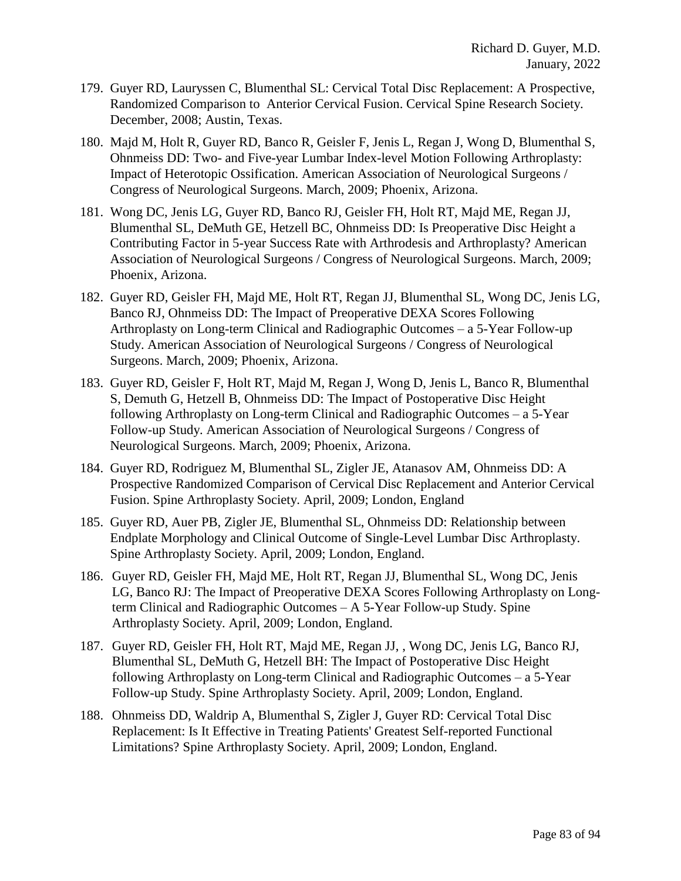- 179. Guyer RD, Lauryssen C, Blumenthal SL: Cervical Total Disc Replacement: A Prospective, Randomized Comparison to Anterior Cervical Fusion. Cervical Spine Research Society. December, 2008; Austin, Texas.
- 180. Majd M, Holt R, Guyer RD, Banco R, Geisler F, Jenis L, Regan J, Wong D, Blumenthal S, Ohnmeiss DD: Two- and Five-year Lumbar Index-level Motion Following Arthroplasty: Impact of Heterotopic Ossification. American Association of Neurological Surgeons / Congress of Neurological Surgeons. March, 2009; Phoenix, Arizona.
- 181. Wong DC, Jenis LG, Guyer RD, Banco RJ, Geisler FH, Holt RT, Majd ME, Regan JJ, Blumenthal SL, DeMuth GE, Hetzell BC, Ohnmeiss DD: Is Preoperative Disc Height a Contributing Factor in 5-year Success Rate with Arthrodesis and Arthroplasty? American Association of Neurological Surgeons / Congress of Neurological Surgeons. March, 2009; Phoenix, Arizona.
- 182. Guyer RD, Geisler FH, Majd ME, Holt RT, Regan JJ, Blumenthal SL, Wong DC, Jenis LG, Banco RJ, Ohnmeiss DD: The Impact of Preoperative DEXA Scores Following Arthroplasty on Long-term Clinical and Radiographic Outcomes – a 5-Year Follow-up Study. American Association of Neurological Surgeons / Congress of Neurological Surgeons. March, 2009; Phoenix, Arizona.
- 183. Guyer RD, Geisler F, Holt RT, Majd M, Regan J, Wong D, Jenis L, Banco R, Blumenthal S, Demuth G, Hetzell B, Ohnmeiss DD: The Impact of Postoperative Disc Height following Arthroplasty on Long-term Clinical and Radiographic Outcomes – a 5-Year Follow-up Study. American Association of Neurological Surgeons / Congress of Neurological Surgeons. March, 2009; Phoenix, Arizona.
- 184. Guyer RD, Rodriguez M, Blumenthal SL, Zigler JE, Atanasov AM, Ohnmeiss DD: A Prospective Randomized Comparison of Cervical Disc Replacement and Anterior Cervical Fusion. Spine Arthroplasty Society. April, 2009; London, England
- 185. Guyer RD, Auer PB, Zigler JE, Blumenthal SL, Ohnmeiss DD: Relationship between Endplate Morphology and Clinical Outcome of Single-Level Lumbar Disc Arthroplasty. Spine Arthroplasty Society. April, 2009; London, England.
- 186. Guyer RD, Geisler FH, Majd ME, Holt RT, Regan JJ, Blumenthal SL, Wong DC, Jenis LG, Banco RJ: The Impact of Preoperative DEXA Scores Following Arthroplasty on Longterm Clinical and Radiographic Outcomes – A 5-Year Follow-up Study. Spine Arthroplasty Society. April, 2009; London, England.
- 187. Guyer RD, Geisler FH, Holt RT, Majd ME, Regan JJ, , Wong DC, Jenis LG, Banco RJ, Blumenthal SL, DeMuth G, Hetzell BH: The Impact of Postoperative Disc Height following Arthroplasty on Long-term Clinical and Radiographic Outcomes – a 5-Year Follow-up Study. Spine Arthroplasty Society. April, 2009; London, England.
- 188. Ohnmeiss DD, Waldrip A, Blumenthal S, Zigler J, Guyer RD: Cervical Total Disc Replacement: Is It Effective in Treating Patients' Greatest Self-reported Functional Limitations? Spine Arthroplasty Society. April, 2009; London, England.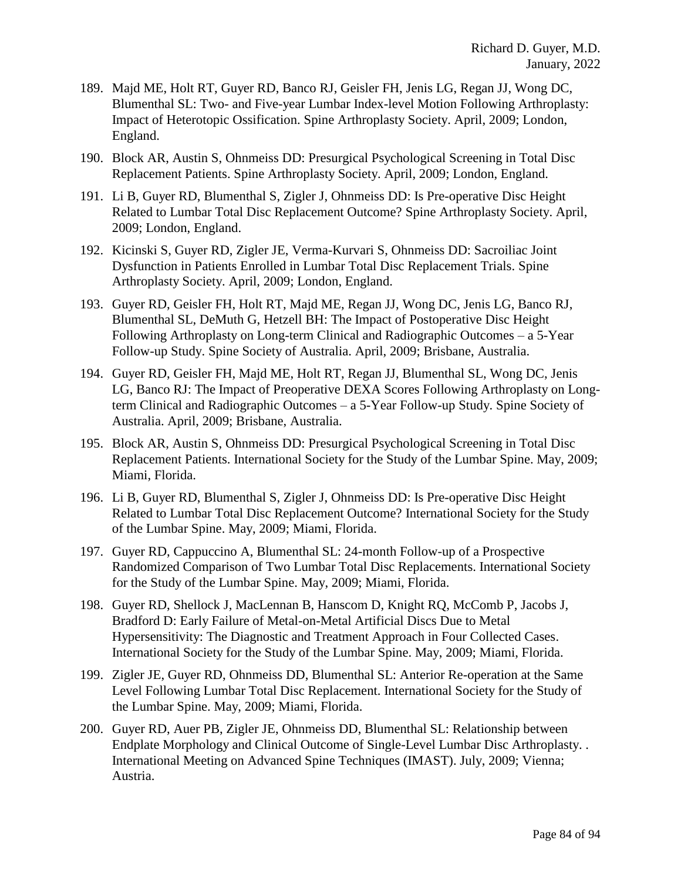- 189. Majd ME, Holt RT, Guyer RD, Banco RJ, Geisler FH, Jenis LG, Regan JJ, Wong DC, Blumenthal SL: Two- and Five-year Lumbar Index-level Motion Following Arthroplasty: Impact of Heterotopic Ossification. Spine Arthroplasty Society. April, 2009; London, England.
- 190. Block AR, Austin S, Ohnmeiss DD: Presurgical Psychological Screening in Total Disc Replacement Patients. Spine Arthroplasty Society. April, 2009; London, England.
- 191. Li B, Guyer RD, Blumenthal S, Zigler J, Ohnmeiss DD: Is Pre-operative Disc Height Related to Lumbar Total Disc Replacement Outcome? Spine Arthroplasty Society. April, 2009; London, England.
- 192. Kicinski S, Guyer RD, Zigler JE, Verma-Kurvari S, Ohnmeiss DD: Sacroiliac Joint Dysfunction in Patients Enrolled in Lumbar Total Disc Replacement Trials. Spine Arthroplasty Society. April, 2009; London, England.
- 193. Guyer RD, Geisler FH, Holt RT, Majd ME, Regan JJ, Wong DC, Jenis LG, Banco RJ, Blumenthal SL, DeMuth G, Hetzell BH: The Impact of Postoperative Disc Height Following Arthroplasty on Long-term Clinical and Radiographic Outcomes – a 5-Year Follow-up Study. Spine Society of Australia. April, 2009; Brisbane, Australia.
- 194. Guyer RD, Geisler FH, Majd ME, Holt RT, Regan JJ, Blumenthal SL, Wong DC, Jenis LG, Banco RJ: The Impact of Preoperative DEXA Scores Following Arthroplasty on Longterm Clinical and Radiographic Outcomes – a 5-Year Follow-up Study. Spine Society of Australia. April, 2009; Brisbane, Australia.
- 195. Block AR, Austin S, Ohnmeiss DD: Presurgical Psychological Screening in Total Disc Replacement Patients. International Society for the Study of the Lumbar Spine. May, 2009; Miami, Florida.
- 196. Li B, Guyer RD, Blumenthal S, Zigler J, Ohnmeiss DD: Is Pre-operative Disc Height Related to Lumbar Total Disc Replacement Outcome? International Society for the Study of the Lumbar Spine. May, 2009; Miami, Florida.
- 197. Guyer RD, Cappuccino A, Blumenthal SL: 24-month Follow-up of a Prospective Randomized Comparison of Two Lumbar Total Disc Replacements. International Society for the Study of the Lumbar Spine. May, 2009; Miami, Florida.
- 198. Guyer RD, Shellock J, MacLennan B, Hanscom D, Knight RQ, McComb P, Jacobs J, Bradford D: Early Failure of Metal-on-Metal Artificial Discs Due to Metal Hypersensitivity: The Diagnostic and Treatment Approach in Four Collected Cases. International Society for the Study of the Lumbar Spine. May, 2009; Miami, Florida.
- 199. Zigler JE, Guyer RD, Ohnmeiss DD, Blumenthal SL: Anterior Re-operation at the Same Level Following Lumbar Total Disc Replacement. International Society for the Study of the Lumbar Spine. May, 2009; Miami, Florida.
- 200. Guyer RD, Auer PB, Zigler JE, Ohnmeiss DD, Blumenthal SL: Relationship between Endplate Morphology and Clinical Outcome of Single-Level Lumbar Disc Arthroplasty. . International Meeting on Advanced Spine Techniques (IMAST). July, 2009; Vienna; Austria.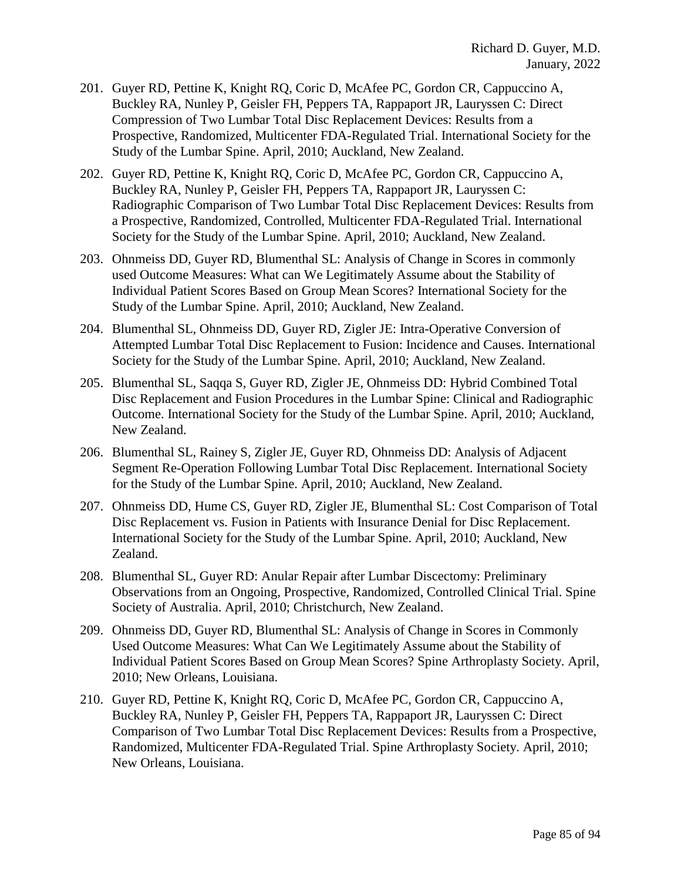- 201. Guyer RD, Pettine K, Knight RQ, Coric D, McAfee PC, Gordon CR, Cappuccino A, Buckley RA, Nunley P, Geisler FH, Peppers TA, Rappaport JR, Lauryssen C: Direct Compression of Two Lumbar Total Disc Replacement Devices: Results from a Prospective, Randomized, Multicenter FDA-Regulated Trial. International Society for the Study of the Lumbar Spine. April, 2010; Auckland, New Zealand.
- 202. Guyer RD, Pettine K, Knight RQ, Coric D, McAfee PC, Gordon CR, Cappuccino A, Buckley RA, Nunley P, Geisler FH, Peppers TA, Rappaport JR, Lauryssen C: Radiographic Comparison of Two Lumbar Total Disc Replacement Devices: Results from a Prospective, Randomized, Controlled, Multicenter FDA-Regulated Trial. International Society for the Study of the Lumbar Spine. April, 2010; Auckland, New Zealand.
- 203. Ohnmeiss DD, Guyer RD, Blumenthal SL: Analysis of Change in Scores in commonly used Outcome Measures: What can We Legitimately Assume about the Stability of Individual Patient Scores Based on Group Mean Scores? International Society for the Study of the Lumbar Spine. April, 2010; Auckland, New Zealand.
- 204. Blumenthal SL, Ohnmeiss DD, Guyer RD, Zigler JE: Intra-Operative Conversion of Attempted Lumbar Total Disc Replacement to Fusion: Incidence and Causes. International Society for the Study of the Lumbar Spine. April, 2010; Auckland, New Zealand.
- 205. Blumenthal SL, Saqqa S, Guyer RD, Zigler JE, Ohnmeiss DD: Hybrid Combined Total Disc Replacement and Fusion Procedures in the Lumbar Spine: Clinical and Radiographic Outcome. International Society for the Study of the Lumbar Spine. April, 2010; Auckland, New Zealand.
- 206. Blumenthal SL, Rainey S, Zigler JE, Guyer RD, Ohnmeiss DD: Analysis of Adjacent Segment Re-Operation Following Lumbar Total Disc Replacement. International Society for the Study of the Lumbar Spine. April, 2010; Auckland, New Zealand.
- 207. Ohnmeiss DD, Hume CS, Guyer RD, Zigler JE, Blumenthal SL: Cost Comparison of Total Disc Replacement vs. Fusion in Patients with Insurance Denial for Disc Replacement. International Society for the Study of the Lumbar Spine. April, 2010; Auckland, New Zealand.
- 208. Blumenthal SL, Guyer RD: Anular Repair after Lumbar Discectomy: Preliminary Observations from an Ongoing, Prospective, Randomized, Controlled Clinical Trial. Spine Society of Australia. April, 2010; Christchurch, New Zealand.
- 209. Ohnmeiss DD, Guyer RD, Blumenthal SL: Analysis of Change in Scores in Commonly Used Outcome Measures: What Can We Legitimately Assume about the Stability of Individual Patient Scores Based on Group Mean Scores? Spine Arthroplasty Society. April, 2010; New Orleans, Louisiana.
- 210. Guyer RD, Pettine K, Knight RQ, Coric D, McAfee PC, Gordon CR, Cappuccino A, Buckley RA, Nunley P, Geisler FH, Peppers TA, Rappaport JR, Lauryssen C: Direct Comparison of Two Lumbar Total Disc Replacement Devices: Results from a Prospective, Randomized, Multicenter FDA-Regulated Trial. Spine Arthroplasty Society. April, 2010; New Orleans, Louisiana.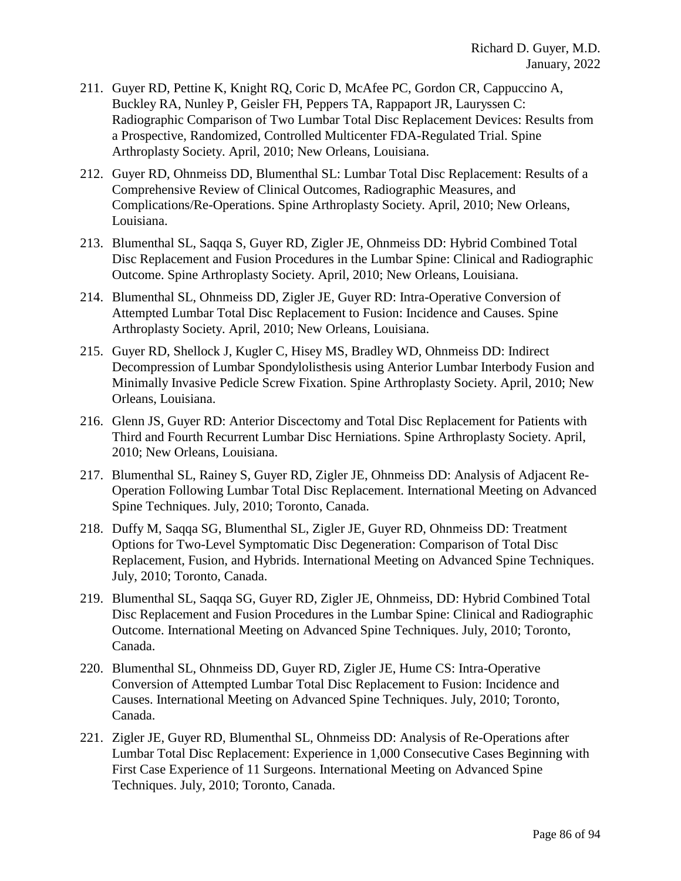- 211. Guyer RD, Pettine K, Knight RQ, Coric D, McAfee PC, Gordon CR, Cappuccino A, Buckley RA, Nunley P, Geisler FH, Peppers TA, Rappaport JR, Lauryssen C: Radiographic Comparison of Two Lumbar Total Disc Replacement Devices: Results from a Prospective, Randomized, Controlled Multicenter FDA-Regulated Trial. Spine Arthroplasty Society. April, 2010; New Orleans, Louisiana.
- 212. Guyer RD, Ohnmeiss DD, Blumenthal SL: Lumbar Total Disc Replacement: Results of a Comprehensive Review of Clinical Outcomes, Radiographic Measures, and Complications/Re-Operations. Spine Arthroplasty Society. April, 2010; New Orleans, Louisiana.
- 213. Blumenthal SL, Saqqa S, Guyer RD, Zigler JE, Ohnmeiss DD: Hybrid Combined Total Disc Replacement and Fusion Procedures in the Lumbar Spine: Clinical and Radiographic Outcome. Spine Arthroplasty Society. April, 2010; New Orleans, Louisiana.
- 214. Blumenthal SL, Ohnmeiss DD, Zigler JE, Guyer RD: Intra-Operative Conversion of Attempted Lumbar Total Disc Replacement to Fusion: Incidence and Causes. Spine Arthroplasty Society. April, 2010; New Orleans, Louisiana.
- 215. Guyer RD, Shellock J, Kugler C, Hisey MS, Bradley WD, Ohnmeiss DD: Indirect Decompression of Lumbar Spondylolisthesis using Anterior Lumbar Interbody Fusion and Minimally Invasive Pedicle Screw Fixation. Spine Arthroplasty Society. April, 2010; New Orleans, Louisiana.
- 216. Glenn JS, Guyer RD: Anterior Discectomy and Total Disc Replacement for Patients with Third and Fourth Recurrent Lumbar Disc Herniations. Spine Arthroplasty Society. April, 2010; New Orleans, Louisiana.
- 217. Blumenthal SL, Rainey S, Guyer RD, Zigler JE, Ohnmeiss DD: Analysis of Adjacent Re-Operation Following Lumbar Total Disc Replacement. International Meeting on Advanced Spine Techniques. July, 2010; Toronto, Canada.
- 218. Duffy M, Saqqa SG, Blumenthal SL, Zigler JE, Guyer RD, Ohnmeiss DD: Treatment Options for Two-Level Symptomatic Disc Degeneration: Comparison of Total Disc Replacement, Fusion, and Hybrids. International Meeting on Advanced Spine Techniques. July, 2010; Toronto, Canada.
- 219. Blumenthal SL, Saqqa SG, Guyer RD, Zigler JE, Ohnmeiss, DD: Hybrid Combined Total Disc Replacement and Fusion Procedures in the Lumbar Spine: Clinical and Radiographic Outcome. International Meeting on Advanced Spine Techniques. July, 2010; Toronto, Canada.
- 220. Blumenthal SL, Ohnmeiss DD, Guyer RD, Zigler JE, Hume CS: Intra-Operative Conversion of Attempted Lumbar Total Disc Replacement to Fusion: Incidence and Causes. International Meeting on Advanced Spine Techniques. July, 2010; Toronto, Canada.
- 221. Zigler JE, Guyer RD, Blumenthal SL, Ohnmeiss DD: Analysis of Re-Operations after Lumbar Total Disc Replacement: Experience in 1,000 Consecutive Cases Beginning with First Case Experience of 11 Surgeons. International Meeting on Advanced Spine Techniques. July, 2010; Toronto, Canada.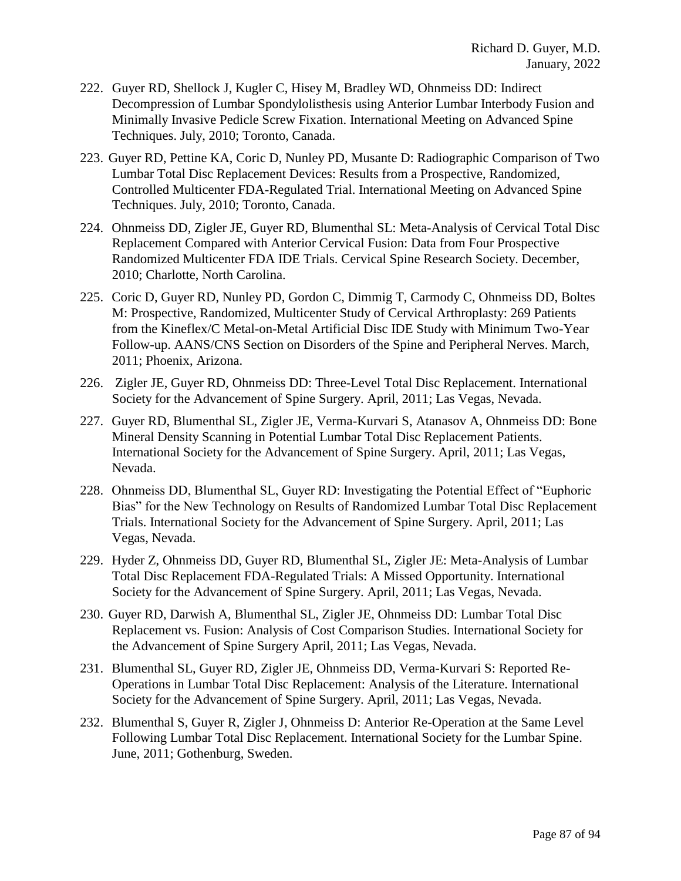- 222. Guyer RD, Shellock J, Kugler C, Hisey M, Bradley WD, Ohnmeiss DD: Indirect Decompression of Lumbar Spondylolisthesis using Anterior Lumbar Interbody Fusion and Minimally Invasive Pedicle Screw Fixation. International Meeting on Advanced Spine Techniques. July, 2010; Toronto, Canada.
- 223. Guyer RD, Pettine KA, Coric D, Nunley PD, Musante D: Radiographic Comparison of Two Lumbar Total Disc Replacement Devices: Results from a Prospective, Randomized, Controlled Multicenter FDA-Regulated Trial. International Meeting on Advanced Spine Techniques. July, 2010; Toronto, Canada.
- 224. Ohnmeiss DD, Zigler JE, Guyer RD, Blumenthal SL: Meta-Analysis of Cervical Total Disc Replacement Compared with Anterior Cervical Fusion: Data from Four Prospective Randomized Multicenter FDA IDE Trials. Cervical Spine Research Society. December, 2010; Charlotte, North Carolina.
- 225. Coric D, Guyer RD, Nunley PD, Gordon C, Dimmig T, Carmody C, Ohnmeiss DD, Boltes M: Prospective, Randomized, Multicenter Study of Cervical Arthroplasty: 269 Patients from the Kineflex/C Metal-on-Metal Artificial Disc IDE Study with Minimum Two-Year Follow-up. AANS/CNS Section on Disorders of the Spine and Peripheral Nerves. March, 2011; Phoenix, Arizona.
- 226. Zigler JE, Guyer RD, Ohnmeiss DD: Three-Level Total Disc Replacement. International Society for the Advancement of Spine Surgery. April, 2011; Las Vegas, Nevada.
- 227. Guyer RD, Blumenthal SL, Zigler JE, Verma-Kurvari S, Atanasov A, Ohnmeiss DD: Bone Mineral Density Scanning in Potential Lumbar Total Disc Replacement Patients. International Society for the Advancement of Spine Surgery. April, 2011; Las Vegas, Nevada.
- 228. Ohnmeiss DD, Blumenthal SL, Guyer RD: Investigating the Potential Effect of "Euphoric Bias" for the New Technology on Results of Randomized Lumbar Total Disc Replacement Trials. International Society for the Advancement of Spine Surgery. April, 2011; Las Vegas, Nevada.
- 229. Hyder Z, Ohnmeiss DD, Guyer RD, Blumenthal SL, Zigler JE: Meta-Analysis of Lumbar Total Disc Replacement FDA-Regulated Trials: A Missed Opportunity. International Society for the Advancement of Spine Surgery. April, 2011; Las Vegas, Nevada.
- 230. Guyer RD, Darwish A, Blumenthal SL, Zigler JE, Ohnmeiss DD: Lumbar Total Disc Replacement vs. Fusion: Analysis of Cost Comparison Studies. International Society for the Advancement of Spine Surgery April, 2011; Las Vegas, Nevada.
- 231. Blumenthal SL, Guyer RD, Zigler JE, Ohnmeiss DD, Verma-Kurvari S: Reported Re-Operations in Lumbar Total Disc Replacement: Analysis of the Literature. International Society for the Advancement of Spine Surgery. April, 2011; Las Vegas, Nevada.
- 232. Blumenthal S, Guyer R, Zigler J, Ohnmeiss D: Anterior Re-Operation at the Same Level Following Lumbar Total Disc Replacement. International Society for the Lumbar Spine. June, 2011; Gothenburg, Sweden.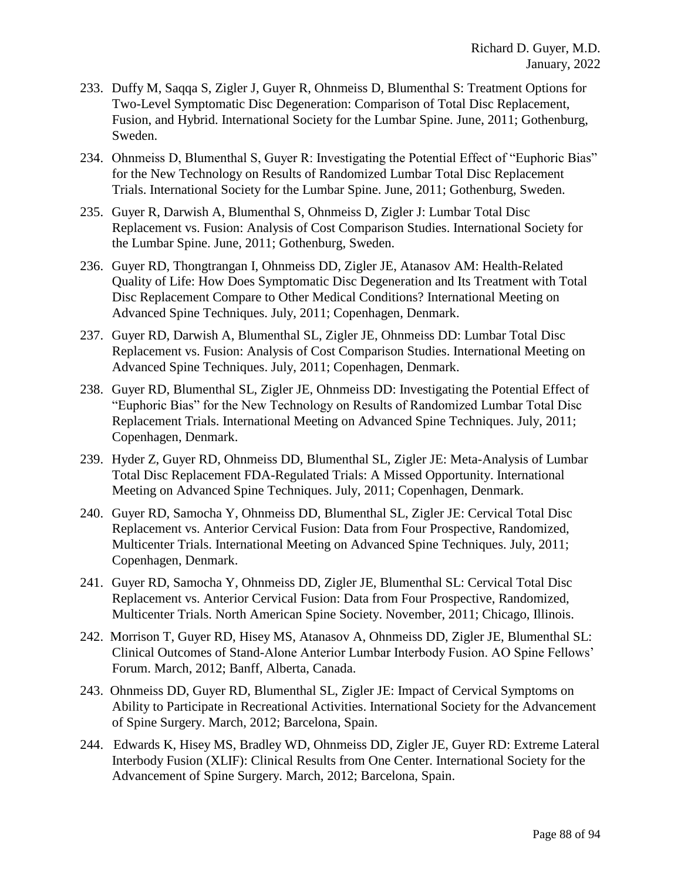- 233. Duffy M, Saqqa S, Zigler J, Guyer R, Ohnmeiss D, Blumenthal S: Treatment Options for Two-Level Symptomatic Disc Degeneration: Comparison of Total Disc Replacement, Fusion, and Hybrid. International Society for the Lumbar Spine. June, 2011; Gothenburg, Sweden.
- 234. Ohnmeiss D, Blumenthal S, Guyer R: Investigating the Potential Effect of "Euphoric Bias" for the New Technology on Results of Randomized Lumbar Total Disc Replacement Trials. International Society for the Lumbar Spine. June, 2011; Gothenburg, Sweden.
- 235. Guyer R, Darwish A, Blumenthal S, Ohnmeiss D, Zigler J: Lumbar Total Disc Replacement vs. Fusion: Analysis of Cost Comparison Studies. International Society for the Lumbar Spine. June, 2011; Gothenburg, Sweden.
- 236. Guyer RD, Thongtrangan I, Ohnmeiss DD, Zigler JE, Atanasov AM: Health-Related Quality of Life: How Does Symptomatic Disc Degeneration and Its Treatment with Total Disc Replacement Compare to Other Medical Conditions? International Meeting on Advanced Spine Techniques. July, 2011; Copenhagen, Denmark.
- 237. Guyer RD, Darwish A, Blumenthal SL, Zigler JE, Ohnmeiss DD: Lumbar Total Disc Replacement vs. Fusion: Analysis of Cost Comparison Studies. International Meeting on Advanced Spine Techniques. July, 2011; Copenhagen, Denmark.
- 238. Guyer RD, Blumenthal SL, Zigler JE, Ohnmeiss DD: Investigating the Potential Effect of "Euphoric Bias" for the New Technology on Results of Randomized Lumbar Total Disc Replacement Trials. International Meeting on Advanced Spine Techniques. July, 2011; Copenhagen, Denmark.
- 239. Hyder Z, Guyer RD, Ohnmeiss DD, Blumenthal SL, Zigler JE: Meta-Analysis of Lumbar Total Disc Replacement FDA-Regulated Trials: A Missed Opportunity. International Meeting on Advanced Spine Techniques. July, 2011; Copenhagen, Denmark.
- 240. Guyer RD, Samocha Y, Ohnmeiss DD, Blumenthal SL, Zigler JE: Cervical Total Disc Replacement vs. Anterior Cervical Fusion: Data from Four Prospective, Randomized, Multicenter Trials. International Meeting on Advanced Spine Techniques. July, 2011; Copenhagen, Denmark.
- 241. Guyer RD, Samocha Y, Ohnmeiss DD, Zigler JE, Blumenthal SL: Cervical Total Disc Replacement vs. Anterior Cervical Fusion: Data from Four Prospective, Randomized, Multicenter Trials. North American Spine Society. November, 2011; Chicago, Illinois.
- 242. Morrison T, Guyer RD, Hisey MS, Atanasov A, Ohnmeiss DD, Zigler JE, Blumenthal SL: Clinical Outcomes of Stand-Alone Anterior Lumbar Interbody Fusion. AO Spine Fellows' Forum. March, 2012; Banff, Alberta, Canada.
- 243. Ohnmeiss DD, Guyer RD, Blumenthal SL, Zigler JE: Impact of Cervical Symptoms on Ability to Participate in Recreational Activities. International Society for the Advancement of Spine Surgery. March, 2012; Barcelona, Spain.
- 244. Edwards K, Hisey MS, Bradley WD, Ohnmeiss DD, Zigler JE, Guyer RD: Extreme Lateral Interbody Fusion (XLIF): Clinical Results from One Center. International Society for the Advancement of Spine Surgery. March, 2012; Barcelona, Spain.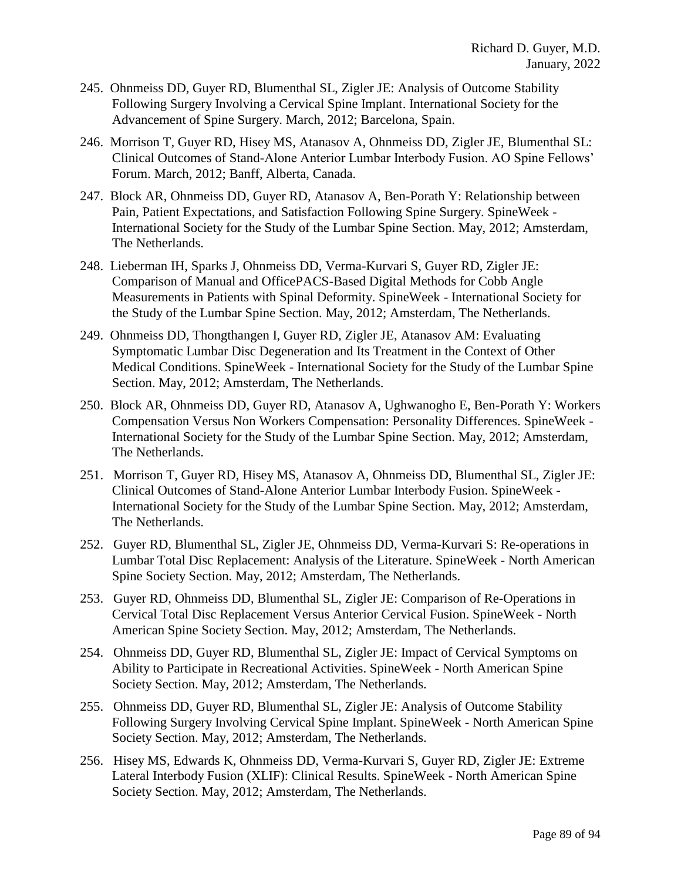- 245. Ohnmeiss DD, Guyer RD, Blumenthal SL, Zigler JE: Analysis of Outcome Stability Following Surgery Involving a Cervical Spine Implant. International Society for the Advancement of Spine Surgery. March, 2012; Barcelona, Spain.
- 246. Morrison T, Guyer RD, Hisey MS, Atanasov A, Ohnmeiss DD, Zigler JE, Blumenthal SL: Clinical Outcomes of Stand-Alone Anterior Lumbar Interbody Fusion. AO Spine Fellows' Forum. March, 2012; Banff, Alberta, Canada.
- 247. Block AR, Ohnmeiss DD, Guyer RD, Atanasov A, Ben-Porath Y: Relationship between Pain, Patient Expectations, and Satisfaction Following Spine Surgery. SpineWeek - International Society for the Study of the Lumbar Spine Section. May, 2012; Amsterdam, The Netherlands.
- 248. Lieberman IH, Sparks J, Ohnmeiss DD, Verma-Kurvari S, Guyer RD, Zigler JE: Comparison of Manual and OfficePACS-Based Digital Methods for Cobb Angle Measurements in Patients with Spinal Deformity. SpineWeek - International Society for the Study of the Lumbar Spine Section. May, 2012; Amsterdam, The Netherlands.
- 249. Ohnmeiss DD, Thongthangen I, Guyer RD, Zigler JE, Atanasov AM: Evaluating Symptomatic Lumbar Disc Degeneration and Its Treatment in the Context of Other Medical Conditions. SpineWeek - International Society for the Study of the Lumbar Spine Section. May, 2012; Amsterdam, The Netherlands.
- 250. Block AR, Ohnmeiss DD, Guyer RD, Atanasov A, Ughwanogho E, Ben-Porath Y: Workers Compensation Versus Non Workers Compensation: Personality Differences. SpineWeek - International Society for the Study of the Lumbar Spine Section. May, 2012; Amsterdam, The Netherlands.
- 251. Morrison T, Guyer RD, Hisey MS, Atanasov A, Ohnmeiss DD, Blumenthal SL, Zigler JE: Clinical Outcomes of Stand-Alone Anterior Lumbar Interbody Fusion. SpineWeek - International Society for the Study of the Lumbar Spine Section. May, 2012; Amsterdam, The Netherlands.
- 252. Guyer RD, Blumenthal SL, Zigler JE, Ohnmeiss DD, Verma-Kurvari S: Re-operations in Lumbar Total Disc Replacement: Analysis of the Literature. SpineWeek - North American Spine Society Section. May, 2012; Amsterdam, The Netherlands.
- 253. Guyer RD, Ohnmeiss DD, Blumenthal SL, Zigler JE: Comparison of Re-Operations in Cervical Total Disc Replacement Versus Anterior Cervical Fusion. SpineWeek - North American Spine Society Section. May, 2012; Amsterdam, The Netherlands.
- 254. Ohnmeiss DD, Guyer RD, Blumenthal SL, Zigler JE: Impact of Cervical Symptoms on Ability to Participate in Recreational Activities. SpineWeek - North American Spine Society Section. May, 2012; Amsterdam, The Netherlands.
- 255. Ohnmeiss DD, Guyer RD, Blumenthal SL, Zigler JE: Analysis of Outcome Stability Following Surgery Involving Cervical Spine Implant. SpineWeek - North American Spine Society Section. May, 2012; Amsterdam, The Netherlands.
- 256. Hisey MS, Edwards K, Ohnmeiss DD, Verma-Kurvari S, Guyer RD, Zigler JE: Extreme Lateral Interbody Fusion (XLIF): Clinical Results. SpineWeek - North American Spine Society Section. May, 2012; Amsterdam, The Netherlands.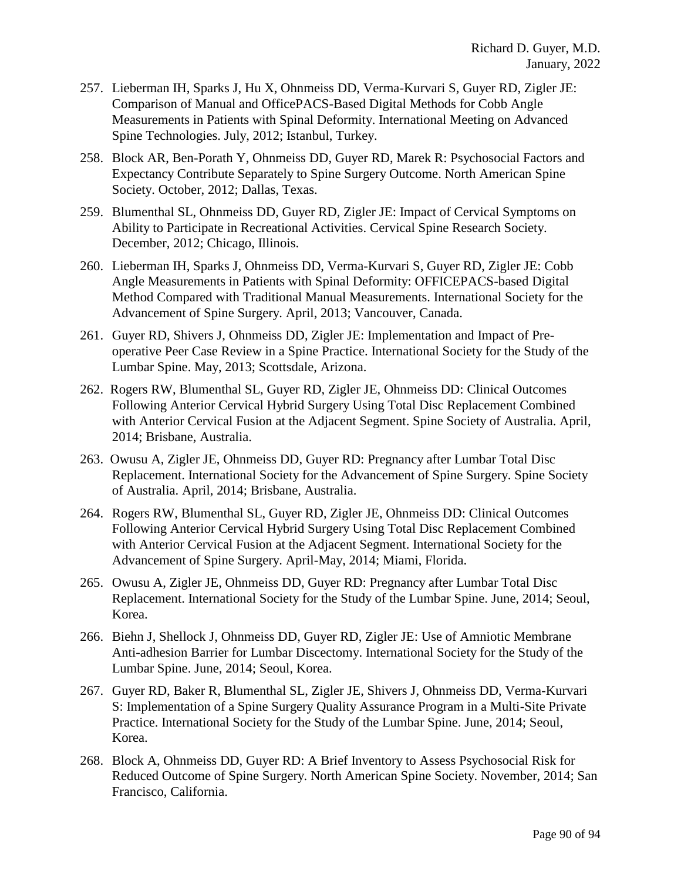- 257. Lieberman IH, Sparks J, Hu X, Ohnmeiss DD, Verma-Kurvari S, Guyer RD, Zigler JE: Comparison of Manual and OfficePACS-Based Digital Methods for Cobb Angle Measurements in Patients with Spinal Deformity. International Meeting on Advanced Spine Technologies. July, 2012; Istanbul, Turkey.
- 258. Block AR, Ben-Porath Y, Ohnmeiss DD, Guyer RD, Marek R: Psychosocial Factors and Expectancy Contribute Separately to Spine Surgery Outcome. North American Spine Society. October, 2012; Dallas, Texas.
- 259. Blumenthal SL, Ohnmeiss DD, Guyer RD, Zigler JE: Impact of Cervical Symptoms on Ability to Participate in Recreational Activities. Cervical Spine Research Society. December, 2012; Chicago, Illinois.
- 260. Lieberman IH, Sparks J, Ohnmeiss DD, Verma-Kurvari S, Guyer RD, Zigler JE: Cobb Angle Measurements in Patients with Spinal Deformity: OFFICEPACS-based Digital Method Compared with Traditional Manual Measurements. International Society for the Advancement of Spine Surgery. April, 2013; Vancouver, Canada.
- 261. Guyer RD, Shivers J, Ohnmeiss DD, Zigler JE: Implementation and Impact of Preoperative Peer Case Review in a Spine Practice. International Society for the Study of the Lumbar Spine. May, 2013; Scottsdale, Arizona.
- 262. Rogers RW, Blumenthal SL, Guyer RD, Zigler JE, Ohnmeiss DD: Clinical Outcomes Following Anterior Cervical Hybrid Surgery Using Total Disc Replacement Combined with Anterior Cervical Fusion at the Adjacent Segment. Spine Society of Australia. April, 2014; Brisbane, Australia.
- 263. Owusu A, Zigler JE, Ohnmeiss DD, Guyer RD: Pregnancy after Lumbar Total Disc Replacement. International Society for the Advancement of Spine Surgery. Spine Society of Australia. April, 2014; Brisbane, Australia.
- 264. Rogers RW, Blumenthal SL, Guyer RD, Zigler JE, Ohnmeiss DD: Clinical Outcomes Following Anterior Cervical Hybrid Surgery Using Total Disc Replacement Combined with Anterior Cervical Fusion at the Adjacent Segment. International Society for the Advancement of Spine Surgery. April-May, 2014; Miami, Florida.
- 265. Owusu A, Zigler JE, Ohnmeiss DD, Guyer RD: Pregnancy after Lumbar Total Disc Replacement. International Society for the Study of the Lumbar Spine. June, 2014; Seoul, Korea.
- 266. Biehn J, Shellock J, Ohnmeiss DD, Guyer RD, Zigler JE: Use of Amniotic Membrane Anti-adhesion Barrier for Lumbar Discectomy. International Society for the Study of the Lumbar Spine. June, 2014; Seoul, Korea.
- 267. Guyer RD, Baker R, Blumenthal SL, Zigler JE, Shivers J, Ohnmeiss DD, Verma-Kurvari S: Implementation of a Spine Surgery Quality Assurance Program in a Multi-Site Private Practice. International Society for the Study of the Lumbar Spine. June, 2014; Seoul, Korea.
- 268. Block A, Ohnmeiss DD, Guyer RD: A Brief Inventory to Assess Psychosocial Risk for Reduced Outcome of Spine Surgery. North American Spine Society. November, 2014; San Francisco, California.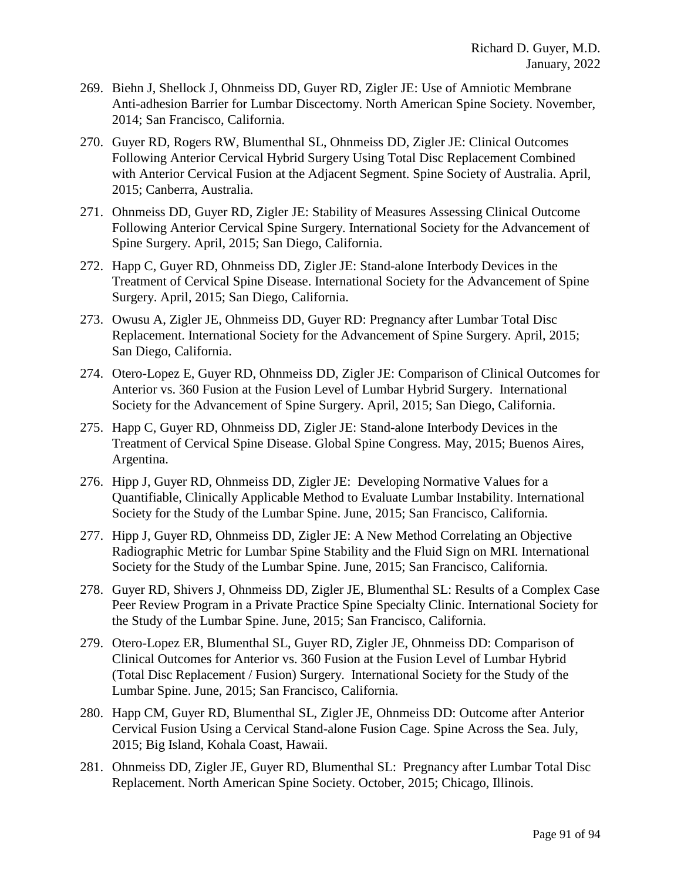- 269. Biehn J, Shellock J, Ohnmeiss DD, Guyer RD, Zigler JE: Use of Amniotic Membrane Anti-adhesion Barrier for Lumbar Discectomy. North American Spine Society. November, 2014; San Francisco, California.
- 270. Guyer RD, Rogers RW, Blumenthal SL, Ohnmeiss DD, Zigler JE: Clinical Outcomes Following Anterior Cervical Hybrid Surgery Using Total Disc Replacement Combined with Anterior Cervical Fusion at the Adjacent Segment. Spine Society of Australia. April, 2015; Canberra, Australia.
- 271. Ohnmeiss DD, Guyer RD, Zigler JE: Stability of Measures Assessing Clinical Outcome Following Anterior Cervical Spine Surgery. International Society for the Advancement of Spine Surgery. April, 2015; San Diego, California.
- 272. Happ C, Guyer RD, Ohnmeiss DD, Zigler JE: Stand-alone Interbody Devices in the Treatment of Cervical Spine Disease. International Society for the Advancement of Spine Surgery. April, 2015; San Diego, California.
- 273. Owusu A, Zigler JE, Ohnmeiss DD, Guyer RD: Pregnancy after Lumbar Total Disc Replacement. International Society for the Advancement of Spine Surgery. April, 2015; San Diego, California.
- 274. Otero-Lopez E, Guyer RD, Ohnmeiss DD, Zigler JE: Comparison of Clinical Outcomes for Anterior vs. 360 Fusion at the Fusion Level of Lumbar Hybrid Surgery. International Society for the Advancement of Spine Surgery. April, 2015; San Diego, California.
- 275. Happ C, Guyer RD, Ohnmeiss DD, Zigler JE: Stand-alone Interbody Devices in the Treatment of Cervical Spine Disease. Global Spine Congress. May, 2015; Buenos Aires, Argentina.
- 276. Hipp J, Guyer RD, Ohnmeiss DD, Zigler JE: Developing Normative Values for a Quantifiable, Clinically Applicable Method to Evaluate Lumbar Instability. International Society for the Study of the Lumbar Spine. June, 2015; San Francisco, California.
- 277. Hipp J, Guyer RD, Ohnmeiss DD, Zigler JE: A New Method Correlating an Objective Radiographic Metric for Lumbar Spine Stability and the Fluid Sign on MRI. International Society for the Study of the Lumbar Spine. June, 2015; San Francisco, California.
- 278. Guyer RD, Shivers J, Ohnmeiss DD, Zigler JE, Blumenthal SL: Results of a Complex Case Peer Review Program in a Private Practice Spine Specialty Clinic. International Society for the Study of the Lumbar Spine. June, 2015; San Francisco, California.
- 279. Otero-Lopez ER, Blumenthal SL, Guyer RD, Zigler JE, Ohnmeiss DD: Comparison of Clinical Outcomes for Anterior vs. 360 Fusion at the Fusion Level of Lumbar Hybrid (Total Disc Replacement / Fusion) Surgery. International Society for the Study of the Lumbar Spine. June, 2015; San Francisco, California.
- 280. Happ CM, Guyer RD, Blumenthal SL, Zigler JE, Ohnmeiss DD: Outcome after Anterior Cervical Fusion Using a Cervical Stand-alone Fusion Cage. Spine Across the Sea. July, 2015; Big Island, Kohala Coast, Hawaii.
- 281. Ohnmeiss DD, Zigler JE, Guyer RD, Blumenthal SL: Pregnancy after Lumbar Total Disc Replacement. North American Spine Society. October, 2015; Chicago, Illinois.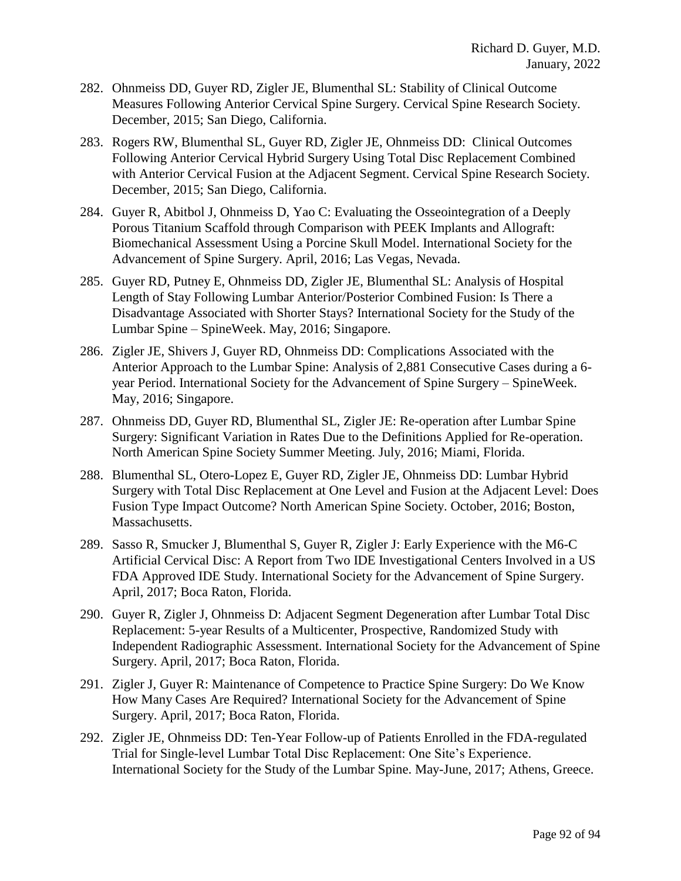- 282. Ohnmeiss DD, Guyer RD, Zigler JE, Blumenthal SL: Stability of Clinical Outcome Measures Following Anterior Cervical Spine Surgery. Cervical Spine Research Society. December, 2015; San Diego, California.
- 283. Rogers RW, Blumenthal SL, Guyer RD, Zigler JE, Ohnmeiss DD: Clinical Outcomes Following Anterior Cervical Hybrid Surgery Using Total Disc Replacement Combined with Anterior Cervical Fusion at the Adjacent Segment. Cervical Spine Research Society. December, 2015; San Diego, California.
- 284. Guyer R, Abitbol J, Ohnmeiss D, Yao C: Evaluating the Osseointegration of a Deeply Porous Titanium Scaffold through Comparison with PEEK Implants and Allograft: Biomechanical Assessment Using a Porcine Skull Model. International Society for the Advancement of Spine Surgery. April, 2016; Las Vegas, Nevada.
- 285. Guyer RD, Putney E, Ohnmeiss DD, Zigler JE, Blumenthal SL: Analysis of Hospital Length of Stay Following Lumbar Anterior/Posterior Combined Fusion: Is There a Disadvantage Associated with Shorter Stays? International Society for the Study of the Lumbar Spine – SpineWeek. May, 2016; Singapore.
- 286. Zigler JE, Shivers J, Guyer RD, Ohnmeiss DD: Complications Associated with the Anterior Approach to the Lumbar Spine: Analysis of 2,881 Consecutive Cases during a 6 year Period. International Society for the Advancement of Spine Surgery – SpineWeek. May, 2016; Singapore.
- 287. Ohnmeiss DD, Guyer RD, Blumenthal SL, Zigler JE: Re-operation after Lumbar Spine Surgery: Significant Variation in Rates Due to the Definitions Applied for Re-operation. North American Spine Society Summer Meeting. July, 2016; Miami, Florida.
- 288. Blumenthal SL, Otero-Lopez E, Guyer RD, Zigler JE, Ohnmeiss DD: Lumbar Hybrid Surgery with Total Disc Replacement at One Level and Fusion at the Adjacent Level: Does Fusion Type Impact Outcome? North American Spine Society. October, 2016; Boston, Massachusetts.
- 289. Sasso R, Smucker J, Blumenthal S, Guyer R, Zigler J: Early Experience with the M6-C Artificial Cervical Disc: A Report from Two IDE Investigational Centers Involved in a US FDA Approved IDE Study. International Society for the Advancement of Spine Surgery. April, 2017; Boca Raton, Florida.
- 290. Guyer R, Zigler J, Ohnmeiss D: Adjacent Segment Degeneration after Lumbar Total Disc Replacement: 5-year Results of a Multicenter, Prospective, Randomized Study with Independent Radiographic Assessment. International Society for the Advancement of Spine Surgery. April, 2017; Boca Raton, Florida.
- 291. Zigler J, Guyer R: Maintenance of Competence to Practice Spine Surgery: Do We Know How Many Cases Are Required? International Society for the Advancement of Spine Surgery. April, 2017; Boca Raton, Florida.
- 292. Zigler JE, Ohnmeiss DD: Ten-Year Follow-up of Patients Enrolled in the FDA-regulated Trial for Single-level Lumbar Total Disc Replacement: One Site's Experience. International Society for the Study of the Lumbar Spine. May-June, 2017; Athens, Greece.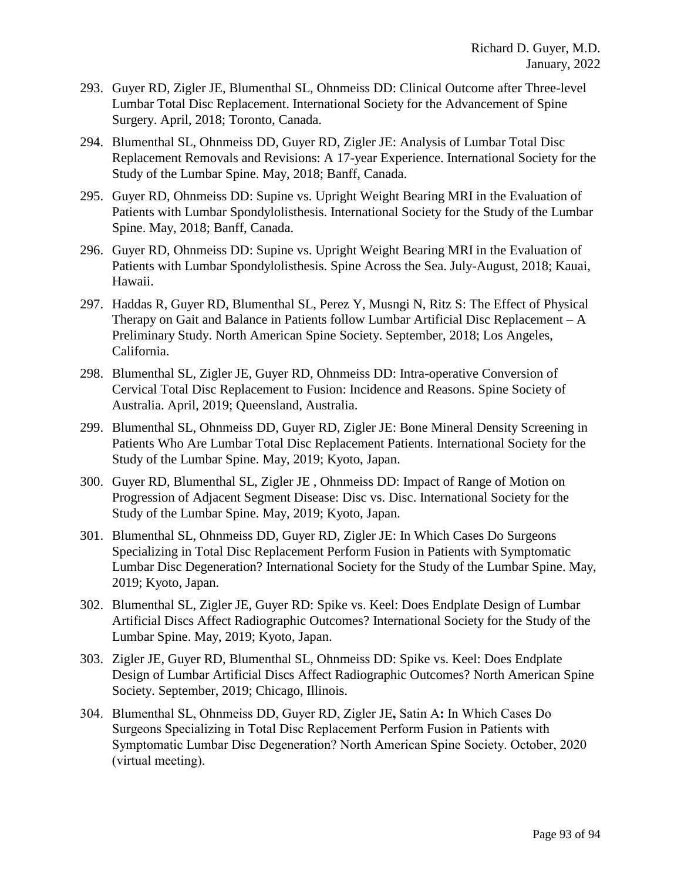- 293. Guyer RD, Zigler JE, Blumenthal SL, Ohnmeiss DD: Clinical Outcome after Three-level Lumbar Total Disc Replacement. International Society for the Advancement of Spine Surgery. April, 2018; Toronto, Canada.
- 294. Blumenthal SL, Ohnmeiss DD, Guyer RD, Zigler JE: Analysis of Lumbar Total Disc Replacement Removals and Revisions: A 17-year Experience. International Society for the Study of the Lumbar Spine. May, 2018; Banff, Canada.
- 295. Guyer RD, Ohnmeiss DD: Supine vs. Upright Weight Bearing MRI in the Evaluation of Patients with Lumbar Spondylolisthesis. International Society for the Study of the Lumbar Spine. May, 2018; Banff, Canada.
- 296. Guyer RD, Ohnmeiss DD: Supine vs. Upright Weight Bearing MRI in the Evaluation of Patients with Lumbar Spondylolisthesis. Spine Across the Sea. July-August, 2018; Kauai, Hawaii.
- 297. Haddas R, Guyer RD, Blumenthal SL, Perez Y, Musngi N, Ritz S: The Effect of Physical Therapy on Gait and Balance in Patients follow Lumbar Artificial Disc Replacement – A Preliminary Study. North American Spine Society. September, 2018; Los Angeles, California.
- 298. Blumenthal SL, Zigler JE, Guyer RD, Ohnmeiss DD: Intra-operative Conversion of Cervical Total Disc Replacement to Fusion: Incidence and Reasons. Spine Society of Australia. April, 2019; Queensland, Australia.
- 299. Blumenthal SL, Ohnmeiss DD, Guyer RD, Zigler JE: Bone Mineral Density Screening in Patients Who Are Lumbar Total Disc Replacement Patients. International Society for the Study of the Lumbar Spine. May, 2019; Kyoto, Japan.
- 300. Guyer RD, Blumenthal SL, Zigler JE , Ohnmeiss DD: Impact of Range of Motion on Progression of Adjacent Segment Disease: Disc vs. Disc. International Society for the Study of the Lumbar Spine. May, 2019; Kyoto, Japan.
- 301. Blumenthal SL, Ohnmeiss DD, Guyer RD, Zigler JE: In Which Cases Do Surgeons Specializing in Total Disc Replacement Perform Fusion in Patients with Symptomatic Lumbar Disc Degeneration? International Society for the Study of the Lumbar Spine. May, 2019; Kyoto, Japan.
- 302. Blumenthal SL, Zigler JE, Guyer RD: Spike vs. Keel: Does Endplate Design of Lumbar Artificial Discs Affect Radiographic Outcomes? International Society for the Study of the Lumbar Spine. May, 2019; Kyoto, Japan.
- 303. Zigler JE, Guyer RD, Blumenthal SL, Ohnmeiss DD: Spike vs. Keel: Does Endplate Design of Lumbar Artificial Discs Affect Radiographic Outcomes? North American Spine Society. September, 2019; Chicago, Illinois.
- 304. Blumenthal SL, Ohnmeiss DD, Guyer RD, Zigler JE**,** Satin A**:** In Which Cases Do Surgeons Specializing in Total Disc Replacement Perform Fusion in Patients with Symptomatic Lumbar Disc Degeneration? North American Spine Society. October, 2020 (virtual meeting).